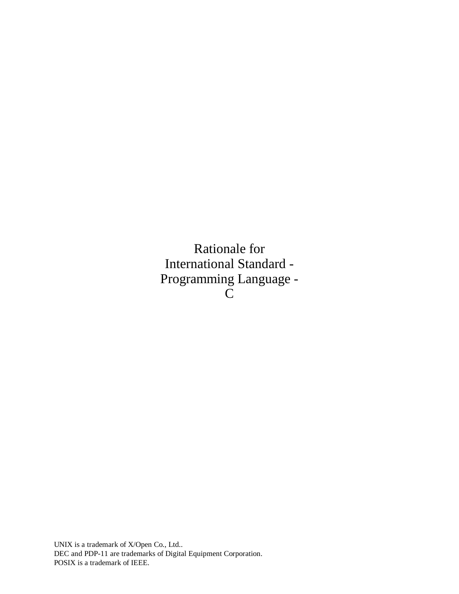Rationale for International Standard - Programming Language - C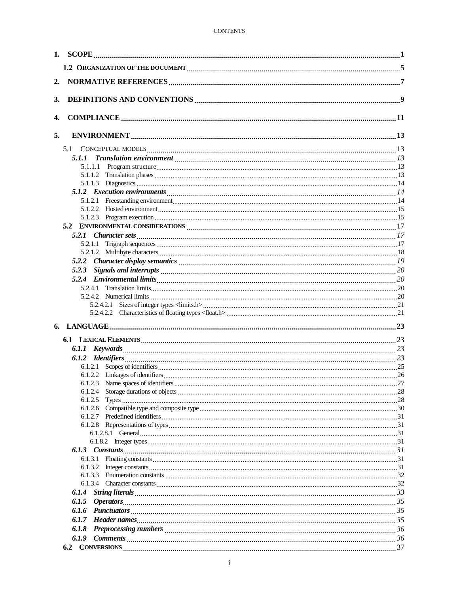| 3.               |                                                                                         |  |
|------------------|-----------------------------------------------------------------------------------------|--|
|                  |                                                                                         |  |
| $\overline{4}$ . |                                                                                         |  |
| 5.               |                                                                                         |  |
|                  |                                                                                         |  |
|                  |                                                                                         |  |
|                  | 5.1.1.1                                                                                 |  |
|                  | 5.1.1.2                                                                                 |  |
|                  |                                                                                         |  |
|                  |                                                                                         |  |
|                  |                                                                                         |  |
|                  |                                                                                         |  |
|                  |                                                                                         |  |
|                  |                                                                                         |  |
|                  |                                                                                         |  |
|                  | 5.2.1.1                                                                                 |  |
|                  |                                                                                         |  |
|                  |                                                                                         |  |
|                  | Signals and interrupts <i>material content content and interrupts</i> and $20$<br>5.2.3 |  |
|                  |                                                                                         |  |
|                  |                                                                                         |  |
|                  | 5.2.4.2.1                                                                               |  |
|                  |                                                                                         |  |
|                  |                                                                                         |  |
|                  |                                                                                         |  |
|                  |                                                                                         |  |
|                  |                                                                                         |  |
|                  |                                                                                         |  |
|                  |                                                                                         |  |
|                  |                                                                                         |  |
|                  |                                                                                         |  |
|                  |                                                                                         |  |
|                  |                                                                                         |  |
|                  |                                                                                         |  |
|                  |                                                                                         |  |
|                  |                                                                                         |  |
|                  |                                                                                         |  |
|                  |                                                                                         |  |
|                  |                                                                                         |  |
|                  |                                                                                         |  |
|                  |                                                                                         |  |
|                  |                                                                                         |  |
|                  | 6.1.4                                                                                   |  |
|                  |                                                                                         |  |
|                  |                                                                                         |  |
|                  |                                                                                         |  |
|                  | 6.1.8 Preprocessing numbers $\frac{36}{1000}$                                           |  |
|                  |                                                                                         |  |
|                  |                                                                                         |  |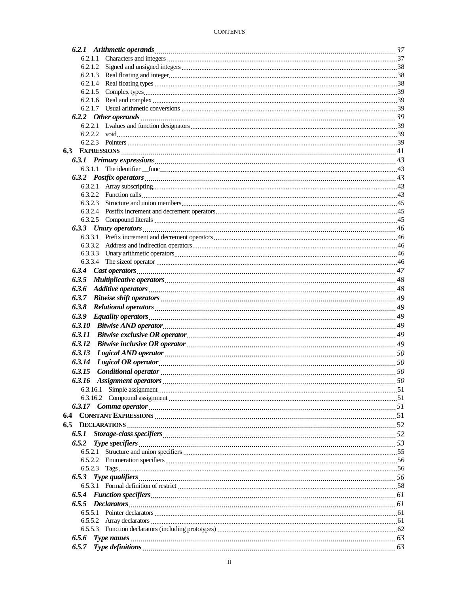| 6.3.6 |                                              |  |
|-------|----------------------------------------------|--|
|       |                                              |  |
| 6.3.8 |                                              |  |
| 6.3.9 |                                              |  |
|       |                                              |  |
|       |                                              |  |
|       |                                              |  |
|       |                                              |  |
|       |                                              |  |
|       | 6.3.15 Conditional operator $\frac{1}{1}$ 50 |  |
|       |                                              |  |
|       |                                              |  |
|       |                                              |  |
|       |                                              |  |
|       |                                              |  |
|       |                                              |  |
| 6.5   |                                              |  |
| 6.5.1 |                                              |  |
| 6.5.2 |                                              |  |
|       |                                              |  |
|       |                                              |  |
|       |                                              |  |
|       |                                              |  |
|       |                                              |  |
| 6.5.4 |                                              |  |
|       |                                              |  |
|       |                                              |  |
|       |                                              |  |
|       |                                              |  |
| 6.5.6 |                                              |  |
| 6.5.7 |                                              |  |
|       |                                              |  |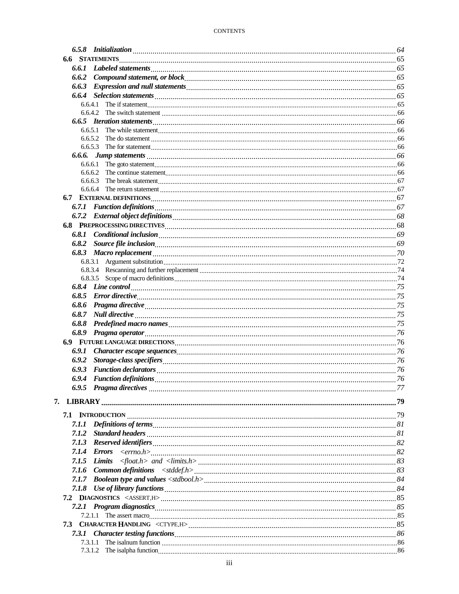| 6.5.8                                                                                                                                                                                                                                        |  |
|----------------------------------------------------------------------------------------------------------------------------------------------------------------------------------------------------------------------------------------------|--|
|                                                                                                                                                                                                                                              |  |
| 6.6.1                                                                                                                                                                                                                                        |  |
| 6.6.2                                                                                                                                                                                                                                        |  |
| Expression and null statements <i>manual content of the series</i> of the series of the series of the series of the series of the series of the series of the series of the series of the series of the series of the series of the<br>6.6.3 |  |
|                                                                                                                                                                                                                                              |  |
| 6.6.4.1                                                                                                                                                                                                                                      |  |
|                                                                                                                                                                                                                                              |  |
|                                                                                                                                                                                                                                              |  |
| 6.6.5.1                                                                                                                                                                                                                                      |  |
|                                                                                                                                                                                                                                              |  |
|                                                                                                                                                                                                                                              |  |
|                                                                                                                                                                                                                                              |  |
|                                                                                                                                                                                                                                              |  |
|                                                                                                                                                                                                                                              |  |
|                                                                                                                                                                                                                                              |  |
|                                                                                                                                                                                                                                              |  |
|                                                                                                                                                                                                                                              |  |
|                                                                                                                                                                                                                                              |  |
|                                                                                                                                                                                                                                              |  |
|                                                                                                                                                                                                                                              |  |
| Conditional inclusion material contracts and the contract of the contract of the conditional inclusion material<br>6.8.1                                                                                                                     |  |
| 6.8.2                                                                                                                                                                                                                                        |  |
| 6.8.3                                                                                                                                                                                                                                        |  |
|                                                                                                                                                                                                                                              |  |
|                                                                                                                                                                                                                                              |  |
|                                                                                                                                                                                                                                              |  |
|                                                                                                                                                                                                                                              |  |
|                                                                                                                                                                                                                                              |  |
|                                                                                                                                                                                                                                              |  |
|                                                                                                                                                                                                                                              |  |
| 6.8.8                                                                                                                                                                                                                                        |  |
|                                                                                                                                                                                                                                              |  |
| 6.8.9                                                                                                                                                                                                                                        |  |
|                                                                                                                                                                                                                                              |  |
| 6.9.1                                                                                                                                                                                                                                        |  |
| 6.9.2                                                                                                                                                                                                                                        |  |
| 6.9.3                                                                                                                                                                                                                                        |  |
| 6.9.4 Function definitions                                                                                                                                                                                                                   |  |
|                                                                                                                                                                                                                                              |  |
|                                                                                                                                                                                                                                              |  |
|                                                                                                                                                                                                                                              |  |
|                                                                                                                                                                                                                                              |  |
| 7.1.1                                                                                                                                                                                                                                        |  |
| 7.1.2                                                                                                                                                                                                                                        |  |
| 7.1.3                                                                                                                                                                                                                                        |  |
| 7.1.4                                                                                                                                                                                                                                        |  |
| 7.1.5<br>Limits                                                                                                                                                                                                                              |  |
| 7.1.6                                                                                                                                                                                                                                        |  |
| 7.1.7                                                                                                                                                                                                                                        |  |
| 7.1.8                                                                                                                                                                                                                                        |  |
|                                                                                                                                                                                                                                              |  |
|                                                                                                                                                                                                                                              |  |
| 7.2.1.1                                                                                                                                                                                                                                      |  |
|                                                                                                                                                                                                                                              |  |
|                                                                                                                                                                                                                                              |  |
|                                                                                                                                                                                                                                              |  |
|                                                                                                                                                                                                                                              |  |
|                                                                                                                                                                                                                                              |  |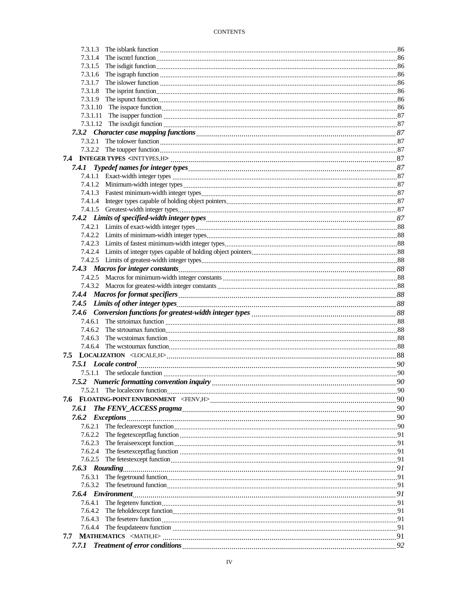| 7.3.1.3        | The isblank function material contains and the state of the state of the state of the state of the state of the state of the state of the state of the state of the state of the state of the state of the state of the state |  |
|----------------|-------------------------------------------------------------------------------------------------------------------------------------------------------------------------------------------------------------------------------|--|
| 7.3.1.4        |                                                                                                                                                                                                                               |  |
| 7.3.1.5        |                                                                                                                                                                                                                               |  |
| 7.3.1.6        |                                                                                                                                                                                                                               |  |
| 7.3.1.7        |                                                                                                                                                                                                                               |  |
| 7.3.1.8        |                                                                                                                                                                                                                               |  |
|                |                                                                                                                                                                                                                               |  |
|                |                                                                                                                                                                                                                               |  |
| 7.3.1.11       |                                                                                                                                                                                                                               |  |
|                |                                                                                                                                                                                                                               |  |
|                |                                                                                                                                                                                                                               |  |
| 7.3.2.1        |                                                                                                                                                                                                                               |  |
|                |                                                                                                                                                                                                                               |  |
|                |                                                                                                                                                                                                                               |  |
|                |                                                                                                                                                                                                                               |  |
|                |                                                                                                                                                                                                                               |  |
|                |                                                                                                                                                                                                                               |  |
|                |                                                                                                                                                                                                                               |  |
|                |                                                                                                                                                                                                                               |  |
|                |                                                                                                                                                                                                                               |  |
|                |                                                                                                                                                                                                                               |  |
|                |                                                                                                                                                                                                                               |  |
|                |                                                                                                                                                                                                                               |  |
|                |                                                                                                                                                                                                                               |  |
|                |                                                                                                                                                                                                                               |  |
|                |                                                                                                                                                                                                                               |  |
|                |                                                                                                                                                                                                                               |  |
|                |                                                                                                                                                                                                                               |  |
|                |                                                                                                                                                                                                                               |  |
|                |                                                                                                                                                                                                                               |  |
|                |                                                                                                                                                                                                                               |  |
|                |                                                                                                                                                                                                                               |  |
|                |                                                                                                                                                                                                                               |  |
|                |                                                                                                                                                                                                                               |  |
|                |                                                                                                                                                                                                                               |  |
|                |                                                                                                                                                                                                                               |  |
|                |                                                                                                                                                                                                                               |  |
|                |                                                                                                                                                                                                                               |  |
| 7.5            |                                                                                                                                                                                                                               |  |
|                |                                                                                                                                                                                                                               |  |
|                |                                                                                                                                                                                                                               |  |
|                |                                                                                                                                                                                                                               |  |
|                |                                                                                                                                                                                                                               |  |
|                |                                                                                                                                                                                                                               |  |
| 7.6.I          |                                                                                                                                                                                                                               |  |
|                |                                                                                                                                                                                                                               |  |
| 7.6.2.1        |                                                                                                                                                                                                                               |  |
| 7.6.2.2        |                                                                                                                                                                                                                               |  |
| 7.6.2.3        |                                                                                                                                                                                                                               |  |
| 7.6.2.4        |                                                                                                                                                                                                                               |  |
| 7.6.2.5        |                                                                                                                                                                                                                               |  |
| 7.6.3 Rounding |                                                                                                                                                                                                                               |  |
| 7.6.3.1        |                                                                                                                                                                                                                               |  |
| 7.6.3.2        |                                                                                                                                                                                                                               |  |
|                |                                                                                                                                                                                                                               |  |
| 7.6.4.1        |                                                                                                                                                                                                                               |  |
| 7.6.4.2        |                                                                                                                                                                                                                               |  |
|                |                                                                                                                                                                                                                               |  |
| 7.6.4.4        |                                                                                                                                                                                                                               |  |
| 7.7            |                                                                                                                                                                                                                               |  |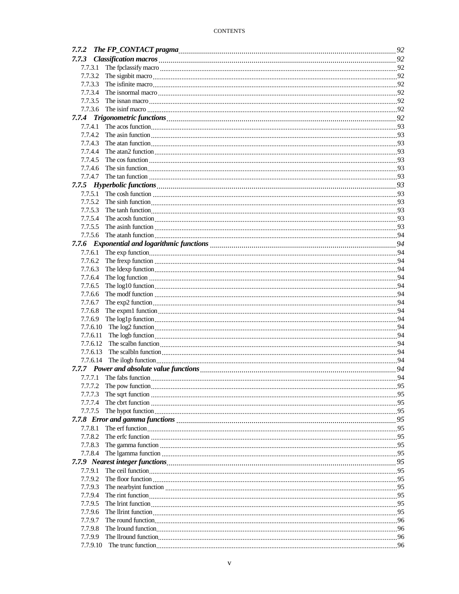|         | 7.7.3.1                      |    |
|---------|------------------------------|----|
|         |                              |    |
| 7.7.3.3 |                              |    |
|         | 7.7.3.4                      |    |
| 7.7.3.5 |                              |    |
| 7.7.3.6 |                              |    |
|         |                              |    |
|         | 7.7.4.1                      |    |
|         | 7.7.4.2                      |    |
| 7.7.4.3 |                              |    |
| 7.7.4.4 |                              |    |
|         |                              |    |
| 7.7.4.5 |                              |    |
| 7.7.4.6 |                              |    |
|         | 7.7.4.7                      |    |
|         |                              |    |
| 7.7.5.1 |                              |    |
|         | 7.7.5.2                      |    |
| 7.7.5.3 |                              |    |
|         | 7.7.5.4                      |    |
| 7.7.5.5 |                              |    |
| 7.7.5.6 |                              |    |
|         |                              |    |
| 7.7.6.1 |                              |    |
| 7.7.6.2 |                              |    |
| 7.7.6.3 |                              |    |
| 7.7.6.4 |                              |    |
| 7.7.6.5 |                              |    |
| 7.7.6.6 |                              |    |
| 7.7.6.7 |                              |    |
| 7.7.6.8 |                              |    |
|         | 7.7.6.9                      |    |
|         |                              |    |
|         | 7.7.6.11                     |    |
|         | 7.7.6.12                     |    |
|         | 7.7.6.13                     |    |
|         |                              |    |
|         |                              |    |
|         | 7.7.7.1                      |    |
| 7.7.7.2 |                              |    |
| 7.7.7.3 |                              |    |
| 7.7.7.4 |                              |    |
|         |                              |    |
| 7.7.7.5 |                              |    |
|         |                              |    |
| 7.7.8.1 |                              |    |
| 7.7.8.2 |                              |    |
| 7.7.8.3 |                              |    |
| 7.7.8.4 |                              |    |
|         |                              |    |
| 7.7.9.1 |                              |    |
| 7.7.9.2 |                              |    |
| 7.7.9.3 |                              |    |
| 7.7.9.4 |                              |    |
| 7.7.9.5 |                              |    |
| 7.7.9.6 |                              |    |
| 7.7.9.7 |                              |    |
| 7.7.9.8 |                              |    |
| 7.7.9.9 |                              |    |
|         | 7.7.9.10 The trunc function. | 96 |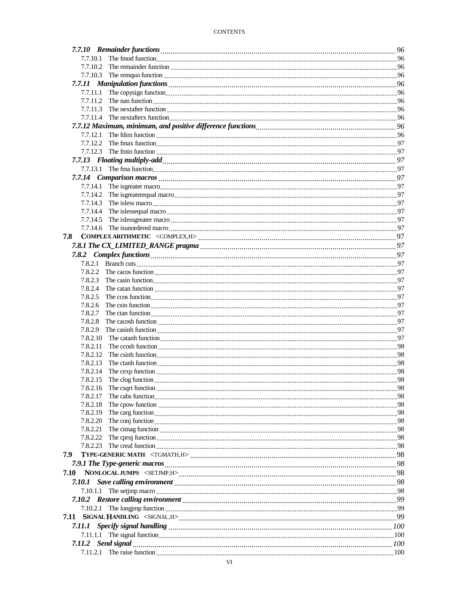|      | 7.7.10.1 |                                                                                                  |     |
|------|----------|--------------------------------------------------------------------------------------------------|-----|
|      |          |                                                                                                  |     |
|      |          |                                                                                                  |     |
|      |          |                                                                                                  |     |
|      | 7.7.11.1 |                                                                                                  |     |
|      | 7.7.11.2 |                                                                                                  |     |
|      |          |                                                                                                  |     |
|      |          |                                                                                                  |     |
|      |          |                                                                                                  |     |
|      | 7.7.12.1 |                                                                                                  |     |
|      |          |                                                                                                  |     |
|      |          |                                                                                                  |     |
|      |          |                                                                                                  |     |
|      |          |                                                                                                  |     |
|      | 7.7.13.1 |                                                                                                  |     |
|      | 7.7.14   |                                                                                                  |     |
|      | 7.7.14.1 |                                                                                                  |     |
|      | 7.7.14.2 |                                                                                                  |     |
|      | 7.7.14.3 |                                                                                                  |     |
|      | 7.7.14.4 |                                                                                                  |     |
|      | 7.7.14.5 |                                                                                                  |     |
|      |          |                                                                                                  |     |
| 7.8  |          |                                                                                                  |     |
|      |          |                                                                                                  |     |
|      |          |                                                                                                  |     |
|      |          |                                                                                                  |     |
|      |          |                                                                                                  |     |
|      | 7.8.2.2  |                                                                                                  |     |
|      |          |                                                                                                  |     |
|      |          |                                                                                                  |     |
|      | 7.8.2.5  |                                                                                                  |     |
|      | 7.8.2.6  |                                                                                                  |     |
|      | 7.8.2.7  |                                                                                                  |     |
|      | 7.8.2.8  |                                                                                                  |     |
|      | 7.8.2.9  |                                                                                                  |     |
|      | 7.8.2.10 |                                                                                                  |     |
|      | 7.8.2.11 |                                                                                                  |     |
|      | 7.8.2.12 |                                                                                                  |     |
|      | 7.8.2.13 |                                                                                                  |     |
|      | 7.8.2.14 |                                                                                                  |     |
|      | 7.8.2.15 |                                                                                                  | -98 |
|      | 7.8.2.16 |                                                                                                  |     |
|      | 7.8.2.17 |                                                                                                  |     |
|      | 7.8.2.18 |                                                                                                  |     |
|      | 7.8.2.19 |                                                                                                  |     |
|      | 7.8.2.20 |                                                                                                  |     |
|      | 7.8.2.21 |                                                                                                  |     |
|      | 7.8.2.22 |                                                                                                  |     |
|      | 7.8.2.23 |                                                                                                  |     |
|      |          |                                                                                                  |     |
| 7.9  |          |                                                                                                  |     |
|      |          |                                                                                                  |     |
| 7.10 |          |                                                                                                  |     |
|      | 7.10.1   | Save calling environment <i>manufacture content of the content of the calling environment</i> 38 |     |
|      | 7.10.1.1 |                                                                                                  |     |
|      |          |                                                                                                  |     |
|      | 7.10.2.1 |                                                                                                  |     |
| 7.11 |          |                                                                                                  |     |
|      |          |                                                                                                  |     |
|      | 7.11.1   |                                                                                                  |     |
|      | 7.11.1.1 |                                                                                                  |     |
|      | 7.11.2   |                                                                                                  |     |
|      |          |                                                                                                  |     |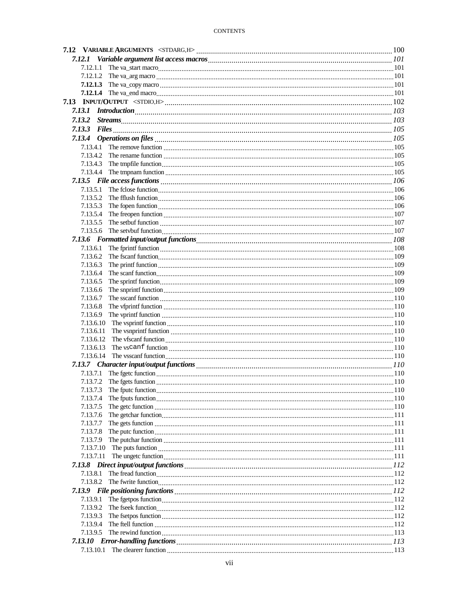| 7.12.1.1             |                              |  |
|----------------------|------------------------------|--|
|                      |                              |  |
|                      |                              |  |
|                      |                              |  |
|                      |                              |  |
|                      | 7.13.1 Introduction 2008 103 |  |
| 7.13.2               |                              |  |
|                      |                              |  |
|                      |                              |  |
|                      |                              |  |
|                      |                              |  |
| 7.13.4.3             |                              |  |
|                      |                              |  |
|                      |                              |  |
| 7.13.5.1             |                              |  |
|                      |                              |  |
| 7.13.5.3             |                              |  |
| 7.13.5.4             |                              |  |
| 7.13.5.5             |                              |  |
|                      |                              |  |
|                      |                              |  |
| 7.13.6.1             |                              |  |
| 7.13.6.2             |                              |  |
| 7.13.6.3             |                              |  |
| 7.13.6.4             |                              |  |
| 7.13.6.5<br>7.13.6.6 |                              |  |
| 7.13.6.7             |                              |  |
| 7.13.6.8             |                              |  |
| 7.13.6.9             |                              |  |
|                      |                              |  |
| 7.13.6.11            |                              |  |
| 7.13.6.12            |                              |  |
|                      |                              |  |
|                      |                              |  |
|                      |                              |  |
| 7.13.7.1             |                              |  |
|                      |                              |  |
| 7.13.7.3             |                              |  |
| 7.13.7.4             |                              |  |
| 7.13.7.5             |                              |  |
| 7.13.7.6             |                              |  |
| 7.13.7.7             |                              |  |
| 7.13.7.8             |                              |  |
| 7.13.7.9             |                              |  |
| 7.13.7.10            |                              |  |
| 7.13.7.11            |                              |  |
|                      |                              |  |
| 7.13.8.1<br>7.13.8.2 |                              |  |
|                      |                              |  |
| 7.13.9.1             |                              |  |
| 7.13.9.2             |                              |  |
| 7.13.9.3             |                              |  |
| 7.13.9.4             |                              |  |
| 7.13.9.5             |                              |  |
|                      |                              |  |
|                      |                              |  |
|                      |                              |  |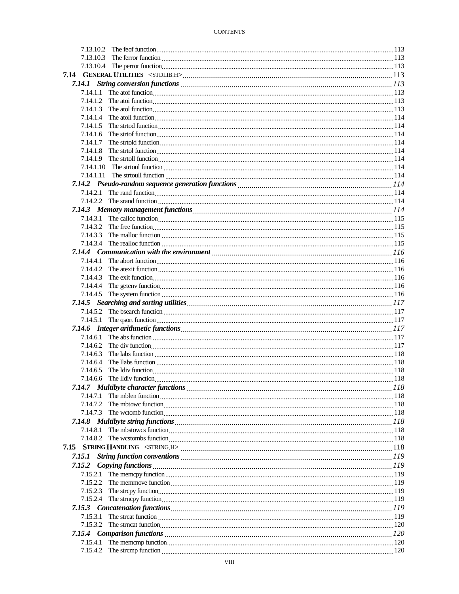| 7.14.1.1 |                                                                                                                                                                                                                                |  |
|----------|--------------------------------------------------------------------------------------------------------------------------------------------------------------------------------------------------------------------------------|--|
|          |                                                                                                                                                                                                                                |  |
| 7.14.1.3 |                                                                                                                                                                                                                                |  |
| 7.14.1.4 |                                                                                                                                                                                                                                |  |
| 7.14.1.5 |                                                                                                                                                                                                                                |  |
| 7.14.1.6 |                                                                                                                                                                                                                                |  |
| 7.14.1.7 |                                                                                                                                                                                                                                |  |
| 7.14.1.8 |                                                                                                                                                                                                                                |  |
| 7.14.1.9 |                                                                                                                                                                                                                                |  |
|          |                                                                                                                                                                                                                                |  |
|          |                                                                                                                                                                                                                                |  |
|          |                                                                                                                                                                                                                                |  |
|          |                                                                                                                                                                                                                                |  |
|          |                                                                                                                                                                                                                                |  |
|          |                                                                                                                                                                                                                                |  |
| 7.14.3.1 |                                                                                                                                                                                                                                |  |
|          |                                                                                                                                                                                                                                |  |
|          |                                                                                                                                                                                                                                |  |
|          |                                                                                                                                                                                                                                |  |
|          |                                                                                                                                                                                                                                |  |
| 7.14.4.1 |                                                                                                                                                                                                                                |  |
|          |                                                                                                                                                                                                                                |  |
| 7.14.4.3 |                                                                                                                                                                                                                                |  |
| 7.14.4.4 |                                                                                                                                                                                                                                |  |
| 7.14.4.5 |                                                                                                                                                                                                                                |  |
|          |                                                                                                                                                                                                                                |  |
|          |                                                                                                                                                                                                                                |  |
| 7.14.5.1 |                                                                                                                                                                                                                                |  |
|          |                                                                                                                                                                                                                                |  |
| 7.14.6.1 |                                                                                                                                                                                                                                |  |
| 7.14.6.2 |                                                                                                                                                                                                                                |  |
| 7.14.6.3 |                                                                                                                                                                                                                                |  |
| 7.14.6.4 |                                                                                                                                                                                                                                |  |
| 7.14.6.5 |                                                                                                                                                                                                                                |  |
|          |                                                                                                                                                                                                                                |  |
|          |                                                                                                                                                                                                                                |  |
| 7.14.7.1 |                                                                                                                                                                                                                                |  |
|          | The mblen function material and the model of the model of the model of the model of the model of the model of the model of the model of the model of the model of the model of the model of the model of the model of the mode |  |
|          |                                                                                                                                                                                                                                |  |
|          |                                                                                                                                                                                                                                |  |
|          |                                                                                                                                                                                                                                |  |
| 7.14.8.1 |                                                                                                                                                                                                                                |  |
|          |                                                                                                                                                                                                                                |  |
|          |                                                                                                                                                                                                                                |  |
| 7.15.1   |                                                                                                                                                                                                                                |  |
| 7.15.2   |                                                                                                                                                                                                                                |  |
|          |                                                                                                                                                                                                                                |  |
|          | 7.15.2.2 The memmove function <i>manufacture contain the container container container container container container</i>                                                                                                       |  |
|          |                                                                                                                                                                                                                                |  |
|          |                                                                                                                                                                                                                                |  |
|          |                                                                                                                                                                                                                                |  |
| 7.15.3.1 |                                                                                                                                                                                                                                |  |
|          |                                                                                                                                                                                                                                |  |
|          |                                                                                                                                                                                                                                |  |
| 7.15.4.1 |                                                                                                                                                                                                                                |  |
| 7.15.4.2 |                                                                                                                                                                                                                                |  |
|          |                                                                                                                                                                                                                                |  |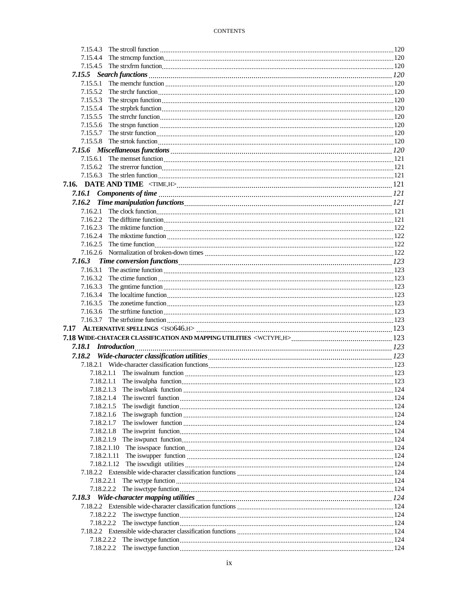| 7.15.4.3    |                                                                                                                                                                                                                                     |  |
|-------------|-------------------------------------------------------------------------------------------------------------------------------------------------------------------------------------------------------------------------------------|--|
| 7.15.4.4    |                                                                                                                                                                                                                                     |  |
| 7.15.4.5    |                                                                                                                                                                                                                                     |  |
|             |                                                                                                                                                                                                                                     |  |
|             |                                                                                                                                                                                                                                     |  |
| 7.15.5.2    |                                                                                                                                                                                                                                     |  |
| 7.15.5.3    |                                                                                                                                                                                                                                     |  |
| 7.15.5.4    |                                                                                                                                                                                                                                     |  |
| 7.15.5.5    |                                                                                                                                                                                                                                     |  |
| 7.15.5.6    |                                                                                                                                                                                                                                     |  |
| 7.15.5.7    |                                                                                                                                                                                                                                     |  |
|             |                                                                                                                                                                                                                                     |  |
|             | 7.15.6 Miscellaneous functions <i>machines and all algorithmic magnetic magnetic magnetic magnetic magnetic magnetia</i>                                                                                                            |  |
| 7.15.6.1    |                                                                                                                                                                                                                                     |  |
|             |                                                                                                                                                                                                                                     |  |
|             |                                                                                                                                                                                                                                     |  |
|             |                                                                                                                                                                                                                                     |  |
|             |                                                                                                                                                                                                                                     |  |
|             |                                                                                                                                                                                                                                     |  |
|             |                                                                                                                                                                                                                                     |  |
|             |                                                                                                                                                                                                                                     |  |
| 7.16.2.2    |                                                                                                                                                                                                                                     |  |
| 7.16.2.3    |                                                                                                                                                                                                                                     |  |
| 7.16.2.4    |                                                                                                                                                                                                                                     |  |
| 7.16.2.5    |                                                                                                                                                                                                                                     |  |
|             |                                                                                                                                                                                                                                     |  |
| 7.16.3      |                                                                                                                                                                                                                                     |  |
| 7.16.3.1    |                                                                                                                                                                                                                                     |  |
| 7.16.3.2    |                                                                                                                                                                                                                                     |  |
| 7.16.3.3    |                                                                                                                                                                                                                                     |  |
| 7.16.3.4    | The localtime function <i>communically contained to the localtime</i> function <i>n</i> <sub>123</sub>                                                                                                                              |  |
| 7.16.3.5    |                                                                                                                                                                                                                                     |  |
| 7.16.3.6    |                                                                                                                                                                                                                                     |  |
|             |                                                                                                                                                                                                                                     |  |
| 7.17        |                                                                                                                                                                                                                                     |  |
|             |                                                                                                                                                                                                                                     |  |
|             |                                                                                                                                                                                                                                     |  |
|             | 7.18.1 Introduction 23                                                                                                                                                                                                              |  |
|             |                                                                                                                                                                                                                                     |  |
|             |                                                                                                                                                                                                                                     |  |
|             |                                                                                                                                                                                                                                     |  |
|             |                                                                                                                                                                                                                                     |  |
| 7.18.2.1.3  |                                                                                                                                                                                                                                     |  |
| 7.18.2.1.4  |                                                                                                                                                                                                                                     |  |
| 7.18.2.1.5  |                                                                                                                                                                                                                                     |  |
| 7.18.2.1.6  |                                                                                                                                                                                                                                     |  |
| 7.18.2.1.7  |                                                                                                                                                                                                                                     |  |
| 7.18.2.1.8  |                                                                                                                                                                                                                                     |  |
|             |                                                                                                                                                                                                                                     |  |
|             |                                                                                                                                                                                                                                     |  |
| 7.18.2.1.11 |                                                                                                                                                                                                                                     |  |
|             | 7.18.2.1.12                                                                                                                                                                                                                         |  |
|             |                                                                                                                                                                                                                                     |  |
| 7.18.2.2.1  |                                                                                                                                                                                                                                     |  |
|             | 7.18.2.2.2 The iswetype function <i>communically contained as a contained as a contained as a contained as a contained as a</i> contained a contact and a contact a contact a contact and a contact a contact a contact a contact a |  |
|             |                                                                                                                                                                                                                                     |  |
|             |                                                                                                                                                                                                                                     |  |
|             | 7.18.2.2.2 The iswetype function <i>communically contained as a communical</i> contract the swetter function contained and the swetter of 24                                                                                        |  |
| 7.18.2.2.2  |                                                                                                                                                                                                                                     |  |
|             |                                                                                                                                                                                                                                     |  |
| 7.18.2.2.2  |                                                                                                                                                                                                                                     |  |
| 7.18.2.2.2  |                                                                                                                                                                                                                                     |  |
|             |                                                                                                                                                                                                                                     |  |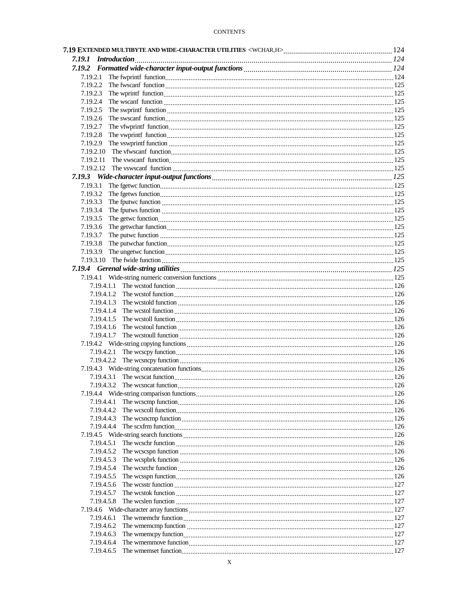|          |                                                                                                                                                                                                                                     | 124 |
|----------|-------------------------------------------------------------------------------------------------------------------------------------------------------------------------------------------------------------------------------------|-----|
|          | 7.19.1 Introduction 2000 124                                                                                                                                                                                                        |     |
|          |                                                                                                                                                                                                                                     |     |
| 7.19.2.1 |                                                                                                                                                                                                                                     |     |
| 7.19.2.2 |                                                                                                                                                                                                                                     |     |
| 7.19.2.3 |                                                                                                                                                                                                                                     |     |
| 7.19.2.4 |                                                                                                                                                                                                                                     |     |
| 7.19.2.5 |                                                                                                                                                                                                                                     |     |
| 7.19.2.6 |                                                                                                                                                                                                                                     |     |
| 7.19.2.7 |                                                                                                                                                                                                                                     |     |
| 7.19.2.8 |                                                                                                                                                                                                                                     |     |
| 7.19.2.9 |                                                                                                                                                                                                                                     |     |
|          |                                                                                                                                                                                                                                     |     |
|          |                                                                                                                                                                                                                                     |     |
|          |                                                                                                                                                                                                                                     |     |
|          |                                                                                                                                                                                                                                     |     |
|          |                                                                                                                                                                                                                                     |     |
| 7.19.3.1 |                                                                                                                                                                                                                                     |     |
| 7.19.3.2 |                                                                                                                                                                                                                                     |     |
| 7.19.3.3 |                                                                                                                                                                                                                                     |     |
| 7.19.3.4 |                                                                                                                                                                                                                                     |     |
| 7.19.3.5 |                                                                                                                                                                                                                                     |     |
| 7.19.3.6 | The getwchar function <i>communically contained a communically contained a communically contained a communically 125</i>                                                                                                            |     |
| 7.19.3.7 |                                                                                                                                                                                                                                     |     |
| 7.19.3.8 |                                                                                                                                                                                                                                     |     |
| 7.19.3.9 |                                                                                                                                                                                                                                     |     |
|          |                                                                                                                                                                                                                                     |     |
|          |                                                                                                                                                                                                                                     |     |
|          |                                                                                                                                                                                                                                     |     |
|          |                                                                                                                                                                                                                                     |     |
|          |                                                                                                                                                                                                                                     |     |
|          |                                                                                                                                                                                                                                     |     |
|          |                                                                                                                                                                                                                                     |     |
|          |                                                                                                                                                                                                                                     |     |
|          |                                                                                                                                                                                                                                     |     |
|          | 7.19.4.1.7 The wcstoull function <i>manufacture content content content content content content content content</i> content content content content content content content content content content content content content content |     |
|          |                                                                                                                                                                                                                                     |     |
|          |                                                                                                                                                                                                                                     |     |
|          |                                                                                                                                                                                                                                     |     |
|          | 7.19.4.2.2 The wcsncpy function <i>manufacture content content content content content content content</i> content content content content content content content content content content content content content content content  |     |
|          |                                                                                                                                                                                                                                     |     |
|          |                                                                                                                                                                                                                                     |     |
|          |                                                                                                                                                                                                                                     |     |
|          |                                                                                                                                                                                                                                     |     |
|          |                                                                                                                                                                                                                                     |     |
|          |                                                                                                                                                                                                                                     |     |
|          |                                                                                                                                                                                                                                     |     |
|          |                                                                                                                                                                                                                                     |     |
|          |                                                                                                                                                                                                                                     |     |
|          | 7.19.4.5.1                                                                                                                                                                                                                          |     |
|          | 7.19.4.5.2 The wcscspn function <i>manufacture content content content content content content content content</i> content content content content content content content content content content content content content content  |     |
|          | 7.19.4.5.3                                                                                                                                                                                                                          |     |
|          | 7.19.4.5.4                                                                                                                                                                                                                          |     |
|          | 7.19.4.5.5                                                                                                                                                                                                                          |     |
|          |                                                                                                                                                                                                                                     |     |
|          |                                                                                                                                                                                                                                     |     |
|          | 7.19.4.5.8                                                                                                                                                                                                                          |     |
|          |                                                                                                                                                                                                                                     |     |
|          | 7.19.4.6.1                                                                                                                                                                                                                          |     |
|          | 7.19.4.6.2                                                                                                                                                                                                                          |     |
|          | 7.19.4.6.3                                                                                                                                                                                                                          |     |
|          |                                                                                                                                                                                                                                     |     |
|          |                                                                                                                                                                                                                                     |     |
|          |                                                                                                                                                                                                                                     |     |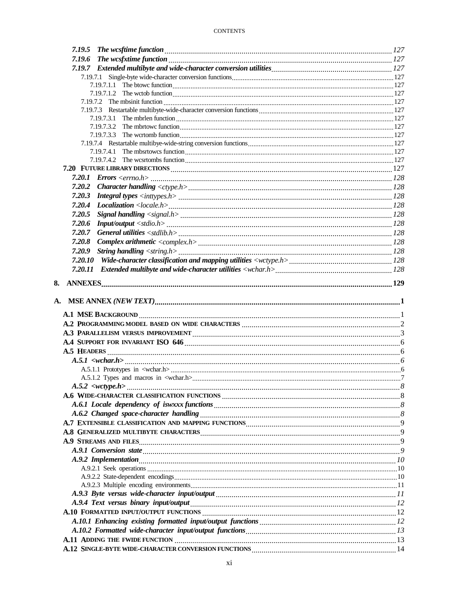|    |        | 7.19.6 The wcsfxtime function <i>manual content content and accordination</i> and the manual content and the content of the content of the content of the content of the content of the content of the content of the content of th |  |
|----|--------|-------------------------------------------------------------------------------------------------------------------------------------------------------------------------------------------------------------------------------------|--|
|    |        |                                                                                                                                                                                                                                     |  |
|    |        |                                                                                                                                                                                                                                     |  |
|    |        |                                                                                                                                                                                                                                     |  |
|    |        |                                                                                                                                                                                                                                     |  |
|    |        |                                                                                                                                                                                                                                     |  |
|    |        |                                                                                                                                                                                                                                     |  |
|    |        | 7.19.7.3.1                                                                                                                                                                                                                          |  |
|    |        | 7.19.7.3.2 The mbrtowc function <i>communically contained a material communical</i> contained a material contained a material contained a material contained a material contained a material contained a material contained a mater |  |
|    |        |                                                                                                                                                                                                                                     |  |
|    |        |                                                                                                                                                                                                                                     |  |
|    |        |                                                                                                                                                                                                                                     |  |
|    |        |                                                                                                                                                                                                                                     |  |
|    |        |                                                                                                                                                                                                                                     |  |
|    |        |                                                                                                                                                                                                                                     |  |
|    |        |                                                                                                                                                                                                                                     |  |
|    |        |                                                                                                                                                                                                                                     |  |
|    |        |                                                                                                                                                                                                                                     |  |
|    |        |                                                                                                                                                                                                                                     |  |
|    |        |                                                                                                                                                                                                                                     |  |
|    |        |                                                                                                                                                                                                                                     |  |
|    | 7.20.8 |                                                                                                                                                                                                                                     |  |
|    |        |                                                                                                                                                                                                                                     |  |
|    |        |                                                                                                                                                                                                                                     |  |
|    |        |                                                                                                                                                                                                                                     |  |
|    |        |                                                                                                                                                                                                                                     |  |
| 8. |        |                                                                                                                                                                                                                                     |  |
| А. |        |                                                                                                                                                                                                                                     |  |
|    |        |                                                                                                                                                                                                                                     |  |
|    |        |                                                                                                                                                                                                                                     |  |
|    |        |                                                                                                                                                                                                                                     |  |
|    |        |                                                                                                                                                                                                                                     |  |
|    |        |                                                                                                                                                                                                                                     |  |
|    |        |                                                                                                                                                                                                                                     |  |
|    |        |                                                                                                                                                                                                                                     |  |
|    |        |                                                                                                                                                                                                                                     |  |
|    |        |                                                                                                                                                                                                                                     |  |
|    |        |                                                                                                                                                                                                                                     |  |
|    |        |                                                                                                                                                                                                                                     |  |
|    |        |                                                                                                                                                                                                                                     |  |
|    |        |                                                                                                                                                                                                                                     |  |
|    |        |                                                                                                                                                                                                                                     |  |
|    |        | A.9.1 Conversion state <i>configuration</i> and the contract of the contract of the contract of the contract of the contract of the contract of the contract of the contract of the contract of the contract of the contract of the |  |
|    |        |                                                                                                                                                                                                                                     |  |
|    |        |                                                                                                                                                                                                                                     |  |
|    |        |                                                                                                                                                                                                                                     |  |
|    |        |                                                                                                                                                                                                                                     |  |
|    |        |                                                                                                                                                                                                                                     |  |
|    |        |                                                                                                                                                                                                                                     |  |
|    |        |                                                                                                                                                                                                                                     |  |
|    |        |                                                                                                                                                                                                                                     |  |
|    |        |                                                                                                                                                                                                                                     |  |
|    |        | A.11 ADDING THE FWIDE FUNCTION <b>CONFIDENTIAL ISLAM</b> 13                                                                                                                                                                         |  |
|    |        |                                                                                                                                                                                                                                     |  |
|    |        |                                                                                                                                                                                                                                     |  |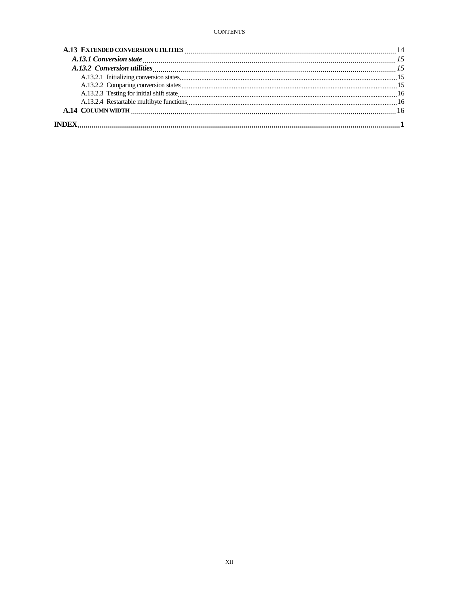| A.13 EXTENDED CONVERSION UTILITIES CONVERSION CONTRACT AND ACCORDING TO A LATER SERVICE AND THE SERVICE OF A LA |  |
|-----------------------------------------------------------------------------------------------------------------|--|
| A.13.1 Conversion state <i>material contract to the contract of the contract of the contract of</i> $15$        |  |
|                                                                                                                 |  |
|                                                                                                                 |  |
|                                                                                                                 |  |
|                                                                                                                 |  |
|                                                                                                                 |  |
|                                                                                                                 |  |
|                                                                                                                 |  |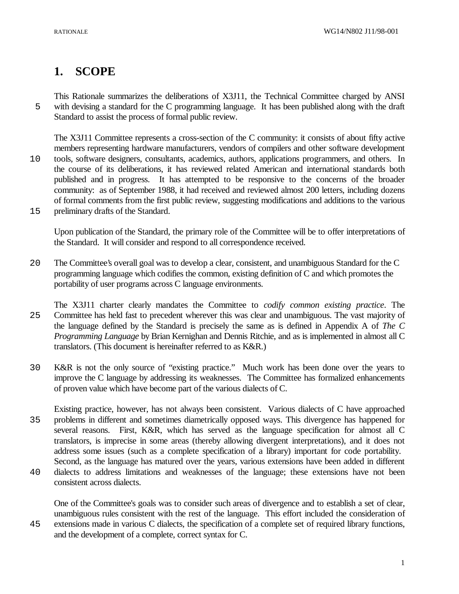# **1. SCOPE**

This Rationale summarizes the deliberations of X3J11, the Technical Committee charged by ANSI 5 with devising a standard for the C programming language. It has been published along with the draft Standard to assist the process of formal public review.

The X3J11 Committee represents a cross-section of the C community: it consists of about fifty active members representing hardware manufacturers, vendors of compilers and other software development 10 tools, software designers, consultants, academics, authors, applications programmers, and others. In the course of its deliberations, it has reviewed related American and international standards both published and in progress. It has attempted to be responsive to the concerns of the broader community: as of September 1988, it had received and reviewed almost 200 letters, including dozens of formal comments from the first public review, suggesting modifications and additions to the various 15 preliminary drafts of the Standard.

Upon publication of the Standard, the primary role of the Committee will be to offer interpretations of the Standard. It will consider and respond to all correspondence received.

- 20 The Committee's overall goal was to develop a clear, consistent, and unambiguous Standard for the C programming language which codifies the common, existing definition of C and which promotes the portability of user programs across C language environments.
- The X3J11 charter clearly mandates the Committee to *codify common existing practice*. The 25 Committee has held fast to precedent wherever this was clear and unambiguous. The vast majority of the language defined by the Standard is precisely the same as is defined in Appendix A of *The C Programming Language* by Brian Kernighan and Dennis Ritchie, and as is implemented in almost all C translators. (This document is hereinafter referred to as K&R.)
- 30 K&R is not the only source of "existing practice." Much work has been done over the years to improve the C language by addressing its weaknesses. The Committee has formalized enhancements of proven value which have become part of the various dialects of C.
- Existing practice, however, has not always been consistent. Various dialects of C have approached 35 problems in different and sometimes diametrically opposed ways. This divergence has happened for several reasons. First, K&R, which has served as the language specification for almost all C translators, is imprecise in some areas (thereby allowing divergent interpretations), and it does not address some issues (such as a complete specification of a library) important for code portability. Second, as the language has matured over the years, various extensions have been added in different
- 40 dialects to address limitations and weaknesses of the language; these extensions have not been consistent across dialects.

One of the Committee's goals was to consider such areas of divergence and to establish a set of clear, unambiguous rules consistent with the rest of the language. This effort included the consideration of 45 extensions made in various C dialects, the specification of a complete set of required library functions, and the development of a complete, correct syntax for C.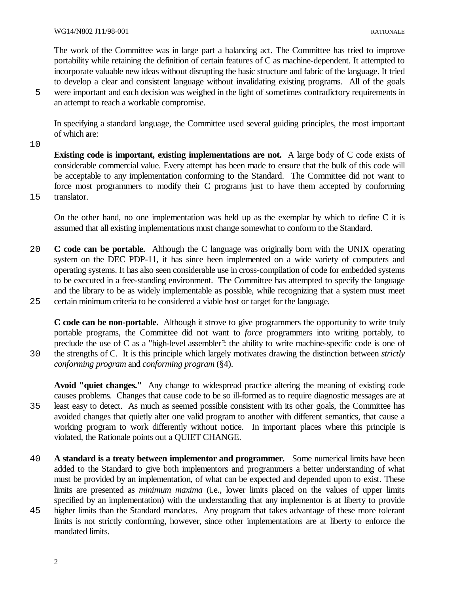The work of the Committee was in large part a balancing act. The Committee has tried to improve portability while retaining the definition of certain features of C as machine-dependent. It attempted to incorporate valuable new ideas without disrupting the basic structure and fabric of the language. It tried to develop a clear and consistent language without invalidating existing programs. All of the goals 5 were important and each decision was weighed in the light of sometimes contradictory requirements in

an attempt to reach a workable compromise.

In specifying a standard language, the Committee used several guiding principles, the most important of which are:

10

**Existing code is important, existing implementations are not.** A large body of C code exists of considerable commercial value. Every attempt has been made to ensure that the bulk of this code will be acceptable to any implementation conforming to the Standard. The Committee did not want to force most programmers to modify their C programs just to have them accepted by conforming 15 translator.

On the other hand, no one implementation was held up as the exemplar by which to define C it is assumed that all existing implementations must change somewhat to conform to the Standard.

20 **C code can be portable.** Although the C language was originally born with the UNIX operating system on the DEC PDP-11, it has since been implemented on a wide variety of computers and operating systems. It has also seen considerable use in cross-compilation of code for embedded systems to be executed in a free-standing environment. The Committee has attempted to specify the language and the library to be as widely implementable as possible, while recognizing that a system must meet 25 certain minimum criteria to be considered a viable host or target for the language.

**C code can be non-portable.** Although it strove to give programmers the opportunity to write truly portable programs, the Committee did not want to *force* programmers into writing portably, to preclude the use of C as a "high-level assembler'': the ability to write machine-specific code is one of 30 the strengths of C. It is this principle which largely motivates drawing the distinction between *strictly conforming program* and *conforming program* (§4).

**Avoid "quiet changes."** Any change to widespread practice altering the meaning of existing code causes problems. Changes that cause code to be so ill-formed as to require diagnostic messages are at 35 least easy to detect. As much as seemed possible consistent with its other goals, the Committee has avoided changes that quietly alter one valid program to another with different semantics, that cause a working program to work differently without notice. In important places where this principle is violated, the Rationale points out a QUIET CHANGE.

- 40 **A standard is a treaty between implementor and programmer.** Some numerical limits have been added to the Standard to give both implementors and programmers a better understanding of what must be provided by an implementation, of what can be expected and depended upon to exist. These limits are presented as *minimum maxima* (i.e., lower limits placed on the values of upper limits specified by an implementation) with the understanding that any implementor is at liberty to provide
- 45 higher limits than the Standard mandates. Any program that takes advantage of these more tolerant limits is not strictly conforming, however, since other implementations are at liberty to enforce the mandated limits.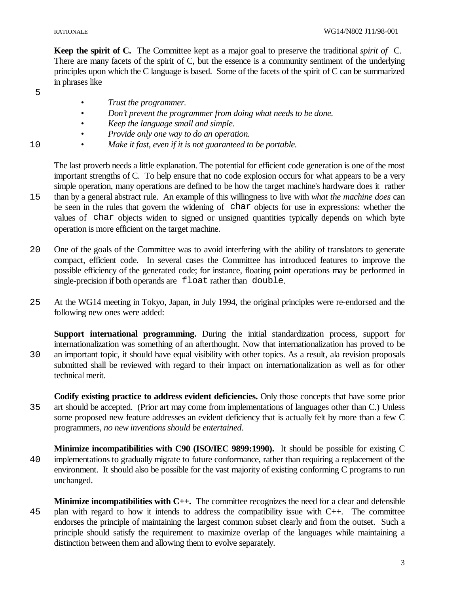**Keep the spirit of C.** The Committee kept as a major goal to preserve the traditional *spirit of* C. There are many facets of the spirit of C, but the essence is a community sentiment of the underlying principles upon which the C language is based. Some of the facets of the spirit of C can be summarized in phrases like

5

- *Trust the programmer.*
- *Don't prevent the programmer from doing what needs to be done.*
- *Keep the language small and simple.*
- *Provide only one way to do an operation.*
- 10 *Make it fast, even if it is not guaranteed to be portable.*

The last proverb needs a little explanation. The potential for efficient code generation is one of the most important strengths of C. To help ensure that no code explosion occurs for what appears to be a very simple operation, many operations are defined to be how the target machine's hardware does it rather 15 than by a general abstract rule. An example of this willingness to live with *what the machine does* can be seen in the rules that govern the widening of char objects for use in expressions: whether the values of char objects widen to signed or unsigned quantities typically depends on which byte operation is more efficient on the target machine.

- 20 One of the goals of the Committee was to avoid interfering with the ability of translators to generate compact, efficient code. In several cases the Committee has introduced features to improve the possible efficiency of the generated code; for instance, floating point operations may be performed in single-precision if both operands are float rather than double.
- 25 At the WG14 meeting in Tokyo, Japan, in July 1994, the original principles were re-endorsed and the following new ones were added:

**Support international programming.** During the initial standardization process, support for internationalization was something of an afterthought. Now that internationalization has proved to be 30 an important topic, it should have equal visibility with other topics. As a result, ala revision proposals submitted shall be reviewed with regard to their impact on internationalization as well as for other technical merit.

**Codify existing practice to address evident deficiencies.** Only those concepts that have some prior 35 art should be accepted. (Prior art may come from implementations of languages other than C.) Unless some proposed new feature addresses an evident deficiency that is actually felt by more than a few C programmers, *no new inventions should be entertained*.

**Minimize incompatibilities with C90 (ISO/IEC 9899:1990).** It should be possible for existing C 40 implementations to gradually migrate to future conformance, rather than requiring a replacement of the environment. It should also be possible for the vast majority of existing conforming C programs to run unchanged.

**Minimize incompatibilities with C++.** The committee recognizes the need for a clear and defensible 45 plan with regard to how it intends to address the compatibility issue with C++. The committee endorses the principle of maintaining the largest common subset clearly and from the outset. Such a principle should satisfy the requirement to maximize overlap of the languages while maintaining a distinction between them and allowing them to evolve separately.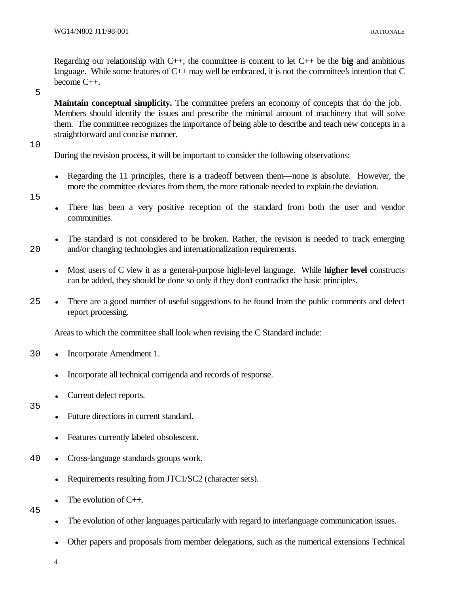Regarding our relationship with C++, the committee is content to let C++ be the **big** and ambitious language. While some features of  $C_{++}$  may well be embraced, it is not the committee's intention that  $C$ become C++.

### 5

**Maintain conceptual simplicity.** The committee prefers an economy of concepts that do the job. Members should identify the issues and prescribe the minimal amount of machinery that will solve them. The committee recognizes the importance of being able to describe and teach new concepts in a straightforward and concise manner.

### 10

During the revision process, it will be important to consider the following observations:

- Regarding the 11 principles, there is a tradeoff between them—none is absolute. However, the more the committee deviates from them, the more rationale needed to explain the deviation.
- 15
- There has been a very positive reception of the standard from both the user and vendor communities.
- The standard is not considered to be broken. Rather, the revision is needed to track emerging 20 and/or changing technologies and internationalization requirements.
	- Most users of C view it as a general-purpose high-level language. While **higher level** constructs can be added, they should be done so only if they don't contradict the basic principles.
- 25 There are a good number of useful suggestions to be found from the public comments and defect report processing.

Areas to which the committee shall look when revising the C Standard include:

- 30 Incorporate Amendment 1.
	- Incorporate all technical corrigenda and records of response.
	- Current defect reports.
	- Future directions in current standard.
	- Features currently labeled obsolescent.
- 40 Cross-language standards groups work.
	- Requirements resulting from JTC1/SC2 (character sets).
	- The evolution of  $C_{++}$ .

45

35

- The evolution of other languages particularly with regard to interlanguage communication issues.
- Other papers and proposals from member delegations, such as the numerical extensions Technical

4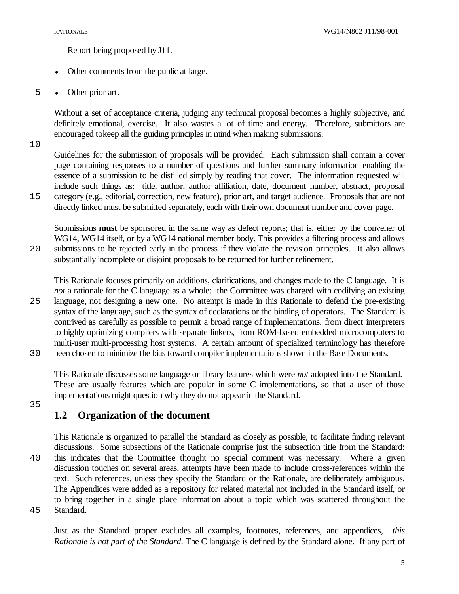Report being proposed by J11.

- Other comments from the public at large.
- 5 Other prior art.

Without a set of acceptance criteria, judging any technical proposal becomes a highly subjective, and definitely emotional, exercise. It also wastes a lot of time and energy. Therefore, submittors are encouraged tokeep all the guiding principles in mind when making submissions.

10

Guidelines for the submission of proposals will be provided. Each submission shall contain a cover page containing responses to a number of questions and further summary information enabling the essence of a submission to be distilled simply by reading that cover. The information requested will include such things as: title, author, author affiliation, date, document number, abstract, proposal 15 category (e.g., editorial, correction, new feature), prior art, and target audience. Proposals that are not directly linked must be submitted separately, each with their own document number and cover page.

Submissions **must** be sponsored in the same way as defect reports; that is, either by the convener of WG14, WG14 itself, or by a WG14 national member body. This provides a filtering process and allows 20 submissions to be rejected early in the process if they violate the revision principles. It also allows substantially incomplete or disjoint proposals to be returned for further refinement.

This Rationale focuses primarily on additions, clarifications, and changes made to the C language. It is *not* a rationale for the C language as a whole: the Committee was charged with codifying an existing 25 language, not designing a new one. No attempt is made in this Rationale to defend the pre-existing syntax of the language, such as the syntax of declarations or the binding of operators. The Standard is contrived as carefully as possible to permit a broad range of implementations, from direct interpreters to highly optimizing compilers with separate linkers, from ROM-based embedded microcomputers to multi-user multi-processing host systems. A certain amount of specialized terminology has therefore 30 been chosen to minimize the bias toward compiler implementations shown in the Base Documents.

This Rationale discusses some language or library features which were *not* adopted into the Standard. These are usually features which are popular in some C implementations, so that a user of those implementations might question why they do not appear in the Standard.

35

# **1.2 Organization of the document**

This Rationale is organized to parallel the Standard as closely as possible, to facilitate finding relevant discussions. Some subsections of the Rationale comprise just the subsection title from the Standard: 40 this indicates that the Committee thought no special comment was necessary. Where a given discussion touches on several areas, attempts have been made to include cross-references within the text. Such references, unless they specify the Standard or the Rationale, are deliberately ambiguous. The Appendices were added as a repository for related material not included in the Standard itself, or to bring together in a single place information about a topic which was scattered throughout the 45 Standard.

Just as the Standard proper excludes all examples, footnotes, references, and appendices, *this Rationale is not part of the Standard*. The C language is defined by the Standard alone. If any part of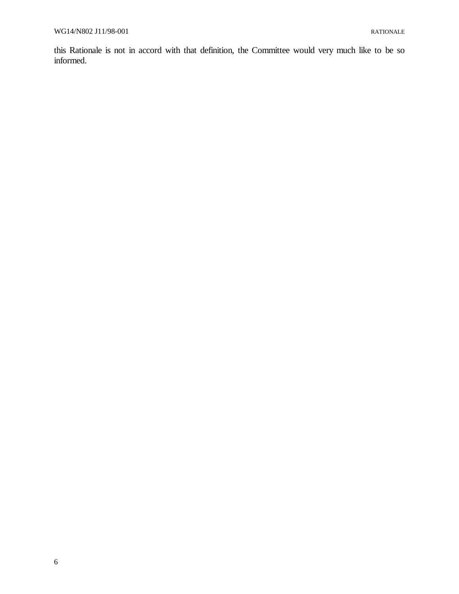this Rationale is not in accord with that definition, the Committee would very much like to be so informed.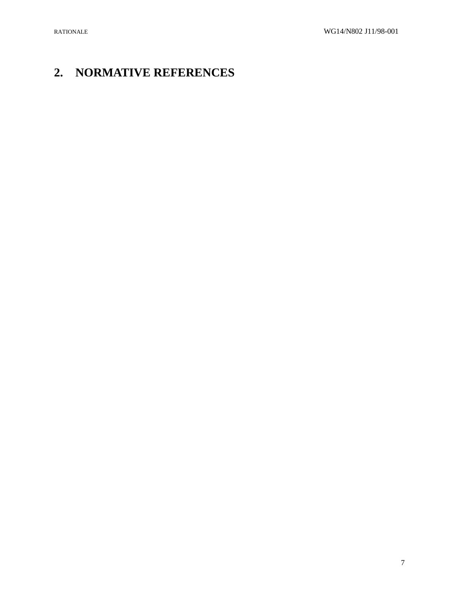# **2. NORMATIVE REFERENCES**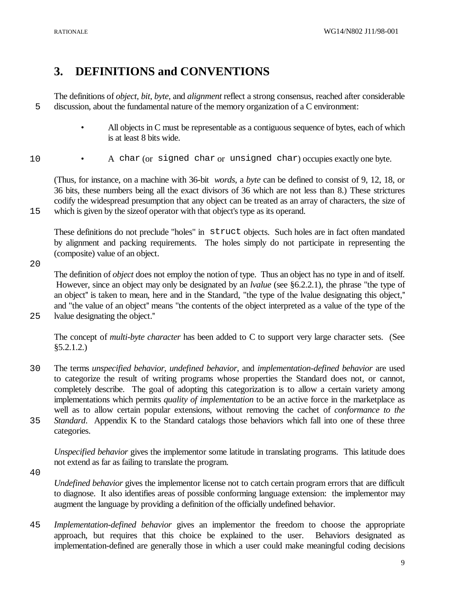# **3. DEFINITIONS and CONVENTIONS**

The definitions of *object*, *bit*, *byte*, and *alignment* reflect a strong consensus, reached after considerable 5 discussion, about the fundamental nature of the memory organization of a C environment:

- All objects in C must be representable as a contiguous sequence of bytes, each of which is at least 8 bits wide.
- 
- 10 A char (or signed char or unsigned char) occupies exactly one byte.

(Thus, for instance, on a machine with 36-bit *words*, a *byte* can be defined to consist of 9, 12, 18, or 36 bits, these numbers being all the exact divisors of 36 which are not less than 8.) These strictures codify the widespread presumption that any object can be treated as an array of characters, the size of 15 which is given by the sizeof operator with that object's type as its operand.

These definitions do not preclude "holes" in struct objects. Such holes are in fact often mandated by alignment and packing requirements. The holes simply do not participate in representing the (composite) value of an object.

20

The definition of *object* does not employ the notion of type. Thus an object has no type in and of itself. However, since an object may only be designated by an *lvalue* (see §6.2.2.1), the phrase "the type of an object'' is taken to mean, here and in the Standard, "the type of the lvalue designating this object,'' and "the value of an object'' means "the contents of the object interpreted as a value of the type of the 25 lvalue designating the object.''

The concept of *multi-byte character* has been added to C to support very large character sets. (See §5.2.1.2.)

- 30 The terms *unspecified behavior*, *undefined behavior*, and *implementation-defined behavior* are used to categorize the result of writing programs whose properties the Standard does not, or cannot, completely describe. The goal of adopting this categorization is to allow a certain variety among implementations which permits *quality of implementation* to be an active force in the marketplace as well as to allow certain popular extensions, without removing the cachet of *conformance to the*
- 35 *Standard*. Appendix K to the Standard catalogs those behaviors which fall into one of these three categories.

*Unspecified behavior* gives the implementor some latitude in translating programs. This latitude does not extend as far as failing to translate the program.

40

*Undefined behavior* gives the implementor license not to catch certain program errors that are difficult to diagnose. It also identifies areas of possible conforming language extension: the implementor may augment the language by providing a definition of the officially undefined behavior.

45 *Implementation-defined behavior* gives an implementor the freedom to choose the appropriate approach, but requires that this choice be explained to the user. Behaviors designated as implementation-defined are generally those in which a user could make meaningful coding decisions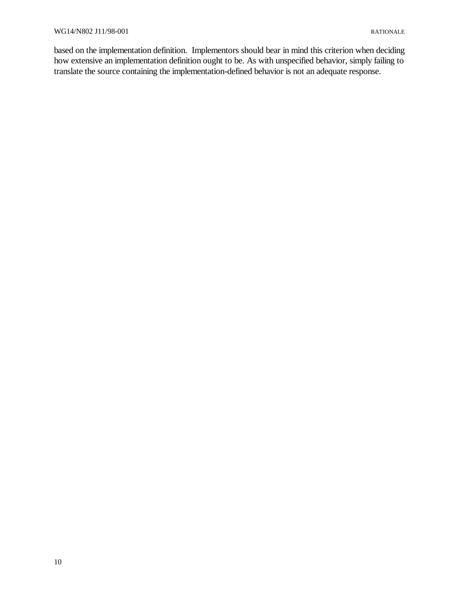based on the implementation definition. Implementors should bear in mind this criterion when deciding how extensive an implementation definition ought to be. As with unspecified behavior, simply failing to translate the source containing the implementation-defined behavior is not an adequate response.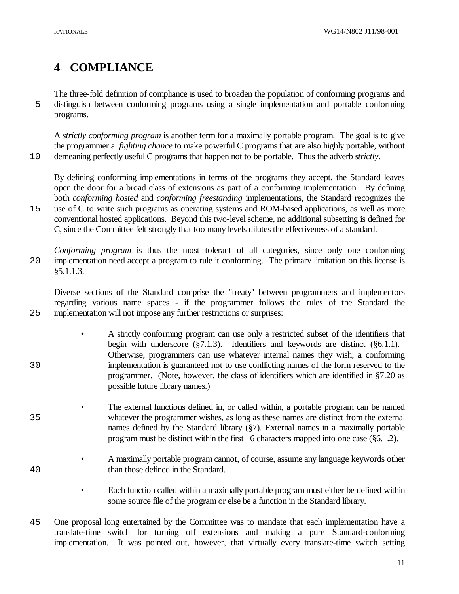# **4. COMPLIANCE**

The three-fold definition of compliance is used to broaden the population of conforming programs and 5 distinguish between conforming programs using a single implementation and portable conforming programs.

A *strictly conforming program* is another term for a maximally portable program. The goal is to give the programmer a *fighting chance* to make powerful C programs that are also highly portable, without 10 demeaning perfectly useful C programs that happen not to be portable. Thus the adverb *strictly*.

By defining conforming implementations in terms of the programs they accept, the Standard leaves open the door for a broad class of extensions as part of a conforming implementation. By defining both *conforming hosted* and *conforming freestanding* implementations, the Standard recognizes the

15 use of C to write such programs as operating systems and ROM-based applications, as well as more conventional hosted applications. Beyond this two-level scheme, no additional subsetting is defined for C, since the Committee felt strongly that too many levels dilutes the effectiveness of a standard.

*Conforming program* is thus the most tolerant of all categories, since only one conforming 20 implementation need accept a program to rule it conforming. The primary limitation on this license is §5.1.1.3.

Diverse sections of the Standard comprise the "treaty'' between programmers and implementors regarding various name spaces - if the programmer follows the rules of the Standard the 25 implementation will not impose any further restrictions or surprises:

- A strictly conforming program can use only a restricted subset of the identifiers that begin with underscore  $(\$7.1.3)$ . Identifiers and keywords are distinct  $(\$6.1.1)$ . Otherwise, programmers can use whatever internal names they wish; a conforming 30 implementation is guaranteed not to use conflicting names of the form reserved to the programmer. (Note, however, the class of identifiers which are identified in §7.20 as possible future library names.)
- The external functions defined in, or called within, a portable program can be named 35 whatever the programmer wishes, as long as these names are distinct from the external names defined by the Standard library (§7). External names in a maximally portable program must be distinct within the first 16 characters mapped into one case (§6.1.2).

• A maximally portable program cannot, of course, assume any language keywords other 40 than those defined in the Standard.

- Each function called within a maximally portable program must either be defined within some source file of the program or else be a function in the Standard library.
- 45 One proposal long entertained by the Committee was to mandate that each implementation have a translate-time switch for turning off extensions and making a pure Standard-conforming implementation. It was pointed out, however, that virtually every translate-time switch setting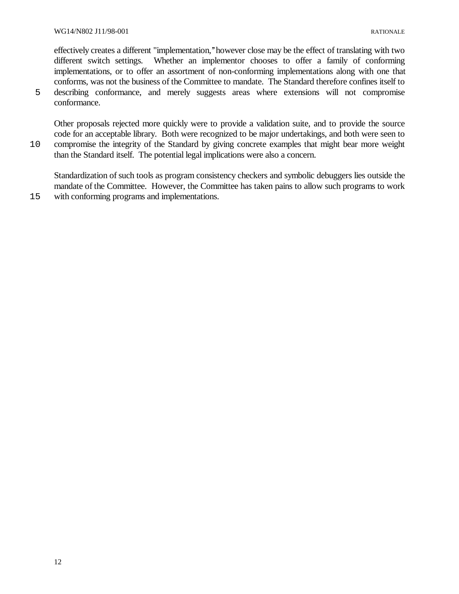effectively creates a different "implementation,'' however close may be the effect of translating with two different switch settings. Whether an implementor chooses to offer a family of conforming implementations, or to offer an assortment of non-conforming implementations along with one that conforms, was not the business of the Committee to mandate. The Standard therefore confines itself to

5 describing conformance, and merely suggests areas where extensions will not compromise conformance.

Other proposals rejected more quickly were to provide a validation suite, and to provide the source code for an acceptable library. Both were recognized to be major undertakings, and both were seen to 10 compromise the integrity of the Standard by giving concrete examples that might bear more weight than the Standard itself. The potential legal implications were also a concern.

Standardization of such tools as program consistency checkers and symbolic debuggers lies outside the mandate of the Committee. However, the Committee has taken pains to allow such programs to work 15 with conforming programs and implementations.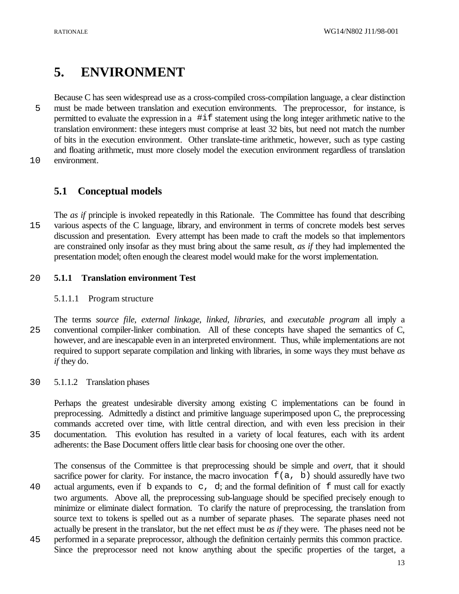# **5. ENVIRONMENT**

- Because C has seen widespread use as a cross-compiled cross-compilation language, a clear distinction 5 must be made between translation and execution environments. The preprocessor, for instance, is permitted to evaluate the expression in a #if statement using the long integer arithmetic native to the translation environment: these integers must comprise at least 32 bits, but need not match the number of bits in the execution environment. Other translate-time arithmetic, however, such as type casting and floating arithmetic, must more closely model the execution environment regardless of translation
- 10 environment.

# **5.1 Conceptual models**

The *as if* principle is invoked repeatedly in this Rationale. The Committee has found that describing 15 various aspects of the C language, library, and environment in terms of concrete models best serves discussion and presentation. Every attempt has been made to craft the models so that implementors are constrained only insofar as they must bring about the same result, *as if* they had implemented the presentation model; often enough the clearest model would make for the worst implementation.

## 20 **5.1.1 Translation environment Test**

## 5.1.1.1 Program structure

- The terms *source file*, *external linkage*, *linked*, *libraries*, and *executable program* all imply a 25 conventional compiler-linker combination. All of these concepts have shaped the semantics of C, however, and are inescapable even in an interpreted environment. Thus, while implementations are not required to support separate compilation and linking with libraries, in some ways they must behave *as if* they do.
- 30 5.1.1.2 Translation phases

Perhaps the greatest undesirable diversity among existing C implementations can be found in preprocessing. Admittedly a distinct and primitive language superimposed upon C, the preprocessing commands accreted over time, with little central direction, and with even less precision in their 35 documentation. This evolution has resulted in a variety of local features, each with its ardent adherents: the Base Document offers little clear basis for choosing one over the other.

The consensus of the Committee is that preprocessing should be simple and *overt*, that it should sacrifice power for clarity. For instance, the macro invocation  $f(a, b)$  should assuredly have two

- 40 actual arguments, even if b expands to  $\circ$ , d; and the formal definition of  $\circ$  must call for exactly two arguments. Above all, the preprocessing sub-language should be specified precisely enough to minimize or eliminate dialect formation. To clarify the nature of preprocessing, the translation from source text to tokens is spelled out as a number of separate phases. The separate phases need not actually be present in the translator, but the net effect must be *as if* they were. The phases need not be
- 45 performed in a separate preprocessor, although the definition certainly permits this common practice. Since the preprocessor need not know anything about the specific properties of the target, a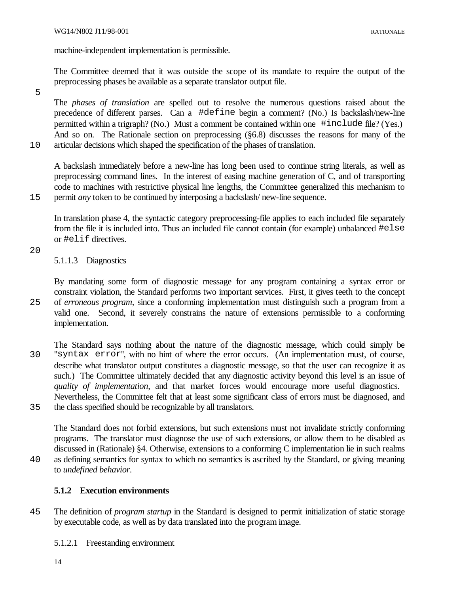machine-independent implementation is permissible.

The Committee deemed that it was outside the scope of its mandate to require the output of the preprocessing phases be available as a separate translator output file.

5

The *phases of translation* are spelled out to resolve the numerous questions raised about the precedence of different parses. Can a #define begin a comment? (No.) Is backslash/new-line permitted within a trigraph? (No.) Must a comment be contained within one #include file? (Yes.) And so on. The Rationale section on preprocessing (§6.8) discusses the reasons for many of the 10 articular decisions which shaped the specification of the phases of translation.

A backslash immediately before a new-line has long been used to continue string literals, as well as preprocessing command lines. In the interest of easing machine generation of C, and of transporting code to machines with restrictive physical line lengths, the Committee generalized this mechanism to 15 permit *any* token to be continued by interposing a backslash/ new-line sequence.

In translation phase 4, the syntactic category preprocessing-file applies to each included file separately from the file it is included into. Thus an included file cannot contain (for example) unbalanced #else or #elif directives.

20

5.1.1.3 Diagnostics

By mandating some form of diagnostic message for any program containing a syntax error or constraint violation, the Standard performs two important services. First, it gives teeth to the concept 25 of *erroneous program*, since a conforming implementation must distinguish such a program from a valid one. Second, it severely constrains the nature of extensions permissible to a conforming implementation.

The Standard says nothing about the nature of the diagnostic message, which could simply be 30 "syntax error'', with no hint of where the error occurs. (An implementation must, of course, describe what translator output constitutes a diagnostic message, so that the user can recognize it as such.) The Committee ultimately decided that any diagnostic activity beyond this level is an issue of *quality of implementation*, and that market forces would encourage more useful diagnostics. Nevertheless, the Committee felt that at least some significant class of errors must be diagnosed, and

35 the class specified should be recognizable by all translators.

The Standard does not forbid extensions, but such extensions must not invalidate strictly conforming programs. The translator must diagnose the use of such extensions, or allow them to be disabled as discussed in (Rationale) §4. Otherwise, extensions to a conforming C implementation lie in such realms

40 as defining semantics for syntax to which no semantics is ascribed by the Standard, or giving meaning to *undefined behavior*.

## **5.1.2 Execution environments**

- 45 The definition of *program startup* in the Standard is designed to permit initialization of static storage by executable code, as well as by data translated into the program image.
	- 5.1.2.1 Freestanding environment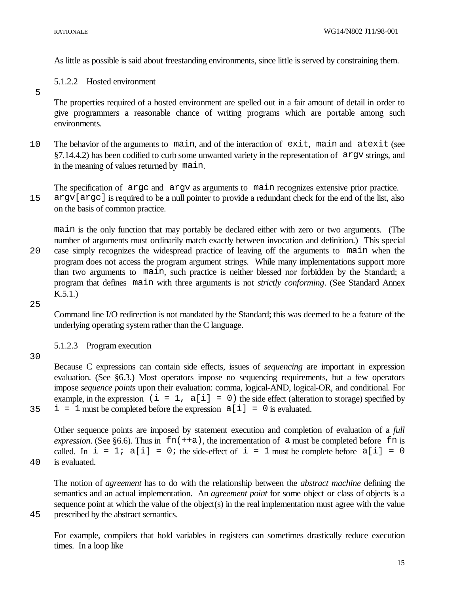As little as possible is said about freestanding environments, since little is served by constraining them.

- 5.1.2.2 Hosted environment
- 5

The properties required of a hosted environment are spelled out in a fair amount of detail in order to give programmers a reasonable chance of writing programs which are portable among such environments.

10 The behavior of the arguments to main, and of the interaction of exit, main and atexit (see §7.14.4.2) has been codified to curb some unwanted variety in the representation of argv strings, and in the meaning of values returned by main.

The specification of argc and argv as arguments to main recognizes extensive prior practice.

15 argv[argc] is required to be a null pointer to provide a redundant check for the end of the list, also on the basis of common practice.

main is the only function that may portably be declared either with zero or two arguments. (The number of arguments must ordinarily match exactly between invocation and definition.) This special 20 case simply recognizes the widespread practice of leaving off the arguments to main when the program does not access the program argument strings. While many implementations support more than two arguments to main, such practice is neither blessed nor forbidden by the Standard; a program that defines main with three arguments is not *strictly conforming*. (See Standard Annex  $K.5.1.$ 

25

Command line I/O redirection is not mandated by the Standard; this was deemed to be a feature of the underlying operating system rather than the C language.

## 5.1.2.3 Program execution

30

Because C expressions can contain side effects, issues of *sequencing* are important in expression evaluation. (See §6.3.) Most operators impose no sequencing requirements, but a few operators impose *sequence points* upon their evaluation: comma, logical-AND, logical-OR, and conditional. For example, in the expression  $(i = 1, al[i] = 0)$  the side effect (alteration to storage) specified by  $35 \text{ i } = 1 \text{ must be completed before the expression } a[i] = 0 \text{ is evaluated.}$ 

Other sequence points are imposed by statement execution and completion of evaluation of a *full expression*. (See §6.6). Thus in  $fn(+a)$ , the incrementation of a must be completed before fn is called. In  $i = 1$ ;  $a[i] = 0$ ; the side-effect of  $i = 1$  must be complete before  $a[i] = 0$ 

40 is evaluated.

The notion of *agreement* has to do with the relationship between the *abstract machine* defining the semantics and an actual implementation. An *agreement point* for some object or class of objects is a sequence point at which the value of the object(s) in the real implementation must agree with the value 45 prescribed by the abstract semantics.

For example, compilers that hold variables in registers can sometimes drastically reduce execution times. In a loop like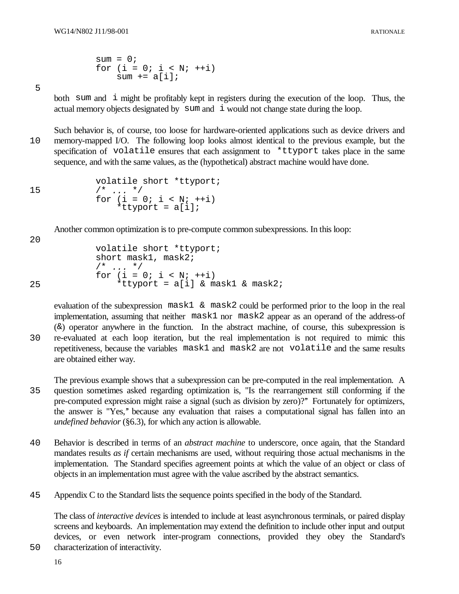```
sum = 0;for (i = 0; i < N; ++i)sum += a[i];
```
5

both sum and i might be profitably kept in registers during the execution of the loop. Thus, the actual memory objects designated by sum and i would not change state during the loop.

Such behavior is, of course, too loose for hardware-oriented applications such as device drivers and 10 memory-mapped I/O. The following loop looks almost identical to the previous example, but the specification of volatile ensures that each assignment to \*ttyport takes place in the same sequence, and with the same values, as the (hypothetical) abstract machine would have done.

```
 volatile short *ttyport;
15 /* ... */
           for (i = 0; i < N; ++i)*ttyport = a[i];
```
Another common optimization is to pre-compute common subexpressions. In this loop:

```
20
```

```
 volatile short *ttyport;
            short mask1, mask2;
           /* ... */
           for (i = 0; i < N; ++i)25 *ttyport = a[i] & mask1 & mask2;
```
evaluation of the subexpression mask1 & mask2 could be performed prior to the loop in the real implementation, assuming that neither mask1 nor mask2 appear as an operand of the address-of  $(\&)$  operator anywhere in the function. In the abstract machine, of course, this subexpression is 30 re-evaluated at each loop iteration, but the real implementation is not required to mimic this repetitiveness, because the variables mask1 and mask2 are not volatile and the same results are obtained either way.

The previous example shows that a subexpression can be pre-computed in the real implementation. A 35 question sometimes asked regarding optimization is, "Is the rearrangement still conforming if the pre-computed expression might raise a signal (such as division by zero)?'' Fortunately for optimizers, the answer is "Yes," because any evaluation that raises a computational signal has fallen into an *undefined behavior* (§6.3), for which any action is allowable.

- 40 Behavior is described in terms of an *abstract machine* to underscore, once again, that the Standard mandates results *as if* certain mechanisms are used, without requiring those actual mechanisms in the implementation. The Standard specifies agreement points at which the value of an object or class of objects in an implementation must agree with the value ascribed by the abstract semantics.
- 45 Appendix C to the Standard lists the sequence points specified in the body of the Standard.

The class of *interactive devices* is intended to include at least asynchronous terminals, or paired display screens and keyboards. An implementation may extend the definition to include other input and output devices, or even network inter-program connections, provided they obey the Standard's 50 characterization of interactivity.

16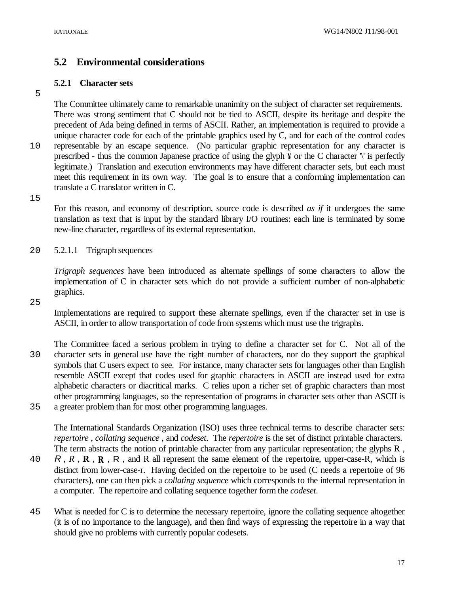# **5.2 Environmental considerations**

## **5.2.1 Character sets**

5

The Committee ultimately came to remarkable unanimity on the subject of character set requirements. There was strong sentiment that C should not be tied to ASCII, despite its heritage and despite the precedent of Ada being defined in terms of ASCII. Rather, an implementation is required to provide a unique character code for each of the printable graphics used by C, and for each of the control codes

10 representable by an escape sequence. (No particular graphic representation for any character is prescribed - thus the common Japanese practice of using the glyph  $\frac{1}{2}$  or the C character  $\frac{1}{2}$  is perfectly legitimate.) Translation and execution environments may have different character sets, but each must meet this requirement in its own way. The goal is to ensure that a conforming implementation can translate a C translator written in C.

### 15

For this reason, and economy of description, source code is described *as if* it undergoes the same translation as text that is input by the standard library I/O routines: each line is terminated by some new-line character, regardless of its external representation.

20 5.2.1.1 Trigraph sequences

*Trigraph sequences* have been introduced as alternate spellings of some characters to allow the implementation of C in character sets which do not provide a sufficient number of non-alphabetic graphics.

25

Implementations are required to support these alternate spellings, even if the character set in use is ASCII, in order to allow transportation of code from systems which must use the trigraphs.

- The Committee faced a serious problem in trying to define a character set for C. Not all of the 30 character sets in general use have the right number of characters, nor do they support the graphical symbols that C users expect to see. For instance, many character sets for languages other than English resemble ASCII except that codes used for graphic characters in ASCII are instead used for extra alphabetic characters or diacritical marks. C relies upon a richer set of graphic characters than most other programming languages, so the representation of programs in character sets other than ASCII is
- 35 a greater problem than for most other programming languages.

The International Standards Organization (ISO) uses three technical terms to describe character sets: *repertoire* , *collating sequence* , and *codeset*. The *repertoire* is the set of distinct printable characters. The term abstracts the notion of printable character from any particular representation; the glyphs R,

- 40 <sup>R</sup> , *R* , **R** , *R* , R , and R all represent the same element of the repertoire, upper-case-R, which is distinct from lower-case-r. Having decided on the repertoire to be used (C needs a repertoire of 96 characters), one can then pick a *collating sequence* which corresponds to the internal representation in a computer. The repertoire and collating sequence together form the *codeset*.
- 45 What is needed for C is to determine the necessary repertoire, ignore the collating sequence altogether (it is of no importance to the language), and then find ways of expressing the repertoire in a way that should give no problems with currently popular codesets.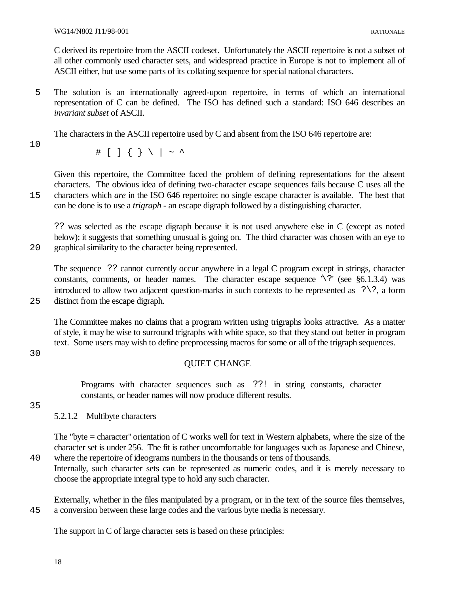C derived its repertoire from the ASCII codeset. Unfortunately the ASCII repertoire is not a subset of all other commonly used character sets, and widespread practice in Europe is not to implement all of ASCII either, but use some parts of its collating sequence for special national characters.

5 The solution is an internationally agreed-upon repertoire, in terms of which an international representation of C can be defined. The ISO has defined such a standard: ISO 646 describes an *invariant subset* of ASCII.

The characters in the ASCII repertoire used by C and absent from the ISO 646 repertoire are:

10

# [ ]  $\{ \} \ \ \ | \ \ \sim \ \$ 

Given this repertoire, the Committee faced the problem of defining representations for the absent characters. The obvious idea of defining two-character escape sequences fails because C uses all the 15 characters which *are* in the ISO 646 repertoire: no single escape character is available. The best that can be done is to use a *trigraph* - an escape digraph followed by a distinguishing character.

?? was selected as the escape digraph because it is not used anywhere else in C (except as noted below); it suggests that something unusual is going on. The third character was chosen with an eye to 20 graphical similarity to the character being represented.

The sequence ?? cannot currently occur anywhere in a legal C program except in strings, character constants, comments, or header names. The character escape sequence  $\sqrt{?}$  (see §6.1.3.4) was introduced to allow two adjacent question-marks in such contexts to be represented as  $? \$ , a form 25 distinct from the escape digraph.

The Committee makes no claims that a program written using trigraphs looks attractive. As a matter of style, it may be wise to surround trigraphs with white space, so that they stand out better in program text. Some users may wish to define preprocessing macros for some or all of the trigraph sequences.

30

# QUIET CHANGE

Programs with character sequences such as ??! in string constants, character constants, or header names will now produce different results.

35

5.2.1.2 Multibyte characters

The "byte = character'' orientation of C works well for text in Western alphabets, where the size of the character set is under 256. The fit is rather uncomfortable for languages such as Japanese and Chinese, 40 where the repertoire of ideograms numbers in the thousands or tens of thousands.

Internally, such character sets can be represented as numeric codes, and it is merely necessary to choose the appropriate integral type to hold any such character.

Externally, whether in the files manipulated by a program, or in the text of the source files themselves, 45 a conversion between these large codes and the various byte media is necessary.

The support in C of large character sets is based on these principles: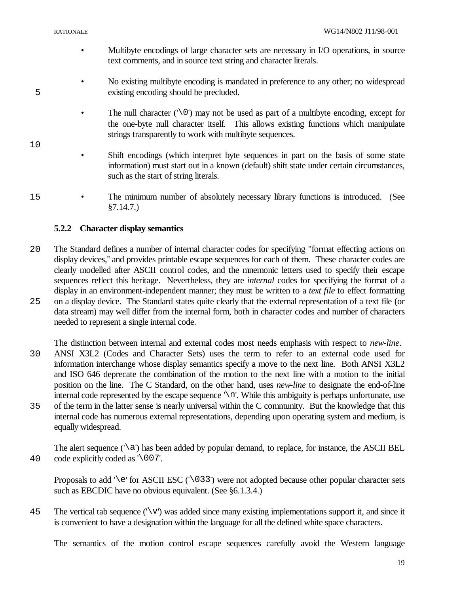10

- Multibyte encodings of large character sets are necessary in I/O operations, in source text comments, and in source text string and character literals.
- No existing multibyte encoding is mandated in preference to any other; no widespread 5 existing encoding should be precluded.
	- The null character  $(\sqrt{0})$  may not be used as part of a multibyte encoding, except for the one-byte null character itself. This allows existing functions which manipulate strings transparently to work with multibyte sequences.
	- Shift encodings (which interpret byte sequences in part on the basis of some state information) must start out in a known (default) shift state under certain circumstances, such as the start of string literals.
- 15 The minimum number of absolutely necessary library functions is introduced. (See §7.14.7.)

## **5.2.2 Character display semantics**

- 20 The Standard defines a number of internal character codes for specifying "format effecting actions on display devices," and provides printable escape sequences for each of them. These character codes are clearly modelled after ASCII control codes, and the mnemonic letters used to specify their escape sequences reflect this heritage. Nevertheless, they are *internal* codes for specifying the format of a display in an environment-independent manner; they must be written to a *text file* to effect formatting 25 on a display device. The Standard states quite clearly that the external representation of a text file (or
- data stream) may well differ from the internal form, both in character codes and number of characters needed to represent a single internal code.

The distinction between internal and external codes most needs emphasis with respect to *new-line*.

- 30 ANSI X3L2 (Codes and Character Sets) uses the term to refer to an external code used for information interchange whose display semantics specify a move to the next line. Both ANSI X3L2 and ISO 646 deprecate the combination of the motion to the next line with a motion to the initial position on the line. The C Standard, on the other hand, uses *new-line* to designate the end-of-line internal code represented by the escape sequence  $\ln$ . While this ambiguity is perhaps unfortunate, use 35 of the term in the latter sense is nearly universal within the C community. But the knowledge that this
- internal code has numerous external representations, depending upon operating system and medium, is equally widespread.

The alert sequence ( $\langle \alpha \rangle$ ) has been added by popular demand, to replace, for instance, the ASCII BEL 40 code explicitly coded as '\007'.

Proposals to add '\e' for ASCII ESC ('\033') were not adopted because other popular character sets such as EBCDIC have no obvious equivalent. (See §6.1.3.4.)

45 The vertical tab sequence  $(\forall \forall)$  was added since many existing implementations support it, and since it is convenient to have a designation within the language for all the defined white space characters.

The semantics of the motion control escape sequences carefully avoid the Western language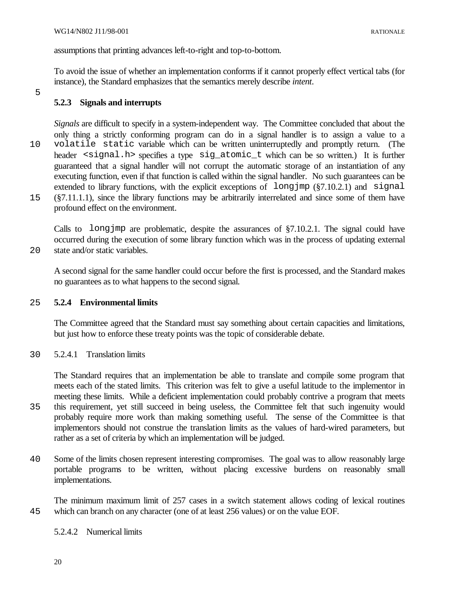assumptions that printing advances left-to-right and top-to-bottom.

To avoid the issue of whether an implementation conforms if it cannot properly effect vertical tabs (for instance), the Standard emphasizes that the semantics merely describe *intent*.

5

## **5.2.3 Signals and interrupts**

*Signals* are difficult to specify in a system-independent way. The Committee concluded that about the only thing a strictly conforming program can do in a signal handler is to assign a value to a 10 volatile static variable which can be written uninterruptedly and promptly return. (The header <signal.h> specifies a type sig\_atomic\_t which can be so written.) It is further guaranteed that a signal handler will not corrupt the automatic storage of an instantiation of any executing function, even if that function is called within the signal handler. No such guarantees can be extended to library functions, with the explicit exceptions of longjmp (§7.10.2.1) and signal 15 (§7.11.1.1), since the library functions may be arbitrarily interrelated and since some of them have profound effect on the environment.

Calls to longjmp are problematic, despite the assurances of §7.10.2.1. The signal could have occurred during the execution of some library function which was in the process of updating external 20 state and/or static variables.

A second signal for the same handler could occur before the first is processed, and the Standard makes no guarantees as to what happens to the second signal.

## 25 **5.2.4 Environmental limits**

The Committee agreed that the Standard must say something about certain capacities and limitations, but just how to enforce these treaty points was the topic of considerable debate.

30 5.2.4.1 Translation limits

The Standard requires that an implementation be able to translate and compile some program that meets each of the stated limits. This criterion was felt to give a useful latitude to the implementor in meeting these limits. While a deficient implementation could probably contrive a program that meets 35 this requirement, yet still succeed in being useless, the Committee felt that such ingenuity would probably require more work than making something useful. The sense of the Committee is that implementors should not construe the translation limits as the values of hard-wired parameters, but rather as a set of criteria by which an implementation will be judged.

40 Some of the limits chosen represent interesting compromises. The goal was to allow reasonably large portable programs to be written, without placing excessive burdens on reasonably small implementations.

The minimum maximum limit of 257 cases in a switch statement allows coding of lexical routines 45 which can branch on any character (one of at least 256 values) or on the value EOF.

5.2.4.2 Numerical limits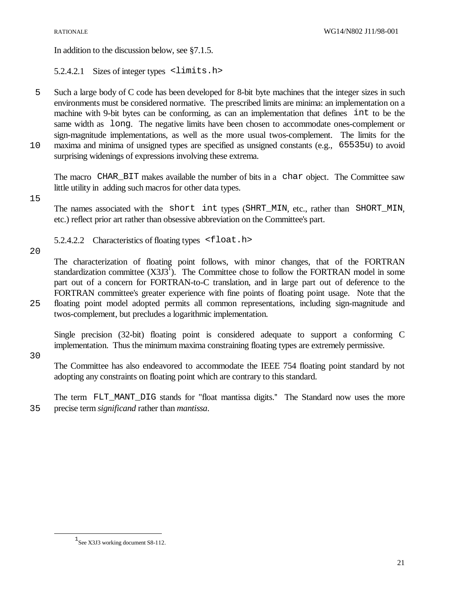In addition to the discussion below, see §7.1.5.

5.2.4.2.1 Sizes of integer types <limits.h>

- 5 Such a large body of C code has been developed for 8-bit byte machines that the integer sizes in such environments must be considered normative. The prescribed limits are minima: an implementation on a machine with 9-bit bytes can be conforming, as can an implementation that defines int to be the same width as long. The negative limits have been chosen to accommodate ones-complement or sign-magnitude implementations, as well as the more usual twos-complement. The limits for the
- 10 maxima and minima of unsigned types are specified as unsigned constants (e.g., 65535u) to avoid surprising widenings of expressions involving these extrema.

The macro CHAR\_BIT makes available the number of bits in a char object. The Committee saw little utility in adding such macros for other data types.

15

The names associated with the short int types (SHRT\_MIN, etc., rather than SHORT\_MIN, etc.) reflect prior art rather than obsessive abbreviation on the Committee's part.

5.2.4.2.2 Characteristics of floating types <float.h>

20

The characterization of floating point follows, with minor changes, that of the FORTRAN standardization committee  $(X3J3^T)$ . The Committee chose to follow the FORTRAN model in some part out of a concern for FORTRAN-to-C translation, and in large part out of deference to the FORTRAN committee's greater experience with fine points of floating point usage. Note that the 25 floating point model adopted permits all common representations, including sign-magnitude and twos-complement, but precludes a logarithmic implementation.

Single precision (32-bit) floating point is considered adequate to support a conforming C implementation. Thus the minimum maxima constraining floating types are extremely permissive.

30

The Committee has also endeavored to accommodate the IEEE 754 floating point standard by not adopting any constraints on floating point which are contrary to this standard.

The term FLT\_MANT\_DIG stands for "float mantissa digits.'' The Standard now uses the more 35 precise term *significand* rather than *mantissa*.

<sup>&</sup>lt;sup>1</sup>See X3J3 working document S8-112.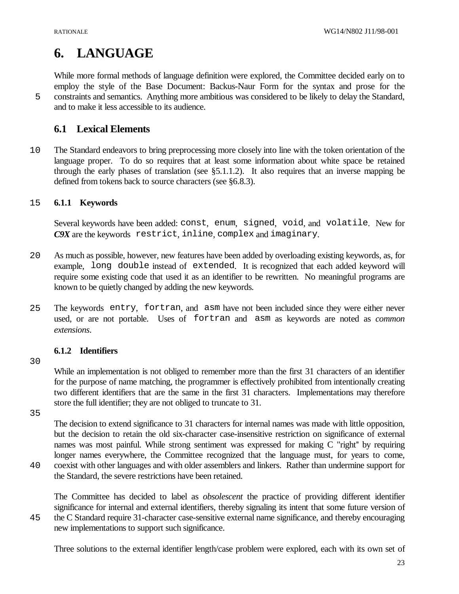# **6. LANGUAGE**

While more formal methods of language definition were explored, the Committee decided early on to employ the style of the Base Document: Backus-Naur Form for the syntax and prose for the 5 constraints and semantics. Anything more ambitious was considered to be likely to delay the Standard, and to make it less accessible to its audience.

# **6.1 Lexical Elements**

10 The Standard endeavors to bring preprocessing more closely into line with the token orientation of the language proper. To do so requires that at least some information about white space be retained through the early phases of translation (see §5.1.1.2). It also requires that an inverse mapping be defined from tokens back to source characters (see §6.8.3).

# 15 **6.1.1 Keywords**

Several keywords have been added: const, enum, signed, void, and volatile. New for *C9X* are the keywords restrict, inline, complex and imaginary.

- 20 As much as possible, however, new features have been added by overloading existing keywords, as, for example, long double instead of extended. It is recognized that each added keyword will require some existing code that used it as an identifier to be rewritten. No meaningful programs are known to be quietly changed by adding the new keywords.
- 25 The keywords entry, fortran, and asm have not been included since they were either never used, or are not portable. Uses of fortran and asm as keywords are noted as *common extensions*.

# **6.1.2 Identifiers**

30

While an implementation is not obliged to remember more than the first 31 characters of an identifier for the purpose of name matching, the programmer is effectively prohibited from intentionally creating two different identifiers that are the same in the first 31 characters. Implementations may therefore store the full identifier; they are not obliged to truncate to 31.

35

The decision to extend significance to 31 characters for internal names was made with little opposition, but the decision to retain the old six-character case-insensitive restriction on significance of external names was most painful. While strong sentiment was expressed for making C "right'' by requiring longer names everywhere, the Committee recognized that the language must, for years to come, 40 coexist with other languages and with older assemblers and linkers. Rather than undermine support for the Standard, the severe restrictions have been retained.

The Committee has decided to label as *obsolescent* the practice of providing different identifier significance for internal and external identifiers, thereby signaling its intent that some future version of 45 the C Standard require 31-character case-sensitive external name significance, and thereby encouraging new implementations to support such significance.

Three solutions to the external identifier length/case problem were explored, each with its own set of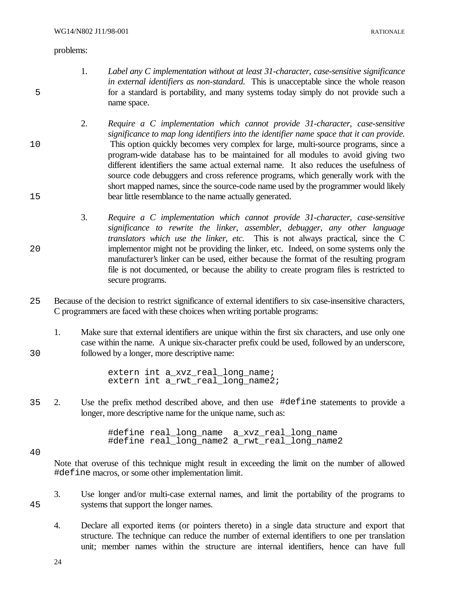#### problems:

- 1. *Label any C implementation without at least 31-character, case-sensitive significance in external identifiers as non-standard.* This is unacceptable since the whole reason 5 for a standard is portability, and many systems today simply do not provide such a name space.
- 2. *Require a C implementation which cannot provide 31-character, case-sensitive significance to map long identifiers into the identifier name space that it can provide.* 10 This option quickly becomes very complex for large, multi-source programs, since a program-wide database has to be maintained for all modules to avoid giving two different identifiers the same actual external name. It also reduces the usefulness of source code debuggers and cross reference programs, which generally work with the short mapped names, since the source-code name used by the programmer would likely 15 bear little resemblance to the name actually generated.
- 3. *Require a C implementation which cannot provide 31-character, case-sensitive significance to rewrite the linker, assembler, debugger, any other language translators which use the linker, etc.* This is not always practical, since the C 20 implementor might not be providing the linker, etc. Indeed, on some systems only the manufacturer's linker can be used, either because the format of the resulting program file is not documented, or because the ability to create program files is restricted to secure programs.
- 25 Because of the decision to restrict significance of external identifiers to six case-insensitive characters, C programmers are faced with these choices when writing portable programs:
- 1. Make sure that external identifiers are unique within the first six characters, and use only one case within the name. A unique six-character prefix could be used, followed by an underscore, 30 followed by a longer, more descriptive name:

extern int a\_xvz\_real\_long\_name; extern int a\_rwt\_real\_long\_name2;

35 2. Use the prefix method described above, and then use #define statements to provide a longer, more descriptive name for the unique name, such as:

> #define real\_long\_name a\_xvz\_real\_long\_name #define real\_long\_name2 a\_rwt\_real\_long\_name2

40

Note that overuse of this technique might result in exceeding the limit on the number of allowed #define macros, or some other implementation limit.

- 3. Use longer and/or multi-case external names, and limit the portability of the programs to 45 systems that support the longer names.
	- 4. Declare all exported items (or pointers thereto) in a single data structure and export that structure. The technique can reduce the number of external identifiers to one per translation unit; member names within the structure are internal identifiers, hence can have full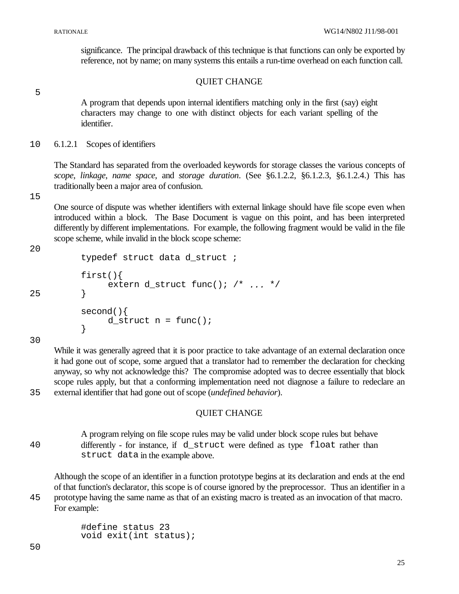significance. The principal drawback of this technique is that functions can only be exported by reference, not by name; on many systems this entails a run-time overhead on each function call.

#### QUIET CHANGE

A program that depends upon internal identifiers matching only in the first (say) eight characters may change to one with distinct objects for each variant spelling of the identifier.

10 6.1.2.1 Scopes of identifiers

The Standard has separated from the overloaded keywords for storage classes the various concepts of *scope*, *linkage*, *name space*, and *storage duration*. (See §6.1.2.2, §6.1.2.3, §6.1.2.4.) This has traditionally been a major area of confusion.

15

5

One source of dispute was whether identifiers with external linkage should have file scope even when introduced within a block. The Base Document is vague on this point, and has been interpreted differently by different implementations. For example, the following fragment would be valid in the file scope scheme, while invalid in the block scope scheme:

```
20
```

```
typedef struct data d struct ;
         first(){
               extern d struct func(); /* \ldots */
25 }
         second(){
               d_struct n = func();
          }
30
```
While it was generally agreed that it is poor practice to take advantage of an external declaration once it had gone out of scope, some argued that a translator had to remember the declaration for checking anyway, so why not acknowledge this? The compromise adopted was to decree essentially that block scope rules apply, but that a conforming implementation need not diagnose a failure to redeclare an 35 external identifier that had gone out of scope (*undefined behavior*).

## QUIET CHANGE

A program relying on file scope rules may be valid under block scope rules but behave 40 differently - for instance, if d\_struct were defined as type float rather than struct data in the example above.

Although the scope of an identifier in a function prototype begins at its declaration and ends at the end of that function's declarator, this scope is of course ignored by the preprocessor. Thus an identifier in a 45 prototype having the same name as that of an existing macro is treated as an invocation of that macro. For example:

```
#define status 23
void exit(int status);
```
50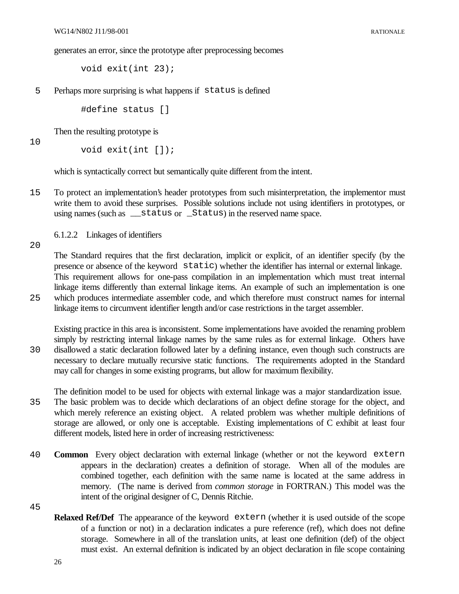generates an error, since the prototype after preprocessing becomes

void exit(int 23);

5 Perhaps more surprising is what happens if status is defined

#define status []

Then the resulting prototype is

10

void exit(int []);

which is syntactically correct but semantically quite different from the intent.

15 To protect an implementation's header prototypes from such misinterpretation, the implementor must write them to avoid these surprises. Possible solutions include not using identifiers in prototypes, or using names (such as \_\_status or \_Status) in the reserved name space.

6.1.2.2 Linkages of identifiers

20

The Standard requires that the first declaration, implicit or explicit, of an identifier specify (by the presence or absence of the keyword static) whether the identifier has internal or external linkage. This requirement allows for one-pass compilation in an implementation which must treat internal linkage items differently than external linkage items. An example of such an implementation is one 25 which produces intermediate assembler code, and which therefore must construct names for internal

linkage items to circumvent identifier length and/or case restrictions in the target assembler.

Existing practice in this area is inconsistent. Some implementations have avoided the renaming problem simply by restricting internal linkage names by the same rules as for external linkage. Others have 30 disallowed a static declaration followed later by a defining instance, even though such constructs are necessary to declare mutually recursive static functions. The requirements adopted in the Standard may call for changes in some existing programs, but allow for maximum flexibility.

The definition model to be used for objects with external linkage was a major standardization issue.

- 35 The basic problem was to decide which declarations of an object define storage for the object, and which merely reference an existing object. A related problem was whether multiple definitions of storage are allowed, or only one is acceptable. Existing implementations of C exhibit at least four different models, listed here in order of increasing restrictiveness:
- 40 **Common** Every object declaration with external linkage (whether or not the keyword extern appears in the declaration) creates a definition of storage. When all of the modules are combined together, each definition with the same name is located at the same address in memory. (The name is derived from *common storage* in FORTRAN.) This model was the intent of the original designer of C, Dennis Ritchie.
- 45
- **Relaxed Ref/Def** The appearance of the keyword extern (whether it is used outside of the scope of a function or not) in a declaration indicates a pure reference (ref), which does not define storage. Somewhere in all of the translation units, at least one definition (def) of the object must exist. An external definition is indicated by an object declaration in file scope containing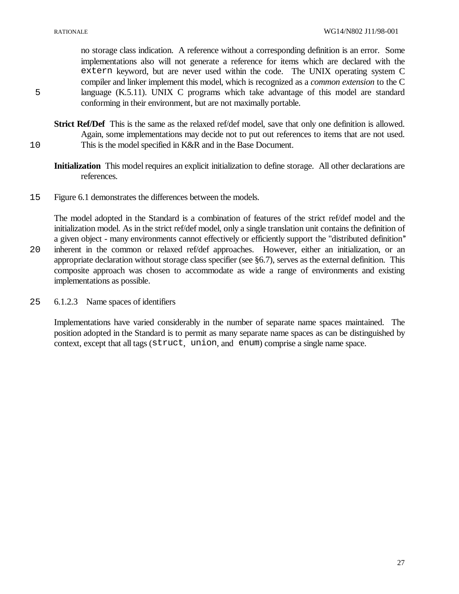no storage class indication. A reference without a corresponding definition is an error. Some implementations also will not generate a reference for items which are declared with the extern keyword, but are never used within the code. The UNIX operating system C compiler and linker implement this model, which is recognized as a *common extension* to the C 5 language (K.5.11). UNIX C programs which take advantage of this model are standard conforming in their environment, but are not maximally portable.

**Strict Ref/Def** This is the same as the relaxed ref/def model, save that only one definition is allowed. Again, some implementations may decide not to put out references to items that are not used. 10 This is the model specified in K&R and in the Base Document.

**Initialization** This model requires an explicit initialization to define storage. All other declarations are references.

15 Figure 6.1 demonstrates the differences between the models.

The model adopted in the Standard is a combination of features of the strict ref/def model and the initialization model. As in the strict ref/def model, only a single translation unit contains the definition of a given object - many environments cannot effectively or efficiently support the "distributed definition'' 20 inherent in the common or relaxed ref/def approaches. However, either an initialization, or an appropriate declaration without storage class specifier (see §6.7), serves as the external definition. This composite approach was chosen to accommodate as wide a range of environments and existing implementations as possible.

25 6.1.2.3 Name spaces of identifiers

Implementations have varied considerably in the number of separate name spaces maintained. The position adopted in the Standard is to permit as many separate name spaces as can be distinguished by context, except that all tags (struct, union, and enum) comprise a single name space.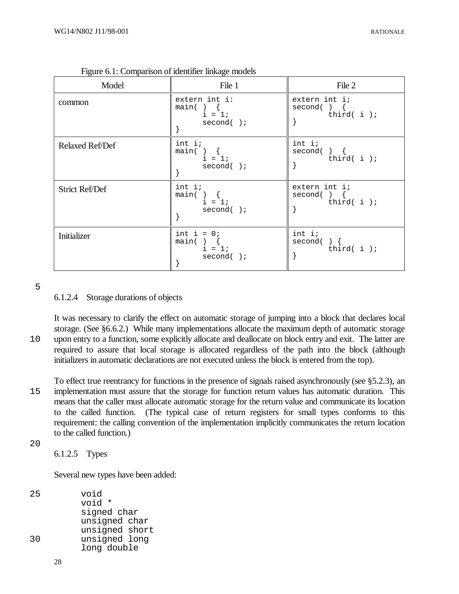| Model                  | File 1                                          | File 2                                            |  |
|------------------------|-------------------------------------------------|---------------------------------------------------|--|
| common                 | extern int i:<br>main()<br>$i = 1i$<br>second() | $extern$ int i;<br>$second() \{$<br>third( $i$ ); |  |
| <b>Relaxed Ref/Def</b> | int i;<br>main()<br>$i = 1;$<br>second()        | int i;<br>$second() \{$<br>third $(i)$ ;          |  |
| <b>Strict Ref/Def</b>  | int i;<br>main()<br>$i = 1i$<br>second()        | $extern$ int i;<br>$second() \{$<br>third( $i$ ); |  |
| Initializer            | int $i = 0$ ;<br>main()<br>$i = 1i$<br>second() | int i;<br>$second() \{$<br>third $(i)$ ;          |  |

| Figure 6.1: Comparison of identifier linkage models |  |  |
|-----------------------------------------------------|--|--|
|                                                     |  |  |
|                                                     |  |  |
|                                                     |  |  |

## 5

# 6.1.2.4 Storage durations of objects

It was necessary to clarify the effect on automatic storage of jumping into a block that declares local storage. (See §6.6.2.) While many implementations allocate the maximum depth of automatic storage 10 upon entry to a function, some explicitly allocate and deallocate on block entry and exit. The latter are required to assure that local storage is allocated regardless of the path into the block (although initializers in automatic declarations are not executed unless the block is entered from the top).

To effect true reentrancy for functions in the presence of signals raised asynchronously (see §5.2.3), an 15 implementation must assure that the storage for function return values has automatic duration. This means that the caller must allocate automatic storage for the return value and communicate its location to the called function. (The typical case of return registers for small types conforms to this requirement: the calling convention of the implementation implicitly communicates the return location to the called function.)

20

6.1.2.5 Types

Several new types have been added:

| 25 | void           |
|----|----------------|
|    | void *         |
|    | signed char    |
|    | unsigned char  |
|    | unsigned short |
| 30 | unsigned long  |
|    | long double    |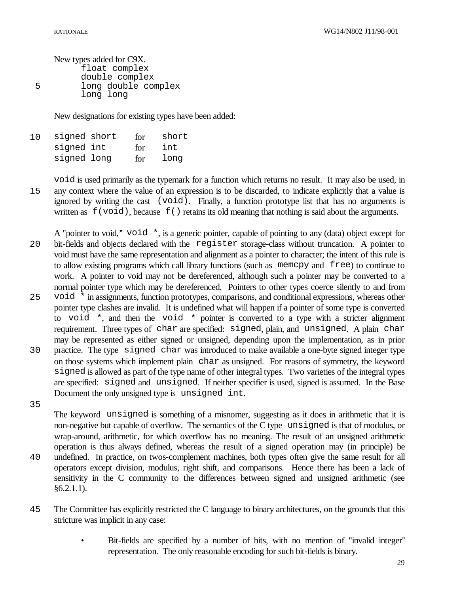|   | New types added for C9X.         |  |  |
|---|----------------------------------|--|--|
|   | float complex                    |  |  |
|   | double complex                   |  |  |
| 5 | long double complex<br>long long |  |  |

New designations for existing types have been added:

| 1 <sub>0</sub> | signed short | for  | short |
|----------------|--------------|------|-------|
|                | signed int   | for  | int   |
|                | signed long  | for. | long  |

void is used primarily as the typemark for a function which returns no result. It may also be used, in 15 any context where the value of an expression is to be discarded, to indicate explicitly that a value is ignored by writing the cast (void). Finally, a function prototype list that has no arguments is written as  $f(void)$ , because  $f(j)$  retains its old meaning that nothing is said about the arguments.

A "pointer to void," void  $\star$ , is a generic pointer, capable of pointing to any (data) object except for 20 bit-fields and objects declared with the register storage-class without truncation. A pointer to void must have the same representation and alignment as a pointer to character; the intent of this rule is to allow existing programs which call library functions (such as memcpy and free) to continue to work. A pointer to void may not be dereferenced, although such a pointer may be converted to a normal pointer type which may be dereferenced. Pointers to other types coerce silently to and from 25 void \* in assignments, function prototypes, comparisons, and conditional expressions, whereas other pointer type clashes are invalid. It is undefined what will happen if a pointer of some type is converted to void  $*$ , and then the void  $*$  pointer is converted to a type with a stricter alignment requirement. Three types of char are specified: signed, plain, and unsigned. A plain char may be represented as either signed or unsigned, depending upon the implementation, as in prior 30 practice. The type signed char was introduced to make available a one-byte signed integer type on those systems which implement plain char as unsigned. For reasons of symmetry, the keyword signed is allowed as part of the type name of other integral types. Two varieties of the integral types are specified: signed and unsigned. If neither specifier is used, signed is assumed. In the Base Document the only unsigned type is unsigned int.

35

 $§6.2.1.1$ ).

The keyword unsigned is something of a misnomer, suggesting as it does in arithmetic that it is non-negative but capable of overflow. The semantics of the C type unsigned is that of modulus, or wrap-around, arithmetic, for which overflow has no meaning. The result of an unsigned arithmetic operation is thus always defined, whereas the result of a signed operation may (in principle) be 40 undefined. In practice, on twos-complement machines, both types often give the same result for all operators except division, modulus, right shift, and comparisons. Hence there has been a lack of sensitivity in the C community to the differences between signed and unsigned arithmetic (see

- 45 The Committee has explicitly restricted the C language to binary architectures, on the grounds that this stricture was implicit in any case:
	- Bit-fields are specified by a number of bits, with no mention of "invalid integer'' representation. The only reasonable encoding for such bit-fields is binary.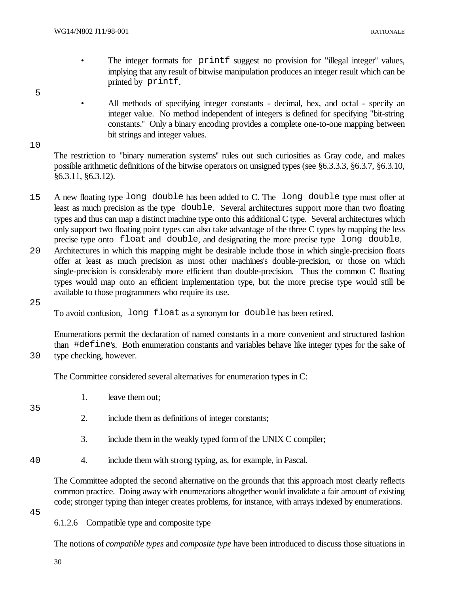- The integer formats for printf suggest no provision for "illegal integer'' values, implying that any result of bitwise manipulation produces an integer result which can be printed by printf.
- All methods of specifying integer constants decimal, hex, and octal specify an integer value. No method independent of integers is defined for specifying "bit-string constants.'' Only a binary encoding provides a complete one-to-one mapping between bit strings and integer values.
- The restriction to "binary numeration systems'' rules out such curiosities as Gray code, and makes possible arithmetic definitions of the bitwise operators on unsigned types (see §6.3.3.3, §6.3.7, §6.3.10, §6.3.11, §6.3.12).
- 15 A new floating type long double has been added to C. The long double type must offer at least as much precision as the type double. Several architectures support more than two floating types and thus can map a distinct machine type onto this additional C type. Several architectures which only support two floating point types can also take advantage of the three C types by mapping the less precise type onto float and double, and designating the more precise type long double.
- 20 Architectures in which this mapping might be desirable include those in which single-precision floats offer at least as much precision as most other machines's double-precision, or those on which single-precision is considerably more efficient than double-precision. Thus the common C floating types would map onto an efficient implementation type, but the more precise type would still be available to those programmers who require its use.
- 25

To avoid confusion, long float as a synonym for double has been retired.

Enumerations permit the declaration of named constants in a more convenient and structured fashion than #define's. Both enumeration constants and variables behave like integer types for the sake of 30 type checking, however.

The Committee considered several alternatives for enumeration types in C:

- 1. leave them out;
- 35

- 2. include them as definitions of integer constants;
- 3. include them in the weakly typed form of the UNIX C compiler;
- 40 4. include them with strong typing, as, for example, in Pascal.

The Committee adopted the second alternative on the grounds that this approach most clearly reflects common practice. Doing away with enumerations altogether would invalidate a fair amount of existing code; stronger typing than integer creates problems, for instance, with arrays indexed by enumerations.

45

6.1.2.6 Compatible type and composite type

The notions of *compatible types* and *composite type* have been introduced to discuss those situations in

5

10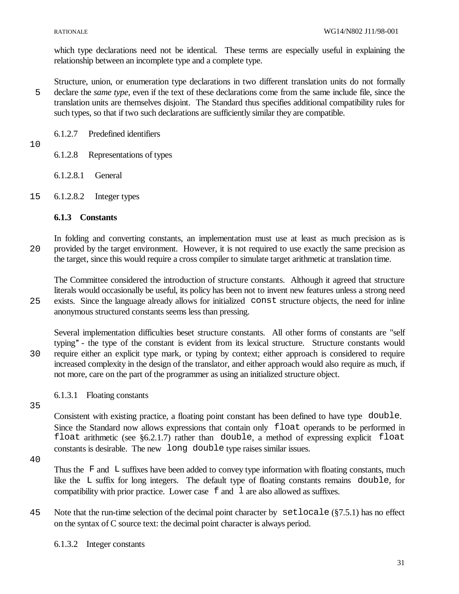which type declarations need not be identical. These terms are especially useful in explaining the relationship between an incomplete type and a complete type.

Structure, union, or enumeration type declarations in two different translation units do not formally 5 declare the *same type*, even if the text of these declarations come from the same include file, since the translation units are themselves disjoint. The Standard thus specifies additional compatibility rules for such types, so that if two such declarations are sufficiently similar they are compatible.

6.1.2.7 Predefined identifiers

10

6.1.2.8 Representations of types

6.1.2.8.1 General

15 6.1.2.8.2 Integer types

#### **6.1.3 Constants**

In folding and converting constants, an implementation must use at least as much precision as is 20 provided by the target environment. However, it is not required to use exactly the same precision as the target, since this would require a cross compiler to simulate target arithmetic at translation time.

The Committee considered the introduction of structure constants. Although it agreed that structure literals would occasionally be useful, its policy has been not to invent new features unless a strong need 25 exists. Since the language already allows for initialized const structure objects, the need for inline anonymous structured constants seems less than pressing.

Several implementation difficulties beset structure constants. All other forms of constants are "self typing'' - the type of the constant is evident from its lexical structure. Structure constants would 30 require either an explicit type mark, or typing by context; either approach is considered to require increased complexity in the design of the translator, and either approach would also require as much, if not more, care on the part of the programmer as using an initialized structure object.

6.1.3.1 Floating constants

35

Consistent with existing practice, a floating point constant has been defined to have type double. Since the Standard now allows expressions that contain only float operands to be performed in float arithmetic (see §6.2.1.7) rather than double, a method of expressing explicit float constants is desirable. The new long double type raises similar issues.

40

Thus the  $F$  and  $L$  suffixes have been added to convey type information with floating constants, much like the L suffix for long integers. The default type of floating constants remains double, for compatibility with prior practice. Lower case  $\pm$  and  $\pm$  are also allowed as suffixes.

45 Note that the run-time selection of the decimal point character by setlocale (§7.5.1) has no effect on the syntax of C source text: the decimal point character is always period.

6.1.3.2 Integer constants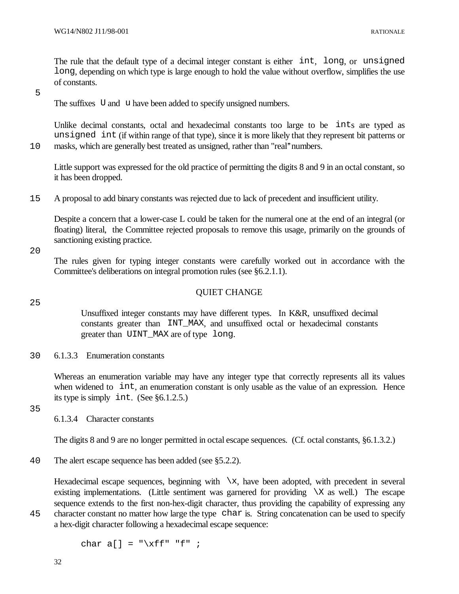it has been dropped.

The rule that the default type of a decimal integer constant is either int, long, or unsigned long, depending on which type is large enough to hold the value without overflow, simplifies the use of constants.

5

The suffixes U and u have been added to specify unsigned numbers.

Unlike decimal constants, octal and hexadecimal constants too large to be ints are typed as unsigned int (if within range of that type), since it is more likely that they represent bit patterns or 10 masks, which are generally best treated as unsigned, rather than "real'' numbers.

- Little support was expressed for the old practice of permitting the digits 8 and 9 in an octal constant, so
- 15 A proposal to add binary constants was rejected due to lack of precedent and insufficient utility.

Despite a concern that a lower-case L could be taken for the numeral one at the end of an integral (or floating) literal, the Committee rejected proposals to remove this usage, primarily on the grounds of sanctioning existing practice.

#### 20

The rules given for typing integer constants were carefully worked out in accordance with the Committee's deliberations on integral promotion rules (see §6.2.1.1).

#### QUIET CHANGE

25

Unsuffixed integer constants may have different types. In K&R, unsuffixed decimal constants greater than INT\_MAX, and unsuffixed octal or hexadecimal constants greater than UINT\_MAX are of type long.

30 6.1.3.3 Enumeration constants

Whereas an enumeration variable may have any integer type that correctly represents all its values when widened to int, an enumeration constant is only usable as the value of an expression. Hence its type is simply int. (See §6.1.2.5.)

35

6.1.3.4 Character constants

The digits 8 and 9 are no longer permitted in octal escape sequences. (Cf. octal constants, §6.1.3.2.)

40 The alert escape sequence has been added (see §5.2.2).

Hexadecimal escape sequences, beginning with  $\mathbf{x}$ , have been adopted, with precedent in several existing implementations. (Little sentiment was garnered for providing  $\chi$  as well.) The escape sequence extends to the first non-hex-digit character, thus providing the capability of expressing any 45 character constant no matter how large the type char is. String concatenation can be used to specify a hex-digit character following a hexadecimal escape sequence:

char a[] = " $xff"$  "f" ;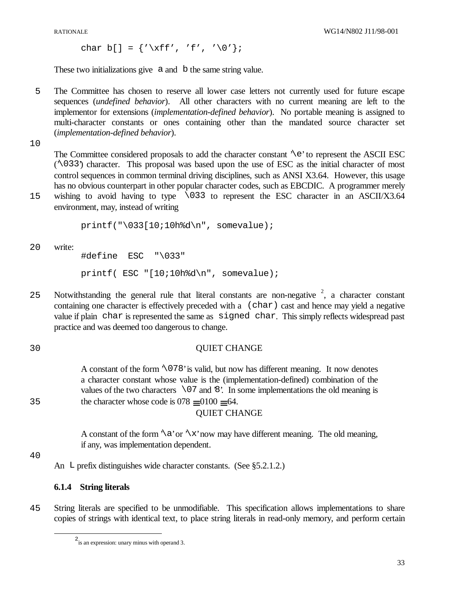char  $b[] = {'\xff', 'f', '0'};$ 

These two initializations give a and b the same string value.

- 5 The Committee has chosen to reserve all lower case letters not currently used for future escape sequences (*undefined behavior*). All other characters with no current meaning are left to the implementor for extensions (*implementation-defined behavior*). No portable meaning is assigned to multi-character constants or ones containing other than the mandated source character set (*implementation-defined behavior*).
- 10

The Committee considered proposals to add the character constant  $\Diamond e$  to represent the ASCII ESC ('\033') character. This proposal was based upon the use of ESC as the initial character of most control sequences in common terminal driving disciplines, such as ANSI X3.64. However, this usage has no obvious counterpart in other popular character codes, such as EBCDIC. A programmer merely 15 wishing to avoid having to type \033 to represent the ESC character in an ASCII/X3.64

environment, may, instead of writing

printf(" $\033[10:10h\$ d\n", somevalue);

20 write:

#define ESC "\033" printf( ESC "[10;10h%d\n", somevalue);

25 Notwithstanding the general rule that literal constants are non-negative  $2^2$ , a character constant containing one character is effectively preceded with a (char) cast and hence may yield a negative value if plain char is represented the same as signed char. This simply reflects widespread past practice and was deemed too dangerous to change.

$$
30\,
$$

#### 30 QUIET CHANGE

A constant of the form  $\sqrt{078}$  is valid, but now has different meaning. It now denotes a character constant whose value is the (implementation-defined) combination of the values of the two characters  $\sqrt{07}$  and '8'. In some implementations the old meaning is 35 the character whose code is  $078 = 0100 = 64$ .

## QUIET CHANGE

A constant of the form  $\alpha$  or  $\alpha$  or  $\alpha$  now may have different meaning. The old meaning, if any, was implementation dependent.

40

An L prefix distinguishes wide character constants. (See §5.2.1.2.)

## **6.1.4 String literals**

45 String literals are specified to be unmodifiable. This specification allows implementations to share copies of strings with identical text, to place string literals in read-only memory, and perform certain

<sup>2</sup> is an expression: unary minus with operand 3.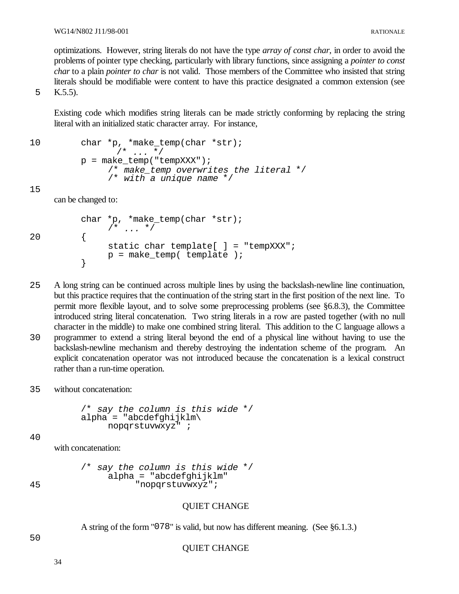optimizations. However, string literals do not have the type *array of const char*, in order to avoid the problems of pointer type checking, particularly with library functions, since assigning a *pointer to const char* to a plain *pointer to char* is not valid. Those members of the Committee who insisted that string literals should be modifiable were content to have this practice designated a common extension (see 5 K.5.5).

Existing code which modifies string literals can be made strictly conforming by replacing the string literal with an initialized static character array. For instance,

15

10 char \*p, \*make\_temp(char \*str);  $\frac{1}{2}$  ... \*/  $p = make_temp("tempXXX")$ ; /\* make\_temp overwrites the literal \*/  $/*$  with a unique name  $*/$ 

can be changed to:

char \*p, \*make\_temp(char \*str);  $/$ \* ... \*/ 20 { static char template[ ] = "tempXXX";  $p = make_temp(template)$ ; }

- 25 A long string can be continued across multiple lines by using the backslash-newline line continuation, but this practice requires that the continuation of the string start in the first position of the next line. To permit more flexible layout, and to solve some preprocessing problems (see §6.8.3), the Committee introduced string literal concatenation. Two string literals in a row are pasted together (with no null character in the middle) to make one combined string literal. This addition to the C language allows a
- 30 programmer to extend a string literal beyond the end of a physical line without having to use the backslash-newline mechanism and thereby destroying the indentation scheme of the program. An explicit concatenation operator was not introduced because the concatenation is a lexical construct rather than a run-time operation.
- 35 without concatenation:

```
\frac{1}{x} say the column is this wide */
alpha = "abcdefghijklm\nopqrstuvwxyz" ;
```
40

with concatenation:

```
/* say the column is this wide */
            alpha = "abcdefghijklm"
45 "nopqrstuvwxyz";
```
## QUIET CHANGE

A string of the form "078" is valid, but now has different meaning. (See §6.1.3.)

# QUIET CHANGE

50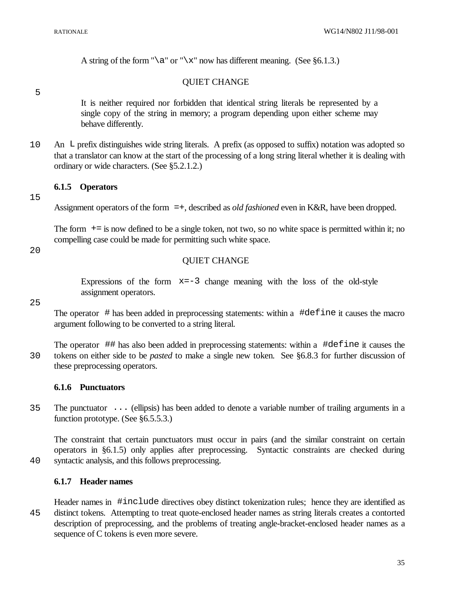A string of the form " $\a$ " or " $\x$ " now has different meaning. (See §6.1.3.)

## QUIET CHANGE

5

It is neither required nor forbidden that identical string literals be represented by a single copy of the string in memory; a program depending upon either scheme may behave differently.

10 An L prefix distinguishes wide string literals. A prefix (as opposed to suffix) notation was adopted so that a translator can know at the start of the processing of a long string literal whether it is dealing with ordinary or wide characters. (See §5.2.1.2.)

#### **6.1.5 Operators**

15

Assignment operators of the form =+, described as *old fashioned* even in K&R, have been dropped.

The form  $+$  = is now defined to be a single token, not two, so no white space is permitted within it; no compelling case could be made for permitting such white space.

20

## QUIET CHANGE

Expressions of the form  $x=-3$  change meaning with the loss of the old-style assignment operators.

25

The operator  $#$  has been added in preprocessing statements: within a  $#define$  it causes the macro argument following to be converted to a string literal.

The operator ## has also been added in preprocessing statements: within a #define it causes the 30 tokens on either side to be *pasted* to make a single new token. See §6.8.3 for further discussion of these preprocessing operators.

## **6.1.6 Punctuators**

35 The punctuator  $\cdots$  (ellipsis) has been added to denote a variable number of trailing arguments in a function prototype. (See §6.5.5.3.)

The constraint that certain punctuators must occur in pairs (and the similar constraint on certain operators in §6.1.5) only applies after preprocessing. Syntactic constraints are checked during 40 syntactic analysis, and this follows preprocessing.

## **6.1.7 Header names**

Header names in #include directives obey distinct tokenization rules; hence they are identified as 45 distinct tokens. Attempting to treat quote-enclosed header names as string literals creates a contorted description of preprocessing, and the problems of treating angle-bracket-enclosed header names as a sequence of C tokens is even more severe.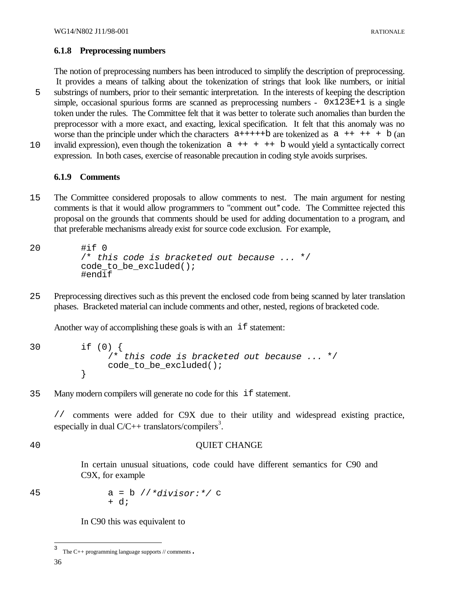# **6.1.8 Preprocessing numbers**

The notion of preprocessing numbers has been introduced to simplify the description of preprocessing. It provides a means of talking about the tokenization of strings that look like numbers, or initial 5 substrings of numbers, prior to their semantic interpretation. In the interests of keeping the description simple, occasional spurious forms are scanned as preprocessing numbers -  $0 \times 123E+1$  is a single token under the rules. The Committee felt that it was better to tolerate such anomalies than burden the preprocessor with a more exact, and exacting, lexical specification. It felt that this anomaly was no worse than the principle under which the characters  $a$ +++++b are tokenized as  $a$ +++++ $b$  (an 10 invalid expression), even though the tokenization  $a + + + + + b$  would yield a syntactically correct

expression. In both cases, exercise of reasonable precaution in coding style avoids surprises.

## **6.1.9 Comments**

- 15 The Committee considered proposals to allow comments to nest. The main argument for nesting comments is that it would allow programmers to "comment out" code. The Committee rejected this proposal on the grounds that comments should be used for adding documentation to a program, and that preferable mechanisms already exist for source code exclusion. For example,
- 20 #if 0 /\* this code is bracketed out because ... \*/ code\_to\_be\_excluded(); #endif
- 25 Preprocessing directives such as this prevent the enclosed code from being scanned by later translation phases. Bracketed material can include comments and other, nested, regions of bracketed code.

Another way of accomplishing these goals is with an if statement:

30 if (0) { /\* this code is bracketed out because ... \*/ code\_to\_be\_excluded(); }

35 Many modern compilers will generate no code for this if statement.

// comments were added for C9X due to their utility and widespread existing practice, especially in dual  $C/C++$  translators/compilers<sup>3</sup>.

## 40 QUIET CHANGE

In certain unusual situations, code could have different semantics for C90 and C9X, for example

$$
4\,5
$$

45 
$$
a = b // *divisor: */ c
$$
  
+ d;

In C90 this was equivalent to

 3 The C++ programming language supports // comments.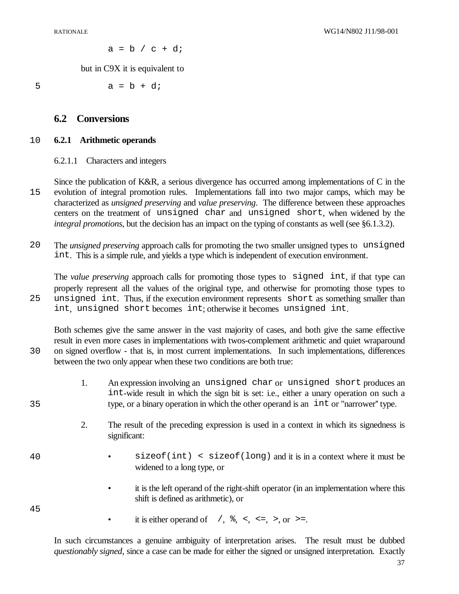$a = b / c + d$ ;

but in C9X it is equivalent to

 $5$  a =  $b + d$ ;

## **6.2 Conversions**

#### 10 **6.2.1 Arithmetic operands**

6.2.1.1 Characters and integers

Since the publication of K&R, a serious divergence has occurred among implementations of C in the 15 evolution of integral promotion rules. Implementations fall into two major camps, which may be characterized as *unsigned preserving* and *value preserving*. The difference between these approaches centers on the treatment of unsigned char and unsigned short, when widened by the *integral promotions*, but the decision has an impact on the typing of constants as well (see §6.1.3.2).

20 The *unsigned preserving* approach calls for promoting the two smaller unsigned types to unsigned int. This is a simple rule, and yields a type which is independent of execution environment.

The *value preserving* approach calls for promoting those types to signed int, if that type can properly represent all the values of the original type, and otherwise for promoting those types to 25 unsigned int. Thus, if the execution environment represents short as something smaller than int, unsigned short becomes int; otherwise it becomes unsigned int.

Both schemes give the same answer in the vast majority of cases, and both give the same effective result in even more cases in implementations with twos-complement arithmetic and quiet wraparound 30 on signed overflow - that is, in most current implementations. In such implementations, differences between the two only appear when these two conditions are both true:

- 1. An expression involving an unsigned char or unsigned short produces an int-wide result in which the sign bit is set: i.e., either a unary operation on such a 35 type, or a binary operation in which the other operand is an int or "narrower'' type.
	- 2. The result of the preceding expression is used in a context in which its signedness is significant:
- 
- 40 sizeof(int) < sizeof(long) and it is in a context where it must be widened to a long type, or
	- it is the left operand of the right-shift operator (in an implementation where this shift is defined as arithmetic), or

45

• it is either operand of  $\ell$ ,  $\hat{\epsilon}$ ,  $\epsilon$ ,  $\epsilon$ ,  $\epsilon$ ,  $\epsilon$ ,  $\epsilon$ ,  $\epsilon$ ,  $\epsilon$ ,  $\epsilon$ ,  $\epsilon$ ,  $\epsilon$ ,  $\epsilon$ ,  $\epsilon$ ,  $\epsilon$ ,  $\epsilon$ ,  $\epsilon$ ,  $\epsilon$ ,  $\epsilon$ ,  $\epsilon$ ,  $\epsilon$ ,  $\epsilon$ ,  $\epsilon$ ,  $\epsilon$ ,  $\epsilon$ ,  $\epsilon$ ,  $\epsilon$ ,  $\epsilon$ ,  $\epsilon$ ,  $\epsilon$ ,  $\epsilon$ ,  $\epsilon$ ,

In such circumstances a genuine ambiguity of interpretation arises. The result must be dubbed *questionably signed*, since a case can be made for either the signed or unsigned interpretation. Exactly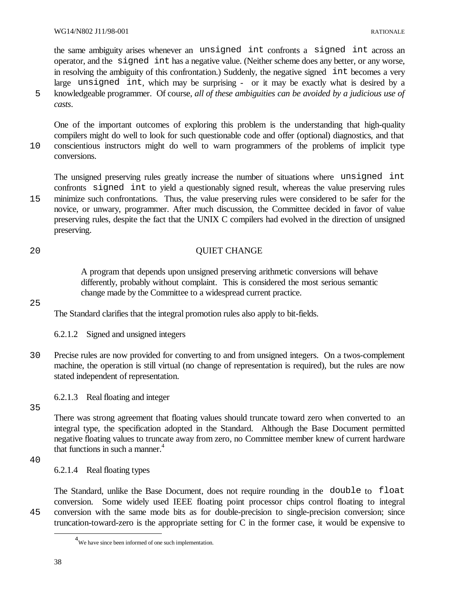the same ambiguity arises whenever an unsigned int confronts a signed int across an operator, and the signed int has a negative value. (Neither scheme does any better, or any worse, in resolving the ambiguity of this confrontation.) Suddenly, the negative signed int becomes a very large unsigned int, which may be surprising - or it may be exactly what is desired by a 5 knowledgeable programmer. Of course, *all of these ambiguities can be avoided by a judicious use of*

*casts*.

One of the important outcomes of exploring this problem is the understanding that high-quality compilers might do well to look for such questionable code and offer (optional) diagnostics, and that 10 conscientious instructors might do well to warn programmers of the problems of implicit type conversions.

The unsigned preserving rules greatly increase the number of situations where unsigned int confronts signed int to yield a questionably signed result, whereas the value preserving rules 15 minimize such confrontations. Thus, the value preserving rules were considered to be safer for the novice, or unwary, programmer. After much discussion, the Committee decided in favor of value preserving rules, despite the fact that the UNIX C compilers had evolved in the direction of unsigned preserving.

## 20 QUIET CHANGE

A program that depends upon unsigned preserving arithmetic conversions will behave differently, probably without complaint. This is considered the most serious semantic change made by the Committee to a widespread current practice.

25

The Standard clarifies that the integral promotion rules also apply to bit-fields.

6.2.1.2 Signed and unsigned integers

30 Precise rules are now provided for converting to and from unsigned integers. On a twos-complement machine, the operation is still virtual (no change of representation is required), but the rules are now stated independent of representation.

6.2.1.3 Real floating and integer

35

There was strong agreement that floating values should truncate toward zero when converted to an integral type, the specification adopted in the Standard. Although the Base Document permitted negative floating values to truncate away from zero, no Committee member knew of current hardware that functions in such a manner.<sup>4</sup>

40

6.2.1.4 Real floating types

The Standard, unlike the Base Document, does not require rounding in the double to float conversion. Some widely used IEEE floating point processor chips control floating to integral 45 conversion with the same mode bits as for double-precision to single-precision conversion; since truncation-toward-zero is the appropriate setting for C in the former case, it would be expensive to

<sup>4</sup> We have since been informed of one such implementation.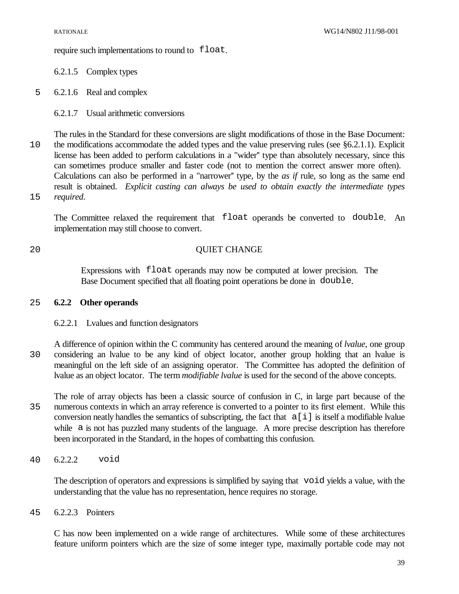require such implementations to round to float.

6.2.1.5 Complex types

5 6.2.1.6 Real and complex

6.2.1.7 Usual arithmetic conversions

The rules in the Standard for these conversions are slight modifications of those in the Base Document: 10 the modifications accommodate the added types and the value preserving rules (see §6.2.1.1). Explicit license has been added to perform calculations in a "wider'' type than absolutely necessary, since this can sometimes produce smaller and faster code (not to mention the correct answer more often). Calculations can also be performed in a "narrower'' type, by the *as if* rule, so long as the same end result is obtained. *Explicit casting can always be used to obtain exactly the intermediate types* 15 *required*.

The Committee relaxed the requirement that float operands be converted to double. An implementation may still choose to convert.

# 20 QUIET CHANGE

Expressions with float operands may now be computed at lower precision. The Base Document specified that all floating point operations be done in double.

## 25 **6.2.2 Other operands**

## 6.2.2.1 Lvalues and function designators

- A difference of opinion within the C community has centered around the meaning of *lvalue*, one group 30 considering an lvalue to be any kind of object locator, another group holding that an lvalue is meaningful on the left side of an assigning operator. The Committee has adopted the definition of lvalue as an object locator. The term *modifiable lvalue* is used for the second of the above concepts.
- The role of array objects has been a classic source of confusion in C, in large part because of the 35 numerous contexts in which an array reference is converted to a pointer to its first element. While this conversion neatly handles the semantics of subscripting, the fact that  $a[i]$  is itself a modifiable lvalue while a is not has puzzled many students of the language. A more precise description has therefore been incorporated in the Standard, in the hopes of combatting this confusion.

40 6222 void

The description of operators and expressions is simplified by saying that void yields a value, with the understanding that the value has no representation, hence requires no storage.

45 6.2.2.3 Pointers

C has now been implemented on a wide range of architectures. While some of these architectures feature uniform pointers which are the size of some integer type, maximally portable code may not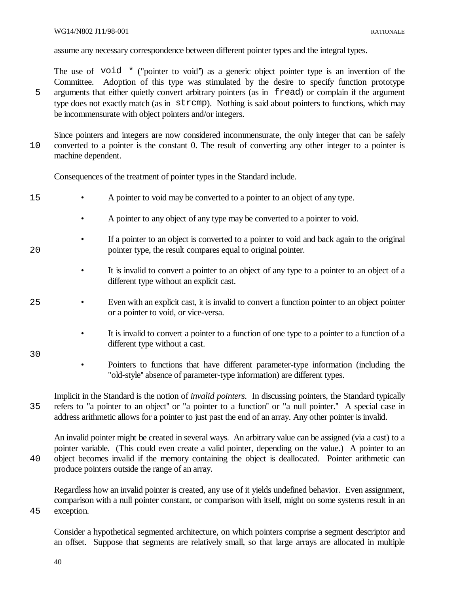assume any necessary correspondence between different pointer types and the integral types.

The use of void  $*$  ("pointer to void") as a generic object pointer type is an invention of the Committee. Adoption of this type was stimulated by the desire to specify function prototype 5 arguments that either quietly convert arbitrary pointers (as in fread) or complain if the argument type does not exactly match (as in strcmp). Nothing is said about pointers to functions, which may be incommensurate with object pointers and/or integers.

Since pointers and integers are now considered incommensurate, the only integer that can be safely 10 converted to a pointer is the constant 0. The result of converting any other integer to a pointer is machine dependent.

Consequences of the treatment of pointer types in the Standard include.

- 15 A pointer to void may be converted to a pointer to an object of any type.
	- A pointer to any object of any type may be converted to a pointer to void.
- If a pointer to an object is converted to a pointer to void and back again to the original 20 pointer type, the result compares equal to original pointer.
	- It is invalid to convert a pointer to an object of any type to a pointer to an object of a different type without an explicit cast.
- 25 Even with an explicit cast, it is invalid to convert a function pointer to an object pointer or a pointer to void, or vice-versa.
	- It is invalid to convert a pointer to a function of one type to a pointer to a function of a different type without a cast.
	- Pointers to functions that have different parameter-type information (including the "old-style'' absence of parameter-type information) are different types.

Implicit in the Standard is the notion of *invalid pointers*. In discussing pointers, the Standard typically 35 refers to "a pointer to an object'' or "a pointer to a function'' or "a null pointer.'' A special case in address arithmetic allows for a pointer to just past the end of an array. Any other pointer is invalid.

An invalid pointer might be created in several ways. An arbitrary value can be assigned (via a cast) to a pointer variable. (This could even create a valid pointer, depending on the value.) A pointer to an 40 object becomes invalid if the memory containing the object is deallocated. Pointer arithmetic can produce pointers outside the range of an array.

Regardless how an invalid pointer is created, any use of it yields undefined behavior. Even assignment, comparison with a null pointer constant, or comparison with itself, might on some systems result in an 45 exception.

Consider a hypothetical segmented architecture, on which pointers comprise a segment descriptor and an offset. Suppose that segments are relatively small, so that large arrays are allocated in multiple

30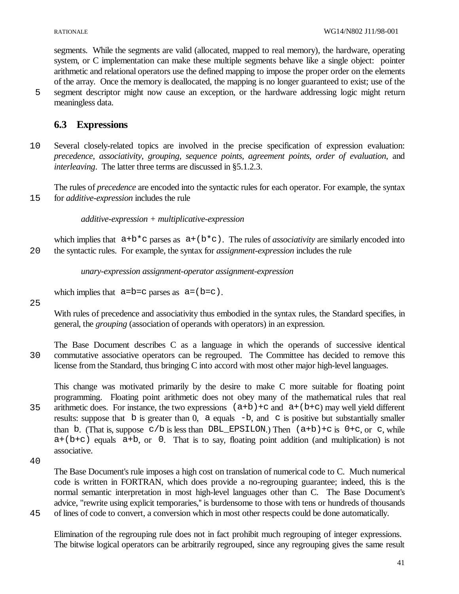segments. While the segments are valid (allocated, mapped to real memory), the hardware, operating system, or C implementation can make these multiple segments behave like a single object: pointer arithmetic and relational operators use the defined mapping to impose the proper order on the elements of the array. Once the memory is deallocated, the mapping is no longer guaranteed to exist; use of the

5 segment descriptor might now cause an exception, or the hardware addressing logic might return meaningless data.

# **6.3 Expressions**

10 Several closely-related topics are involved in the precise specification of expression evaluation: *precedence*, *associativity*, *grouping*, *sequence points*, *agreement points*, *order of evaluation*, and *interleaving*. The latter three terms are discussed in §5.1.2.3.

The rules of *precedence* are encoded into the syntactic rules for each operator. For example, the syntax 15 for *additive-expression* includes the rule

*additive-expression + multiplicative-expression*

which implies that  $a+b*c$  parses as  $a+(b*c)$ . The rules of *associativity* are similarly encoded into 20 the syntactic rules. For example, the syntax for *assignment-expression* includes the rule

*unary-expression assignment-operator assignment-expression*

which implies that  $a=b=c$  parses as  $a=(b=c)$ .

25

With rules of precedence and associativity thus embodied in the syntax rules, the Standard specifies, in general, the *grouping* (association of operands with operators) in an expression.

The Base Document describes C as a language in which the operands of successive identical 30 commutative associative operators can be regrouped. The Committee has decided to remove this license from the Standard, thus bringing C into accord with most other major high-level languages.

This change was motivated primarily by the desire to make C more suitable for floating point programming. Floating point arithmetic does not obey many of the mathematical rules that real 35 arithmetic does. For instance, the two expressions  $(a+b)+c$  and  $a+(b+c)$  may well yield different results: suppose that b is greater than 0, a equals  $-b$ , and c is positive but substantially smaller than b. (That is, suppose  $c/b$  is less than DBL\_EPSILON.) Then  $(a+b)+c$  is  $0+c$ , or c, while  $a+(b+c)$  equals  $a+b$ , or 0. That is to say, floating point addition (and multiplication) is not associative.

40

The Base Document's rule imposes a high cost on translation of numerical code to C. Much numerical code is written in FORTRAN, which does provide a no-regrouping guarantee; indeed, this is the normal semantic interpretation in most high-level languages other than C. The Base Document's advice, "rewrite using explicit temporaries," is burdensome to those with tens or hundreds of thousands 45 of lines of code to convert, a conversion which in most other respects could be done automatically.

Elimination of the regrouping rule does not in fact prohibit much regrouping of integer expressions. The bitwise logical operators can be arbitrarily regrouped, since any regrouping gives the same result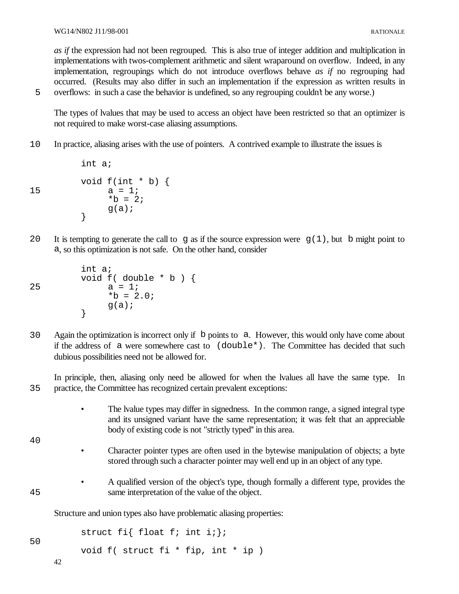*as if* the expression had not been regrouped. This is also true of integer addition and multiplication in implementations with twos-complement arithmetic and silent wraparound on overflow. Indeed, in any implementation, regroupings which do not introduce overflows behave *as if* no regrouping had occurred. (Results may also differ in such an implementation if the expression as written results in 5 overflows: in such a case the behavior is undefined, so any regrouping couldn't be any worse.)

The types of lvalues that may be used to access an object have been restricted so that an optimizer is not required to make worst-case aliasing assumptions.

10 In practice, aliasing arises with the use of pointers. A contrived example to illustrate the issues is

```
int a;
        void f(int * b) {
15 a = 1;
            *b = 2;g(a);
        }
```
20 It is tempting to generate the call to g as if the source expression were  $g(1)$ , but b might point to a, so this optimization is not safe. On the other hand, consider

```
 int a;
        void f( double * b ) {
25 \t a = 1;*b = 2.0;q(a);
        }
```
30 Again the optimization is incorrect only if b points to a. However, this would only have come about if the address of a were somewhere cast to (double\*). The Committee has decided that such dubious possibilities need not be allowed for.

In principle, then, aliasing only need be allowed for when the lvalues all have the same type. In 35 practice, the Committee has recognized certain prevalent exceptions:

- The lvalue types may differ in signedness. In the common range, a signed integral type and its unsigned variant have the same representation; it was felt that an appreciable body of existing code is not "strictly typed'' in this area.
- Character pointer types are often used in the bytewise manipulation of objects; a byte stored through such a character pointer may well end up in an object of any type.
- A qualified version of the object's type, though formally a different type, provides the 45 same interpretation of the value of the object.

Structure and union types also have problematic aliasing properties:

struct fi{ float f; int i;}; 50 void f( struct fi \* fip, int \* ip )

40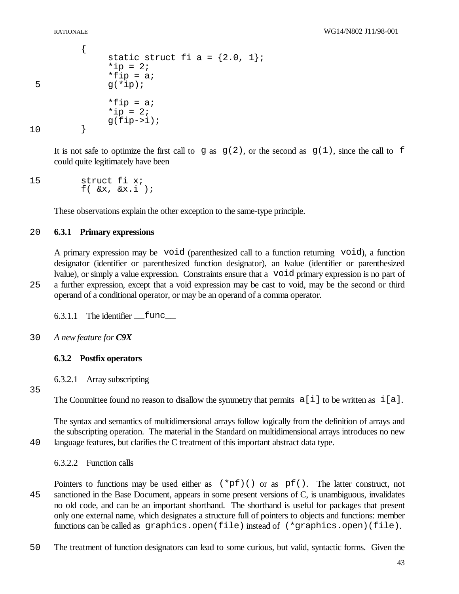```
{
             static struct fi a = \{2.0, 1\};
             *ip = 2;*fip = a;
5 g(*ip);
             *fip = a;
             *ip = 2ig(fip->i);10 }
```
It is not safe to optimize the first call to g as  $g(2)$ , or the second as  $g(1)$ , since the call to f could quite legitimately have been

15 struct fi x;  $f(\&x, \&x.i)$ ;

These observations explain the other exception to the same-type principle.

## 20 **6.3.1 Primary expressions**

A primary expression may be void (parenthesized call to a function returning void), a function designator (identifier or parenthesized function designator), an lvalue (identifier or parenthesized lvalue), or simply a value expression. Constraints ensure that a void primary expression is no part of 25 a further expression, except that a void expression may be cast to void, may be the second or third

operand of a conditional operator, or may be an operand of a comma operator.

6.3.1.1 The identifier \_\_func\_\_

#### 30 *A new feature for C9X*

#### **6.3.2 Postfix operators**

## 6.3.2.1 Array subscripting

35

The Committee found no reason to disallow the symmetry that permits  $a[i]$  to be written as  $i[a]$ .

The syntax and semantics of multidimensional arrays follow logically from the definition of arrays and the subscripting operation. The material in the Standard on multidimensional arrays introduces no new 40 language features, but clarifies the C treatment of this important abstract data type.

6.3.2.2 Function calls

Pointers to functions may be used either as  $(*pf)()$  or as pf(). The latter construct, not 45 sanctioned in the Base Document, appears in some present versions of C, is unambiguous, invalidates no old code, and can be an important shorthand. The shorthand is useful for packages that present only one external name, which designates a structure full of pointers to objects and functions: member functions can be called as graphics.open(file) instead of (\*graphics.open)(file).

50 The treatment of function designators can lead to some curious, but valid, syntactic forms. Given the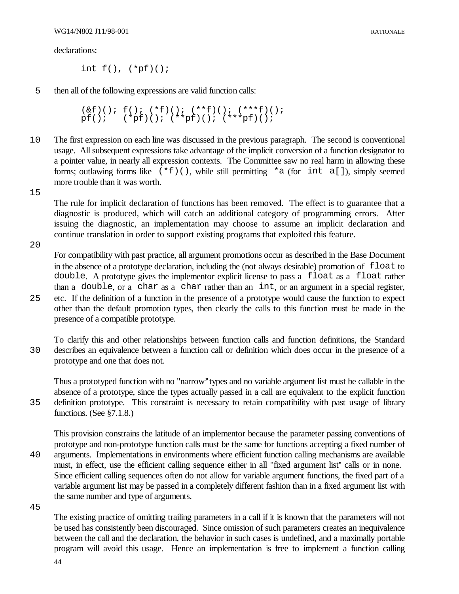declarations:

int  $f()$ ,  $(*pf)($ ;

5 then all of the following expressions are valid function calls:

 $(\&f)(; f(t); (\star f(t)); (\star f(t)); (\star f(t)); (\star f(t));$ pf(); (\*pf)(); (\*\*pf)(); (\*\*\*pf)();

- 10 The first expression on each line was discussed in the previous paragraph. The second is conventional usage. All subsequent expressions take advantage of the implicit conversion of a function designator to a pointer value, in nearly all expression contexts. The Committee saw no real harm in allowing these forms; outlawing forms like  $(*f)()$ , while still permitting  $*a$  (for int a[]), simply seemed more trouble than it was worth.
- 15

The rule for implicit declaration of functions has been removed. The effect is to guarantee that a diagnostic is produced, which will catch an additional category of programming errors. After issuing the diagnostic, an implementation may choose to assume an implicit declaration and continue translation in order to support existing programs that exploited this feature.

20

For compatibility with past practice, all argument promotions occur as described in the Base Document in the absence of a prototype declaration, including the (not always desirable) promotion of float to double. A prototype gives the implementor explicit license to pass a float as a float rather than a double, or a char as a char rather than an int, or an argument in a special register, 25 etc. If the definition of a function in the presence of a prototype would cause the function to expect other than the default promotion types, then clearly the calls to this function must be made in the presence of a compatible prototype.

To clarify this and other relationships between function calls and function definitions, the Standard 30 describes an equivalence between a function call or definition which does occur in the presence of a prototype and one that does not.

Thus a prototyped function with no "narrow'' types and no variable argument list must be callable in the absence of a prototype, since the types actually passed in a call are equivalent to the explicit function 35 definition prototype. This constraint is necessary to retain compatibility with past usage of library functions. (See §7.1.8.)

This provision constrains the latitude of an implementor because the parameter passing conventions of prototype and non-prototype function calls must be the same for functions accepting a fixed number of

40 arguments. Implementations in environments where efficient function calling mechanisms are available must, in effect, use the efficient calling sequence either in all "fixed argument list'' calls or in none. Since efficient calling sequences often do not allow for variable argument functions, the fixed part of a variable argument list may be passed in a completely different fashion than in a fixed argument list with the same number and type of arguments.

45

The existing practice of omitting trailing parameters in a call if it is known that the parameters will not be used has consistently been discouraged. Since omission of such parameters creates an inequivalence between the call and the declaration, the behavior in such cases is undefined, and a maximally portable program will avoid this usage. Hence an implementation is free to implement a function calling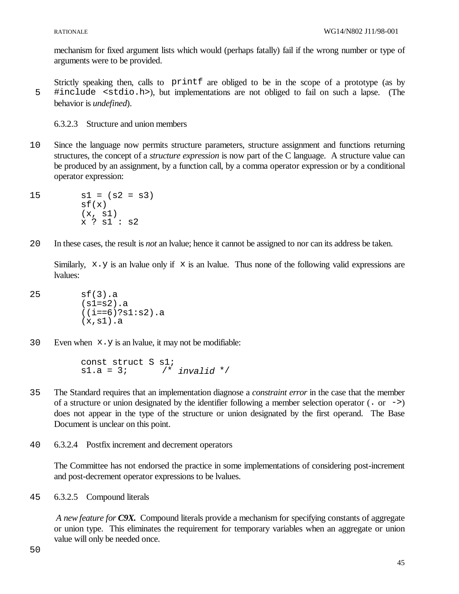mechanism for fixed argument lists which would (perhaps fatally) fail if the wrong number or type of arguments were to be provided.

Strictly speaking then, calls to printf are obliged to be in the scope of a prototype (as by 5 #include <stdio.h>), but implementations are not obliged to fail on such a lapse. (The behavior is *undefined*).

6.3.2.3 Structure and union members

- 10 Since the language now permits structure parameters, structure assignment and functions returning structures, the concept of a *structure expression* is now part of the C language. A structure value can be produced by an assignment, by a function call, by a comma operator expression or by a conditional operator expression:
- $15$   $sl = (s2 = s3)$  $sf(x)$ (x, s1)  $x$  ?  $s1$  :  $s2$
- 20 In these cases, the result is *not* an lvalue; hence it cannot be assigned to nor can its address be taken.

Similarly,  $x \cdot y$  is an Ivalue only if x is an Ivalue. Thus none of the following valid expressions are lvalues:

25 sf(3).a  $(s1=s2)$ .a ((i==6)?s1:s2).a  $(x,s1).a$ 

30 Even when  $x \cdot y$  is an Ivalue, it may not be modifiable:

const struct S s1;<br>s1.a = 3; /\*  $1$ <sup>\*</sup> invalid  $^*/$ 

- 35 The Standard requires that an implementation diagnose a *constraint error* in the case that the member of a structure or union designated by the identifier following a member selection operator  $($ . or  $-$ >) does not appear in the type of the structure or union designated by the first operand. The Base Document is unclear on this point.
- 40 6.3.2.4 Postfix increment and decrement operators

The Committee has not endorsed the practice in some implementations of considering post-increment and post-decrement operator expressions to be lvalues.

45 6.3.2.5 Compound literals

 *A new feature for C9X.* Compound literals provide a mechanism for specifying constants of aggregate or union type. This eliminates the requirement for temporary variables when an aggregate or union value will only be needed once.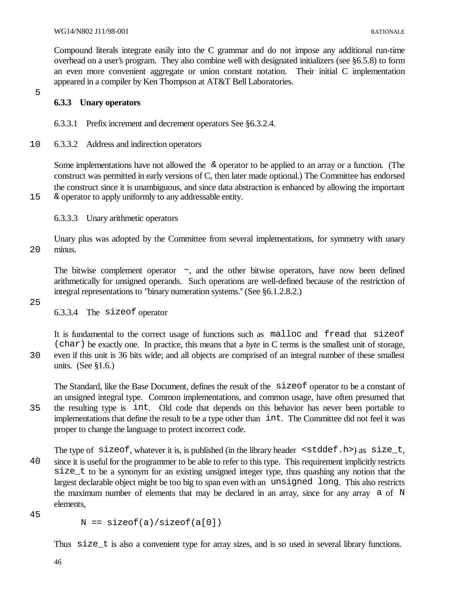Compound literals integrate easily into the C grammar and do not impose any additional run-time overhead on a user's program. They also combine well with designated initializers (see §6.5.8) to form an even more convenient aggregate or union constant notation. Their initial C implementation appeared in a compiler by Ken Thompson at AT&T Bell Laboratories.

5

## **6.3.3 Unary operators**

6.3.3.1 Prefix increment and decrement operators See §6.3.2.4.

10 6.3.3.2 Address and indirection operators

Some implementations have not allowed the  $\&$  operator to be applied to an array or a function. (The construct was permitted in early versions of C, then later made optional.) The Committee has endorsed the construct since it is unambiguous, and since data abstraction is enhanced by allowing the important 15 & operator to apply uniformly to any addressable entity.

6.3.3.3 Unary arithmetic operators

Unary plus was adopted by the Committee from several implementations, for symmetry with unary 20 minus.

The bitwise complement operator  $\sim$ , and the other bitwise operators, have now been defined arithmetically for unsigned operands. Such operations are well-defined because of the restriction of integral representations to "binary numeration systems.'' (See §6.1.2.8.2.)

25

6.3.3.4 The sizeof operator

It is fundamental to the correct usage of functions such as malloc and fread that sizeof (char) be exactly one. In practice, this means that a *byte* in C terms is the smallest unit of storage, 30 even if this unit is 36 bits wide; and all objects are comprised of an integral number of these smallest units. (See  $\S1.6$ .)

The Standard, like the Base Document, defines the result of the sizeof operator to be a constant of an unsigned integral type. Common implementations, and common usage, have often presumed that 35 the resulting type is int. Old code that depends on this behavior has never been portable to implementations that define the result to be a type other than int. The Committee did not feel it was proper to change the language to protect incorrect code.

The type of size of, whatever it is, is published (in the library header  $\le$ stddef.h>) as size\_t, 40 since it is useful for the programmer to be able to refer to this type. This requirement implicitly restricts size\_t to be a synonym for an existing unsigned integer type, thus quashing any notion that the largest declarable object might be too big to span even with an unsigned long. This also restricts the maximum number of elements that may be declared in an array, since for any array a of N elements,

45

 $N ==$  sizeof(a)/sizeof(a[0])

Thus size\_t is also a convenient type for array sizes, and is so used in several library functions.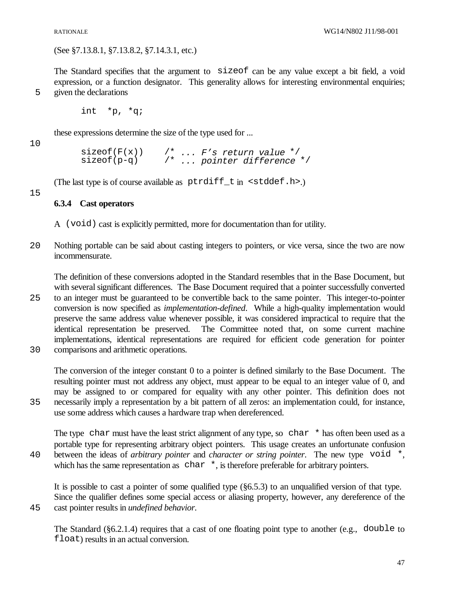(See §7.13.8.1, §7.13.8.2, §7.14.3.1, etc.)

The Standard specifies that the argument to sizeof can be any value except a bit field, a void expression, or a function designator. This generality allows for interesting environmental enquiries; 5 given the declarations

int \*p, \*q;

these expressions determine the size of the type used for ...

10

 $sizeof(F(x))$  /\* ...  $F's$  return value \*/ sizeof(p-q) /\* ... pointer difference \*/

(The last type is of course available as ptrdiff\_t in <stddef.h>.)

15

#### **6.3.4 Cast operators**

A (void) cast is explicitly permitted, more for documentation than for utility.

20 Nothing portable can be said about casting integers to pointers, or vice versa, since the two are now incommensurate.

The definition of these conversions adopted in the Standard resembles that in the Base Document, but with several significant differences. The Base Document required that a pointer successfully converted 25 to an integer must be guaranteed to be convertible back to the same pointer. This integer-to-pointer conversion is now specified as *implementation-defined*. While a high-quality implementation would preserve the same address value whenever possible, it was considered impractical to require that the identical representation be preserved. The Committee noted that, on some current machine implementations, identical representations are required for efficient code generation for pointer 30 comparisons and arithmetic operations.

The conversion of the integer constant 0 to a pointer is defined similarly to the Base Document. The resulting pointer must not address any object, must appear to be equal to an integer value of 0, and may be assigned to or compared for equality with any other pointer. This definition does not 35 necessarily imply a representation by a bit pattern of all zeros: an implementation could, for instance, use some address which causes a hardware trap when dereferenced.

The type char must have the least strict alignment of any type, so char  $*$  has often been used as a portable type for representing arbitrary object pointers. This usage creates an unfortunate confusion 40 between the ideas of *arbitrary pointer* and *character or string pointer*. The new type void \*, which has the same representation as char  $*$ , is therefore preferable for arbitrary pointers.

It is possible to cast a pointer of some qualified type (§6.5.3) to an unqualified version of that type. Since the qualifier defines some special access or aliasing property, however, any dereference of the 45 cast pointer results in *undefined behavior*.

The Standard (§6.2.1.4) requires that a cast of one floating point type to another (e.g., double to float) results in an actual conversion.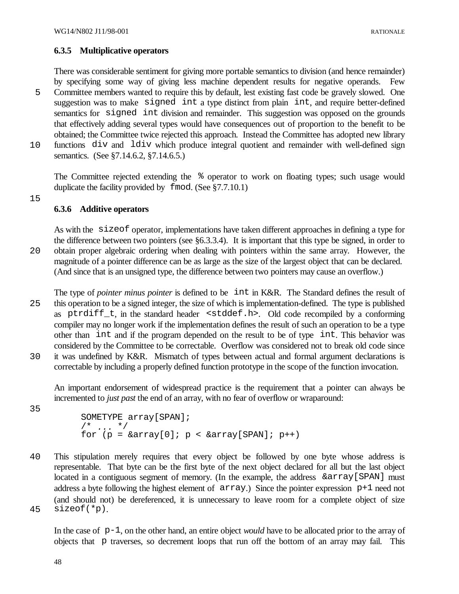#### **6.3.5 Multiplicative operators**

There was considerable sentiment for giving more portable semantics to division (and hence remainder) by specifying some way of giving less machine dependent results for negative operands. Few 5 Committee members wanted to require this by default, lest existing fast code be gravely slowed. One suggestion was to make signed int a type distinct from plain int, and require better-defined semantics for signed int division and remainder. This suggestion was opposed on the grounds that effectively adding several types would have consequences out of proportion to the benefit to be obtained; the Committee twice rejected this approach. Instead the Committee has adopted new library

10 functions div and ldiv which produce integral quotient and remainder with well-defined sign semantics. (See §7.14.6.2, §7.14.6.5.)

The Committee rejected extending the  $\frac{1}{2}$  operator to work on floating types; such usage would duplicate the facility provided by fmod. (See §7.7.10.1)

15

#### **6.3.6 Additive operators**

As with the sizeof operator, implementations have taken different approaches in defining a type for the difference between two pointers (see §6.3.3.4). It is important that this type be signed, in order to 20 obtain proper algebraic ordering when dealing with pointers within the same array. However, the magnitude of a pointer difference can be as large as the size of the largest object that can be declared. (And since that is an unsigned type, the difference between two pointers may cause an overflow.)

The type of *pointer minus pointer* is defined to be int in K&R. The Standard defines the result of 25 this operation to be a signed integer, the size of which is implementation-defined. The type is published as ptrdiff\_t, in the standard header <stddef.h>. Old code recompiled by a conforming compiler may no longer work if the implementation defines the result of such an operation to be a type other than int and if the program depended on the result to be of type int. This behavior was considered by the Committee to be correctable. Overflow was considered not to break old code since 30 it was undefined by K&R. Mismatch of types between actual and formal argument declarations is

correctable by including a properly defined function prototype in the scope of the function invocation.

An important endorsement of widespread practice is the requirement that a pointer can always be incremented to *just past* the end of an array, with no fear of overflow or wraparound:

35

```
SOMETYPE array[SPAN];
/* ... */
for (p = \alpha x p[0]; p < \alpha x p[SPAN]; p++)
```
40 This stipulation merely requires that every object be followed by one byte whose address is representable. That byte can be the first byte of the next object declared for all but the last object located in a contiguous segment of memory. (In the example, the address  $\&array[$ EPAN] must address a byte following the highest element of  $\alpha$ rray.) Since the pointer expression  $p+1$  need not (and should not) be dereferenced, it is unnecessary to leave room for a complete object of size 45 sizeof(\*p).

In the case of  $p-1$ , on the other hand, an entire object *would* have to be allocated prior to the array of objects that p traverses, so decrement loops that run off the bottom of an array may fail. This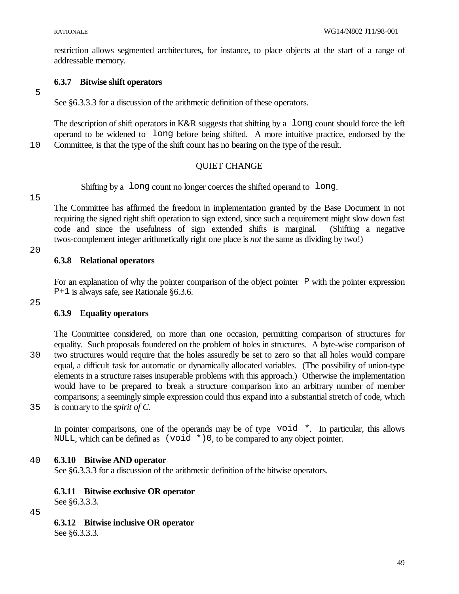restriction allows segmented architectures, for instance, to place objects at the start of a range of addressable memory.

5

## **6.3.7 Bitwise shift operators**

See §6.3.3.3 for a discussion of the arithmetic definition of these operators.

The description of shift operators in K&R suggests that shifting by a long count should force the left operand to be widened to long before being shifted. A more intuitive practice, endorsed by the 10 Committee, is that the type of the shift count has no bearing on the type of the result.

## QUIET CHANGE

Shifting by a long count no longer coerces the shifted operand to long.

#### 15

The Committee has affirmed the freedom in implementation granted by the Base Document in not requiring the signed right shift operation to sign extend, since such a requirement might slow down fast code and since the usefulness of sign extended shifts is marginal. (Shifting a negative twos-complement integer arithmetically right one place is *not* the same as dividing by two!)

#### 20

#### **6.3.8 Relational operators**

For an explanation of why the pointer comparison of the object pointer  $P$  with the pointer expression P+1 is always safe, see Rationale §6.3.6.

25

#### **6.3.9 Equality operators**

The Committee considered, on more than one occasion, permitting comparison of structures for equality. Such proposals foundered on the problem of holes in structures. A byte-wise comparison of 30 two structures would require that the holes assuredly be set to zero so that all holes would compare equal, a difficult task for automatic or dynamically allocated variables. (The possibility of union-type elements in a structure raises insuperable problems with this approach.) Otherwise the implementation would have to be prepared to break a structure comparison into an arbitrary number of member comparisons; a seemingly simple expression could thus expand into a substantial stretch of code, which 35 is contrary to the *spirit of C*.

In pointer comparisons, one of the operands may be of type  $\overrightarrow{vol}$  \*. In particular, this allows NULL, which can be defined as  $(void * )0$ , to be compared to any object pointer.

#### 40 **6.3.10 Bitwise AND operator**

See §6.3.3.3 for a discussion of the arithmetic definition of the bitwise operators.

## **6.3.11 Bitwise exclusive OR operator**

See §6.3.3.3.

45

**6.3.12 Bitwise inclusive OR operator** See §6.3.3.3.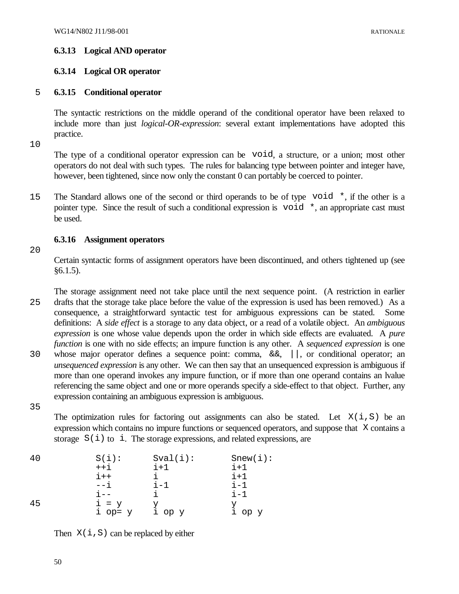#### **6.3.13 Logical AND operator**

## **6.3.14 Logical OR operator**

#### 5 **6.3.15 Conditional operator**

The syntactic restrictions on the middle operand of the conditional operator have been relaxed to include more than just *logical-OR-expression*: several extant implementations have adopted this practice.

10

The type of a conditional operator expression can be void, a structure, or a union; most other operators do not deal with such types. The rules for balancing type between pointer and integer have, however, been tightened, since now only the constant 0 can portably be coerced to pointer.

15 The Standard allows one of the second or third operands to be of type void  $*$ , if the other is a pointer type. Since the result of such a conditional expression is  $\overrightarrow{v}$  an appropriate cast must be used.

## **6.3.16 Assignment operators**

20

Certain syntactic forms of assignment operators have been discontinued, and others tightened up (see  $§6.1.5$ ).

- The storage assignment need not take place until the next sequence point. (A restriction in earlier 25 drafts that the storage take place before the value of the expression is used has been removed.) As a consequence, a straightforward syntactic test for ambiguous expressions can be stated. Some definitions: A *side effect* is a storage to any data object, or a read of a volatile object. An *ambiguous expression* is one whose value depends upon the order in which side effects are evaluated. A *pure function* is one with no side effects; an impure function is any other. A *sequenced expression* is one
- 30 whose major operator defines a sequence point: comma,  $\&\&\&$ ,  $||$ , or conditional operator; an *unsequenced expression* is any other. We can then say that an unsequenced expression is ambiguous if more than one operand invokes any impure function, or if more than one operand contains an lvalue referencing the same object and one or more operands specify a side-effect to that object. Further, any expression containing an ambiguous expression is ambiguous.

35

The optimization rules for factoring out assignments can also be stated. Let  $X(i, S)$  be an expression which contains no impure functions or sequenced operators, and suppose that X contains a storage  $S(i)$  to i. The storage expressions, and related expressions, are

| 40 | S(i):          | Sval(i): | Snew(i): |
|----|----------------|----------|----------|
|    | $++i$          | $i+1$    | $i+1$    |
|    | $i++$          |          | $i+1$    |
|    | $-\frac{1}{1}$ | $i - 1$  | $i - 1$  |
|    | $i - -$        |          | $i - 1$  |
| 45 | $i = y$        |          |          |
|    | $i$ op= $y$    | op       |          |

Then  $X(\textbf{i},S)$  can be replaced by either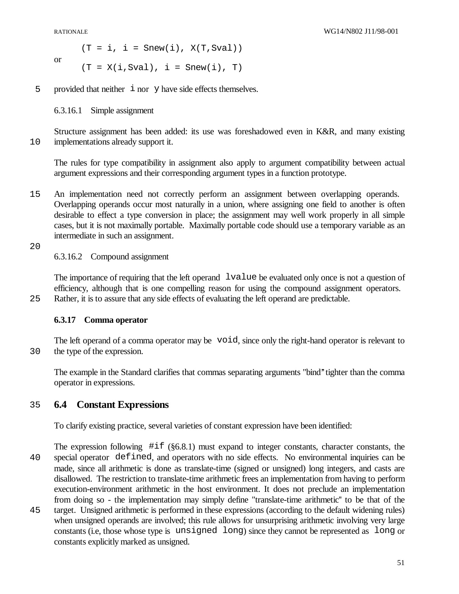$$
(T = i, i = \text{Snew}(i), X(T, \text{Sval}))
$$
  
or  
 $(T = X(i, \text{Sval}), i = \text{Snew}(i), T)$ 

5 provided that neither  $\frac{1}{2}$  nor y have side effects themselves.

6.3.16.1 Simple assignment

Structure assignment has been added: its use was foreshadowed even in K&R, and many existing 10 implementations already support it.

The rules for type compatibility in assignment also apply to argument compatibility between actual argument expressions and their corresponding argument types in a function prototype.

- 15 An implementation need not correctly perform an assignment between overlapping operands. Overlapping operands occur most naturally in a union, where assigning one field to another is often desirable to effect a type conversion in place; the assignment may well work properly in all simple cases, but it is not maximally portable. Maximally portable code should use a temporary variable as an intermediate in such an assignment.
- 20
- 6.3.16.2 Compound assignment

The importance of requiring that the left operand  $\lambda$  lvalue be evaluated only once is not a question of efficiency, although that is one compelling reason for using the compound assignment operators. 25 Rather, it is to assure that any side effects of evaluating the left operand are predictable.

## **6.3.17 Comma operator**

The left operand of a comma operator may be void, since only the right-hand operator is relevant to 30 the type of the expression.

The example in the Standard clarifies that commas separating arguments "bind'' tighter than the comma operator in expressions.

# 35 **6.4 Constant Expressions**

To clarify existing practice, several varieties of constant expression have been identified:

The expression following  $\# \text{if } (\S 6.8.1)$  must expand to integer constants, character constants, the 40 special operator defined, and operators with no side effects. No environmental inquiries can be made, since all arithmetic is done as translate-time (signed or unsigned) long integers, and casts are disallowed. The restriction to translate-time arithmetic frees an implementation from having to perform execution-environment arithmetic in the host environment. It does not preclude an implementation from doing so - the implementation may simply define "translate-time arithmetic'' to be that of the

45 target. Unsigned arithmetic is performed in these expressions (according to the default widening rules) when unsigned operands are involved; this rule allows for unsurprising arithmetic involving very large constants (i.e, those whose type is unsigned long) since they cannot be represented as long or constants explicitly marked as unsigned.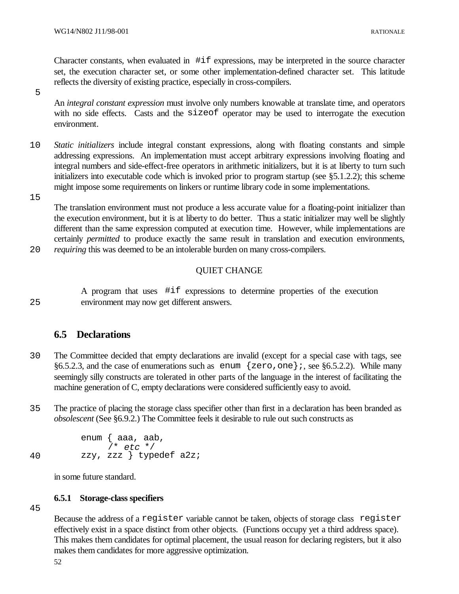Character constants, when evaluated in  $\# \text{if}$  expressions, may be interpreted in the source character set, the execution character set, or some other implementation-defined character set. This latitude reflects the diversity of existing practice, especially in cross-compilers.

5

An *integral constant expression* must involve only numbers knowable at translate time, and operators with no side effects. Casts and the size of operator may be used to interrogate the execution environment.

- 10 *Static initializers* include integral constant expressions, along with floating constants and simple addressing expressions. An implementation must accept arbitrary expressions involving floating and integral numbers and side-effect-free operators in arithmetic initializers, but it is at liberty to turn such initializers into executable code which is invoked prior to program startup (see §5.1.2.2); this scheme might impose some requirements on linkers or runtime library code in some implementations.
- 15

The translation environment must not produce a less accurate value for a floating-point initializer than the execution environment, but it is at liberty to do better. Thus a static initializer may well be slightly different than the same expression computed at execution time. However, while implementations are certainly *permitted* to produce exactly the same result in translation and execution environments,

20 *requiring* this was deemed to be an intolerable burden on many cross-compilers.

## QUIET CHANGE

A program that uses #if expressions to determine properties of the execution 25 environment may now get different answers.

# **6.5 Declarations**

- 30 The Committee decided that empty declarations are invalid (except for a special case with tags, see §6.5.2.3, and the case of enumerations such as enum  $\{zero, one\}$ ; see §6.5.2.2). While many seemingly silly constructs are tolerated in other parts of the language in the interest of facilitating the machine generation of C, empty declarations were considered sufficiently easy to avoid.
- 35 The practice of placing the storage class specifier other than first in a declaration has been branded as *obsolescent* (See §6.9.2.) The Committee feels it desirable to rule out such constructs as

$$
\begin{array}{ll}\n\text{enum } \{ \text{ aaa, aab,} \\
 \text{ / * } \text{ etc. } \text{*} \text{/}\n\end{array}
$$
\n
$$
\begin{array}{ll}\n\text{ 40} & \text{ zzy, zzz } \text{ typedef a2z:}\n\end{array}
$$

in some future standard.

# **6.5.1 Storage-class specifiers**

45

Because the address of a register variable cannot be taken, objects of storage class register effectively exist in a space distinct from other objects. (Functions occupy yet a third address space). This makes them candidates for optimal placement, the usual reason for declaring registers, but it also makes them candidates for more aggressive optimization.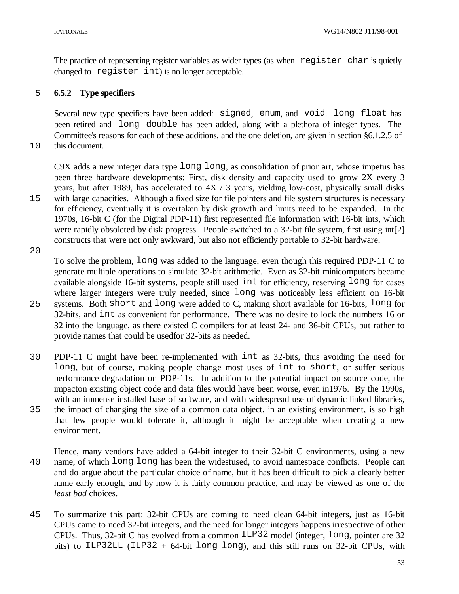The practice of representing register variables as wider types (as when register char is quietly changed to register int) is no longer acceptable.

## 5 **6.5.2 Type specifiers**

environment.

Several new type specifiers have been added: signed, enum, and void. long float has been retired and long double has been added, along with a plethora of integer types. The Committee's reasons for each of these additions, and the one deletion, are given in section §6.1.2.5 of 10 this document.

C9X adds a new integer data type long long, as consolidation of prior art, whose impetus has been three hardware developments: First, disk density and capacity used to grow 2X every 3 years, but after 1989, has accelerated to 4X / 3 years, yielding low-cost, physically small disks 15 with large capacities. Although a fixed size for file pointers and file system structures is necessary for efficiency, eventually it is overtaken by disk growth and limits need to be expanded. In the 1970s, 16-bit C (for the Digital PDP-11) first represented file information with 16-bit ints, which were rapidly obsoleted by disk progress. People switched to a 32-bit file system, first using int[2] constructs that were not only awkward, but also not efficiently portable to 32-bit hardware.

20

To solve the problem, long was added to the language, even though this required PDP-11 C to generate multiple operations to simulate 32-bit arithmetic. Even as 32-bit minicomputers became available alongside 16-bit systems, people still used int for efficiency, reserving long for cases where larger integers were truly needed, since long was noticeably less efficient on 16-bit

- 25 systems. Both short and long were added to C, making short available for 16-bits, long for 32-bits, and int as convenient for performance. There was no desire to lock the numbers 16 or 32 into the language, as there existed C compilers for at least 24- and 36-bit CPUs, but rather to provide names that could be usedfor 32-bits as needed.
- 30 PDP-11 C might have been re-implemented with int as 32-bits, thus avoiding the need for long, but of course, making people change most uses of int to short, or suffer serious performance degradation on PDP-11s. In addition to the potential impact on source code, the impacton existing object code and data files would have been worse, even in1976. By the 1990s, with an immense installed base of software, and with widespread use of dynamic linked libraries, 35 the impact of changing the size of a common data object, in an existing environment, is so high that few people would tolerate it, although it might be acceptable when creating a new
- Hence, many vendors have added a 64-bit integer to their 32-bit C environments, using a new 40 name, of which long long has been the widestused, to avoid namespace conflicts. People can and do argue about the particular choice of name, but it has been difficult to pick a clearly better name early enough, and by now it is fairly common practice, and may be viewed as one of the *least bad* choices.
- 45 To summarize this part: 32-bit CPUs are coming to need clean 64-bit integers, just as 16-bit CPUs came to need 32-bit integers, and the need for longer integers happens irrespective of other CPUs. Thus, 32-bit C has evolved from a common ILP32 model (integer, long, pointer are 32 bits) to ILP32LL (ILP32 + 64-bit long long), and this still runs on 32-bit CPUs, with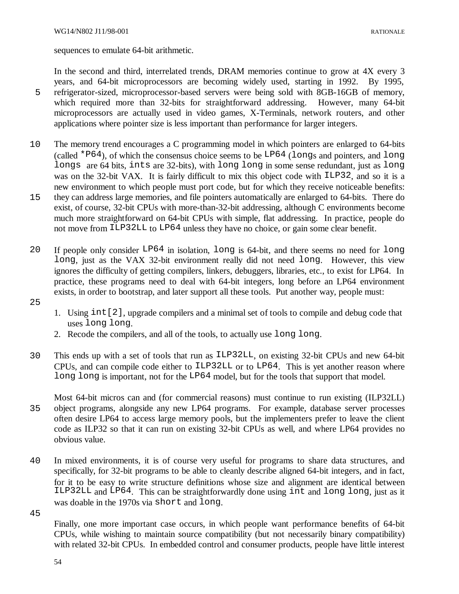sequences to emulate 64-bit arithmetic.

In the second and third, interrelated trends, DRAM memories continue to grow at 4X every 3 years, and 64-bit microprocessors are becoming widely used, starting in 1992. By 1995, 5 refrigerator-sized, microprocessor-based servers were being sold with 8GB-16GB of memory, which required more than 32-bits for straightforward addressing. However, many 64-bit microprocessors are actually used in video games, X-Terminals, network routers, and other applications where pointer size is less important than performance for larger integers.

- 10 The memory trend encourages a C programming model in which pointers are enlarged to 64-bits (called  $*P64$ ), of which the consensus choice seems to be LP64 (longs and pointers, and long longs are 64 bits, ints are 32-bits), with long long in some sense redundant, just as long was on the 32-bit VAX. It is fairly difficult to mix this object code with  $ILP32$ , and so it is a new environment to which people must port code, but for which they receive noticeable benefits:
- 15 they can address large memories, and file pointers automatically are enlarged to 64-bits. There do exist, of course, 32-bit CPUs with more-than-32-bit addressing, although C environments become much more straightforward on 64-bit CPUs with simple, flat addressing. In practice, people do not move from ILP32LL to LP64 unless they have no choice, or gain some clear benefit.
- 20 If people only consider  $LP64$  in isolation, long is 64-bit, and there seems no need for long long, just as the VAX 32-bit environment really did not need long. However, this view ignores the difficulty of getting compilers, linkers, debuggers, libraries, etc., to exist for LP64. In practice, these programs need to deal with 64-bit integers, long before an LP64 environment exists, in order to bootstrap, and later support all these tools. Put another way, people must:
- 25
- 1. Using int[2], upgrade compilers and a minimal set of tools to compile and debug code that uses long long.
- 2. Recode the compilers, and all of the tools, to actually use long long.
- 30 This ends up with a set of tools that run as ILP32LL, on existing 32-bit CPUs and new 64-bit CPUs, and can compile code either to ILP32LL or to LP64. This is yet another reason where long long is important, not for the LP64 model, but for the tools that support that model.
- Most 64-bit micros can and (for commercial reasons) must continue to run existing (ILP32LL) 35 object programs, alongside any new LP64 programs. For example, database server processes often desire LP64 to access large memory pools, but the implementers prefer to leave the client code as ILP32 so that it can run on existing 32-bit CPUs as well, and where LP64 provides no obvious value.
- 40 In mixed environments, it is of course very useful for programs to share data structures, and specifically, for 32-bit programs to be able to cleanly describe aligned 64-bit integers, and in fact, for it to be easy to write structure definitions whose size and alignment are identical between ILP32LL and LP64. This can be straightforwardly done using int and long long, just as it was doable in the 1970s via short and long.

45

Finally, one more important case occurs, in which people want performance benefits of 64-bit CPUs, while wishing to maintain source compatibility (but not necessarily binary compatibility) with related 32-bit CPUs. In embedded control and consumer products, people have little interest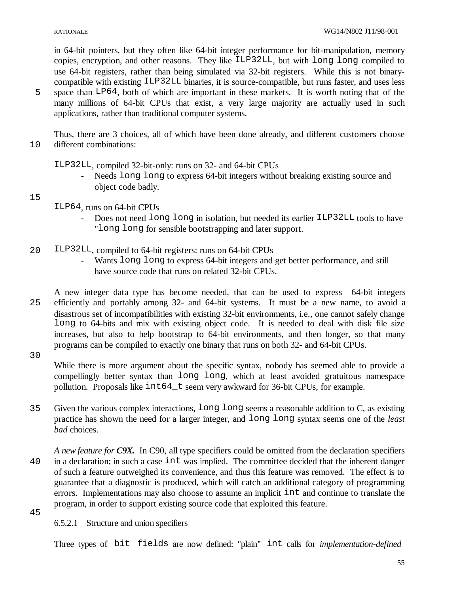in 64-bit pointers, but they often like 64-bit integer performance for bit-manipulation, memory copies, encryption, and other reasons. They like ILP32LL, but with long long compiled to use 64-bit registers, rather than being simulated via 32-bit registers. While this is not binarycompatible with existing ILP32LL binaries, it is source-compatible, but runs faster, and uses less 5 space than LP64, both of which are important in these markets. It is worth noting that of the many millions of 64-bit CPUs that exist, a very large majority are actually used in such

Thus, there are 3 choices, all of which have been done already, and different customers choose 10 different combinations:

ILP32LL, compiled 32-bit-only: runs on 32- and 64-bit CPUs

applications, rather than traditional computer systems.

- Needs long long to express 64-bit integers without breaking existing source and object code badly.

15

ILP64, runs on 64-bit CPUs

- Does not need long long in isolation, but needed its earlier ILP32LL tools to have "long long for sensible bootstrapping and later support.
- 20 ILP32LL, compiled to 64-bit registers: runs on 64-bit CPUs
	- Wants long long to express 64-bit integers and get better performance, and still have source code that runs on related 32-bit CPUs.

A new integer data type has become needed, that can be used to express 64-bit integers 25 efficiently and portably among 32- and 64-bit systems. It must be a new name, to avoid a disastrous set of incompatibilities with existing 32-bit environments, i.e., one cannot safely change long to 64-bits and mix with existing object code. It is needed to deal with disk file size increases, but also to help bootstrap to 64-bit environments, and then longer, so that many programs can be compiled to exactly one binary that runs on both 32- and 64-bit CPUs.

30

While there is more argument about the specific syntax, nobody has seemed able to provide a compellingly better syntax than long long, which at least avoided gratuitous namespace pollution. Proposals like int64\_t seem very awkward for 36-bit CPUs, for example.

35 Given the various complex interactions, long long seems a reasonable addition to C, as existing practice has shown the need for a larger integer, and long long syntax seems one of the *least bad* choices.

*A new feature for C9X.* In C90, all type specifiers could be omitted from the declaration specifiers 40 in a declaration; in such a case int was implied. The committee decided that the inherent danger of such a feature outweighed its convenience, and thus this feature was removed. The effect is to guarantee that a diagnostic is produced, which will catch an additional category of programming errors. Implementations may also choose to assume an implicit int and continue to translate the program, in order to support existing source code that exploited this feature.

45

6.5.2.1 Structure and union specifiers

Three types of bit fields are now defined: "plain'' int calls for *implementation-defined*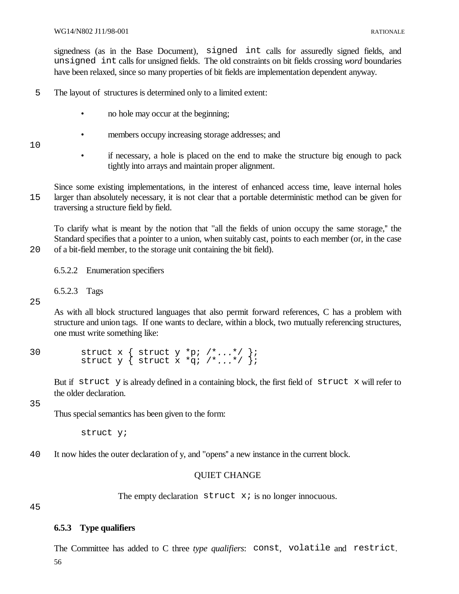signedness (as in the Base Document), signed int calls for assuredly signed fields, and unsigned int calls for unsigned fields. The old constraints on bit fields crossing *word* boundaries have been relaxed, since so many properties of bit fields are implementation dependent anyway.

- 5 The layout of structures is determined only to a limited extent:
	- no hole may occur at the beginning;
	- members occupy increasing storage addresses; and
	- if necessary, a hole is placed on the end to make the structure big enough to pack tightly into arrays and maintain proper alignment.

Since some existing implementations, in the interest of enhanced access time, leave internal holes 15 larger than absolutely necessary, it is not clear that a portable deterministic method can be given for traversing a structure field by field.

To clarify what is meant by the notion that "all the fields of union occupy the same storage,'' the Standard specifies that a pointer to a union, when suitably cast, points to each member (or, in the case 20 of a bit-field member, to the storage unit containing the bit field).

6.5.2.2 Enumeration specifiers

6.5.2.3 Tags

25

As with all block structured languages that also permit forward references, C has a problem with structure and union tags. If one wants to declare, within a block, two mutually referencing structures, one must write something like:

30 struct x  $\{$  struct y \*p; /\*...\*/ };<br>struct y  $\{$  struct x \*q; /\*...\*/ };

But if struct  $\gamma$  is already defined in a containing block, the first field of struct  $\chi$  will refer to the older declaration.

35

Thus special semantics has been given to the form:

struct y;

40 It now hides the outer declaration of y, and "opens'' a new instance in the current block.

## QUIET CHANGE

The empty declaration struct  $x_i$  is no longer innocuous.

45

## **6.5.3 Type qualifiers**

56 The Committee has added to C three *type qualifiers*: const, volatile and restrict.

10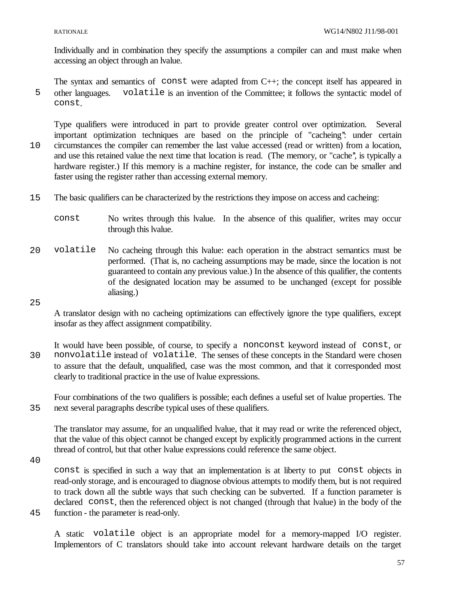Individually and in combination they specify the assumptions a compiler can and must make when accessing an object through an lvalue.

The syntax and semantics of const were adapted from C++; the concept itself has appeared in 5 other languages. volatile is an invention of the Committee; it follows the syntactic model of const.

Type qualifiers were introduced in part to provide greater control over optimization. Several important optimization techniques are based on the principle of "cacheing'': under certain 10 circumstances the compiler can remember the last value accessed (read or written) from a location, and use this retained value the next time that location is read. (The memory, or "cache", is typically a hardware register.) If this memory is a machine register, for instance, the code can be smaller and faster using the register rather than accessing external memory.

15 The basic qualifiers can be characterized by the restrictions they impose on access and cacheing:

const No writes through this lvalue. In the absence of this qualifier, writes may occur through this lvalue.

- 20 volatile No cacheing through this lvalue: each operation in the abstract semantics must be performed. (That is, no cacheing assumptions may be made, since the location is not guaranteed to contain any previous value.) In the absence of this qualifier, the contents of the designated location may be assumed to be unchanged (except for possible aliasing.)
- 25

A translator design with no cacheing optimizations can effectively ignore the type qualifiers, except insofar as they affect assignment compatibility.

It would have been possible, of course, to specify a nonconst keyword instead of const, or 30 nonvolatile instead of volatile. The senses of these concepts in the Standard were chosen to assure that the default, unqualified, case was the most common, and that it corresponded most clearly to traditional practice in the use of lvalue expressions.

Four combinations of the two qualifiers is possible; each defines a useful set of lvalue properties. The 35 next several paragraphs describe typical uses of these qualifiers.

The translator may assume, for an unqualified lvalue, that it may read or write the referenced object, that the value of this object cannot be changed except by explicitly programmed actions in the current thread of control, but that other lvalue expressions could reference the same object.

40

const is specified in such a way that an implementation is at liberty to put const objects in read-only storage, and is encouraged to diagnose obvious attempts to modify them, but is not required to track down all the subtle ways that such checking can be subverted. If a function parameter is declared const, then the referenced object is not changed (through that lvalue) in the body of the 45 function - the parameter is read-only.

A static volatile object is an appropriate model for a memory-mapped I/O register. Implementors of C translators should take into account relevant hardware details on the target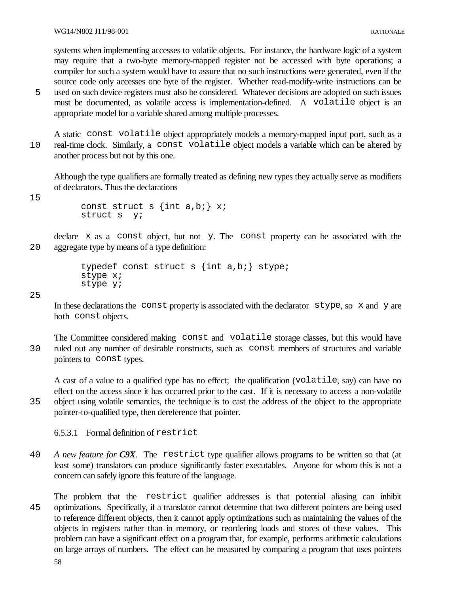systems when implementing accesses to volatile objects. For instance, the hardware logic of a system may require that a two-byte memory-mapped register not be accessed with byte operations; a compiler for such a system would have to assure that no such instructions were generated, even if the source code only accesses one byte of the register. Whether read-modify-write instructions can be 5 used on such device registers must also be considered. Whatever decisions are adopted on such issues must be documented, as volatile access is implementation-defined. A volatile object is an

A static const volatile object appropriately models a memory-mapped input port, such as a 10 real-time clock. Similarly, a const volatile object models a variable which can be altered by another process but not by this one.

Although the type qualifiers are formally treated as defining new types they actually serve as modifiers of declarators. Thus the declarations

15

```
const struct s {int a,b;} x;
struct s y;
```
appropriate model for a variable shared among multiple processes.

declare x as a const object, but not y. The const property can be associated with the 20 aggregate type by means of a type definition:

```
typedef const struct s {int a,b;} stype;
stype x;
stype y;
```
25

In these declarations the const property is associated with the declarator  $stype$ , so  $x$  and  $y$  are both const objects.

The Committee considered making const and volatile storage classes, but this would have 30 ruled out any number of desirable constructs, such as const members of structures and variable pointers to const types.

A cast of a value to a qualified type has no effect; the qualification (volatile, say) can have no effect on the access since it has occurred prior to the cast. If it is necessary to access a non-volatile 35 object using volatile semantics, the technique is to cast the address of the object to the appropriate pointer-to-qualified type, then dereference that pointer.

6.5.3.1 Formal definition of restrict

40 *A new feature for C9X*. The restrict type qualifier allows programs to be written so that (at least some) translators can produce significantly faster executables. Anyone for whom this is not a concern can safely ignore this feature of the language.

The problem that the restrict qualifier addresses is that potential aliasing can inhibit 45 optimizations. Specifically, if a translator cannot determine that two different pointers are being used to reference different objects, then it cannot apply optimizations such as maintaining the values of the objects in registers rather than in memory, or reordering loads and stores of these values. This problem can have a significant effect on a program that, for example, performs arithmetic calculations on large arrays of numbers. The effect can be measured by comparing a program that uses pointers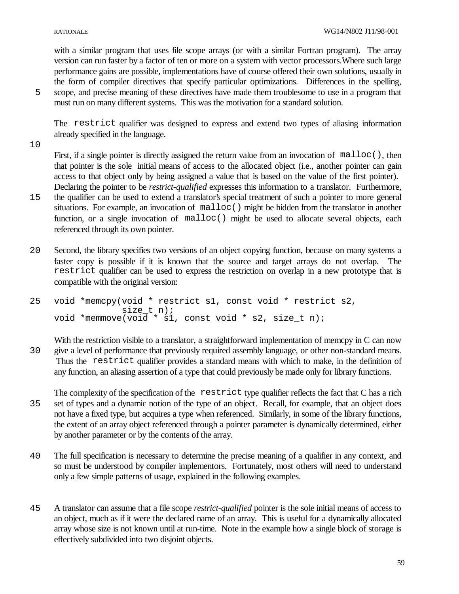with a similar program that uses file scope arrays (or with a similar Fortran program). The array version can run faster by a factor of ten or more on a system with vector processors.Where such large performance gains are possible, implementations have of course offered their own solutions, usually in the form of compiler directives that specify particular optimizations. Differences in the spelling, 5 scope, and precise meaning of these directives have made them troublesome to use in a program that must run on many different systems. This was the motivation for a standard solution.

The restrict qualifier was designed to express and extend two types of aliasing information already specified in the language.

10

First, if a single pointer is directly assigned the return value from an invocation of malloc(), then that pointer is the sole initial means of access to the allocated object (i.e., another pointer can gain access to that object only by being assigned a value that is based on the value of the first pointer). Declaring the pointer to be *restrict-qualified* expresses this information to a translator. Furthermore,

- 15 the qualifier can be used to extend a translator's special treatment of such a pointer to more general situations. For example, an invocation of malloc() might be hidden from the translator in another function, or a single invocation of malloc() might be used to allocate several objects, each referenced through its own pointer.
- 20 Second, the library specifies two versions of an object copying function, because on many systems a faster copy is possible if it is known that the source and target arrays do not overlap. The restrict qualifier can be used to express the restriction on overlap in a new prototype that is compatible with the original version:

25 void \*memcpy(void \* restrict s1, const void \* restrict s2, size  $t$  n); void \*memmove(void \* s1, const void \* s2, size\_t n);

- With the restriction visible to a translator, a straightforward implementation of memcpy in C can now 30 give a level of performance that previously required assembly language, or other non-standard means. Thus the restrict qualifier provides a standard means with which to make, in the definition of any function, an aliasing assertion of a type that could previously be made only for library functions.
- The complexity of the specification of the restrict type qualifier reflects the fact that C has a rich 35 set of types and a dynamic notion of the type of an object. Recall, for example, that an object does not have a fixed type, but acquires a type when referenced. Similarly, in some of the library functions, the extent of an array object referenced through a pointer parameter is dynamically determined, either by another parameter or by the contents of the array.
- 40 The full specification is necessary to determine the precise meaning of a qualifier in any context, and so must be understood by compiler implementors. Fortunately, most others will need to understand only a few simple patterns of usage, explained in the following examples.
- 45 A translator can assume that a file scope *restrict-qualified* pointer is the sole initial means of access to an object, much as if it were the declared name of an array. This is useful for a dynamically allocated array whose size is not known until at run-time. Note in the example how a single block of storage is effectively subdivided into two disjoint objects.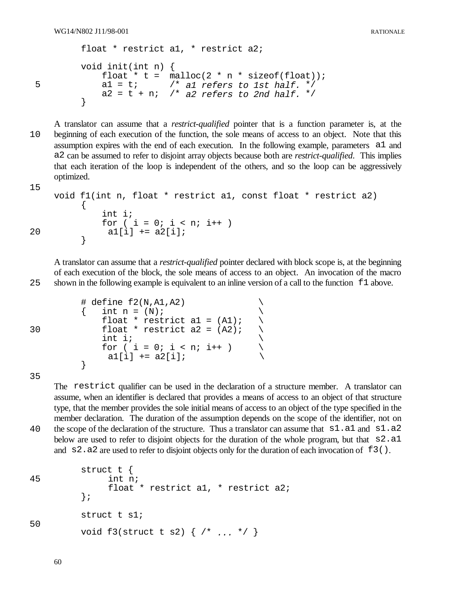```
float * restrict a1, * restrict a2;
        void init(int n) {
           float * t = malloc(2 * n * sizeof(float));
5 al = ti /* al refers to lst half. */
           a2 = t + ni /* a2 refers to 2nd half. */
        }
```
A translator can assume that a *restrict-qualified* pointer that is a function parameter is, at the 10 beginning of each execution of the function, the sole means of access to an object. Note that this assumption expires with the end of each execution. In the following example, parameters a1 and a2 can be assumed to refer to disjoint array objects because both are *restrict-qualified*. This implies that each iteration of the loop is independent of the others, and so the loop can be aggressively optimized.

```
15
```

```
void f1(int n, float * restrict a1, const float * restrict a2)
         {
              int i;
             for ( i = 0; i < ni; i++ )
20 a1[i] += a2[i];}
```
A translator can assume that a *restrict-qualified* pointer declared with block scope is, at the beginning of each execution of the block, the sole means of access to an object. An invocation of the macro 25 shown in the following example is equivalent to an inline version of a call to the function  $\pm 1$  above.

```
# define f2(N,A1,A2)<br>{ int n = (N);
               int n = (N)ifloat * restrict al = (A1);
30 float * restrict a2 = (A2);
                int i; \
               for ( i = 0; i < ni i++ )
                a1[i] += a2[i];}
```

```
35
```
The restrict qualifier can be used in the declaration of a structure member. A translator can assume, when an identifier is declared that provides a means of access to an object of that structure type, that the member provides the sole initial means of access to an object of the type specified in the member declaration. The duration of the assumption depends on the scope of the identifier, not on 40 the scope of the declaration of the structure. Thus a translator can assume that  $s1.a1$  and  $s1.a2$ below are used to refer to disjoint objects for the duration of the whole program, but that  $s2.a1$ and  $s^2$ . a2 are used to refer to disjoint objects only for the duration of each invocation of  $f^3($ ).

```
struct t {
45 int n;
              float * restrict a1, * restrict a2;
         };
         struct t s1;
50
         void f3(struct t s2) \{ / * ... * / \}
```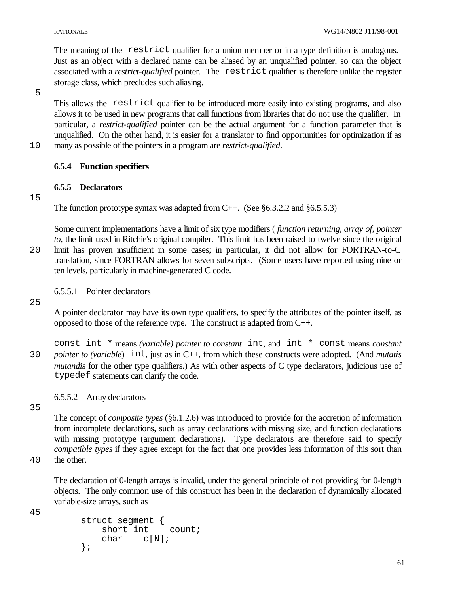The meaning of the restrict qualifier for a union member or in a type definition is analogous. Just as an object with a declared name can be aliased by an unqualified pointer, so can the object associated with a *restrict-qualified* pointer. The restrict qualifier is therefore unlike the register storage class, which precludes such aliasing.

5

This allows the restrict qualifier to be introduced more easily into existing programs, and also allows it to be used in new programs that call functions from libraries that do not use the qualifier. In particular, a *restrict-qualified* pointer can be the actual argument for a function parameter that is unqualified. On the other hand, it is easier for a translator to find opportunities for optimization if as 10 many as possible of the pointers in a program are *restrict-qualified*.

## **6.5.4 Function specifiers**

## **6.5.5 Declarators**

15

The function prototype syntax was adapted from C++. (See  $\S 6.3.2.2$  and  $\S 6.5.5.3$ )

Some current implementations have a limit of six type modifiers ( *function returning*, *array of*, *pointer to*, the limit used in Ritchie's original compiler. This limit has been raised to twelve since the original 20 limit has proven insufficient in some cases; in particular, it did not allow for FORTRAN-to-C translation, since FORTRAN allows for seven subscripts. (Some users have reported using nine or ten levels, particularly in machine-generated C code.

6.5.5.1 Pointer declarators

25

A pointer declarator may have its own type qualifiers, to specify the attributes of the pointer itself, as opposed to those of the reference type. The construct is adapted from C++.

const int \* means *(variable) pointer to constant* int, and int \* const means *constant* 30 *pointer to (variable*) int, just as in C++, from which these constructs were adopted. (And *mutatis mutandis* for the other type qualifiers.) As with other aspects of C type declarators, judicious use of typedef statements can clarify the code.

6.5.5.2 Array declarators

35

The concept of *composite types* (§6.1.2.6) was introduced to provide for the accretion of information from incomplete declarations, such as array declarations with missing size, and function declarations with missing prototype (argument declarations). Type declarators are therefore said to specify *compatible types* if they agree except for the fact that one provides less information of this sort than

40 the other.

The declaration of 0-length arrays is invalid, under the general principle of not providing for 0-length objects. The only common use of this construct has been in the declaration of dynamically allocated variable-size arrays, such as

```
struct segment {
   short int count;
    char c[N];
};
```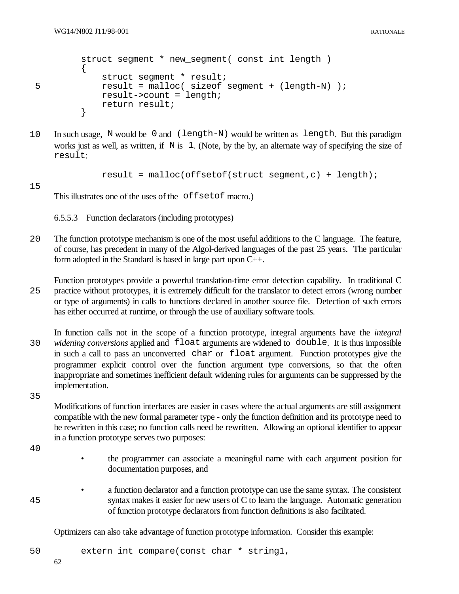```
struct segment * new segment( const int length )
        {
             struct segment * result;
5 result = malloc( sizeof segment + (length-N) );
             result->count = length;
             return result;
        }
```
10 In such usage, N would be 0 and (length-N) would be written as length. But this paradigm works just as well, as written, if  $N$  is 1. (Note, by the by, an alternate way of specifying the size of result:

```
result = malloc(offsetof(struct segment,c) + length);
```
15

This illustrates one of the uses of the offsetof macro.)

6.5.5.3 Function declarators (including prototypes)

20 The function prototype mechanism is one of the most useful additions to the C language. The feature, of course, has precedent in many of the Algol-derived languages of the past 25 years. The particular form adopted in the Standard is based in large part upon C++.

Function prototypes provide a powerful translation-time error detection capability. In traditional C 25 practice without prototypes, it is extremely difficult for the translator to detect errors (wrong number or type of arguments) in calls to functions declared in another source file. Detection of such errors has either occurred at runtime, or through the use of auxiliary software tools.

In function calls not in the scope of a function prototype, integral arguments have the *integral* 30 *widening conversions* applied and float arguments are widened to double. It is thus impossible in such a call to pass an unconverted char or float argument. Function prototypes give the programmer explicit control over the function argument type conversions, so that the often inappropriate and sometimes inefficient default widening rules for arguments can be suppressed by the implementation.

35

Modifications of function interfaces are easier in cases where the actual arguments are still assignment compatible with the new formal parameter type - only the function definition and its prototype need to be rewritten in this case; no function calls need be rewritten. Allowing an optional identifier to appear in a function prototype serves two purposes:

40

• the programmer can associate a meaningful name with each argument position for documentation purposes, and

• a function declarator and a function prototype can use the same syntax. The consistent 45 syntax makes it easier for new users of C to learn the language. Automatic generation of function prototype declarators from function definitions is also facilitated.

Optimizers can also take advantage of function prototype information. Consider this example:

50 extern int compare(const char \* string1,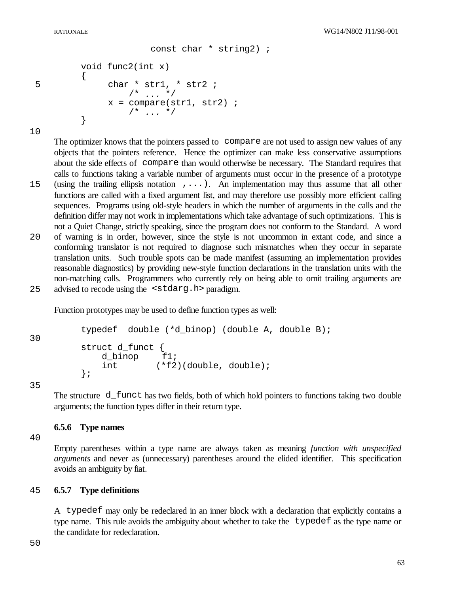{

}

void func2(int x)

 $/$ \* ... \*/

 $/$ \* ... \*/

 $x = \text{compare}(\text{str1}, \text{str2})$  ;

```
 const char * string2) ;
```

```
5 char * str1, * str2 ;
```
10

The optimizer knows that the pointers passed to compare are not used to assign new values of any objects that the pointers reference. Hence the optimizer can make less conservative assumptions about the side effects of compare than would otherwise be necessary. The Standard requires that calls to functions taking a variable number of arguments must occur in the presence of a prototype 15 (using the trailing ellipsis notation  $\ldots$ ). An implementation may thus assume that all other functions are called with a fixed argument list, and may therefore use possibly more efficient calling sequences. Programs using old-style headers in which the number of arguments in the calls and the definition differ may not work in implementations which take advantage of such optimizations. This is not a Quiet Change, strictly speaking, since the program does not conform to the Standard. A word 20 of warning is in order, however, since the style is not uncommon in extant code, and since a conforming translator is not required to diagnose such mismatches when they occur in separate translation units. Such trouble spots can be made manifest (assuming an implementation provides reasonable diagnostics) by providing new-style function declarations in the translation units with the non-matching calls. Programmers who currently rely on being able to omit trailing arguments are 25 advised to recode using the <stdarg.h> paradigm.

Function prototypes may be used to define function types as well:

30

struct d funct { d binop f1; int (\*f2)(double, double); };

typedef double (\*d\_binop) (double A, double B);

35

The structure d\_funct has two fields, both of which hold pointers to functions taking two double arguments; the function types differ in their return type.

#### **6.5.6 Type names**

40

Empty parentheses within a type name are always taken as meaning *function with unspecified arguments* and never as (unnecessary) parentheses around the elided identifier. This specification avoids an ambiguity by fiat.

#### 45 **6.5.7 Type definitions**

A typedef may only be redeclared in an inner block with a declaration that explicitly contains a type name. This rule avoids the ambiguity about whether to take the typedef as the type name or the candidate for redeclaration.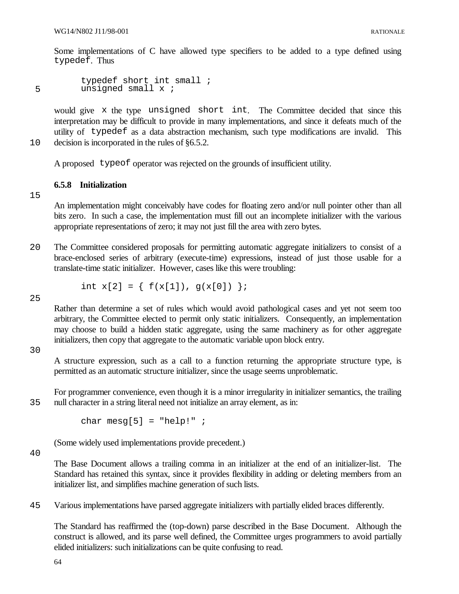Some implementations of C have allowed type specifiers to be added to a type defined using typedef. Thus

typedef short int small ; 5 unsigned small x ;

would give x the type unsigned short int. The Committee decided that since this interpretation may be difficult to provide in many implementations, and since it defeats much of the utility of typedef as a data abstraction mechanism, such type modifications are invalid. This 10 decision is incorporated in the rules of §6.5.2.

A proposed typeof operator was rejected on the grounds of insufficient utility.

## **6.5.8 Initialization**

15

An implementation might conceivably have codes for floating zero and/or null pointer other than all bits zero. In such a case, the implementation must fill out an incomplete initializer with the various appropriate representations of zero; it may not just fill the area with zero bytes.

20 The Committee considered proposals for permitting automatic aggregate initializers to consist of a brace-enclosed series of arbitrary (execute-time) expressions, instead of just those usable for a translate-time static initializer. However, cases like this were troubling:

$$
int x[2] = { f(x[1]), g(x[0]) } ;
$$

25

Rather than determine a set of rules which would avoid pathological cases and yet not seem too arbitrary, the Committee elected to permit only static initializers. Consequently, an implementation may choose to build a hidden static aggregate, using the same machinery as for other aggregate initializers, then copy that aggregate to the automatic variable upon block entry.

30

A structure expression, such as a call to a function returning the appropriate structure type, is permitted as an automatic structure initializer, since the usage seems unproblematic.

For programmer convenience, even though it is a minor irregularity in initializer semantics, the trailing 35 null character in a string literal need not initialize an array element, as in:

char mesg[5] = "help!"  $i$ 

(Some widely used implementations provide precedent.)

40

The Base Document allows a trailing comma in an initializer at the end of an initializer-list. The Standard has retained this syntax, since it provides flexibility in adding or deleting members from an initializer list, and simplifies machine generation of such lists.

45 Various implementations have parsed aggregate initializers with partially elided braces differently.

The Standard has reaffirmed the (top-down) parse described in the Base Document. Although the construct is allowed, and its parse well defined, the Committee urges programmers to avoid partially elided initializers: such initializations can be quite confusing to read.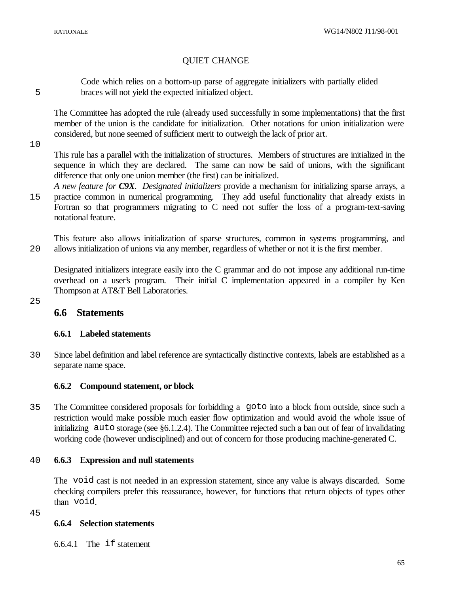# QUIET CHANGE

Code which relies on a bottom-up parse of aggregate initializers with partially elided 5 braces will not yield the expected initialized object.

The Committee has adopted the rule (already used successfully in some implementations) that the first member of the union is the candidate for initialization. Other notations for union initialization were considered, but none seemed of sufficient merit to outweigh the lack of prior art.

10

This rule has a parallel with the initialization of structures. Members of structures are initialized in the sequence in which they are declared. The same can now be said of unions, with the significant difference that only one union member (the first) can be initialized.

*A new feature for C9X*. *Designated initializers* provide a mechanism for initializing sparse arrays, a 15 practice common in numerical programming. They add useful functionality that already exists in Fortran so that programmers migrating to C need not suffer the loss of a program-text-saving notational feature.

This feature also allows initialization of sparse structures, common in systems programming, and 20 allows initialization of unions via any member, regardless of whether or not it is the first member.

Designated initializers integrate easily into the C grammar and do not impose any additional run-time overhead on a user's program. Their initial C implementation appeared in a compiler by Ken Thompson at AT&T Bell Laboratories.

25

## **6.6 Statements**

#### **6.6.1 Labeled statements**

30 Since label definition and label reference are syntactically distinctive contexts, labels are established as a separate name space.

## **6.6.2 Compound statement, or block**

35 The Committee considered proposals for forbidding a goto into a block from outside, since such a restriction would make possible much easier flow optimization and would avoid the whole issue of initializing auto storage (see §6.1.2.4). The Committee rejected such a ban out of fear of invalidating working code (however undisciplined) and out of concern for those producing machine-generated C.

#### 40 **6.6.3 Expression and null statements**

The void cast is not needed in an expression statement, since any value is always discarded. Some checking compilers prefer this reassurance, however, for functions that return objects of types other than void.

45

#### **6.6.4 Selection statements**

6.6.4.1 The if statement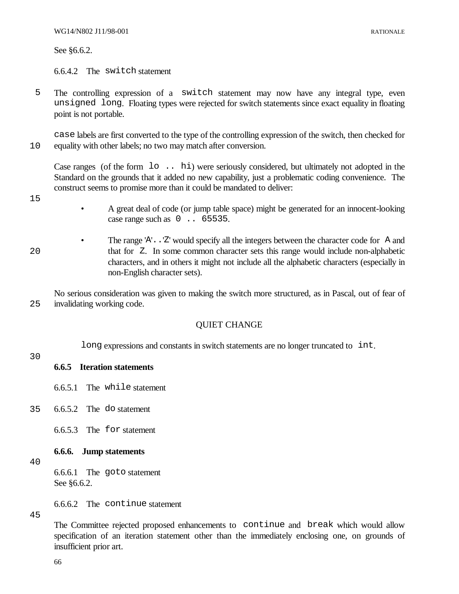See §6.6.2.

6.6.4.2 The switch statement

5 The controlling expression of a switch statement may now have any integral type, even unsigned long. Floating types were rejected for switch statements since exact equality in floating point is not portable.

case labels are first converted to the type of the controlling expression of the switch, then checked for 10 equality with other labels; no two may match after conversion.

Case ranges (of the form  $1 \circ \dots \circ h$ ) were seriously considered, but ultimately not adopted in the Standard on the grounds that it added no new capability, just a problematic coding convenience. The construct seems to promise more than it could be mandated to deliver:

- 15
- A great deal of code (or jump table space) might be generated for an innocent-looking case range such as  $0 \ldots 65535$ .
- 
- The range 'A'. . 'Z' would specify all the integers between the character code for A and 20 that for Z. In some common character sets this range would include non-alphabetic characters, and in others it might not include all the alphabetic characters (especially in non-English character sets).

No serious consideration was given to making the switch more structured, as in Pascal, out of fear of 25 invalidating working code.

# QUIET CHANGE

long expressions and constants in switch statements are no longer truncated to int.

30

# **6.6.5 Iteration statements**

- 6.6.5.1 The while statement
- 35 6.6.5.2 The do statement
	- 6.6.5.3 The for statement
	- **6.6.6. Jump statements**
- 40

6.6.6.1 The goto statement See §6.6.2.

6.6.6.2 The continue statement

45

The Committee rejected proposed enhancements to continue and break which would allow specification of an iteration statement other than the immediately enclosing one, on grounds of insufficient prior art.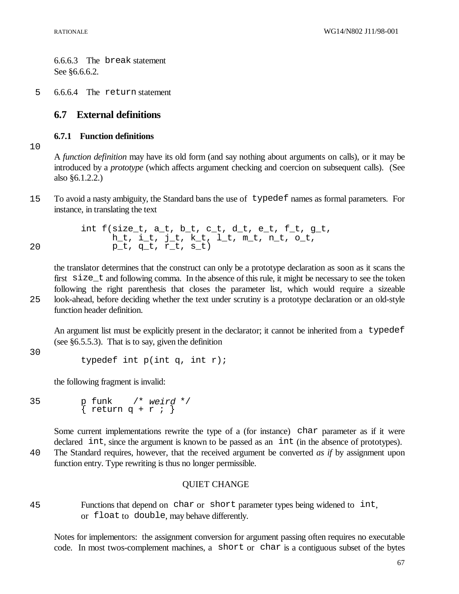6.6.6.3 The break statement See §6.6.6.2.

5 6.6.6.4 The return statement

# **6.7 External definitions**

## **6.7.1 Function definitions**

10

A *function definition* may have its old form (and say nothing about arguments on calls), or it may be introduced by a *prototype* (which affects argument checking and coercion on subsequent calls). (See also §6.1.2.2.)

15 To avoid a nasty ambiguity, the Standard bans the use of typedef names as formal parameters. For instance, in translating the text

int  $f(size_t, a_t, b_t, c_t, d_t, e_t, f_t, g_t,$  h\_t, i\_t, j\_t, k\_t, l\_t, m\_t, n\_t, o\_t, 20 p\_t, q\_t, r\_t, s\_t)

the translator determines that the construct can only be a prototype declaration as soon as it scans the first size\_t and following comma. In the absence of this rule, it might be necessary to see the token following the right parenthesis that closes the parameter list, which would require a sizeable 25 look-ahead, before deciding whether the text under scrutiny is a prototype declaration or an old-style function header definition.

An argument list must be explicitly present in the declarator; it cannot be inherited from a typedef (see §6.5.5.3). That is to say, given the definition

30

typedef int  $p(int q, int r);$ 

the following fragment is invalid:

35  $p$  funk  $/*$  weird  $*/$ { return  $q + r$  ; }

> Some current implementations rewrite the type of a (for instance) char parameter as if it were declared int, since the argument is known to be passed as an int (in the absence of prototypes).

40 The Standard requires, however, that the received argument be converted *as if* by assignment upon function entry. Type rewriting is thus no longer permissible.

# QUIET CHANGE

45 Functions that depend on char or short parameter types being widened to int, or float to double, may behave differently.

Notes for implementors: the assignment conversion for argument passing often requires no executable code. In most twos-complement machines, a short or char is a contiguous subset of the bytes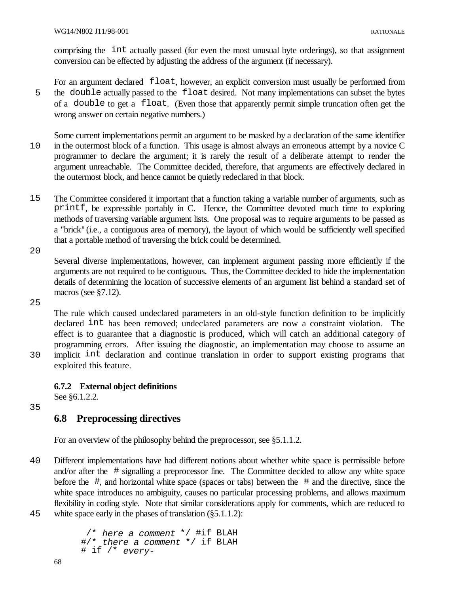comprising the int actually passed (for even the most unusual byte orderings), so that assignment conversion can be effected by adjusting the address of the argument (if necessary).

For an argument declared float, however, an explicit conversion must usually be performed from 5 the double actually passed to the float desired. Not many implementations can subset the bytes of a double to get a float. (Even those that apparently permit simple truncation often get the wrong answer on certain negative numbers.)

- Some current implementations permit an argument to be masked by a declaration of the same identifier 10 in the outermost block of a function. This usage is almost always an erroneous attempt by a novice C programmer to declare the argument; it is rarely the result of a deliberate attempt to render the argument unreachable. The Committee decided, therefore, that arguments are effectively declared in the outermost block, and hence cannot be quietly redeclared in that block.
- 15 The Committee considered it important that a function taking a variable number of arguments, such as printf, be expressible portably in C. Hence, the Committee devoted much time to exploring methods of traversing variable argument lists. One proposal was to require arguments to be passed as a "brick'' (i.e., a contiguous area of memory), the layout of which would be sufficiently well specified that a portable method of traversing the brick could be determined.

20

Several diverse implementations, however, can implement argument passing more efficiently if the arguments are not required to be contiguous. Thus, the Committee decided to hide the implementation details of determining the location of successive elements of an argument list behind a standard set of macros (see §7.12).

25

The rule which caused undeclared parameters in an old-style function definition to be implicitly declared int has been removed; undeclared parameters are now a constraint violation. The effect is to guarantee that a diagnostic is produced, which will catch an additional category of programming errors. After issuing the diagnostic, an implementation may choose to assume an 30 implicit int declaration and continue translation in order to support existing programs that exploited this feature.

**6.7.2 External object definitions**

See §6.1.2.2.

35

# **6.8 Preprocessing directives**

For an overview of the philosophy behind the preprocessor, see §5.1.1.2.

- 40 Different implementations have had different notions about whether white space is permissible before and/or after the # signalling a preprocessor line. The Committee decided to allow any white space before the #, and horizontal white space (spaces or tabs) between the # and the directive, since the white space introduces no ambiguity, causes no particular processing problems, and allows maximum flexibility in coding style. Note that similar considerations apply for comments, which are reduced to 45 white space early in the phases of translation (§5.1.1.2):
	- /\* here a comment \*/ #if BLAH #/\* there a comment \*/ if BLAH # if  $/*$  every-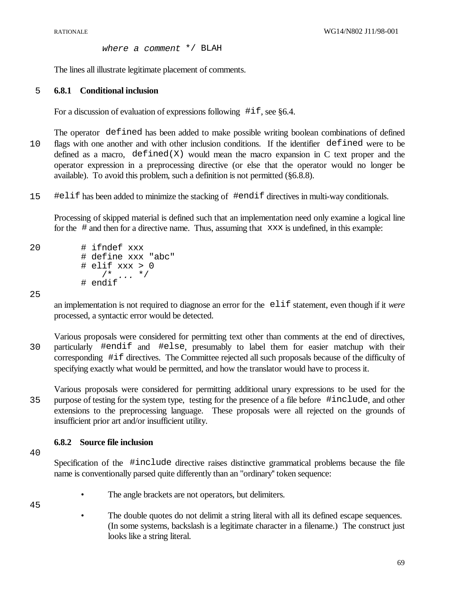where a comment \*/ BLAH

The lines all illustrate legitimate placement of comments.

#### 5 **6.8.1 Conditional inclusion**

For a discussion of evaluation of expressions following  $\# \text{if}, \text{see } \S 6.4.$ 

The operator defined has been added to make possible writing boolean combinations of defined 10 flags with one another and with other inclusion conditions. If the identifier defined were to be defined as a macro,  $defined(X)$  would mean the macro expansion in C text proper and the operator expression in a preprocessing directive (or else that the operator would no longer be available). To avoid this problem, such a definition is not permitted (§6.8.8).

15 #elif has been added to minimize the stacking of #endif directives in multi-way conditionals.

Processing of skipped material is defined such that an implementation need only examine a logical line for the  $\#$  and then for a directive name. Thus, assuming that  $xxx$  is undefined, in this example:

20 # ifndef xxx # define xxx "abc" # elif xxx > 0  $/$ \* ... \*/ # endif

25

an implementation is not required to diagnose an error for the elif statement, even though if it *were* processed, a syntactic error would be detected.

Various proposals were considered for permitting text other than comments at the end of directives, 30 particularly #endif and #else, presumably to label them for easier matchup with their corresponding #if directives. The Committee rejected all such proposals because of the difficulty of specifying exactly what would be permitted, and how the translator would have to process it.

Various proposals were considered for permitting additional unary expressions to be used for the 35 purpose of testing for the system type, testing for the presence of a file before #include, and other extensions to the preprocessing language. These proposals were all rejected on the grounds of insufficient prior art and/or insufficient utility.

#### **6.8.2 Source file inclusion**

40

45

Specification of the #include directive raises distinctive grammatical problems because the file name is conventionally parsed quite differently than an "ordinary'' token sequence:

- The angle brackets are not operators, but delimiters.
- The double quotes do not delimit a string literal with all its defined escape sequences. (In some systems, backslash is a legitimate character in a filename.) The construct just looks like a string literal.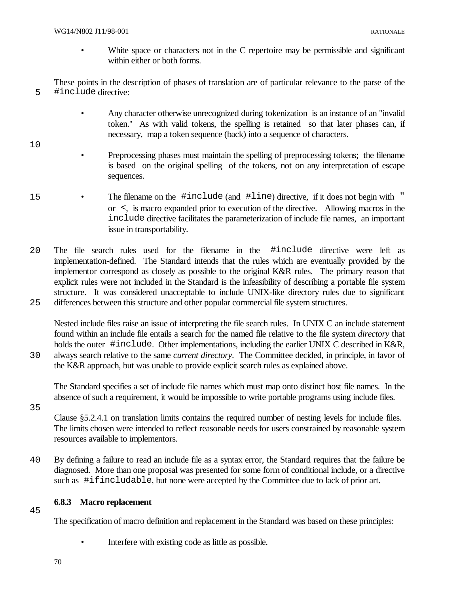• White space or characters not in the C repertoire may be permissible and significant within either or both forms.

These points in the description of phases of translation are of particular relevance to the parse of the 5 #include directive:

- Any character otherwise unrecognized during tokenization is an instance of an "invalid token.'' As with valid tokens, the spelling is retained so that later phases can, if necessary, map a token sequence (back) into a sequence of characters.
- Preprocessing phases must maintain the spelling of preprocessing tokens; the filename is based on the original spelling of the tokens, not on any interpretation of escape sequences.
- 15 The filename on the #include (and #line) directive, if it does not begin with " or <, is macro expanded prior to execution of the directive. Allowing macros in the include directive facilitates the parameterization of include file names, an important issue in transportability.
- 20 The file search rules used for the filename in the #include directive were left as implementation-defined. The Standard intends that the rules which are eventually provided by the implementor correspond as closely as possible to the original K&R rules. The primary reason that explicit rules were not included in the Standard is the infeasibility of describing a portable file system structure. It was considered unacceptable to include UNIX-like directory rules due to significant 25 differences between this structure and other popular commercial file system structures.

Nested include files raise an issue of interpreting the file search rules. In UNIX C an include statement found within an include file entails a search for the named file relative to the file system *directory* that holds the outer #include. Other implementations, including the earlier UNIX C described in K&R, 30 always search relative to the same *current directory*. The Committee decided, in principle, in favor of the K&R approach, but was unable to provide explicit search rules as explained above.

The Standard specifies a set of include file names which must map onto distinct host file names. In the absence of such a requirement, it would be impossible to write portable programs using include files.

35

10

Clause §5.2.4.1 on translation limits contains the required number of nesting levels for include files. The limits chosen were intended to reflect reasonable needs for users constrained by reasonable system resources available to implementors.

40 By defining a failure to read an include file as a syntax error, the Standard requires that the failure be diagnosed. More than one proposal was presented for some form of conditional include, or a directive such as #ifincludable, but none were accepted by the Committee due to lack of prior art.

## **6.8.3 Macro replacement**

45

The specification of macro definition and replacement in the Standard was based on these principles:

• Interfere with existing code as little as possible.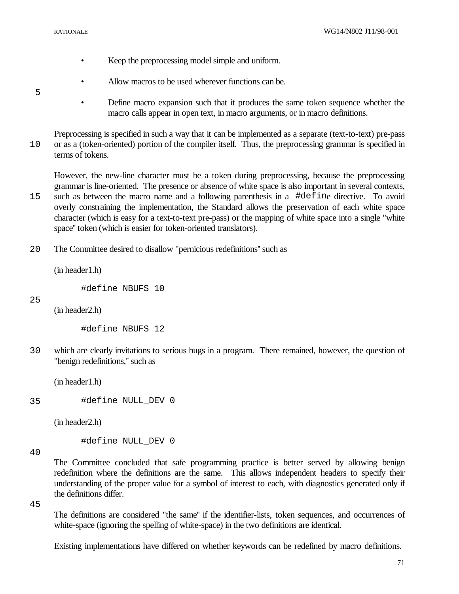- Keep the preprocessing model simple and uniform.
- Allow macros to be used wherever functions can be.
- Define macro expansion such that it produces the same token sequence whether the macro calls appear in open text, in macro arguments, or in macro definitions.

Preprocessing is specified in such a way that it can be implemented as a separate (text-to-text) pre-pass 10 or as a (token-oriented) portion of the compiler itself. Thus, the preprocessing grammar is specified in terms of tokens.

However, the new-line character must be a token during preprocessing, because the preprocessing grammar is line-oriented. The presence or absence of white space is also important in several contexts, 15 such as between the macro name and a following parenthesis in a #define directive. To avoid overly constraining the implementation, the Standard allows the preservation of each white space character (which is easy for a text-to-text pre-pass) or the mapping of white space into a single "white space'' token (which is easier for token-oriented translators).

20 The Committee desired to disallow "pernicious redefinitions'' such as

(in header1.h)

#define NBUFS 10

25

5

(in header2.h)

```
#define NBUFS 12
```
30 which are clearly invitations to serious bugs in a program. There remained, however, the question of "benign redefinitions,'' such as

(in header1.h)

35 #define NULL\_DEV 0

(in header2.h)

#define NULL\_DEV 0

40

The Committee concluded that safe programming practice is better served by allowing benign redefinition where the definitions are the same. This allows independent headers to specify their understanding of the proper value for a symbol of interest to each, with diagnostics generated only if the definitions differ.

45

The definitions are considered "the same'' if the identifier-lists, token sequences, and occurrences of white-space (ignoring the spelling of white-space) in the two definitions are identical.

Existing implementations have differed on whether keywords can be redefined by macro definitions.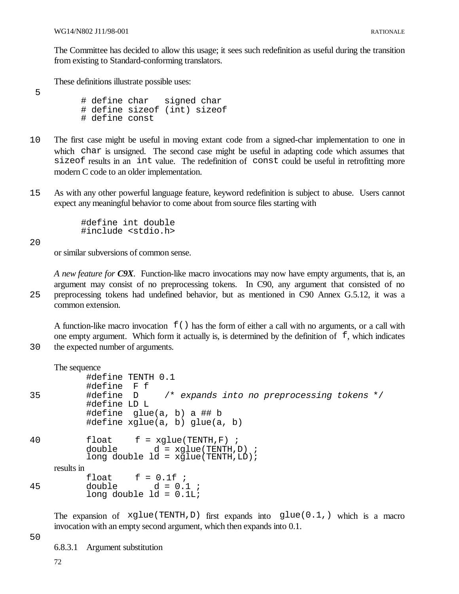The Committee has decided to allow this usage; it sees such redefinition as useful during the transition from existing to Standard-conforming translators.

These definitions illustrate possible uses:

```
5
```

```
# define char signed char
# define sizeof (int) sizeof
# define const
```
- 10 The first case might be useful in moving extant code from a signed-char implementation to one in which char is unsigned. The second case might be useful in adapting code which assumes that sizeof results in an int value. The redefinition of const could be useful in retrofitting more modern C code to an older implementation.
- 15 As with any other powerful language feature, keyword redefinition is subject to abuse. Users cannot expect any meaningful behavior to come about from source files starting with

```
#define int double
#include <stdio.h>
```
20

or similar subversions of common sense.

*A new feature for C9X*. Function-like macro invocations may now have empty arguments, that is, an argument may consist of no preprocessing tokens. In C90, any argument that consisted of no 25 preprocessing tokens had undefined behavior, but as mentioned in C90 Annex G.5.12, it was a common extension.

A function-like macro invocation  $f($ ) has the form of either a call with no arguments, or a call with one empty argument. Which form it actually is, is determined by the definition of  $f$ , which indicates 30 the expected number of arguments.

```
The sequence
          #define TENTH 0.1
          #define F f
35 #define D /* expands into no preprocessing tokens */
          #define LD L
          #define glue(a, b) a ## b
          #define xglue(a, b) glue(a, b)
40 float f = xglue(TENTH,F) ;
          double d = xglue(TENTH,D) ;
         long double ld = xglue(TENTH, LD);results in
         float f = 0.1f;
45 double d = 0.1 ;
         long double ld = 0.1L;
```
The expansion of  $xglue(TENTH,D)$  first expands into  $glue(0.1,1)$  which is a macro invocation with an empty second argument, which then expands into 0.1.

50

6.8.3.1 Argument substitution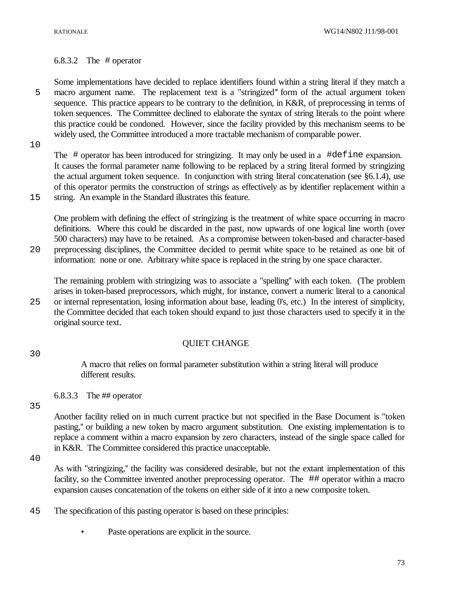## 6.8.3.2 The # operator

Some implementations have decided to replace identifiers found within a string literal if they match a 5 macro argument name. The replacement text is a "stringized'' form of the actual argument token sequence. This practice appears to be contrary to the definition, in K&R, of preprocessing in terms of token sequences. The Committee declined to elaborate the syntax of string literals to the point where this practice could be condoned. However, since the facility provided by this mechanism seems to be widely used, the Committee introduced a more tractable mechanism of comparable power.

10

The # operator has been introduced for stringizing. It may only be used in a #define expansion. It causes the formal parameter name following to be replaced by a string literal formed by stringizing the actual argument token sequence. In conjunction with string literal concatenation (see §6.1.4), use of this operator permits the construction of strings as effectively as by identifier replacement within a 15 string. An example in the Standard illustrates this feature.

One problem with defining the effect of stringizing is the treatment of white space occurring in macro definitions. Where this could be discarded in the past, now upwards of one logical line worth (over 500 characters) may have to be retained. As a compromise between token-based and character-based 20 preprocessing disciplines, the Committee decided to permit white space to be retained as one bit of information: none or one. Arbitrary white space is replaced in the string by one space character.

The remaining problem with stringizing was to associate a "spelling'' with each token. (The problem arises in token-based preprocessors, which might, for instance, convert a numeric literal to a canonical 25 or internal representation, losing information about base, leading 0's, etc.) In the interest of simplicity, the Committee decided that each token should expand to just those characters used to specify it in the original source text.

# QUIET CHANGE

A macro that relies on formal parameter substitution within a string literal will produce different results.

6.8.3.3 The ## operator

35

30

Another facility relied on in much current practice but not specified in the Base Document is "token pasting,'' or building a new token by macro argument substitution. One existing implementation is to replace a comment within a macro expansion by zero characters, instead of the single space called for in K&R. The Committee considered this practice unacceptable.

40

As with "stringizing,'' the facility was considered desirable, but not the extant implementation of this facility, so the Committee invented another preprocessing operator. The ## operator within a macro expansion causes concatenation of the tokens on either side of it into a new composite token.

- 45 The specification of this pasting operator is based on these principles:
	- Paste operations are explicit in the source.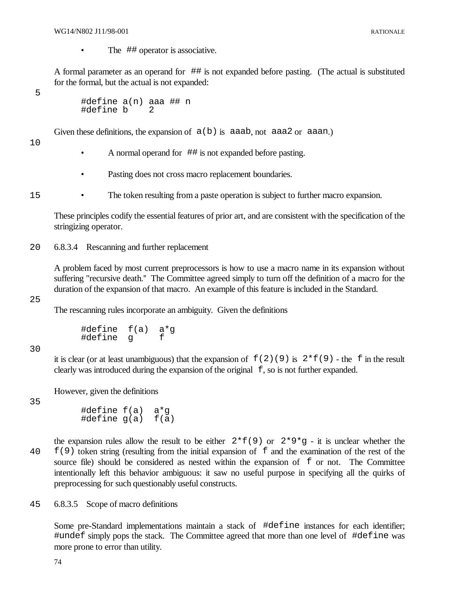The ## operator is associative.

A formal parameter as an operand for ## is not expanded before pasting. (The actual is substituted for the formal, but the actual is not expanded:

5

```
#define a(n) aaa ## n
#define b 2
```
Given these definitions, the expansion of  $a(b)$  is aaab, not aaa2 or aaan.)

10

A normal operand for  $#$ # is not expanded before pasting.

- Pasting does not cross macro replacement boundaries.
- 15 The token resulting from a paste operation is subject to further macro expansion.

These principles codify the essential features of prior art, and are consistent with the specification of the stringizing operator.

20 6.8.3.4 Rescanning and further replacement

A problem faced by most current preprocessors is how to use a macro name in its expansion without suffering "recursive death.'' The Committee agreed simply to turn off the definition of a macro for the duration of the expansion of that macro. An example of this feature is included in the Standard.

25

The rescanning rules incorporate an ambiguity. Given the definitions

#define f(a) a\*g<br>#define q f #define

#### 30

it is clear (or at least unambiguous) that the expansion of  $f(2)(9)$  is  $2*f(9)$  - the f in the result clearly was introduced during the expansion of the original  $f$ , so is not further expanded.

However, given the definitions

35

#define f(a) a\*g #define  $q(a)$   $f(a)$ 

- the expansion rules allow the result to be either  $2*f(9)$  or  $2*9*g$  it is unclear whether the 40  $f(9)$  token string (resulting from the initial expansion of  $f$  and the examination of the rest of the source file) should be considered as nested within the expansion of  $f$  or not. The Committee intentionally left this behavior ambiguous: it saw no useful purpose in specifying all the quirks of preprocessing for such questionably useful constructs.
- 45 6.8.3.5 Scope of macro definitions

Some pre-Standard implementations maintain a stack of #define instances for each identifier; #undef simply pops the stack. The Committee agreed that more than one level of #define was more prone to error than utility.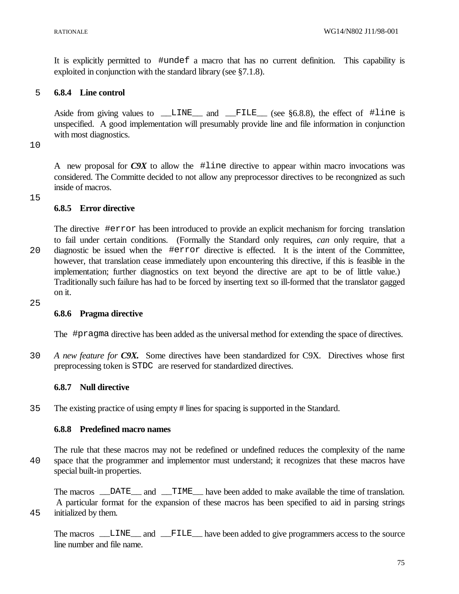It is explicitly permitted to #undef a macro that has no current definition. This capability is exploited in conjunction with the standard library (see §7.1.8).

## 5 **6.8.4 Line control**

Aside from giving values to  $\_\_$ LINE and  $\_\_$ FILE (see §6.8.8), the effect of #line is unspecified. A good implementation will presumably provide line and file information in conjunction with most diagnostics.

#### 10

A new proposal for  $C9X$  to allow the  $\#$ line directive to appear within macro invocations was considered. The Committe decided to not allow any preprocessor directives to be recongnized as such inside of macros.

15

#### **6.8.5 Error directive**

The directive #error has been introduced to provide an explicit mechanism for forcing translation to fail under certain conditions. (Formally the Standard only requires, *can* only require, that a 20 diagnostic be issued when the #error directive is effected. It is the intent of the Committee, however, that translation cease immediately upon encountering this directive, if this is feasible in the implementation; further diagnostics on text beyond the directive are apt to be of little value.) Traditionally such failure has had to be forced by inserting text so ill-formed that the translator gagged on it.

25

#### **6.8.6 Pragma directive**

The #pragma directive has been added as the universal method for extending the space of directives.

30 *A new feature for C9X.* Some directives have been standardized for C9X. Directives whose first preprocessing token is STDC are reserved for standardized directives.

## **6.8.7 Null directive**

35 The existing practice of using empty # lines for spacing is supported in the Standard.

#### **6.8.8 Predefined macro names**

The rule that these macros may not be redefined or undefined reduces the complexity of the name 40 space that the programmer and implementor must understand; it recognizes that these macros have special built-in properties.

The macros  $\Box$ DATE and  $\Box$ TIME have been added to make available the time of translation. A particular format for the expansion of these macros has been specified to aid in parsing strings 45 initialized by them.

The macros  $\text{LINE}\_\text{and}\_\text{FILE}\_\text{have}$  have been added to give programmers access to the source line number and file name.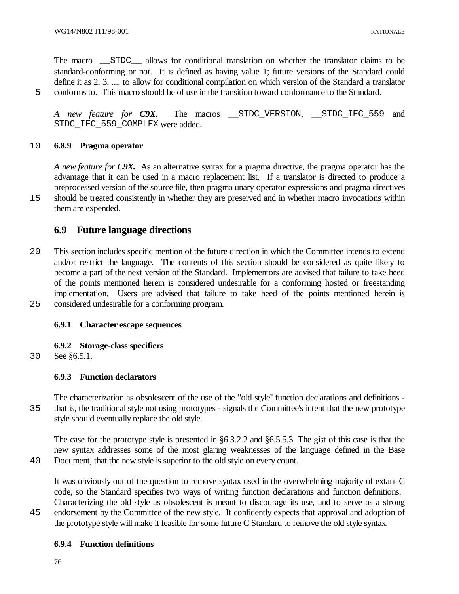The macro \_\_STDC\_\_ allows for conditional translation on whether the translator claims to be standard-conforming or not. It is defined as having value 1; future versions of the Standard could define it as 2, 3, ..., to allow for conditional compilation on which version of the Standard a translator 5 conforms to. This macro should be of use in the transition toward conformance to the Standard.

*A new feature for C9X.* The macros \_\_STDC\_VERSION, \_\_STDC\_IEC\_559 and STDC\_IEC\_559\_COMPLEX were added.

#### 10 **6.8.9 Pragma operator**

*A new feature for C9X.* As an alternative syntax for a pragma directive, the pragma operator has the advantage that it can be used in a macro replacement list. If a translator is directed to produce a preprocessed version of the source file, then pragma unary operator expressions and pragma directives 15 should be treated consistently in whether they are preserved and in whether macro invocations within them are expended.

## **6.9 Future language directions**

- 20 This section includes specific mention of the future direction in which the Committee intends to extend and/or restrict the language. The contents of this section should be considered as quite likely to become a part of the next version of the Standard. Implementors are advised that failure to take heed of the points mentioned herein is considered undesirable for a conforming hosted or freestanding implementation. Users are advised that failure to take heed of the points mentioned herein is 25 considered undesirable for a conforming program.
	- **6.9.1 Character escape sequences**

#### **6.9.2 Storage-class specifiers**

30 See §6.5.1.

## **6.9.3 Function declarators**

The characterization as obsolescent of the use of the "old style'' function declarations and definitions - 35 that is, the traditional style not using prototypes - signals the Committee's intent that the new prototype style should eventually replace the old style.

The case for the prototype style is presented in §6.3.2.2 and §6.5.5.3. The gist of this case is that the new syntax addresses some of the most glaring weaknesses of the language defined in the Base 40 Document, that the new style is superior to the old style on every count.

It was obviously out of the question to remove syntax used in the overwhelming majority of extant C code, so the Standard specifies two ways of writing function declarations and function definitions. Characterizing the old style as obsolescent is meant to discourage its use, and to serve as a strong

45 endorsement by the Committee of the new style. It confidently expects that approval and adoption of the prototype style will make it feasible for some future C Standard to remove the old style syntax.

## **6.9.4 Function definitions**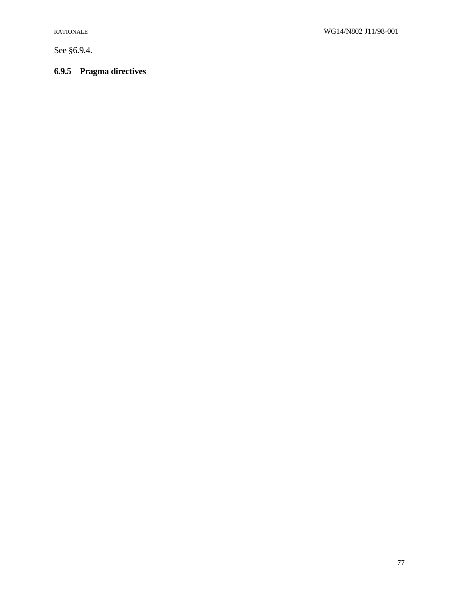See §6.9.4.

# **6.9.5 Pragma directives**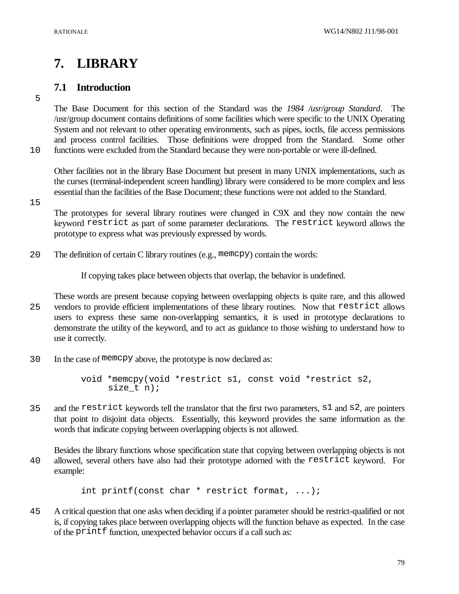# **7. LIBRARY**

# **7.1 Introduction**

5

The Base Document for this section of the Standard was the *1984 /usr/group Standard*. The /usr/group document contains definitions of some facilities which were specific to the UNIX Operating System and not relevant to other operating environments, such as pipes, ioctls, file access permissions and process control facilities. Those definitions were dropped from the Standard. Some other 10 functions were excluded from the Standard because they were non-portable or were ill-defined.

Other facilities not in the library Base Document but present in many UNIX implementations, such as the curses (terminal-independent screen handling) library were considered to be more complex and less essential than the facilities of the Base Document; these functions were not added to the Standard.

15

The prototypes for several library routines were changed in C9X and they now contain the new keyword restrict as part of some parameter declarations. The restrict keyword allows the prototype to express what was previously expressed by words.

20 The definition of certain C library routines (e.g.,  $\text{memory}$ ) contain the words:

If copying takes place between objects that overlap, the behavior is undefined.

- These words are present because copying between overlapping objects is quite rare, and this allowed 25 vendors to provide efficient implementations of these library routines. Now that restrict allows users to express these same non-overlapping semantics, it is used in prototype declarations to demonstrate the utility of the keyword, and to act as guidance to those wishing to understand how to use it correctly.
- 30 In the case of memcpy above, the prototype is now declared as:

```
void *memcpy(void *restrict s1, const void *restrict s2,
     size t n);
```
35 and the restrict keywords tell the translator that the first two parameters, s1 and s2, are pointers that point to disjoint data objects. Essentially, this keyword provides the same information as the words that indicate copying between overlapping objects is not allowed.

Besides the library functions whose specification state that copying between overlapping objects is not 40 allowed, several others have also had their prototype adorned with the restrict keyword. For example:

int printf(const char \* restrict format, ...);

45 A critical question that one asks when deciding if a pointer parameter should be restrict-qualified or not is, if copying takes place between overlapping objects will the function behave as expected. In the case of the printf function, unexpected behavior occurs if a call such as: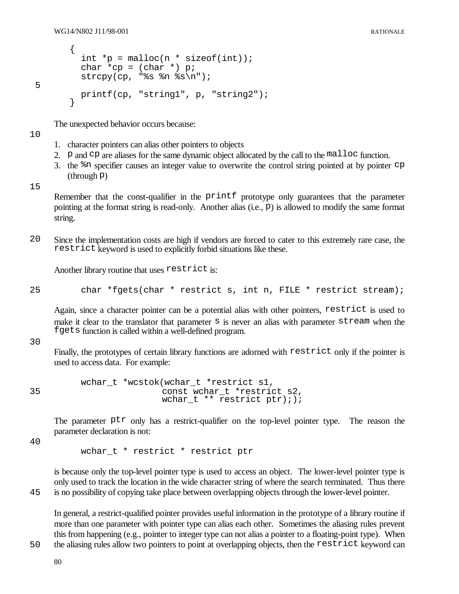```
\{int *_{p} = malloc(n * sizeof(int));
  char *cp = (char * ) pistrcpy(cp, "%s \sin %s\n");
printf(cp, "string1", p, "string2");
```
The unexpected behavior occurs because:

10

5

- 1. character pointers can alias other pointers to objects
- 2. p and cp are aliases for the same dynamic object allocated by the call to the malloc function.
- 3. the  $\textdegree$ n specifier causes an integer value to overwrite the control string pointed at by pointer  $\text{cp}$ (through p)

15

Remember that the const-qualifier in the  $\text{print}$  prototype only guarantees that the parameter pointing at the format string is read-only. Another alias (i.e., P) is allowed to modify the same format string.

20 Since the implementation costs are high if vendors are forced to cater to this extremely rare case, the restrict keyword is used to explicitly forbid situations like these.

Another library routine that uses restrict is:

```
25 char *fgets(char * restrict s, int n, FILE * restrict stream);
```
Again, since a character pointer can be a potential alias with other pointers, restrict is used to make it clear to the translator that parameter  $s$  is never an alias with parameter  $st$ ream when the fgets function is called within a well-defined program.

30

Finally, the prototypes of certain library functions are adorned with restrict only if the pointer is used to access data. For example:

wchar\_t \*wcstok(wchar\_t \*restrict s1, 35 const wchar\_t \*restrict s2, wchar\_t \*\*  $Testrist$  ptr););

The parameter  $P^{\text{tr}}$  only has a restrict-qualifier on the top-level pointer type. The reason the parameter declaration is not:

40

wchar\_t \* restrict \* restrict ptr

is because only the top-level pointer type is used to access an object. The lower-level pointer type is only used to track the location in the wide character string of where the search terminated. Thus there 45 is no possibility of copying take place between overlapping objects through the lower-level pointer.

In general, a restrict-qualified pointer provides useful information in the prototype of a library routine if more than one parameter with pointer type can alias each other. Sometimes the aliasing rules prevent this from happening (e.g., pointer to integer type can not alias a pointer to a floating-point type). When

50 the aliasing rules allow two pointers to point at overlapping objects, then the restrict keyword can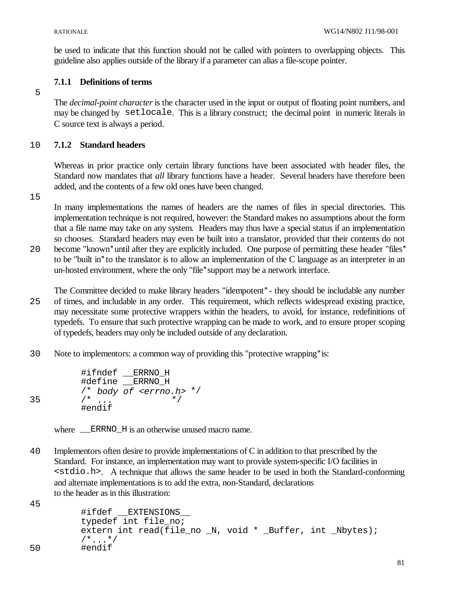be used to indicate that this function should not be called with pointers to overlapping objects. This guideline also applies outside of the library if a parameter can alias a file-scope pointer.

# **7.1.1 Definitions of terms**

5

The *decimal-point character* is the character used in the input or output of floating point numbers, and may be changed by setlocale. This is a library construct; the decimal point in numeric literals in C source text is always a period.

# 10 **7.1.2 Standard headers**

Whereas in prior practice only certain library functions have been associated with header files, the Standard now mandates that *all* library functions have a header. Several headers have therefore been added, and the contents of a few old ones have been changed.

15

In many implementations the names of headers are the names of files in special directories. This implementation technique is not required, however: the Standard makes no assumptions about the form that a file name may take on any system. Headers may thus have a special status if an implementation so chooses. Standard headers may even be built into a translator, provided that their contents do not

- 20 become "known'' until after they are explicitly included. One purpose of permitting these header "files'' to be "built in'' to the translator is to allow an implementation of the C language as an interpreter in an un-hosted environment, where the only "file'' support may be a network interface.
- The Committee decided to make library headers "idempotent'' they should be includable any number 25 of times, and includable in any order. This requirement, which reflects widespread existing practice, may necessitate some protective wrappers within the headers, to avoid, for instance, redefinitions of typedefs. To ensure that such protective wrapping can be made to work, and to ensure proper scoping of typedefs, headers may only be included outside of any declaration.
- 30 Note to implementors: a common way of providing this "protective wrapping'' is:

#ifndef \_\_ERRNO\_H #define \_\_ERRNO\_H /\* body of <errno.h> \*/ 35 /\* ... \*/ #endif

where **\_\_ERRNO\_H** is an otherwise unused macro name.

40 Implementors often desire to provide implementations of C in addition to that prescribed by the Standard. For instance, an implementation may want to provide system-specific I/O facilities in <stdio.h>. A technique that allows the same header to be used in both the Standard-conforming and alternate implementations is to add the extra, non-Standard, declarations to the header as in this illustration:

```
#ifdef __EXTENSIONS__
         typedef int file no;
         extern int read(file_no _N, void * _Buffer, int _Nbytes);
         /*...*/
50 #endif
```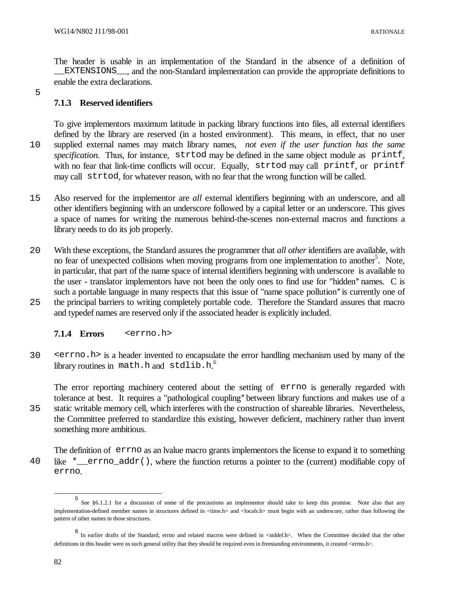The header is usable in an implementation of the Standard in the absence of a definition of \_\_EXTENSIONS\_\_, and the non-Standard implementation can provide the appropriate definitions to enable the extra declarations.

5

# **7.1.3 Reserved identifiers**

To give implementors maximum latitude in packing library functions into files, all external identifiers defined by the library are reserved (in a hosted environment). This means, in effect, that no user 10 supplied external names may match library names, *not even if the user function has the same specification*. Thus, for instance, strtod may be defined in the same object module as printf, with no fear that link-time conflicts will occur. Equally, strtod may call printf, or printf may call strtod, for whatever reason, with no fear that the wrong function will be called.

- 15 Also reserved for the implementor are *all* external identifiers beginning with an underscore, and all other identifiers beginning with an underscore followed by a capital letter or an underscore. This gives a space of names for writing the numerous behind-the-scenes non-external macros and functions a library needs to do its job properly.
- 20 With these exceptions, the Standard assures the programmer that *all other* identifiers are available, with no fear of unexpected collisions when moving programs from one implementation to another<sup>5</sup>. Note, in particular, that part of the name space of internal identifiers beginning with underscore is available to the user - translator implementors have not been the only ones to find use for "hidden'' names. C is such a portable language in many respects that this issue of "name space pollution" is currently one of
- 25 the principal barriers to writing completely portable code. Therefore the Standard assures that macro and typedef names are reserved only if the associated header is explicitly included.

#### **7.1.4 Errors** <errno.h>

30 <errno.h> is a header invented to encapsulate the error handling mechanism used by many of the library routines in math.h and stdlib.h. $^6$ 

The error reporting machinery centered about the setting of errno is generally regarded with tolerance at best. It requires a "pathological coupling'' between library functions and makes use of a 35 static writable memory cell, which interferes with the construction of shareable libraries. Nevertheless, the Committee preferred to standardize this existing, however deficient, machinery rather than invent something more ambitious.

The definition of errno as an lvalue macro grants implementors the license to expand it to something 40 like \*\_errno\_addr(), where the function returns a pointer to the (current) modifiable copy of errno.

<sup>5</sup> See §6.1.2.1 for a discussion of some of the precautions an implementor should take to keep this promise. Note also that any implementation-defined member names in structures defined in <time.h> and <locals.h> must begin with an underscore, rather than following the pattern of other names in those structures.

<sup>&</sup>lt;sup>6</sup> In earlier drafts of the Standard, errno and related macros were defined in <stddef.h>. When the Committee decided that the other definitions in this header were os such general utility that they should be required even in freestanding environments, it created <errno.h>.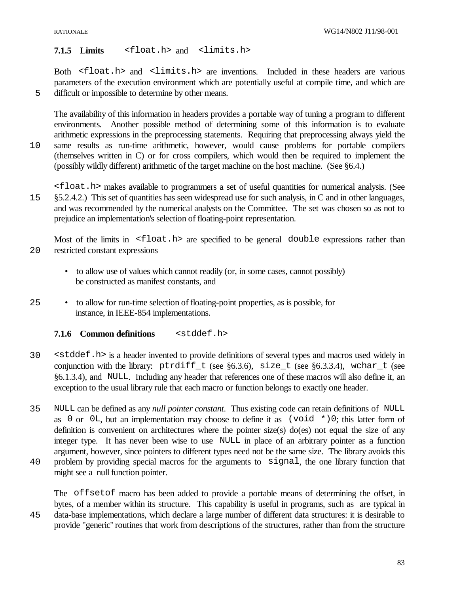# **7.1.5 Limits** <float.h> and <limits.h>

Both <float.h> and <limits.h> are inventions. Included in these headers are various parameters of the execution environment which are potentially useful at compile time, and which are 5 difficult or impossible to determine by other means.

The availability of this information in headers provides a portable way of tuning a program to different environments. Another possible method of determining some of this information is to evaluate arithmetic expressions in the preprocessing statements. Requiring that preprocessing always yield the 10 same results as run-time arithmetic, however, would cause problems for portable compilers (themselves written in C) or for cross compilers, which would then be required to implement the (possibly wildly different) arithmetic of the target machine on the host machine. (See §6.4.)

<float.h> makes available to programmers a set of useful quantities for numerical analysis. (See 15 §5.2.4.2.) This set of quantities has seen widespread use for such analysis, in C and in other languages, and was recommended by the numerical analysts on the Committee. The set was chosen so as not to prejudice an implementation's selection of floating-point representation.

Most of the limits in  $\leq$  float. h> are specified to be general double expressions rather than 20 restricted constant expressions

- to allow use of values which cannot readily (or, in some cases, cannot possibly) be constructed as manifest constants, and
- 25 to allow for run-time selection of floating-point properties, as is possible, for instance, in IEEE-854 implementations.

**7.1.6 Common definitions** <stddef.h>

- 30 <stddef.h> is a header invented to provide definitions of several types and macros used widely in conjunction with the library: ptrdiff\_t (see §6.3.6), size\_t (see §6.3.3.4), wchar\_t (see §6.1.3.4), and NULL. Including any header that references one of these macros will also define it, an exception to the usual library rule that each macro or function belongs to exactly one header.
- 35 NULL can be defined as any *null pointer constant*. Thus existing code can retain definitions of NULL as 0 or 0L, but an implementation may choose to define it as  $(void * )0$ ; this latter form of definition is convenient on architectures where the pointer size(s) do(es) not equal the size of any integer type. It has never been wise to use NULL in place of an arbitrary pointer as a function argument, however, since pointers to different types need not be the same size. The library avoids this 40 problem by providing special macros for the arguments to signal, the one library function that
	- might see a null function pointer.

The offsetof macro has been added to provide a portable means of determining the offset, in bytes, of a member within its structure. This capability is useful in programs, such as are typical in 45 data-base implementations, which declare a large number of different data structures: it is desirable to provide "generic'' routines that work from descriptions of the structures, rather than from the structure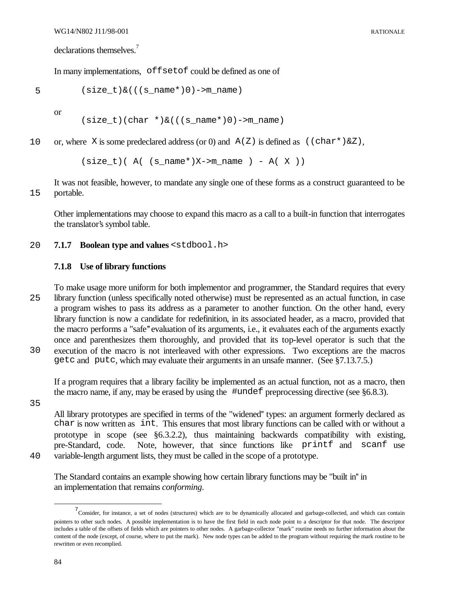declarations themselves.<sup>7</sup>

In many implementations, offsetof could be defined as one of

5 (size\_t)&(((s\_name\*)0)->m\_name)

or

 $(size_t)(char *)\&((s_name*)0)->m_name)$ 

10 or, where X is some predeclared address (or 0) and  $A(Z)$  is defined as ((char\*)&Z),

 $(size t)$  ( A(  $(sname*)X->m name$  ) - A( X ))

It was not feasible, however, to mandate any single one of these forms as a construct guaranteed to be 15 portable.

Other implementations may choose to expand this macro as a call to a built-in function that interrogates the translator's symbol table.

#### 20 **7.1.7 Boolean type and values** <stdbool.h>

#### **7.1.8 Use of library functions**

To make usage more uniform for both implementor and programmer, the Standard requires that every 25 library function (unless specifically noted otherwise) must be represented as an actual function, in case a program wishes to pass its address as a parameter to another function. On the other hand, every library function is now a candidate for redefinition, in its associated header, as a macro, provided that the macro performs a "safe'' evaluation of its arguments, i.e., it evaluates each of the arguments exactly once and parenthesizes them thoroughly, and provided that its top-level operator is such that the 30 execution of the macro is not interleaved with other expressions. Two exceptions are the macros

getc and putc, which may evaluate their arguments in an unsafe manner. (See §7.13.7.5.)

If a program requires that a library facility be implemented as an actual function, not as a macro, then the macro name, if any, may be erased by using the #undef preprocessing directive (see §6.8.3).

35

All library prototypes are specified in terms of the "widened'' types: an argument formerly declared as char is now written as int. This ensures that most library functions can be called with or without a prototype in scope (see §6.3.2.2), thus maintaining backwards compatibility with existing, pre-Standard, code. Note, however, that since functions like printf and scanf use 40 variable-length argument lists, they must be called in the scope of a prototype.

The Standard contains an example showing how certain library functions may be "built in'' in an implementation that remains *conforming*.

<sup>7</sup> Consider, for instance, a set of nodes (structures) which are to be dynamically allocated and garbage-collected, and which can contain pointers to other such nodes. A possible implementation is to have the first field in each node point to a descriptor for that node. The descriptor includes a table of the offsets of fields which are pointers to other nodes. A garbage-collector "mark" routine needs no further information about the content of the node (except, of course, where to put the mark). New node types can be added to the program without requiring the mark routine to be rewritten or even recomplied.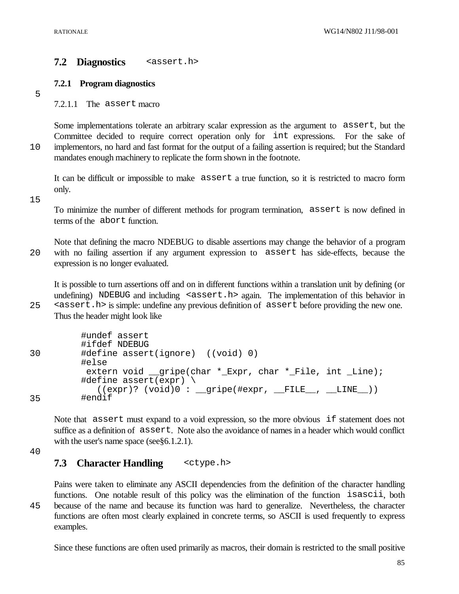# 7.2 Diagnostics <assert.h>

## **7.2.1 Program diagnostics**

5

7.2.1.1 The assert macro

Some implementations tolerate an arbitrary scalar expression as the argument to assert, but the Committee decided to require correct operation only for int expressions. For the sake of 10 implementors, no hard and fast format for the output of a failing assertion is required; but the Standard mandates enough machinery to replicate the form shown in the footnote.

It can be difficult or impossible to make assert a true function, so it is restricted to macro form only.

15

To minimize the number of different methods for program termination, assert is now defined in terms of the abort function.

Note that defining the macro NDEBUG to disable assertions may change the behavior of a program 20 with no failing assertion if any argument expression to assert has side-effects, because the expression is no longer evaluated.

It is possible to turn assertions off and on in different functions within a translation unit by defining (or undefining) NDEBUG and including  $\leq$  assert. h> again. The implementation of this behavior in

25 <assert.h> is simple: undefine any previous definition of assert before providing the new one. Thus the header might look like

|    | #undef assert<br>#ifdef NDEBUG                             |
|----|------------------------------------------------------------|
| 30 | $\#define assert(iqmore)$ ((void) 0)                       |
|    | #else                                                      |
|    | extern void gripe(char $*$ Expr, char $*$ File, int Line); |
|    | #define assert(expr) $\setminus$                           |
|    | $((expr)? (void) 0 : gripe(#expr, FillE , LINE ))$         |
| 35 | #endif                                                     |

Note that assert must expand to a void expression, so the more obvious if statement does not suffice as a definition of assert. Note also the avoidance of names in a header which would conflict with the user's name space (see § 6.1.2.1).

40

# **7.3 Character Handling** <ctype.h>

Pains were taken to eliminate any ASCII dependencies from the definition of the character handling functions. One notable result of this policy was the elimination of the function isascii, both 45 because of the name and because its function was hard to generalize. Nevertheless, the character functions are often most clearly explained in concrete terms, so ASCII is used frequently to express examples.

Since these functions are often used primarily as macros, their domain is restricted to the small positive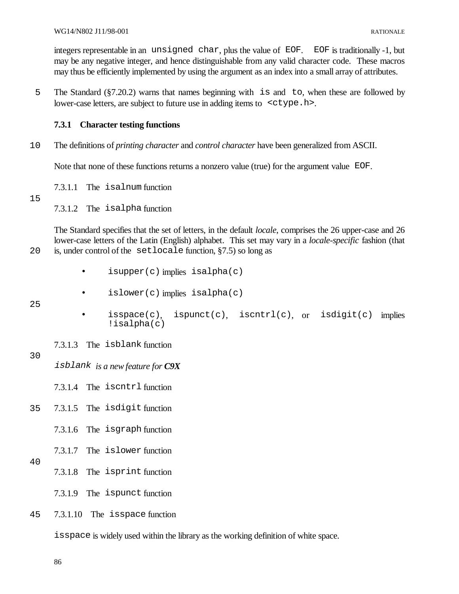integers representable in an unsigned char, plus the value of EOF. EOF is traditionally -1, but may be any negative integer, and hence distinguishable from any valid character code. These macros may thus be efficiently implemented by using the argument as an index into a small array of attributes.

5 The Standard (§7.20.2) warns that names beginning with is and to, when these are followed by lower-case letters, are subject to future use in adding items to  $\leq$ ctype.h>.

## **7.3.1 Character testing functions**

10 The definitions of *printing character* and *control character* have been generalized from ASCII.

Note that none of these functions returns a nonzero value (true) for the argument value EOF.

7.3.1.1 The isalnum function

15

7.3.1.2 The isalpha function

The Standard specifies that the set of letters, in the default *locale*, comprises the 26 upper-case and 26 lower-case letters of the Latin (English) alphabet. This set may vary in a *locale-specific* fashion (that 20 is, under control of the setlocale function, §7.5) so long as

- isupper(c) implies isalpha(c)
- islower(c) implies isalpha(c)

25

- isspace(c), ispunct(c), iscntrl(c), or isdigit(c) implies !isalpha(c)
- 7.3.1.3 The isblank function

30

- isblank *is a new feature for C9X*
- 7.3.1.4 The iscntrl function
- 35 7.3.1.5 The isdigit function
	- 7.3.1.6 The isgraph function
	- 7.3.1.7 The islower function
- 40
- 7.3.1.8 The isprint function
- 7.3.1.9 The ispunct function
- 45 7.3.1.10 The isspace function

isspace is widely used within the library as the working definition of white space.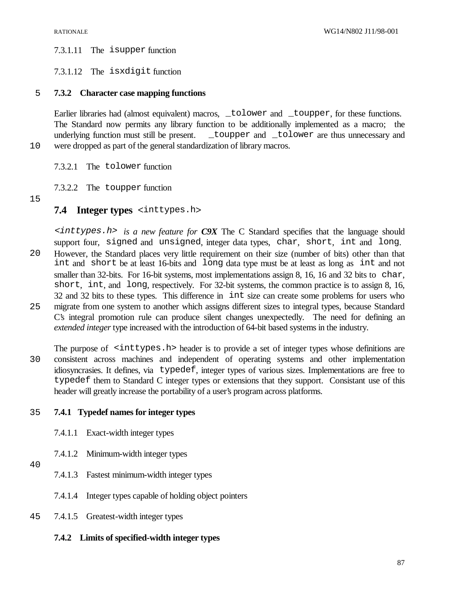7.3.1.11 The isupper function

7.3.1.12 The isxdigit function

# 5 **7.3.2 Character case mapping functions**

Earlier libraries had (almost equivalent) macros, \_tolower and \_toupper, for these functions. The Standard now permits any library function to be additionally implemented as a macro; the underlying function must still be present. Loupper and Lolower are thus unnecessary and 10 were dropped as part of the general standardization of library macros.

7.3.2.1 The tolower function

7.3.2.2 The toupper function

15

# **7.4 Integer types <**inttypes.h**>**

 $\langle$ inttypes.h> *is a new feature for* **C9X** The C Standard specifies that the language should support four, signed and unsigned, integer data types, char, short, int and long. 20 However, the Standard places very little requirement on their size (number of bits) other than that int and short be at least 16-bits and long data type must be at least as long as int and not smaller than 32-bits. For 16-bit systems, most implementations assign 8, 16, 16 and 32 bits to char, short, int, and long, respectively. For 32-bit systems, the common practice is to assign 8, 16, 32 and 32 bits to these types. This difference in int size can create some problems for users who 25 migrate from one system to another which assigns different sizes to integral types, because Standard C's integral promotion rule can produce silent changes unexpectedly. The need for defining an

The purpose of <inttypes.h> header is to provide a set of integer types whose definitions are 30 consistent across machines and independent of operating systems and other implementation idiosyncrasies. It defines, via typedef, integer types of various sizes. Implementations are free to typedef them to Standard C integer types or extensions that they support. Consistant use of this

*extended integer* type increased with the introduction of 64-bit based systems in the industry.

header will greatly increase the portability of a user's program across platforms.

# 35 **7.4.1 Typedef names for integer types**

- 7.4.1.1 Exact-width integer types
- 7.4.1.2 Minimum-width integer types
- 40
- 7.4.1.3 Fastest minimum-width integer types
- 7.4.1.4 Integer types capable of holding object pointers
- 45 7.4.1.5 Greatest-width integer types

# **7.4.2 Limits of specified-width integer types**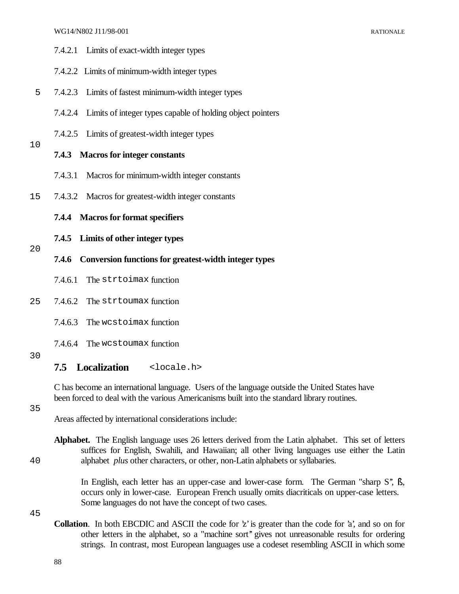- 7.4.2.1 Limits of exact-width integer types
- 7.4.2.2 Limits of minimum-width integer types
- 5 7.4.2.3 Limits of fastest minimum-width integer types
	- 7.4.2.4 Limits of integer types capable of holding object pointers
	- 7.4.2.5 Limits of greatest-width integer types

10

## **7.4.3 Macros for integer constants**

- 7.4.3.1 Macros for minimum-width integer constants
- 15 7.4.3.2 Macros for greatest-width integer constants

#### **7.4.4 Macros for format specifiers**

#### **7.4.5 Limits of other integer types**

20

## **7.4.6 Conversion functions for greatest-width integer types**

- 7.4.6.1 The strtoimax function
- 25 7.4.6.2 The strtoumax function
	- 7.4.6.3 The wcstoimax function
	- 7.4.6.4 The wcstoumax function

#### 30

**7.5 Localization** <locale.h>

C has become an international language. Users of the language outside the United States have been forced to deal with the various Americanisms built into the standard library routines.

35

Areas affected by international considerations include:

**Alphabet.** The English language uses 26 letters derived from the Latin alphabet. This set of letters suffices for English, Swahili, and Hawaiian; all other living languages use either the Latin 40 alphabet *plus* other characters, or other, non-Latin alphabets or syllabaries.

> In English, each letter has an upper-case and lower-case form. The German "sharp  $S$ ",  $\beta$ , occurs only in lower-case. European French usually omits diacriticals on upper-case letters. Some languages do not have the concept of two cases.

45

**Collation**. In both EBCDIC and ASCII the code for 'z' is greater than the code for 'a', and so on for other letters in the alphabet, so a "machine sort'' gives not unreasonable results for ordering strings. In contrast, most European languages use a codeset resembling ASCII in which some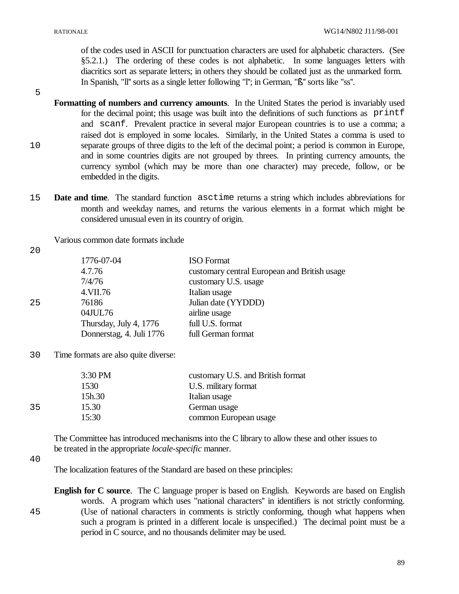of the codes used in ASCII for punctuation characters are used for alphabetic characters. (See §5.2.1.) The ordering of these codes is not alphabetic. In some languages letters with diacritics sort as separate letters; in others they should be collated just as the unmarked form. In Spanish, "Il" sorts as a single letter following "I"; in German, " $\beta$ " sorts like "ss".

5

- **Formatting of numbers and currency amounts**. In the United States the period is invariably used for the decimal point; this usage was built into the definitions of such functions as printf and scanf. Prevalent practice in several major European countries is to use a comma; a raised dot is employed in some locales. Similarly, in the United States a comma is used to 10 separate groups of three digits to the left of the decimal point; a period is common in Europe, and in some countries digits are not grouped by threes. In printing currency amounts, the currency symbol (which may be more than one character) may precede, follow, or be embedded in the digits.
- 15 **Date and time**. The standard function asctime returns a string which includes abbreviations for month and weekday names, and returns the various elements in a format which might be considered unusual even in its country of origin.

Various common date formats include

20

| 1776-07-04<br>4.7.76<br>7/4/76<br>4.VII.76<br>25<br>76186<br>04JUL76<br>Thursday, July 4, 1776<br>Donnerstag, 4. Juli 1776 | <b>ISO</b> Format<br>customary central European and British usage<br>customary U.S. usage<br>Italian usage<br>Julian date (YYDDD)<br>airline usage<br>full U.S. format<br>full German format |
|----------------------------------------------------------------------------------------------------------------------------|----------------------------------------------------------------------------------------------------------------------------------------------------------------------------------------------|
|----------------------------------------------------------------------------------------------------------------------------|----------------------------------------------------------------------------------------------------------------------------------------------------------------------------------------------|

30 Time formats are also quite diverse:

|    | 3:30 PM | customary U.S. and British format |
|----|---------|-----------------------------------|
|    | 1530    | U.S. military format              |
|    | 15h.30  | Italian usage                     |
| 35 | 15.30   | German usage                      |
|    | 15:30   | common European usage             |
|    |         |                                   |

The Committee has introduced mechanisms into the C library to allow these and other issues to be treated in the appropriate *locale-specific* manner.

40

The localization features of the Standard are based on these principles:

**English for C source**. The C language proper is based on English. Keywords are based on English words. A program which uses "national characters'' in identifiers is not strictly conforming. 45 (Use of national characters in comments is strictly conforming, though what happens when such a program is printed in a different locale is unspecified.) The decimal point must be a period in C source, and no thousands delimiter may be used.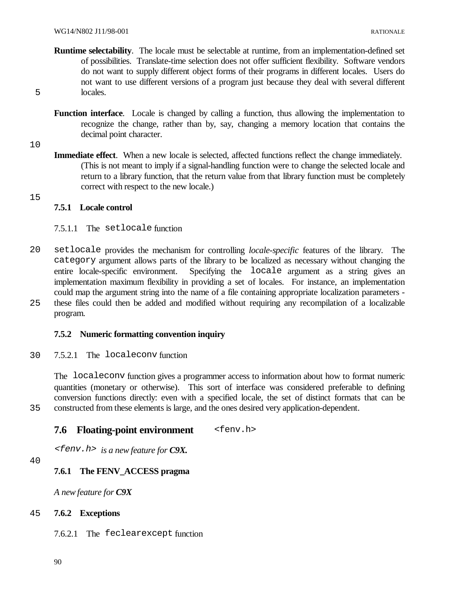- **Runtime selectability**. The locale must be selectable at runtime, from an implementation-defined set of possibilities. Translate-time selection does not offer sufficient flexibility. Software vendors do not want to supply different object forms of their programs in different locales. Users do not want to use different versions of a program just because they deal with several different 5 locales.
	- **Function interface**. Locale is changed by calling a function, thus allowing the implementation to recognize the change, rather than by, say, changing a memory location that contains the decimal point character.
- 10
- **Immediate effect**. When a new locale is selected, affected functions reflect the change immediately. (This is not meant to imply if a signal-handling function were to change the selected locale and return to a library function, that the return value from that library function must be completely correct with respect to the new locale.)

15

## **7.5.1 Locale control**

7.5.1.1 The setlocale function

- 20 setlocale provides the mechanism for controlling *locale-specific* features of the library. The category argument allows parts of the library to be localized as necessary without changing the entire locale-specific environment. Specifying the locale argument as a string gives an implementation maximum flexibility in providing a set of locales. For instance, an implementation could map the argument string into the name of a file containing appropriate localization parameters -
- 25 these files could then be added and modified without requiring any recompilation of a localizable program.

# **7.5.2 Numeric formatting convention inquiry**

30 7.5.2.1 The localeconv function

The localeconv function gives a programmer access to information about how to format numeric quantities (monetary or otherwise). This sort of interface was considered preferable to defining conversion functions directly: even with a specified locale, the set of distinct formats that can be 35 constructed from these elements is large, and the ones desired very application-dependent.

# **7.6 Floating-point environment** <fenv.h>

<fenv.h> *is a new feature for C9X.*

40

# **7.6.1 The FENV\_ACCESS pragma**

*A new feature for C9X*

## 45 **7.6.2 Exceptions**

7.6.2.1 The feclearexcept function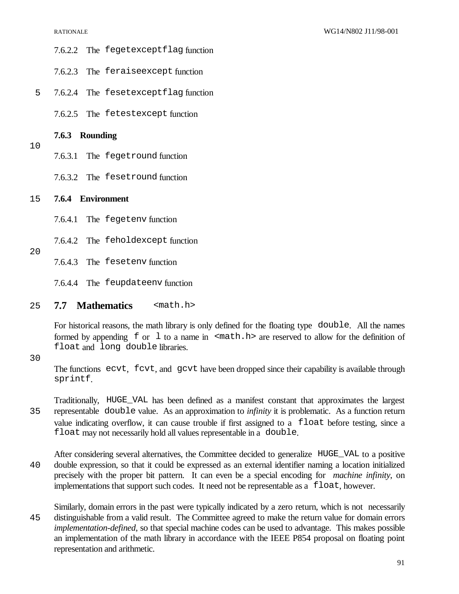- 7.6.2.2 The fegetexceptflag function
- 7.6.2.3 The feraiseexcept function
- 5 7.6.2.4 The fesetexceptflag function
	- 7.6.2.5 The fetestexcept function

## **7.6.3 Rounding**

- 10
- 7.6.3.1 The fegetround function
- 7.6.3.2 The fesetround function

## 15 **7.6.4 Environment**

- 7.6.4.1 The fegetenv function
- 7.6.4.2 The feholdexcept function
- 20
- 7.6.4.3 The fesetenv function
- 7.6.4.4 The feupdateenv function

# 25 **7.7 Mathematics** <math.h>

For historical reasons, the math library is only defined for the floating type double. All the names formed by appending  $f$  or  $l$  to a name in  $\leq$  math.h> are reserved to allow for the definition of float and long double libraries.

30

The functions ecvt, fcvt, and gcvt have been dropped since their capability is available through sprintf.

Traditionally, HUGE\_VAL has been defined as a manifest constant that approximates the largest 35 representable double value. As an approximation to *infinity* it is problematic. As a function return value indicating overflow, it can cause trouble if first assigned to a float before testing, since a float may not necessarily hold all values representable in a double.

After considering several alternatives, the Committee decided to generalize HUGE\_VAL to a positive 40 double expression, so that it could be expressed as an external identifier naming a location initialized precisely with the proper bit pattern. It can even be a special encoding for *machine infinity*, on implementations that support such codes. It need not be representable as a float, however.

Similarly, domain errors in the past were typically indicated by a zero return, which is not necessarily 45 distinguishable from a valid result. The Committee agreed to make the return value for domain errors *implementation-defined*, so that special machine codes can be used to advantage. This makes possible an implementation of the math library in accordance with the IEEE P854 proposal on floating point representation and arithmetic.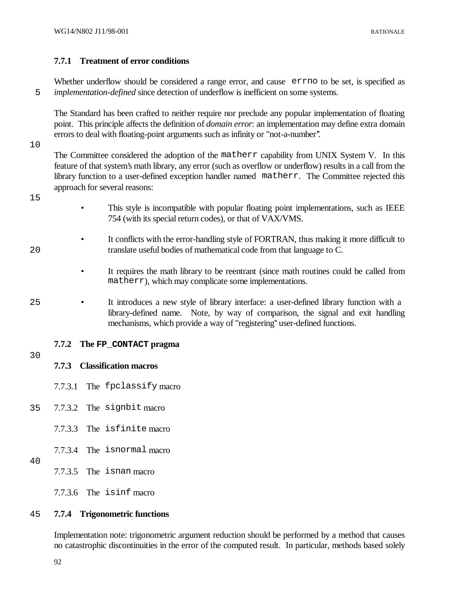## **7.7.1 Treatment of error conditions**

Whether underflow should be considered a range error, and cause error to be set, is specified as 5 *implementation-defined* since detection of underflow is inefficient on some systems.

The Standard has been crafted to neither require nor preclude any popular implementation of floating point. This principle affects the definition of *domain error*: an implementation may define extra domain errors to deal with floating-point arguments such as infinity or "not-a-number''.

10

The Committee considered the adoption of the matherr capability from UNIX System V. In this feature of that system's math library, any error (such as overflow or underflow) results in a call from the library function to a user-defined exception handler named matherr. The Committee rejected this approach for several reasons:

- 15
- This style is incompatible with popular floating point implementations, such as IEEE 754 (with its special return codes), or that of VAX/VMS.
- It conflicts with the error-handling style of FORTRAN, thus making it more difficult to 20 translate useful bodies of mathematical code from that language to C.
	- It requires the math library to be reentrant (since math routines could be called from matherr), which may complicate some implementations.
- 
- 25 It introduces a new style of library interface: a user-defined library function with a library-defined name. Note, by way of comparison, the signal and exit handling mechanisms, which provide a way of "registering'' user-defined functions.
	- **7.7.2 The FP\_CONTACT pragma**
- 30
- **7.7.3 Classification macros**
- 7.7.3.1 The fpclassify macro
- 35 7.7.3.2 The signbit macro
	- 7.7.3.3 The isfinite macro
	- 7.7.3.4 The isnormal macro
- 40
- 7.7.3.5 The isnan macro
- 7.7.3.6 The isinf macro

# 45 **7.7.4 Trigonometric functions**

Implementation note: trigonometric argument reduction should be performed by a method that causes no catastrophic discontinuities in the error of the computed result. In particular, methods based solely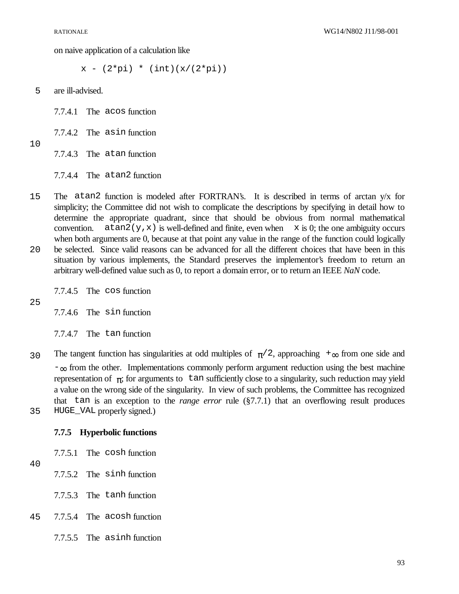on naive application of a calculation like

 $x - (2*pi) * (int)(x/(2*pi))$ 

5 are ill-advised.

7.7.4.1 The acos function

7.7.4.2 The asin function

10

7.7.4.3 The atan function

- 7.7.4.4 The atan2 function
- 15 The atan2 function is modeled after FORTRAN's. It is described in terms of arctan y/x for simplicity; the Committee did not wish to complicate the descriptions by specifying in detail how to determine the appropriate quadrant, since that should be obvious from normal mathematical convention.  $\alpha \tan 2(y, x)$  is well-defined and finite, even when  $x$  is 0; the one ambiguity occurs when both arguments are 0, because at that point any value in the range of the function could logically
- 20 be selected. Since valid reasons can be advanced for all the different choices that have been in this situation by various implements, the Standard preserves the implementor's freedom to return an arbitrary well-defined value such as 0, to report a domain error, or to return an IEEE *NaN* code.

7.7.4.5 The cos function

25

7.7.4.6 The sin function

- 7.7.4.7 The tan function
- 30 The tangent function has singularities at odd multiples of  $\pi/2$ , approaching +∞ from one side and  $-\infty$  from the other. Implementations commonly perform argument reduction using the best machine representation of  $\pi$ ; for arguments to tan sufficiently close to a singularity, such reduction may yield a value on the wrong side of the singularity. In view of such problems, the Committee has recognized that tan is an exception to the *range error* rule (§7.7.1) that an overflowing result produces 35 HUGE\_VAL properly signed.)

#### **7.7.5 Hyperbolic functions**

- 7.7.5.1 The cosh function
- 40
- 7.7.5.2 The sinh function
- 7.7.5.3 The tanh function
- 45 7.7.5.4 The acosh function
	- 7.7.5.5 The asinh function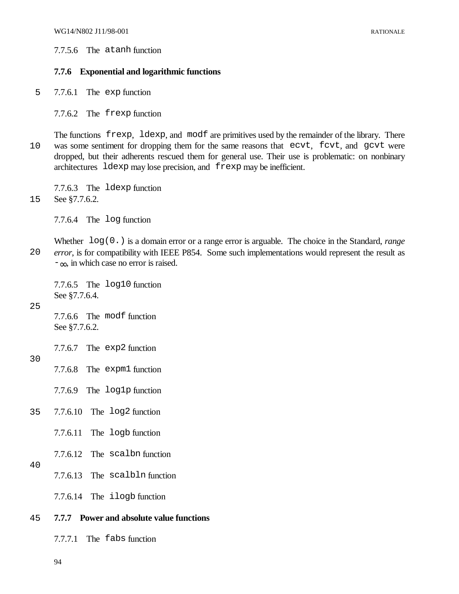7.7.5.6 The atanh function

## **7.7.6 Exponential and logarithmic functions**

5 7.7.6.1 The exp function

7.7.6.2 The frexp function

The functions frexp, ldexp, and modf are primitives used by the remainder of the library. There 10 was some sentiment for dropping them for the same reasons that ecvt, fcvt, and gcvt were dropped, but their adherents rescued them for general use. Their use is problematic: on nonbinary architectures ldexp may lose precision, and frexp may be inefficient.

7.7.6.3 The ldexp function

```
15 See §7.7.6.2.
```
7.7.6.4 The log function

Whether  $log(0.)$  is a domain error or a range error is arguable. The choice in the Standard, *range* 20 *error*, is for compatibility with IEEE P854. Some such implementations would represent the result as -∞, in which case no error is raised.

7.7.6.5 The log10 function See §7.7.6.4.

25

7.7.6.6 The modf function See §7.7.6.2.

- 7.7.6.7 The exp2 function
- 30
- 7.7.6.8 The expm1 function
- 7.7.6.9 The log1p function
- 35 7.7.6.10 The log2 function
	- 7.7.6.11 The logb function
	- 7.7.6.12 The scalbn function
- 40
- 7.7.6.13 The scalbln function
- 7.7.6.14 The ilogb function

## 45 **7.7.7 Power and absolute value functions**

7.7.7.1 The fabs function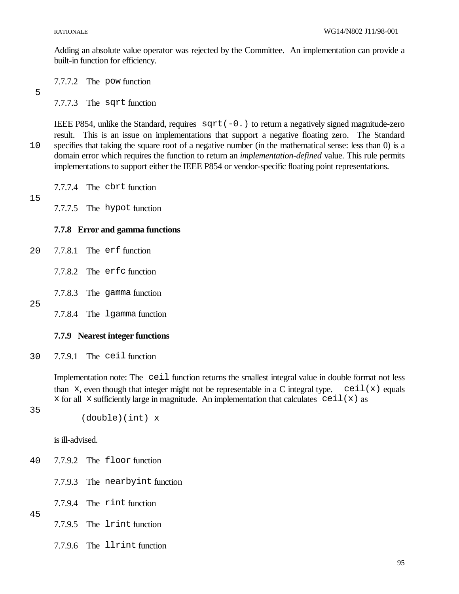Adding an absolute value operator was rejected by the Committee. An implementation can provide a built-in function for efficiency.

7.7.7.2 The pow function

5

7.7.7.3 The sqrt function

IEEE P854, unlike the Standard, requires  $sqrt(-0. )$  to return a negatively signed magnitude-zero result. This is an issue on implementations that support a negative floating zero. The Standard 10 specifies that taking the square root of a negative number (in the mathematical sense: less than 0) is a domain error which requires the function to return an *implementation-defined* value. This rule permits implementations to support either the IEEE P854 or vendor-specific floating point representations.

7.7.7.4 The cbrt function

#### 15

7.7.7.5 The hypot function

#### **7.7.8 Error and gamma functions**

- 20 7.7.8.1 The erf function
	- 7.7.8.2 The erfc function
	- 7.7.8.3 The gamma function
- 25
- 7.7.8.4 The lgamma function

#### **7.7.9 Nearest integer functions**

30 7.7.9.1 The ceil function

Implementation note: The ceil function returns the smallest integral value in double format not less than  $x$ , even though that integer might not be representable in a C integral type. ceil(x) equals x for all  $x$  sufficiently large in magnitude. An implementation that calculates  $ceil(x)$  as

35

(double)(int) x

is ill-advised.

- 40 7.7.9.2 The floor function
	- 7.7.9.3 The nearbyint function
	- 7.7.9.4 The rint function

- 7.7.9.5 The lrint function
- 7.7.9.6 The llrint function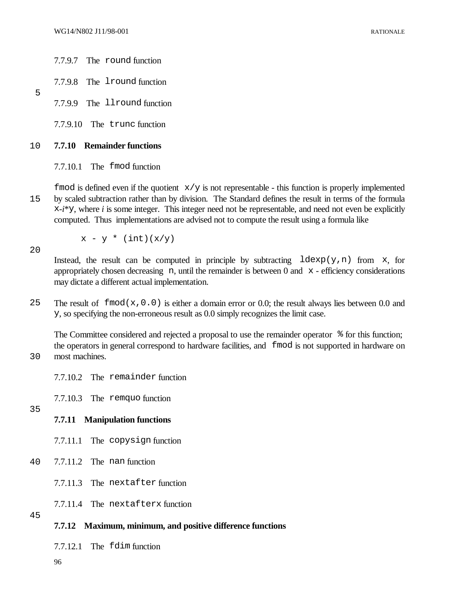7.7.9.7 The round function

7.7.9.8 The lround function

7.7.9.9 The llround function

7.7.9.10 The trunc function

### 10 **7.7.10 Remainder functions**

7.7.10.1 The fmod function

fmod is defined even if the quotient  $x/y$  is not representable - this function is properly implemented 15 by scaled subtraction rather than by division. The Standard defines the result in terms of the formula x-*i*\*y, where *i* is some integer. This integer need not be representable, and need not even be explicitly computed. Thus implementations are advised not to compute the result using a formula like

 $x - y * (int)(x/y)$ 

20

5

Instead, the result can be computed in principle by subtracting  $ldeg(y,n)$  from x, for appropriately chosen decreasing  $n$ , until the remainder is between 0 and  $x$  - efficiency considerations may dictate a different actual implementation.

25 The result of  $\text{fmod}(x,0.0)$  is either a domain error or 0.0; the result always lies between 0.0 and y, so specifying the non-erroneous result as 0.0 simply recognizes the limit case.

The Committee considered and rejected a proposal to use the remainder operator % for this function; the operators in general correspond to hardware facilities, and fmod is not supported in hardware on 30 most machines.

7.7.10.2 The remainder function

7.7.10.3 The remquo function

35

# **7.7.11 Manipulation functions**

- 7.7.11.1 The copysign function
- 40 7.7.11.2 The nan function
	- 7.7.11.3 The nextafter function
	- 7.7.11.4 The nextafterx function

45

# **7.7.12 Maximum, minimum, and positive difference functions**

7.7.12.1 The fdim function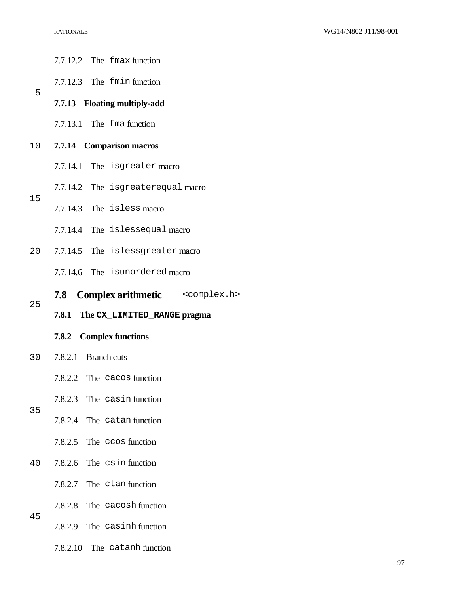|    |                        | 7.7.12.2 The fmax function                     |  |
|----|------------------------|------------------------------------------------|--|
| 5  |                        | 7.7.12.3 The fmin function                     |  |
|    |                        | 7.7.13 Floating multiply-add                   |  |
|    |                        | 7.7.13.1 The fina function                     |  |
| 10 |                        | 7.7.14 Comparison macros                       |  |
|    |                        | 7.7.14.1 The isgreater macro                   |  |
| 15 |                        | 7.7.14.2 The isgreaterequal macro              |  |
|    |                        | 7.7.14.3 The isless macro                      |  |
|    |                        | 7.7.14.4 The islessequal macro                 |  |
|    |                        | 20 7.7.14.5 The islessgreater macro            |  |
|    |                        | 7.7.14.6 The isunordered macro                 |  |
|    |                        |                                                |  |
|    |                        | 7.8 Complex arithmetic <complex.h></complex.h> |  |
| 25 |                        | 7.8.1 The CX_LIMITED_RANGE pragma              |  |
|    |                        | <b>7.8.2 Complex functions</b>                 |  |
|    | 30 7.8.2.1 Branch cuts |                                                |  |
|    |                        | 7.8.2.2 The cacos function                     |  |
|    |                        | 7.8.2.3 The casin function                     |  |
| 35 |                        | 7.8.2.4 The catan function                     |  |
|    |                        | 7.8.2.5 The ccos function                      |  |
| 40 |                        | 7.8.2.6 The csin function                      |  |
|    |                        | 7.8.2.7 The ctan function                      |  |
| 45 |                        | 7.8.2.8 The cacosh function                    |  |

- 
- 7.8.2.10 The catanh function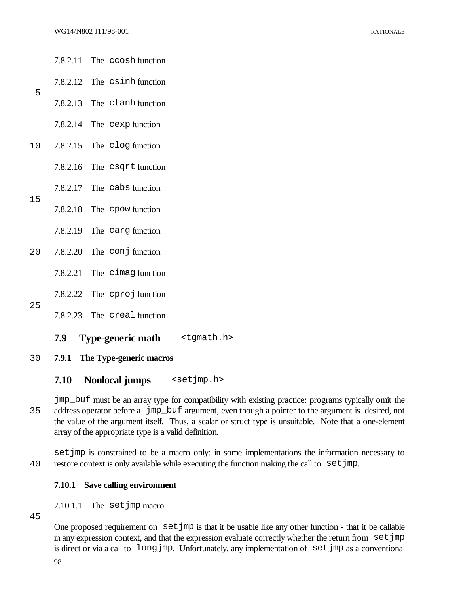|  |  | 7.8.2.11 The ccosh function |
|--|--|-----------------------------|
|--|--|-----------------------------|

- 7.8.2.12 The csinh function
- 7.8.2.13 The ctanh function
	- 7.8.2.14 The cexp function
- 10 7.8.2.15 The clog function
	- 7.8.2.16 The csqrt function
- 7.8.2.17 The cabs function
- 15

5

- 7.8.2.18 The cpow function
- 7.8.2.19 The carg function
- 20 7.8.2.20 The conj function

7.8.2.21 The cimag function

7.8.2.22 The cproj function

# 25

- 7.8.2.23 The creal function
- 7.9 Type-generic math <tgmath.h>
- 30 **7.9.1 The Type-generic macros**

#### **7.10 Nonlocal jumps** <setjmp.h>

jmp\_buf must be an array type for compatibility with existing practice: programs typically omit the 35 address operator before a jmp\_buf argument, even though a pointer to the argument is desired, not the value of the argument itself. Thus, a scalar or struct type is unsuitable. Note that a one-element array of the appropriate type is a valid definition.

set jmp is constrained to be a macro only: in some implementations the information necessary to 40 restore context is only available while executing the function making the call to setjmp.

#### **7.10.1 Save calling environment**

- 7.10.1.1 The setjmp macro
- 45

One proposed requirement on set jmp is that it be usable like any other function - that it be callable in any expression context, and that the expression evaluate correctly whether the return from set jmp is direct or via a call to long jmp. Unfortunately, any implementation of set jmp as a conventional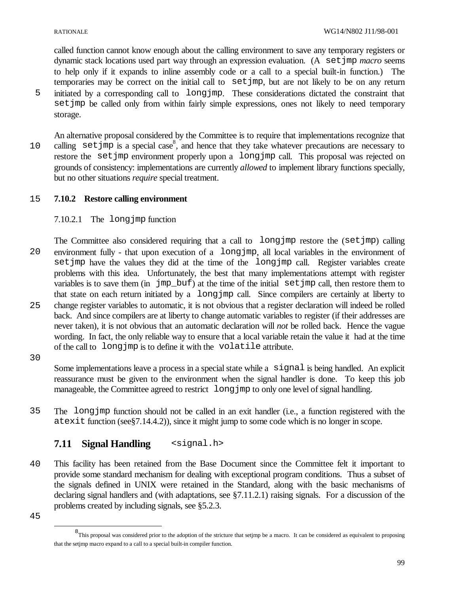storage.

called function cannot know enough about the calling environment to save any temporary registers or dynamic stack locations used part way through an expression evaluation. (A setjmp *macro* seems to help only if it expands to inline assembly code or a call to a special built-in function.) The temporaries may be correct on the initial call to setjmp, but are not likely to be on any return 5 initiated by a corresponding call to longjmp. These considerations dictated the constraint that set jmp be called only from within fairly simple expressions, ones not likely to need temporary

An alternative proposal considered by the Committee is to require that implementations recognize that 10 calling set jmp is a special case<sup>8</sup>, and hence that they take whatever precautions are necessary to restore the set jmp environment properly upon a long jmp call. This proposal was rejected on grounds of consistency: implementations are currently *allowed* to implement library functions specially, but no other situations *require* special treatment.

#### 15 **7.10.2 Restore calling environment**

7.10.2.1 The longjmp function

- The Committee also considered requiring that a call to longjmp restore the (setjmp) calling 20 environment fully - that upon execution of a longjmp, all local variables in the environment of setjmp have the values they did at the time of the longjmp call. Register variables create problems with this idea. Unfortunately, the best that many implementations attempt with register variables is to save them (in jmp\_buf) at the time of the initial set jmp call, then restore them to that state on each return initiated by a longjmp call. Since compilers are certainly at liberty to
- 25 change register variables to automatic, it is not obvious that a register declaration will indeed be rolled back. And since compilers are at liberty to change automatic variables to register (if their addresses are never taken), it is not obvious that an automatic declaration will *not* be rolled back. Hence the vague wording. In fact, the only reliable way to ensure that a local variable retain the value it had at the time of the call to longjmp is to define it with the volatile attribute.
- 30

Some implementations leave a process in a special state while a signal is being handled. An explicit reassurance must be given to the environment when the signal handler is done. To keep this job manageable, the Committee agreed to restrict long jmp to only one level of signal handling.

35 The longjmp function should not be called in an exit handler (i.e., a function registered with the atexit function (see§7.14.4.2)), since it might jump to some code which is no longer in scope.

# **7.11 Signal Handling** <signal.h>

40 This facility has been retained from the Base Document since the Committee felt it important to provide some standard mechanism for dealing with exceptional program conditions. Thus a subset of the signals defined in UNIX were retained in the Standard, along with the basic mechanisms of declaring signal handlers and (with adaptations, see §7.11.2.1) raising signals. For a discussion of the problems created by including signals, see §5.2.3.

<sup>45</sup>

 $8$ This proposal was considered prior to the adoption of the stricture that setjmp be a macro. It can be considered as equivalent to proposing that the setjmp macro expand to a call to a special built-in compiler function.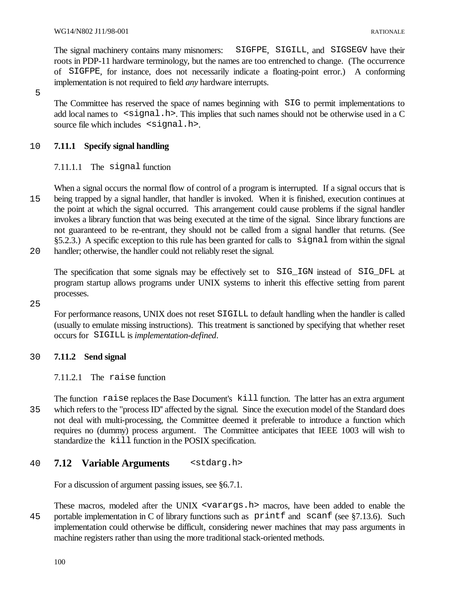The signal machinery contains many misnomers: SIGFPE, SIGILL, and SIGSEGV have their roots in PDP-11 hardware terminology, but the names are too entrenched to change. (The occurrence of SIGFPE, for instance, does not necessarily indicate a floating-point error.) A conforming implementation is not required to field *any* hardware interrupts.

5

The Committee has reserved the space of names beginning with SIG to permit implementations to add local names to  $\leq$  signal.h>. This implies that such names should not be otherwise used in a C source file which includes  $\leq$  signal.h>.

#### 10 **7.11.1 Specify signal handling**

#### 7.11.1.1 The signal function

- When a signal occurs the normal flow of control of a program is interrupted. If a signal occurs that is 15 being trapped by a signal handler, that handler is invoked. When it is finished, execution continues at the point at which the signal occurred. This arrangement could cause problems if the signal handler invokes a library function that was being executed at the time of the signal. Since library functions are not guaranteed to be re-entrant, they should not be called from a signal handler that returns. (See §5.2.3.) A specific exception to this rule has been granted for calls to signal from within the signal 20 handler; otherwise, the handler could not reliably reset the signal.
	- The specification that some signals may be effectively set to SIG\_IGN instead of SIG\_DFL at program startup allows programs under UNIX systems to inherit this effective setting from parent processes.
- 25

For performance reasons, UNIX does not reset SIGILL to default handling when the handler is called (usually to emulate missing instructions). This treatment is sanctioned by specifying that whether reset occurs for SIGILL is *implementation-defined*.

#### 30 **7.11.2 Send signal**

7.11.2.1 The raise function

The function raise replaces the Base Document's kill function. The latter has an extra argument 35 which refers to the "process ID'' affected by the signal. Since the execution model of the Standard does not deal with multi-processing, the Committee deemed it preferable to introduce a function which requires no (dummy) process argument. The Committee anticipates that IEEE 1003 will wish to standardize the kill function in the POSIX specification.

# 40 **7.12 Variable Arguments** <stdarg.h>

For a discussion of argument passing issues, see §6.7.1.

These macros, modeled after the UNIX <varargs.h> macros, have been added to enable the 45 portable implementation in C of library functions such as printf and scanf (see §7.13.6). Such implementation could otherwise be difficult, considering newer machines that may pass arguments in machine registers rather than using the more traditional stack-oriented methods.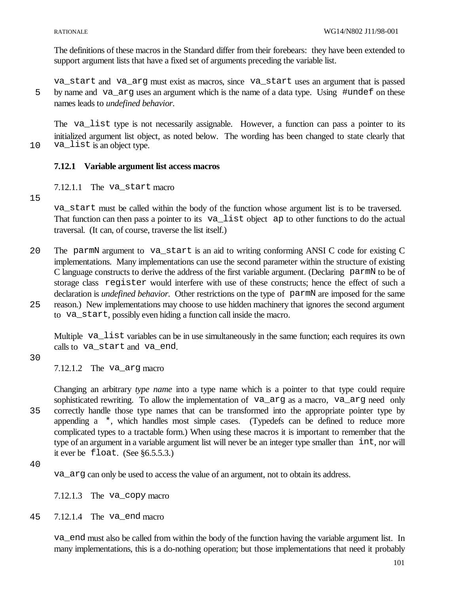The definitions of these macros in the Standard differ from their forebears: they have been extended to support argument lists that have a fixed set of arguments preceding the variable list.

va\_start and va\_arg must exist as macros, since va\_start uses an argument that is passed 5 by name and va\_arg uses an argument which is the name of a data type. Using #undef on these names leads to *undefined behavior*.

The va\_list type is not necessarily assignable. However, a function can pass a pointer to its initialized argument list object, as noted below. The wording has been changed to state clearly that 10 va\_list is an object type.

# **7.12.1 Variable argument list access macros**

7.12.1.1 The va\_start macro

15

va\_start must be called within the body of the function whose argument list is to be traversed. That function can then pass a pointer to its va\_list object ap to other functions to do the actual traversal. (It can, of course, traverse the list itself.)

- 20 The parmN argument to va\_start is an aid to writing conforming ANSI C code for existing C implementations. Many implementations can use the second parameter within the structure of existing C language constructs to derive the address of the first variable argument. (Declaring parmN to be of storage class register would interfere with use of these constructs; hence the effect of such a declaration is *undefined behavior*. Other restrictions on the type of parmN are imposed for the same
- 25 reason.) New implementations may choose to use hidden machinery that ignores the second argument to va\_start, possibly even hiding a function call inside the macro.

Multiple va\_list variables can be in use simultaneously in the same function; each requires its own calls to va\_start and va\_end.

30

7.12.1.2 The va\_arg macro

Changing an arbitrary *type name* into a type name which is a pointer to that type could require sophisticated rewriting. To allow the implementation of va\_arg as a macro, va\_arg need only 35 correctly handle those type names that can be transformed into the appropriate pointer type by appending a \*, which handles most simple cases. (Typedefs can be defined to reduce more complicated types to a tractable form.) When using these macros it is important to remember that the type of an argument in a variable argument list will never be an integer type smaller than int, nor will it ever be float. (See §6.5.5.3.)

40

va\_arg can only be used to access the value of an argument, not to obtain its address.

7.12.1.3 The va\_copy macro

45 7.12.1.4 The va\_end macro

va\_end must also be called from within the body of the function having the variable argument list. In many implementations, this is a do-nothing operation; but those implementations that need it probably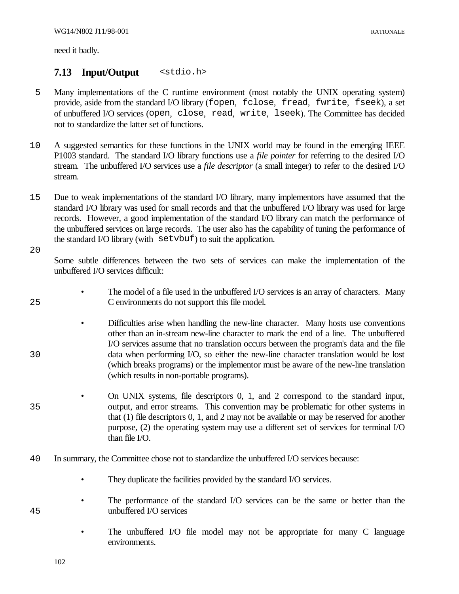need it badly.

# **7.13 Input/Output** <stdio.h>

- 5 Many implementations of the C runtime environment (most notably the UNIX operating system) provide, aside from the standard I/O library (fopen, fclose, fread, fwrite, fseek), a set of unbuffered I/O services (open, close, read, write, lseek). The Committee has decided not to standardize the latter set of functions.
- 10 A suggested semantics for these functions in the UNIX world may be found in the emerging IEEE P1003 standard. The standard I/O library functions use a *file pointer* for referring to the desired I/O stream. The unbuffered I/O services use a *file descriptor* (a small integer) to refer to the desired I/O stream.
- 15 Due to weak implementations of the standard I/O library, many implementors have assumed that the standard I/O library was used for small records and that the unbuffered I/O library was used for large records. However, a good implementation of the standard I/O library can match the performance of the unbuffered services on large records. The user also has the capability of tuning the performance of the standard I/O library (with setvbuf) to suit the application.

20

Some subtle differences between the two sets of services can make the implementation of the unbuffered I/O services difficult:

- The model of a file used in the unbuffered I/O services is an array of characters. Many 25 C environments do not support this file model.
- Difficulties arise when handling the new-line character. Many hosts use conventions other than an in-stream new-line character to mark the end of a line. The unbuffered I/O services assume that no translation occurs between the program's data and the file 30 data when performing I/O, so either the new-line character translation would be lost (which breaks programs) or the implementor must be aware of the new-line translation (which results in non-portable programs).
- On UNIX systems, file descriptors 0, 1, and 2 correspond to the standard input, 35 output, and error streams. This convention may be problematic for other systems in that (1) file descriptors 0, 1, and 2 may not be available or may be reserved for another purpose, (2) the operating system may use a different set of services for terminal I/O than file I/O.
- 40 In summary, the Committee chose not to standardize the unbuffered I/O services because:
	- They duplicate the facilities provided by the standard I/O services.
- The performance of the standard I/O services can be the same or better than the 45 unbuffered I/O services
	- The unbuffered I/O file model may not be appropriate for many C language environments.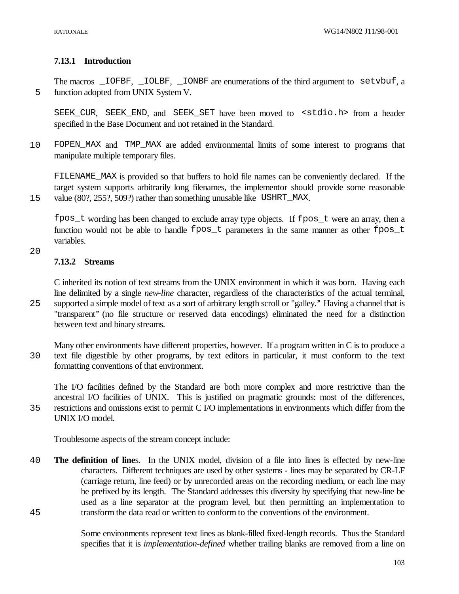# **7.13.1 Introduction**

The macros \_IOFBF, \_IOLBF, \_IONBF are enumerations of the third argument to setvbuf, a 5 function adopted from UNIX System V.

SEEK\_CUR, SEEK\_END, and SEEK\_SET have been moved to <stdio.h> from a header specified in the Base Document and not retained in the Standard.

10 FOPEN\_MAX and TMP\_MAX are added environmental limits of some interest to programs that manipulate multiple temporary files.

FILENAME\_MAX is provided so that buffers to hold file names can be conveniently declared. If the target system supports arbitrarily long filenames, the implementor should provide some reasonable 15 value (80?, 255?, 509?) rather than something unusable like USHRT\_MAX.

f pos\_t wording has been changed to exclude array type objects. If f pos\_t were an array, then a function would not be able to handle fpos\_t parameters in the same manner as other fpos\_t variables.

20

# **7.13.2 Streams**

C inherited its notion of text streams from the UNIX environment in which it was born. Having each line delimited by a single *new-line* character, regardless of the characteristics of the actual terminal, 25 supported a simple model of text as a sort of arbitrary length scroll or "galley.'' Having a channel that is "transparent'' (no file structure or reserved data encodings) eliminated the need for a distinction between text and binary streams.

Many other environments have different properties, however. If a program written in C is to produce a 30 text file digestible by other programs, by text editors in particular, it must conform to the text formatting conventions of that environment.

The I/O facilities defined by the Standard are both more complex and more restrictive than the ancestral I/O facilities of UNIX. This is justified on pragmatic grounds: most of the differences, 35 restrictions and omissions exist to permit C I/O implementations in environments which differ from the UNIX I/O model.

Troublesome aspects of the stream concept include:

40 **The definition of line**s. In the UNIX model, division of a file into lines is effected by new-line characters. Different techniques are used by other systems - lines may be separated by CR-LF (carriage return, line feed) or by unrecorded areas on the recording medium, or each line may be prefixed by its length. The Standard addresses this diversity by specifying that new-line be used as a line separator at the program level, but then permitting an implementation to 45 transform the data read or written to conform to the conventions of the environment.

> Some environments represent text lines as blank-filled fixed-length records. Thus the Standard specifies that it is *implementation-defined* whether trailing blanks are removed from a line on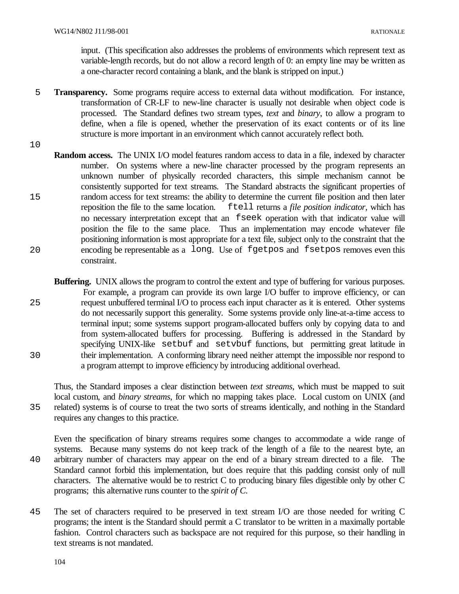input. (This specification also addresses the problems of environments which represent text as variable-length records, but do not allow a record length of 0: an empty line may be written as a one-character record containing a blank, and the blank is stripped on input.)

- 5 **Transparency.** Some programs require access to external data without modification. For instance, transformation of CR-LF to new-line character is usually not desirable when object code is processed. The Standard defines two stream types, *text* and *binary*, to allow a program to define, when a file is opened, whether the preservation of its exact contents or of its line structure is more important in an environment which cannot accurately reflect both. 10
- **Random access.** The UNIX I/O model features random access to data in a file, indexed by character number. On systems where a new-line character processed by the program represents an unknown number of physically recorded characters, this simple mechanism cannot be consistently supported for text streams. The Standard abstracts the significant properties of 15 random access for text streams: the ability to determine the current file position and then later reposition the file to the same location.  $\text{ftell returns a file position indicator, which has}$ no necessary interpretation except that an fseek operation with that indicator value will position the file to the same place. Thus an implementation may encode whatever file positioning information is most appropriate for a text file, subject only to the constraint that the 20 encoding be representable as a long. Use of fgetpos and fsetpos removes even this constraint.
- **Buffering.** UNIX allows the program to control the extent and type of buffering for various purposes. For example, a program can provide its own large I/O buffer to improve efficiency, or can 25 request unbuffered terminal I/O to process each input character as it is entered. Other systems do not necessarily support this generality. Some systems provide only line-at-a-time access to terminal input; some systems support program-allocated buffers only by copying data to and from system-allocated buffers for processing. Buffering is addressed in the Standard by specifying UNIX-like setbuf and setvbuf functions, but permitting great latitude in 30 their implementation. A conforming library need neither attempt the impossible nor respond to a program attempt to improve efficiency by introducing additional overhead.

Thus, the Standard imposes a clear distinction between *text streams*, which must be mapped to suit local custom, and *binary streams*, for which no mapping takes place. Local custom on UNIX (and 35 related) systems is of course to treat the two sorts of streams identically, and nothing in the Standard requires any changes to this practice.

Even the specification of binary streams requires some changes to accommodate a wide range of systems. Because many systems do not keep track of the length of a file to the nearest byte, an 40 arbitrary number of characters may appear on the end of a binary stream directed to a file. The Standard cannot forbid this implementation, but does require that this padding consist only of null characters. The alternative would be to restrict C to producing binary files digestible only by other C programs; this alternative runs counter to the *spirit of C*.

45 The set of characters required to be preserved in text stream I/O are those needed for writing C programs; the intent is the Standard should permit a C translator to be written in a maximally portable fashion. Control characters such as backspace are not required for this purpose, so their handling in text streams is not mandated.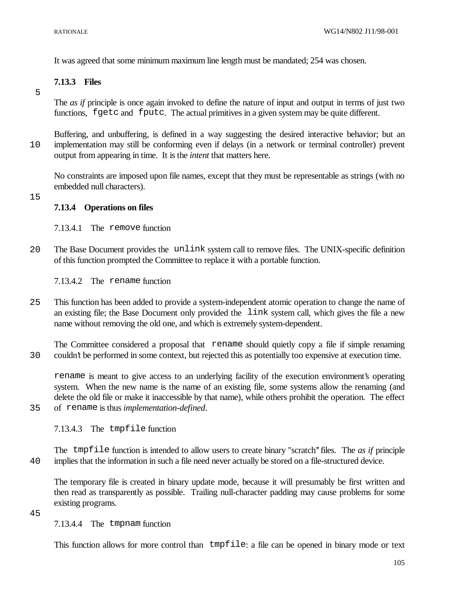It was agreed that some minimum maximum line length must be mandated; 254 was chosen.

**7.13.3 Files**

5

The *as if* principle is once again invoked to define the nature of input and output in terms of just two functions, fgetc and fputc. The actual primitives in a given system may be quite different.

Buffering, and unbuffering, is defined in a way suggesting the desired interactive behavior; but an 10 implementation may still be conforming even if delays (in a network or terminal controller) prevent output from appearing in time. It is the *intent* that matters here.

No constraints are imposed upon file names, except that they must be representable as strings (with no embedded null characters).

15

#### **7.13.4 Operations on files**

7.13.4.1 The remove function

20 The Base Document provides the unlink system call to remove files. The UNIX-specific definition of this function prompted the Committee to replace it with a portable function.

7.13.4.2 The rename function

25 This function has been added to provide a system-independent atomic operation to change the name of an existing file; the Base Document only provided the link system call, which gives the file a new name without removing the old one, and which is extremely system-dependent.

The Committee considered a proposal that rename should quietly copy a file if simple renaming 30 couldn't be performed in some context, but rejected this as potentially too expensive at execution time.

rename is meant to give access to an underlying facility of the execution environment's operating system. When the new name is the name of an existing file, some systems allow the renaming (and delete the old file or make it inaccessible by that name), while others prohibit the operation. The effect 35 of rename is thus *implementation-defined*.

7.13.4.3 The tmpfile function

The tmpfile function is intended to allow users to create binary "scratch'' files. The *as if* principle 40 implies that the information in such a file need never actually be stored on a file-structured device.

The temporary file is created in binary update mode, because it will presumably be first written and then read as transparently as possible. Trailing null-character padding may cause problems for some existing programs.

45

7.13.4.4 The tmpnam function

This function allows for more control than tmpfile: a file can be opened in binary mode or text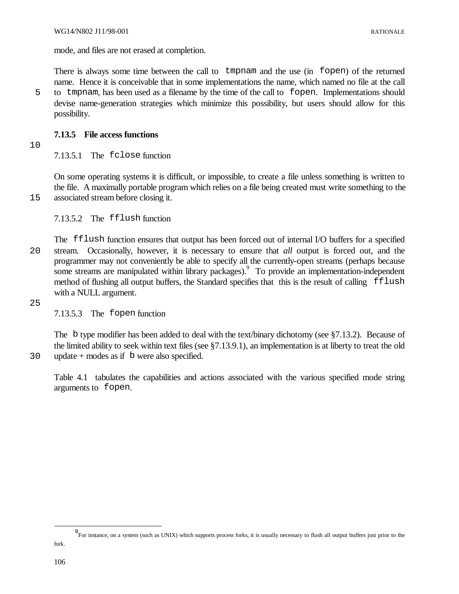mode, and files are not erased at completion.

There is always some time between the call to tmpnam and the use (in fopen) of the returned name. Hence it is conceivable that in some implementations the name, which named no file at the call 5 to tmpnam, has been used as a filename by the time of the call to fopen. Implementations should devise name-generation strategies which minimize this possibility, but users should allow for this possibility.

### **7.13.5 File access functions**

10

7.13.5.1 The fclose function

On some operating systems it is difficult, or impossible, to create a file unless something is written to the file. A maximally portable program which relies on a file being created must write something to the 15 associated stream before closing it.

7.13.5.2 The fflush function

The fflush function ensures that output has been forced out of internal I/O buffers for a specified 20 stream. Occasionally, however, it is necessary to ensure that *all* output is forced out, and the programmer may not conveniently be able to specify all the currently-open streams (perhaps because some streams are manipulated within library packages). To provide an implementation-independent method of flushing all output buffers, the Standard specifies that this is the result of calling fflush with a NULL argument.

25

7.13.5.3 The fopen function

The b type modifier has been added to deal with the text/binary dichotomy (see §7.13.2). Because of the limited ability to seek within text files (see §7.13.9.1), an implementation is at liberty to treat the old 30 update + modes as if b were also specified.

Table 4.1 tabulates the capabilities and actions associated with the various specified mode string arguments to fopen.

<sup>&</sup>lt;sup>9</sup> For instance, on a system (such as UNIX) which supports process forks, it is usually necessary to flush all output buffers just prior to the fork.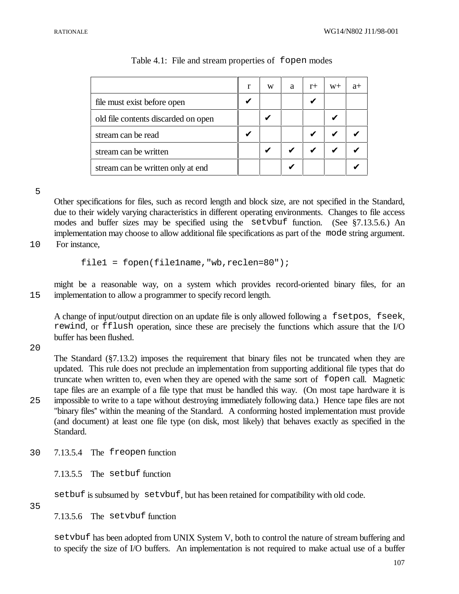|                                     | r | W | a | $r+$ | $W +$ | $a+$ |
|-------------------------------------|---|---|---|------|-------|------|
| file must exist before open         |   |   |   |      |       |      |
| old file contents discarded on open |   |   |   |      |       |      |
| stream can be read                  |   |   |   |      |       |      |
| stream can be written               |   |   |   |      |       |      |
| stream can be written only at end   |   |   |   |      |       |      |

# Table 4.1: File and stream properties of fopen modes

5

Other specifications for files, such as record length and block size, are not specified in the Standard, due to their widely varying characteristics in different operating environments. Changes to file access modes and buffer sizes may be specified using the setvbuf function. (See §7.13.5.6.) An implementation may choose to allow additional file specifications as part of the mode string argument.

10 For instance,

$$
file1 = fopen(file1name, "wb, reclen=80");
$$

might be a reasonable way, on a system which provides record-oriented binary files, for an 15 implementation to allow a programmer to specify record length.

A change of input/output direction on an update file is only allowed following a fsetpos, fseek, rewind, or fflush operation, since these are precisely the functions which assure that the I/O buffer has been flushed.

20

The Standard (§7.13.2) imposes the requirement that binary files not be truncated when they are updated. This rule does not preclude an implementation from supporting additional file types that do truncate when written to, even when they are opened with the same sort of fopen call. Magnetic tape files are an example of a file type that must be handled this way. (On most tape hardware it is 25 impossible to write to a tape without destroying immediately following data.) Hence tape files are not "binary files'' within the meaning of the Standard. A conforming hosted implementation must provide (and document) at least one file type (on disk, most likely) that behaves exactly as specified in the Standard.

30 7.13.5.4 The freopen function

7.13.5.5 The setbuf function

setbuf is subsumed by setvbuf, but has been retained for compatibility with old code.

35

7.13.5.6 The setvbuf function

setvbuf has been adopted from UNIX System V, both to control the nature of stream buffering and to specify the size of I/O buffers. An implementation is not required to make actual use of a buffer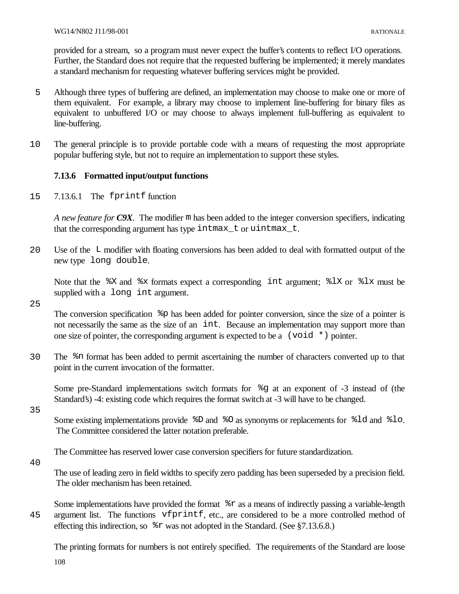provided for a stream, so a program must never expect the buffer's contents to reflect I/O operations. Further, the Standard does not require that the requested buffering be implemented; it merely mandates a standard mechanism for requesting whatever buffering services might be provided.

- 5 Although three types of buffering are defined, an implementation may choose to make one or more of them equivalent. For example, a library may choose to implement line-buffering for binary files as equivalent to unbuffered I/O or may choose to always implement full-buffering as equivalent to line-buffering.
- 10 The general principle is to provide portable code with a means of requesting the most appropriate popular buffering style, but not to require an implementation to support these styles.

# **7.13.6 Formatted input/output functions**

15 7.13.6.1 The fprintf function

*A new feature for C9X*. The modifier m has been added to the integer conversion specifiers, indicating that the corresponding argument has type intmax\_t or uintmax\_t.

20 Use of the L modifier with floating conversions has been added to deal with formatted output of the new type long double.

Note that the  $X$  and  $X$  formats expect a corresponding int argument;  $X \cup Y$  or  $X \cup Y$  must be supplied with a long int argument.

25

The conversion specification %p has been added for pointer conversion, since the size of a pointer is not necessarily the same as the size of an int. Because an implementation may support more than one size of pointer, the corresponding argument is expected to be a  $(\text{void }*)$  pointer.

30 The %n format has been added to permit ascertaining the number of characters converted up to that point in the current invocation of the formatter.

Some pre-Standard implementations switch formats for %g at an exponent of -3 instead of (the Standard's) -4: existing code which requires the format switch at -3 will have to be changed.

35

Some existing implementations provide  $\delta D$  and  $\delta O$  as synonyms or replacements for  $\delta 1d$  and  $\delta 1d$ . The Committee considered the latter notation preferable.

The Committee has reserved lower case conversion specifiers for future standardization.

40

The use of leading zero in field widths to specify zero padding has been superseded by a precision field. The older mechanism has been retained.

Some implementations have provided the format  $r \geq r$  as a means of indirectly passing a variable-length 45 argument list. The functions vfprintf, etc., are considered to be a more controlled method of effecting this indirection, so  $\mathscr{E}r$  was not adopted in the Standard. (See §7.13.6.8.)

The printing formats for numbers is not entirely specified. The requirements of the Standard are loose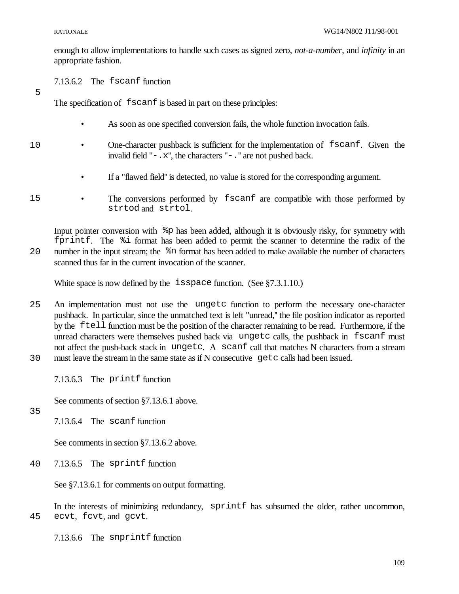enough to allow implementations to handle such cases as signed zero, *not-a-number*, and *infinity* in an appropriate fashion.

7.13.6.2 The fscanf function

5

The specification of  $f \text{ssanf}$  is based in part on these principles:

- As soon as one specified conversion fails, the whole function invocation fails.
- 10 One-character pushback is sufficient for the implementation of fscanf. Given the invalid field " $-x$ ", the characters " $-x$ " are not pushed back.
	- If a "flawed field'' is detected, no value is stored for the corresponding argument.
- 15 The conversions performed by fiscanf are compatible with those performed by strtod and strtol.

Input pointer conversion with  $\frac{1}{2}$  has been added, although it is obviously risky, for symmetry with fprintf. The %i format has been added to permit the scanner to determine the radix of the 20 number in the input stream; the %n format has been added to make available the number of characters scanned thus far in the current invocation of the scanner.

White space is now defined by the isspace function. (See §7.3.1.10.)

- 25 An implementation must not use the ungetc function to perform the necessary one-character pushback. In particular, since the unmatched text is left "unread,'' the file position indicator as reported by the ftell function must be the position of the character remaining to be read. Furthermore, if the unread characters were themselves pushed back via ungetc calls, the pushback in fscanf must not affect the push-back stack in ungetc. A scanf call that matches N characters from a stream
- 30 must leave the stream in the same state as if N consecutive getc calls had been issued.

7.13.6.3 The printf function

See comments of section §7.13.6.1 above.

35

7.13.6.4 The scanf function

See comments in section §7.13.6.2 above.

40 7.13.6.5 The sprintf function

See §7.13.6.1 for comments on output formatting.

In the interests of minimizing redundancy, sprintf has subsumed the older, rather uncommon, 45 ecvt, fcvt, and gcvt.

7.13.6.6 The snprintf function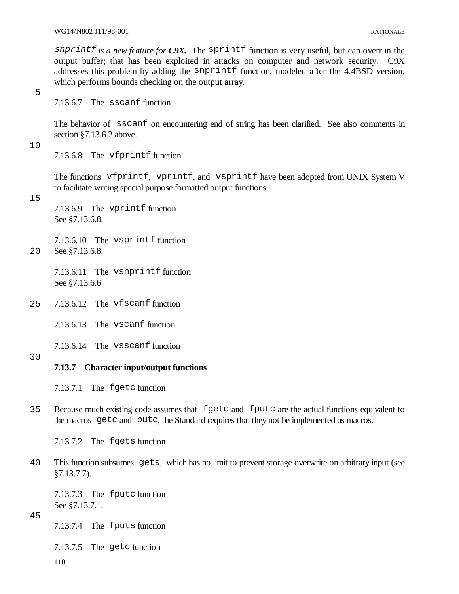snprintf is a new feature for **C9X**. The sprintf function is very useful, but can overrun the output buffer; that has been exploited in attacks on computer and network security. C9X addresses this problem by adding the snprintf function, modeled after the 4.4BSD version, which performs bounds checking on the output array.

5

7.13.6.7 The sscanf function

The behavior of sscanf on encountering end of string has been clarified. See also comments in section §7.13.6.2 above.

10

7.13.6.8 The vfprintf function

The functions vfprintf, vprintf, and vsprintf have been adopted from UNIX System V to facilitate writing special purpose formatted output functions.

15

7.13.6.9 The vprintf function See §7.13.6.8.

7.13.6.10 The vsprintf function 20 See §7.13.6.8.

> 7.13.6.11 The vsnprintf function See §7.13.6.6

25 7.13.6.12 The vfscanf function

7.13.6.13 The vscanf function

7.13.6.14 The vsscanf function

30

#### **7.13.7 Character input/output functions**

7.13.7.1 The fgetc function

35 Because much existing code assumes that fgetc and fputc are the actual functions equivalent to the macros getc and putc, the Standard requires that they not be implemented as macros.

7.13.7.2 The fgets function

40 This function subsumes gets, which has no limit to prevent storage overwrite on arbitrary input (see §7.13.7.7).

7.13.7.3 The fputc function See §7.13.7.1.

45

7.13.7.4 The fputs function

7.13.7.5 The getc function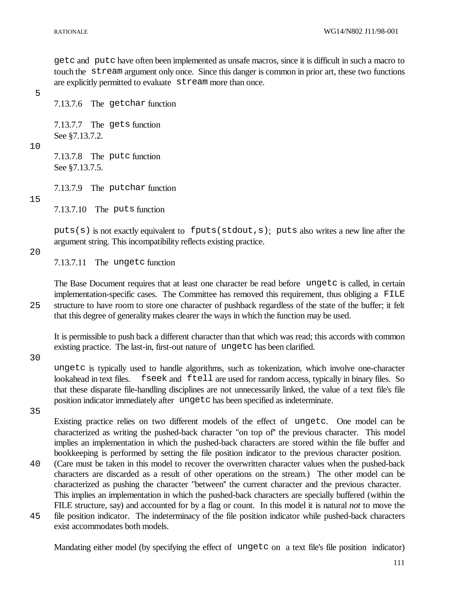getc and putc have often been implemented as unsafe macros, since it is difficult in such a macro to touch the stream argument only once. Since this danger is common in prior art, these two functions are explicitly permitted to evaluate stream more than once.

5

7.13.7.6 The getchar function

7.13.7.7 The gets function See §7.13.7.2.

10

7.13.7.8 The putc function See §7.13.7.5.

7.13.7.9 The putchar function

15

7.13.7.10 The puts function

puts(s) is not exactly equivalent to fputs(stdout,s); puts also writes a new line after the argument string. This incompatibility reflects existing practice.

20

7.13.7.11 The ungetc function

The Base Document requires that at least one character be read before ungetc is called, in certain implementation-specific cases. The Committee has removed this requirement, thus obliging a FILE 25 structure to have room to store one character of pushback regardless of the state of the buffer; it felt that this degree of generality makes clearer the ways in which the function may be used.

It is permissible to push back a different character than that which was read; this accords with common existing practice. The last-in, first-out nature of ungetc has been clarified.

30

ungetc is typically used to handle algorithms, such as tokenization, which involve one-character lookahead in text files. fseek and ftell are used for random access, typically in binary files. So that these disparate file-handling disciplines are not unnecessarily linked, the value of a text file's file position indicator immediately after ungetc has been specified as indeterminate.

35

Existing practice relies on two different models of the effect of ungetc. One model can be characterized as writing the pushed-back character "on top of'' the previous character. This model implies an implementation in which the pushed-back characters are stored within the file buffer and bookkeeping is performed by setting the file position indicator to the previous character position.

- 40 (Care must be taken in this model to recover the overwritten character values when the pushed-back characters are discarded as a result of other operations on the stream.) The other model can be characterized as pushing the character "between'' the current character and the previous character. This implies an implementation in which the pushed-back characters are specially buffered (within the FILE structure, say) and accounted for by a flag or count. In this model it is natural *not* to move the
- 45 file position indicator. The indeterminacy of the file position indicator while pushed-back characters exist accommodates both models.

Mandating either model (by specifying the effect of ungetc on a text file's file position indicator)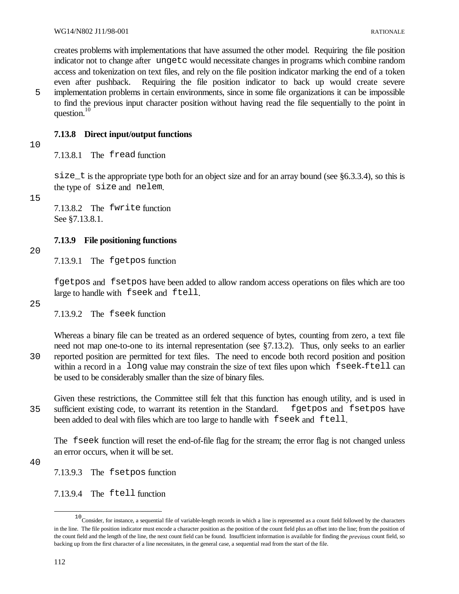creates problems with implementations that have assumed the other model. Requiring the file position indicator not to change after ungetc would necessitate changes in programs which combine random access and tokenization on text files, and rely on the file position indicator marking the end of a token even after pushback. Requiring the file position indicator to back up would create severe 5 implementation problems in certain environments, since in some file organizations it can be impossible to find the previous input character position without having read the file sequentially to the point in question. $10$ 

#### **7.13.8 Direct input/output functions**

10

7.13.8.1 The fread function

size\_t is the appropriate type both for an object size and for an array bound (see §6.3.3.4), so this is the type of size and nelem.

15

7.13.8.2 The fwrite function See §7.13.8.1.

**7.13.9 File positioning functions**

20

7.13.9.1 The fgetpos function

fgetpos and fsetpos have been added to allow random access operations on files which are too large to handle with fseek and ftell.

25

7.13.9.2 The fseek function

Whereas a binary file can be treated as an ordered sequence of bytes, counting from zero, a text file need not map one-to-one to its internal representation (see §7.13.2). Thus, only seeks to an earlier 30 reported position are permitted for text files. The need to encode both record position and position within a record in a long value may constrain the size of text files upon which fseek-ftell can be used to be considerably smaller than the size of binary files.

Given these restrictions, the Committee still felt that this function has enough utility, and is used in 35 sufficient existing code, to warrant its retention in the Standard. fgetpos and fsetpos have been added to deal with files which are too large to handle with fseek and ftell.

The fseek function will reset the end-of-file flag for the stream; the error flag is not changed unless an error occurs, when it will be set.

40

7.13.9.3 The fsetpos function

7.13.9.4 The ftell function

 $10$  Consider, for instance, a sequential file of variable-length records in which a line is represented as a count field followed by the characters in the line. The file position indicator must encode a character position as the position of the count field plus an offset into the line; from the position of the count field and the length of the line, the next count field can be found. Insufficient information is available for finding the *previous* count field, so backing up from the first character of a line necessitates, in the general case, a sequential read from the start of the file.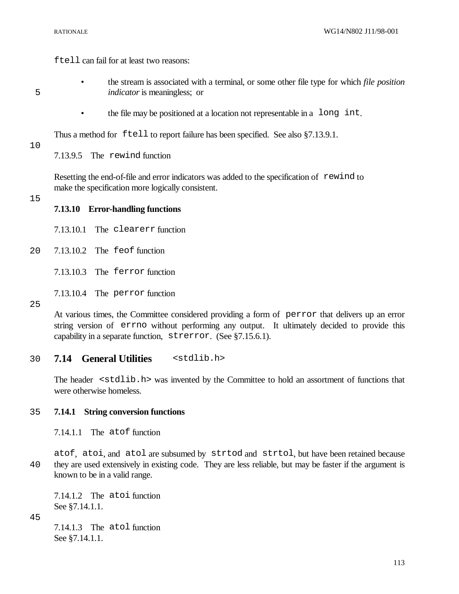ftell can fail for at least two reasons:

- the stream is associated with a terminal, or some other file type for which *file position* 5 *indicator* is meaningless; or
	- the file may be positioned at a location not representable in a long int.

Thus a method for ftell to report failure has been specified. See also §7.13.9.1.

10

7.13.9.5 The rewind function

Resetting the end-of-file and error indicators was added to the specification of rewind to make the specification more logically consistent.

15

#### **7.13.10 Error-handling functions**

- 7.13.10.1 The clearerr function
- 20 7.13.10.2 The feof function

7.13.10.3 The ferror function

7.13.10.4 The perror function

25

At various times, the Committee considered providing a form of perror that delivers up an error string version of errno without performing any output. It ultimately decided to provide this capability in a separate function, strerror. (See §7.15.6.1).

30 **7.14 General Utilities** <stdlib.h>

The header <stdlib.h> was invented by the Committee to hold an assortment of functions that were otherwise homeless.

#### 35 **7.14.1 String conversion functions**

7.14.1.1 The atof function

atof, atoi, and atol are subsumed by strtod and strtol, but have been retained because 40 they are used extensively in existing code. They are less reliable, but may be faster if the argument is known to be in a valid range.

7.14.1.2 The atoi function See §7.14.1.1.

45

7.14.1.3 The atol function See §7.14.1.1.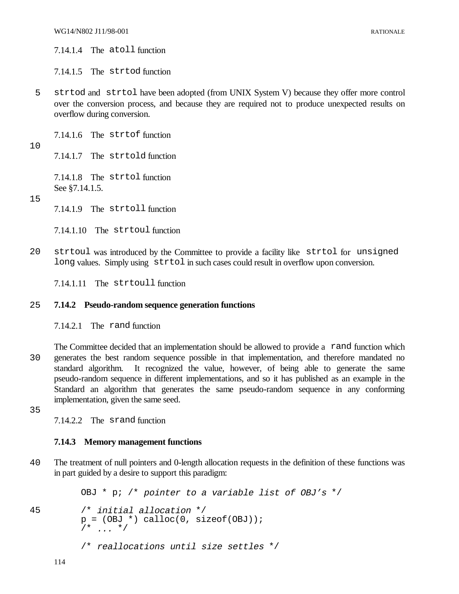7.14.1.4 The atoll function

7.14.1.5 The strtod function

5 strtod and strtol have been adopted (from UNIX System V) because they offer more control over the conversion process, and because they are required not to produce unexpected results on overflow during conversion.

7.14.1.6 The strtof function

10

7.14.1.7 The strtold function

7.14.1.8 The strtol function See §7.14.1.5.

15

7.14.1.9 The strtoll function

7.14.1.10 The strtoul function

20 strtoul was introduced by the Committee to provide a facility like strtol for unsigned long values. Simply using strtol in such cases could result in overflow upon conversion.

7.14.1.11 The strtoull function

#### 25 **7.14.2 Pseudo-random sequence generation functions**

7.14.2.1 The rand function

The Committee decided that an implementation should be allowed to provide a rand function which 30 generates the best random sequence possible in that implementation, and therefore mandated no standard algorithm. It recognized the value, however, of being able to generate the same pseudo-random sequence in different implementations, and so it has published as an example in the Standard an algorithm that generates the same pseudo-random sequence in any conforming implementation, given the same seed.

35

7.14.2.2 The srand function

#### **7.14.3 Memory management functions**

40 The treatment of null pointers and 0-length allocation requests in the definition of these functions was in part guided by a desire to support this paradigm:

```
OBJ * p; /* pointer to a variable list of OBJ's */
45 /* initial allocation */
         p = (0BJ * ) calloc(0, sizeof(OBJ));/* ... */
         /* reallocations until size settles */
```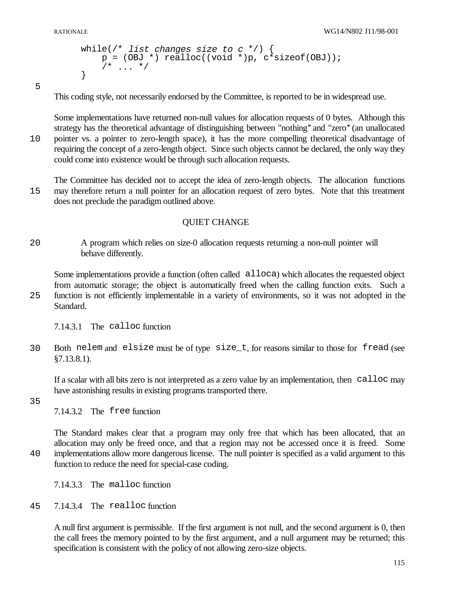```
while(/* list changes size to c */) {
   p = (0BJ *) realloc((void * )p, c*sizeof(OBJ));/* ... */
}
```
5

This coding style, not necessarily endorsed by the Committee, is reported to be in widespread use.

Some implementations have returned non-null values for allocation requests of 0 bytes. Although this strategy has the theoretical advantage of distinguishing between "nothing'' and "zero'' (an unallocated 10 pointer vs. a pointer to zero-length space), it has the more compelling theoretical disadvantage of requiring the concept of a zero-length object. Since such objects cannot be declared, the only way they could come into existence would be through such allocation requests.

The Committee has decided not to accept the idea of zero-length objects. The allocation functions 15 may therefore return a null pointer for an allocation request of zero bytes. Note that this treatment does not preclude the paradigm outlined above.

#### QUIET CHANGE

20 A program which relies on size-0 allocation requests returning a non-null pointer will behave differently.

Some implementations provide a function (often called alloca) which allocates the requested object from automatic storage; the object is automatically freed when the calling function exits. Such a 25 function is not efficiently implementable in a variety of environments, so it was not adopted in the Standard.

7.14.3.1 The calloc function

30 Both nelem and elsize must be of type size\_t, for reasons similar to those for fread (see §7.13.8.1).

If a scalar with all bits zero is not interpreted as a zero value by an implementation, then calloc may have astonishing results in existing programs transported there.

35

7.14.3.2 The free function

The Standard makes clear that a program may only free that which has been allocated, that an allocation may only be freed once, and that a region may not be accessed once it is freed. Some 40 implementations allow more dangerous license. The null pointer is specified as a valid argument to this function to reduce the need for special-case coding.

7.14.3.3 The malloc function

45 7.14.3.4 The realloc function

A null first argument is permissible. If the first argument is not null, and the second argument is 0, then the call frees the memory pointed to by the first argument, and a null argument may be returned; this specification is consistent with the policy of not allowing zero-size objects.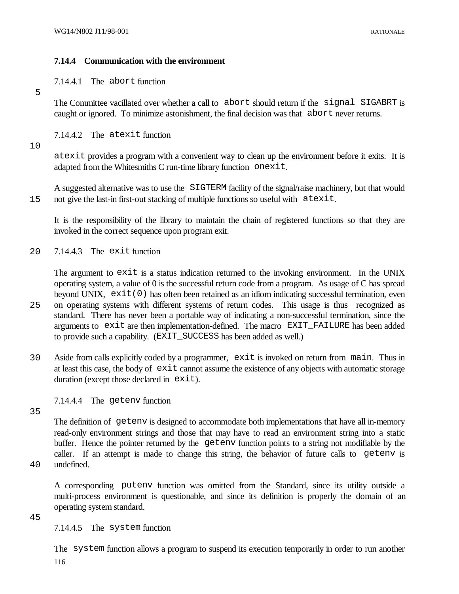#### **7.14.4 Communication with the environment**

7.14.4.1 The abort function

The Committee vacillated over whether a call to abort should return if the signal SIGABRT is caught or ignored. To minimize astonishment, the final decision was that abort never returns.

7.14.4.2 The atexit function

10

atexit provides a program with a convenient way to clean up the environment before it exits. It is adapted from the Whitesmiths C run-time library function onexit.

A suggested alternative was to use the SIGTERM facility of the signal/raise machinery, but that would 15 not give the last-in first-out stacking of multiple functions so useful with atexit.

It is the responsibility of the library to maintain the chain of registered functions so that they are invoked in the correct sequence upon program exit.

20 7.14.4.3 The exit function

The argument to exit is a status indication returned to the invoking environment. In the UNIX operating system, a value of 0 is the successful return code from a program. As usage of C has spread beyond UNIX,  $ext{exit}(0)$  has often been retained as an idiom indicating successful termination, even

- 25 on operating systems with different systems of return codes. This usage is thus recognized as standard. There has never been a portable way of indicating a non-successful termination, since the arguments to exit are then implementation-defined. The macro EXIT\_FAILURE has been added to provide such a capability. (EXIT\_SUCCESS has been added as well.)
- 30 Aside from calls explicitly coded by a programmer, exit is invoked on return from main. Thus in at least this case, the body of exit cannot assume the existence of any objects with automatic storage duration (except those declared in exit).

7.14.4.4 The getenv function

35

The definition of getenv is designed to accommodate both implementations that have all in-memory read-only environment strings and those that may have to read an environment string into a static buffer. Hence the pointer returned by the getenv function points to a string not modifiable by the caller. If an attempt is made to change this string, the behavior of future calls to getenv is

40 undefined.

A corresponding putenv function was omitted from the Standard, since its utility outside a multi-process environment is questionable, and since its definition is properly the domain of an operating system standard.

45

7.14.4.5 The system function

The system function allows a program to suspend its execution temporarily in order to run another

<sup>5</sup>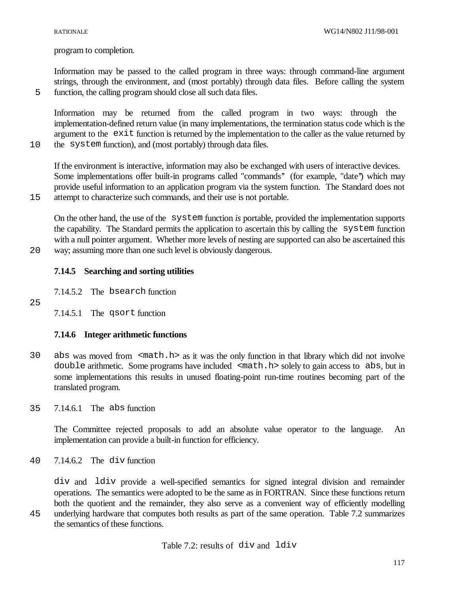program to completion.

Information may be passed to the called program in three ways: through command-line argument strings, through the environment, and (most portably) through data files. Before calling the system 5 function, the calling program should close all such data files.

Information may be returned from the called program in two ways: through the implementation-defined return value (in many implementations, the termination status code which is the argument to the exit function is returned by the implementation to the caller as the value returned by

10 the system function), and (most portably) through data files.

If the environment is interactive, information may also be exchanged with users of interactive devices. Some implementations offer built-in programs called "commands" (for example, "date") which may provide useful information to an application program via the system function. The Standard does not 15 attempt to characterize such commands, and their use is not portable.

On the other hand, the use of the system function *is* portable, provided the implementation supports the capability. The Standard permits the application to ascertain this by calling the system function with a null pointer argument. Whether more levels of nesting are supported can also be ascertained this 20 way; assuming more than one such level is obviously dangerous.

# **7.14.5 Searching and sorting utilities**

7.14.5.2 The bsearch function

25

7.14.5.1 The qsort function

#### **7.14.6 Integer arithmetic functions**

- 30 abs was moved from <math.h> as it was the only function in that library which did not involve double arithmetic. Some programs have included <math.h> solely to gain access to abs, but in some implementations this results in unused floating-point run-time routines becoming part of the translated program.
- 35 7.14.6.1 The abs function

The Committee rejected proposals to add an absolute value operator to the language. An implementation can provide a built-in function for efficiency.

40 7.14.6.2 The div function

div and ldiv provide a well-specified semantics for signed integral division and remainder operations. The semantics were adopted to be the same as in FORTRAN. Since these functions return both the quotient and the remainder, they also serve as a convenient way of efficiently modelling

45 underlying hardware that computes both results as part of the same operation. Table 7.2 summarizes the semantics of these functions.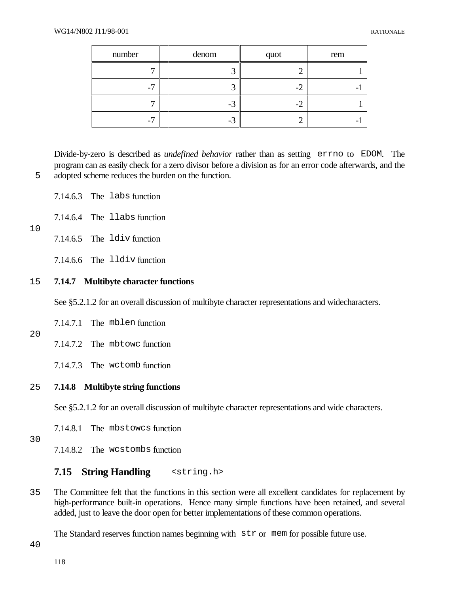| number | denom    | quot | rem |  |
|--------|----------|------|-----|--|
|        |          |      |     |  |
|        |          |      |     |  |
|        | ◠<br>- ٦ |      |     |  |
|        | ◠<br>- 1 |      |     |  |

Divide-by-zero is described as *undefined behavior* rather than as setting errno to EDOM. The program can as easily check for a zero divisor before a division as for an error code afterwards, and the 5 adopted scheme reduces the burden on the function.

- 7.14.6.3 The labs function
- 7.14.6.4 The llabs function

#### 10

- 7.14.6.5 The ldiv function
- 7.14.6.6 The lldiv function

#### 15 **7.14.7 Multibyte character functions**

See §5.2.1.2 for an overall discussion of multibyte character representations and widecharacters.

| 7.14.7.1 The mblen function |  |  |  |
|-----------------------------|--|--|--|
|-----------------------------|--|--|--|

- 20
- 7.14.7.2 The mbtowc function
- 7.14.7.3 The wctomb function

#### 25 **7.14.8 Multibyte string functions**

See §5.2.1.2 for an overall discussion of multibyte character representations and wide characters.

7.14.8.1 The mbstowcs function

30

7.14.8.2 The wcstombs function

# **7.15 String Handling** <string.h>

35 The Committee felt that the functions in this section were all excellent candidates for replacement by high-performance built-in operations. Hence many simple functions have been retained, and several added, just to leave the door open for better implementations of these common operations.

The Standard reserves function names beginning with  $str$  or mem for possible future use.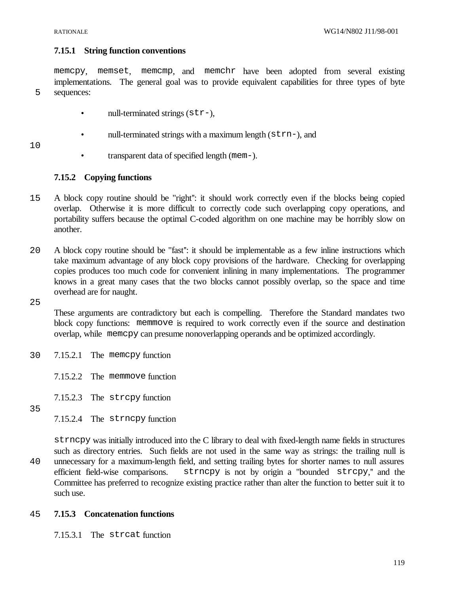#### **7.15.1 String function conventions**

memcpy, memset, memcmp, and memchr have been adopted from several existing implementations. The general goal was to provide equivalent capabilities for three types of byte 5 sequences:

- null-terminated strings (str-),
- null-terminated strings with a maximum length (strn-), and
- 10
- transparent data of specified length (mem-).

#### **7.15.2 Copying functions**

- 15 A block copy routine should be "right'': it should work correctly even if the blocks being copied overlap. Otherwise it is more difficult to correctly code such overlapping copy operations, and portability suffers because the optimal C-coded algorithm on one machine may be horribly slow on another.
- 20 A block copy routine should be "fast'': it should be implementable as a few inline instructions which take maximum advantage of any block copy provisions of the hardware. Checking for overlapping copies produces too much code for convenient inlining in many implementations. The programmer knows in a great many cases that the two blocks cannot possibly overlap, so the space and time overhead are for naught.
- 25

These arguments are contradictory but each is compelling. Therefore the Standard mandates two block copy functions: memmove is required to work correctly even if the source and destination overlap, while memcpy can presume nonoverlapping operands and be optimized accordingly.

30 7.15.2.1 The memcpy function

7.15.2.2 The memmove function

7.15.2.3 The strcpy function

35

7.15.2.4 The strncpy function

strncpy was initially introduced into the C library to deal with fixed-length name fields in structures such as directory entries. Such fields are not used in the same way as strings: the trailing null is 40 unnecessary for a maximum-length field, and setting trailing bytes for shorter names to null assures efficient field-wise comparisons. strncpy is not by origin a "bounded strcpy,'' and the Committee has preferred to recognize existing practice rather than alter the function to better suit it to such use.

#### 45 **7.15.3 Concatenation functions**

7.15.3.1 The strcat function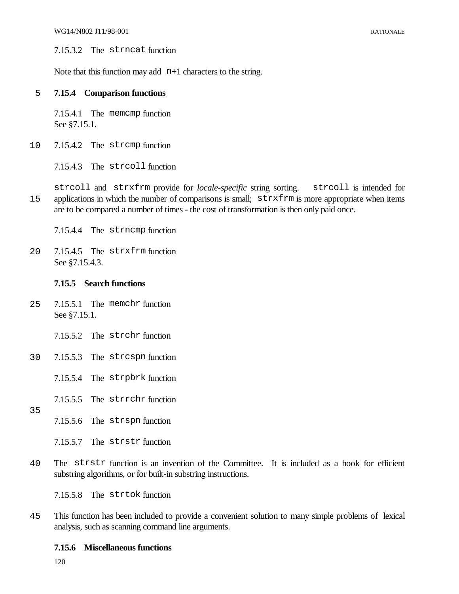#### 7.15.3.2 The strncat function

Note that this function may add  $n+1$  characters to the string.

#### 5 **7.15.4 Comparison functions**

7.15.4.1 The memcmp function See §7.15.1.

10 7.15.4.2 The strcmp function

7.15.4.3 The strcoll function

strcoll and strxfrm provide for *locale-specific* string sorting. strcoll is intended for 15 applications in which the number of comparisons is small; strxfrm is more appropriate when items are to be compared a number of times - the cost of transformation is then only paid once.

7.15.4.4 The strncmp function

20 7.15.4.5 The strxfrm function See §7.15.4.3.

#### **7.15.5 Search functions**

- 25 7.15.5.1 The memchr function See §7.15.1.
	- 7.15.5.2 The strchr function
- 30 7.15.5.3 The strcspn function
	- 7.15.5.4 The strpbrk function
	- 7.15.5.5 The strrchr function
- 35
- 7.15.5.6 The strspn function
- 7.15.5.7 The strstr function
- 40 The strstr function is an invention of the Committee. It is included as a hook for efficient substring algorithms, or for built-in substring instructions.

7.15.5.8 The strtok function

45 This function has been included to provide a convenient solution to many simple problems of lexical analysis, such as scanning command line arguments.

#### **7.15.6 Miscellaneous functions**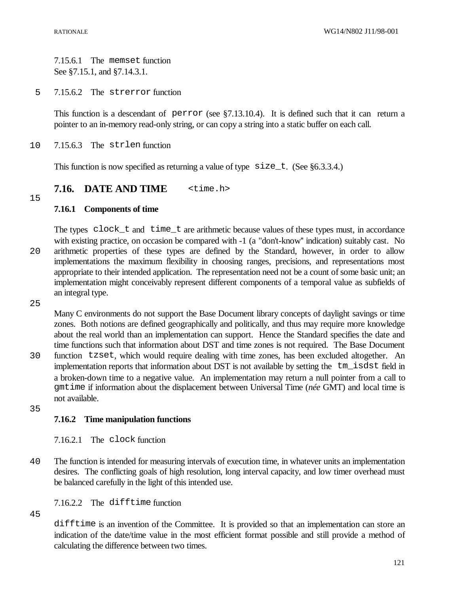7.15.6.1 The memset function See §7.15.1, and §7.14.3.1.

5 7.15.6.2 The strerror function

This function is a descendant of perror (see  $\S7.13.10.4$ ). It is defined such that it can return a pointer to an in-memory read-only string, or can copy a string into a static buffer on each call.

10 7.15.6.3 The strlen function

This function is now specified as returning a value of type  $size_t$ . (See §6.3.3.4.)

# **7.16. DATE AND TIME** <time.h>

15

#### **7.16.1 Components of time**

The types clock\_t and time\_t are arithmetic because values of these types must, in accordance with existing practice, on occasion be compared with  $-1$  (a "don't-know" indication) suitably cast. No 20 arithmetic properties of these types are defined by the Standard, however, in order to allow implementations the maximum flexibility in choosing ranges, precisions, and representations most appropriate to their intended application. The representation need not be a count of some basic unit; an implementation might conceivably represent different components of a temporal value as subfields of an integral type.

25

Many C environments do not support the Base Document library concepts of daylight savings or time zones. Both notions are defined geographically and politically, and thus may require more knowledge about the real world than an implementation can support. Hence the Standard specifies the date and time functions such that information about DST and time zones is not required. The Base Document 30 function tzset, which would require dealing with time zones, has been excluded altogether. An implementation reports that information about DST is not available by setting the tm\_isdst field in a broken-down time to a negative value. An implementation may return a null pointer from a call to

gmtime if information about the displacement between Universal Time (*née* GMT) and local time is

35

#### **7.16.2 Time manipulation functions**

7.16.2.1 The clock function

not available.

40 The function is intended for measuring intervals of execution time, in whatever units an implementation desires. The conflicting goals of high resolution, long interval capacity, and low timer overhead must be balanced carefully in the light of this intended use.

7.16.2.2 The difftime function

45

difftime is an invention of the Committee. It is provided so that an implementation can store an indication of the date/time value in the most efficient format possible and still provide a method of calculating the difference between two times.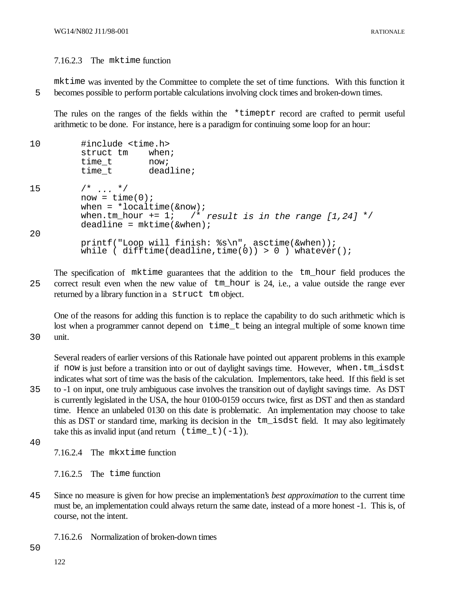#### 7.16.2.3 The mktime function

mktime was invented by the Committee to complete the set of time functions. With this function it 5 becomes possible to perform portable calculations involving clock times and broken-down times.

The rules on the ranges of the fields within the \*timeptr record are crafted to permit useful arithmetic to be done. For instance, here is a paradigm for continuing some loop for an hour:

| 10 | #include <time.h></time.h>  |                                                          |  |  |  |
|----|-----------------------------|----------------------------------------------------------|--|--|--|
|    | struct tm when;             |                                                          |  |  |  |
|    | time t now;                 |                                                          |  |  |  |
|    | time t deadline;            |                                                          |  |  |  |
| 15 | $\frac{1}{2}$ $\frac{1}{2}$ |                                                          |  |  |  |
|    | $now = time(0);$            |                                                          |  |  |  |
|    |                             | when = $*location(\&now);$                               |  |  |  |
|    |                             | when.tm_hour += 1; /* result is in the range $[1,24]$ */ |  |  |  |
|    |                             | $deadline = mktime(\& when);$                            |  |  |  |
| 20 |                             |                                                          |  |  |  |
|    |                             | printf("Loop will finish: $s\n$ ", asctime(&when));      |  |  |  |
|    |                             | while ( $difftime(deadline, time(0)) > 0$ ) whatever();  |  |  |  |

The specification of mktime guarantees that the addition to the tm\_hour field produces the 25 correct result even when the new value of tm\_hour is 24, i.e., a value outside the range ever returned by a library function in a struct tm object.

One of the reasons for adding this function is to replace the capability to do such arithmetic which is lost when a programmer cannot depend on time\_t being an integral multiple of some known time 30 unit.

Several readers of earlier versions of this Rationale have pointed out apparent problems in this example if now is just before a transition into or out of daylight savings time. However, when.tm\_isdst indicates what sort of time was the basis of the calculation. Implementors, take heed. If this field is set 35 to -1 on input, one truly ambiguous case involves the transition out of daylight savings time. As DST is currently legislated in the USA, the hour 0100-0159 occurs twice, first as DST and then as standard time. Hence an unlabeled 0130 on this date is problematic. An implementation may choose to take this as DST or standard time, marking its decision in the tm\_isdst field. It may also legitimately

40

- 7.16.2.4 The mkxtime function
- 7.16.2.5 The time function
- 45 Since no measure is given for how precise an implementation's *best approximation* to the current time must be, an implementation could always return the same date, instead of a more honest -1. This is, of course, not the intent.
	- 7.16.2.6 Normalization of broken-down times

take this as invalid input (and return  $(time_t)(-1)$ ).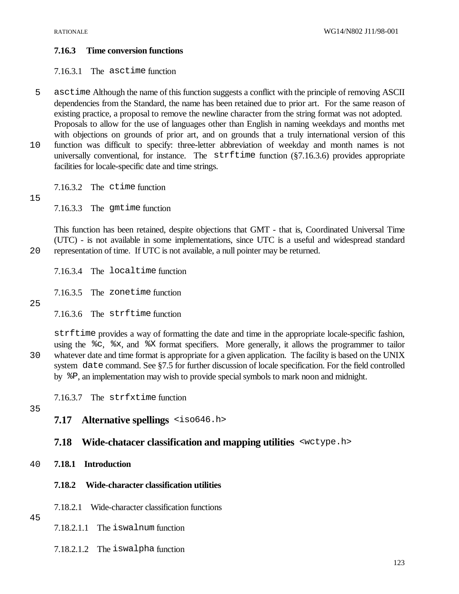# **7.16.3 Time conversion functions**

7.16.3.1 The asctime function

- 5 asctime Although the name of this function suggests a conflict with the principle of removing ASCII dependencies from the Standard, the name has been retained due to prior art. For the same reason of existing practice, a proposal to remove the newline character from the string format was not adopted. Proposals to allow for the use of languages other than English in naming weekdays and months met with objections on grounds of prior art, and on grounds that a truly international version of this
- 10 function was difficult to specify: three-letter abbreviation of weekday and month names is not universally conventional, for instance. The strftime function (§7.16.3.6) provides appropriate facilities for locale-specific date and time strings.

7.16.3.2 The ctime function

15

7.16.3.3 The gmtime function

This function has been retained, despite objections that GMT - that is, Coordinated Universal Time (UTC) - is not available in some implementations, since UTC is a useful and widespread standard 20 representation of time. If UTC is not available, a null pointer may be returned.

7.16.3.4 The localtime function

7.16.3.5 The zonetime function

25

7.16.3.6 The strftime function

strftime provides a way of formatting the date and time in the appropriate locale-specific fashion, using the %c, %x, and %X format specifiers. More generally, it allows the programmer to tailor 30 whatever date and time format is appropriate for a given application. The facility is based on the UNIX system date command. See §7.5 for further discussion of locale specification. For the field controlled by %P, an implementation may wish to provide special symbols to mark noon and midnight.

7.16.3.7 The strfxtime function

35

45

# **7.17 Alternative spellings** <iso646.h>

# **7.18 Wide-chatacer classification and mapping utilities** <wctype.h>

# 40 **7.18.1 Introduction**

# **7.18.2 Wide-character classification utilities**

- 7.18.2.1 Wide-character classification functions
- 7.18.2.1.1 The iswalnum function
- 7.18.2.1.2 The iswalpha function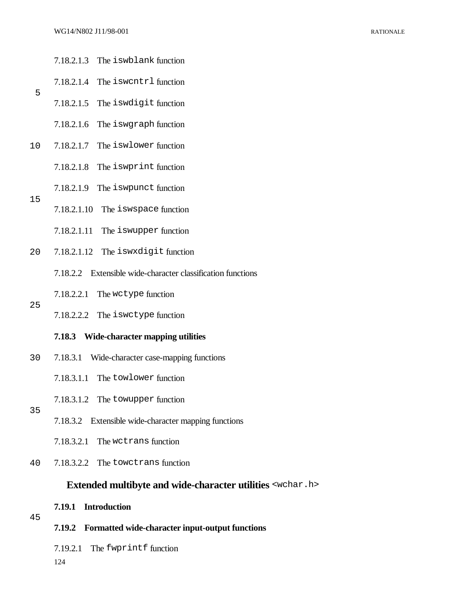WG14/N802 J11/98-001 RATIONALE

- 7.18.2.1.3 The iswblank function
- 7.18.2.1.4 The iswcntrl function
- 7.18.2.1.5 The iswdigit function
- 7.18.2.1.6 The iswgraph function
- 10 7.18.2.1.7 The iswlower function
	- 7.18.2.1.8 The iswprint function
	- 7.18.2.1.9 The iswpunct function
- 15

5

- 7.18.2.1.10 The iswspace function
- 7.18.2.1.11 The iswupper function
- 20 7.18.2.1.12 The iswxdigit function
	- 7.18.2.2 Extensible wide-character classification functions
	- 7.18.2.2.1 The wctype function
- 25
- 7.18.2.2.2 The iswctype function

#### **7.18.3 Wide-character mapping utilities**

- 30 7.18.3.1 Wide-character case-mapping functions
	- 7.18.3.1.1 The towlower function
	- 7.18.3.1.2 The towupper function
- 35

45

- 7.18.3.2 Extensible wide-character mapping functions
- 7.18.3.2.1 The wctrans function
- 40 7.18.3.2.2 The towctrans function

# **Extended multibyte and wide-character utilities <wchar.h>**

- **7.19.1 Introduction**
- **7.19.2 Formatted wide-character input-output functions**
- 7.19.2.1 The fwprintf function
- 124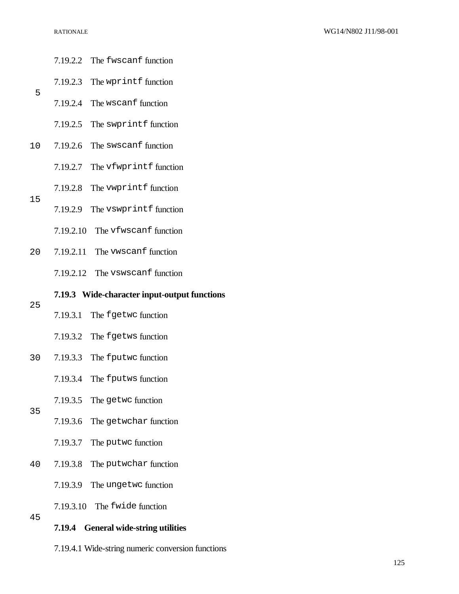#### 7.19.2.2 The fwscanf function

- 7.19.2.3 The wprintf function
- 7.19.2.4 The wscanf function
	- 7.19.2.5 The swprintf function
- 10 7.19.2.6 The swscanf function
	- 7.19.2.7 The vfwprintf function
	- 7.19.2.8 The vwprintf function
- 15

5

- 7.19.2.9 The vswprintf function
- 7.19.2.10 The vfwscanf function
- 20 7.19.2.11 The vwscanf function
	- 7.19.2.12 The vswscanf function

### **7.19.3 Wide-character input-output functions**

25

7.19.3.1 The fgetwc function

- 7.19.3.2 The fgetws function
- 30 7.19.3.3 The fputwc function
	- 7.19.3.4 The fputws function
	- 7.19.3.5 The getwc function
- 35
- 7.19.3.6 The getwchar function
- 7.19.3.7 The putwc function
- 40 7.19.3.8 The putwchar function
	- 7.19.3.9 The ungetwc function
	- 7.19.3.10 The fwide function
- 45
- **7.19.4 General wide-string utilities**
- 7.19.4.1 Wide-string numeric conversion functions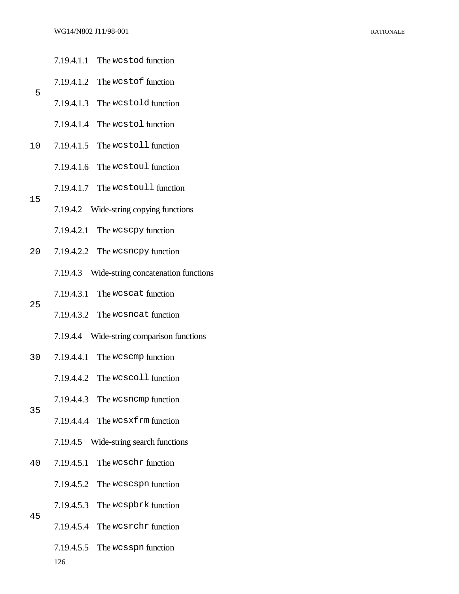WG14/N802 J11/98-001 RATIONALE

- 7.19.4.1.1 The wcstod function
- 7.19.4.1.2 The wcstof function
- 7.19.4.1.3 The wcstold function
- 7.19.4.1.4 The wcstol function
- 10 7.19.4.1.5 The wcstoll function
	- 7.19.4.1.6 The wcstoul function
	- 7.19.4.1.7 The wcstoull function
- 15

5

- 7.19.4.2 Wide-string copying functions
- 7.19.4.2.1 The wcscpy function
- 20 7.19.4.2.2 The wcsncpy function
	- 7.19.4.3 Wide-string concatenation functions
	- 7.19.4.3.1 The wcscat function
- 25

7.19.4.3.2 The wcsncat function

- 7.19.4.4 Wide-string comparison functions
- 30 7.19.4.4.1 The wcscmp function
	- 7.19.4.4.2 The wcscoll function
	- 7.19.4.4.3 The wcsncmp function
- 35

45

- 7.19.4.4.4 The wcsxfrm function
- 7.19.4.5 Wide-string search functions
- 40 7.19.4.5.1 The wcschr function
	- 7.19.4.5.2 The wcscspn function
	- 7.19.4.5.3 The wcspbrk function
	- 7.19.4.5.4 The wcsrchr function
		- 7.19.4.5.5 The wcsspn function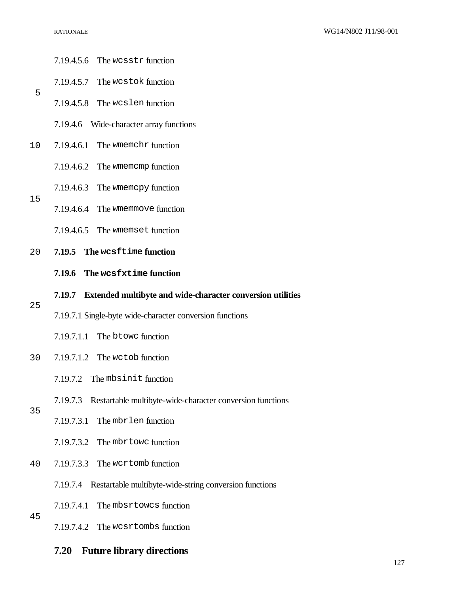# 7.19.4.5.6 The wcsstr function

- 7.19.4.5.7 The wcstok function
- 7.19.4.5.8 The wcslen function
- 7.19.4.6 Wide-character array functions
- 10 7.19.4.6.1 The wmemchr function
	- 7.19.4.6.2 The wmemcmp function
	- 7.19.4.6.3 The wmemcpy function
- 15

25

5

- 7.19.4.6.4 The wmemmove function
- 7.19.4.6.5 The wmemset function

# 20 **7.19.5 The wcsftime function**

### **7.19.6 The wcsfxtime function**

- **7.19.7 Extended multibyte and wide-character conversion utilities**
	- 7.19.7.1 Single-byte wide-character conversion functions
	- 7.19.7.1.1 The btowc function
- 30 7.19.7.1.2 The wctob function
	- 7.19.7.2 The mbsinit function
	- 7.19.7.3 Restartable multibyte-wide-character conversion functions
- 35
- 7.19.7.3.1 The mbrlen function
- 7.19.7.3.2 The mbrtowc function
- 40 7.19.7.3.3 The wcrtomb function
	- 7.19.7.4 Restartable multibyte-wide-string conversion functions
	- 7.19.7.4.1 The mbsrtowcs function
- 45
- 7.19.7.4.2 The wcsrtombs function
- **7.20 Future library directions**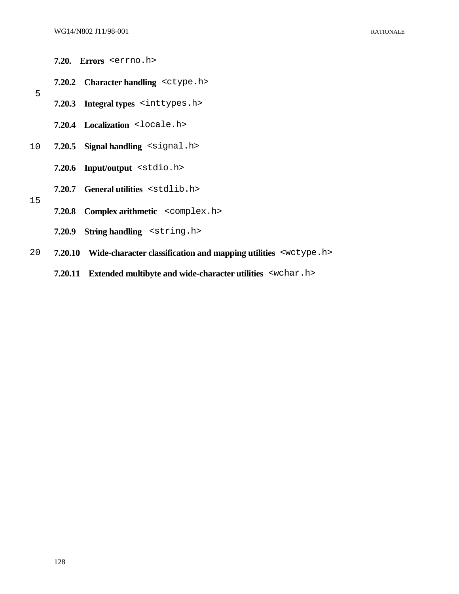- **7.20. Errors** <errno.h>
- **7.20.2 Character handling** <ctype.h>
- **7.20.3 Integral types** <inttypes.h>
- **7.20.4 Localization** <locale.h>
- 10 **7.20.5 Signal handling** <signal.h>
	- **7.20.6 Input/output** <stdio.h>
	- **7.20.7 General utilities** <stdlib.h>

15

- **7.20.8 Complex arithmetic** <complex.h>
- **7.20.9 String handling** <string.h>
- 20 **7.20.10 Wide-character classification and mapping utilities** <wctype.h>
	- **7.20.11 Extended multibyte and wide-character utilities** <wchar.h>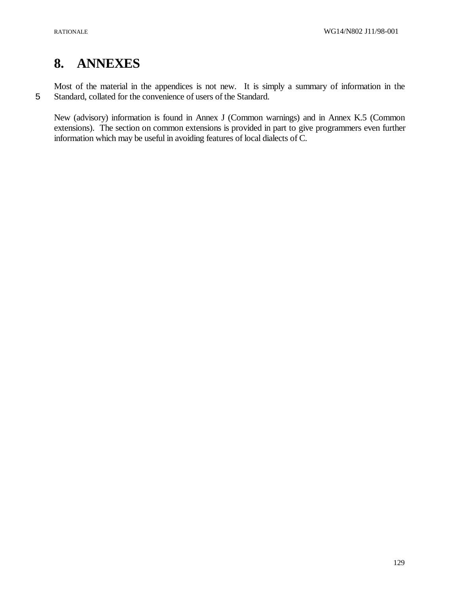# **8. ANNEXES**

Most of the material in the appendices is not new. It is simply a summary of information in the 5 Standard, collated for the convenience of users of the Standard.

New (advisory) information is found in Annex J (Common warnings) and in Annex K.5 (Common extensions). The section on common extensions is provided in part to give programmers even further information which may be useful in avoiding features of local dialects of C.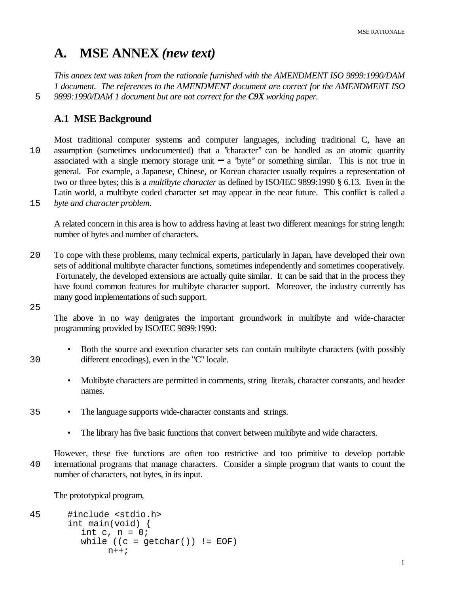# **A. MSE ANNEX** *(new text)*

*This annex text was taken from the rationale furnished with the AMENDMENT ISO 9899:1990/DAM 1 document. The references to the AMENDMENT document are correct for the AMENDMENT ISO* 5 *9899:1990/DAM 1 document but are not correct for the C9X working paper.*

## **A.1 MSE Background**

Most traditional computer systems and computer languages, including traditional C, have an 10 assumption (sometimes undocumented) that a "character" can be handled as an atomic quantity associated with a single memory storage unit  $-$  a "byte" or something similar. This is not true in general. For example, a Japanese, Chinese, or Korean character usually requires a representation of two or three bytes; this is a *multibyte character* as defined by ISO/IEC 9899:1990 § 6.13. Even in the Latin world, a multibyte coded character set may appear in the near future. This conflict is called a 15 *byte and character problem*.

A related concern in this area is how to address having at least two different meanings for string length: number of bytes and number of characters.

- 20 To cope with these problems, many technical experts, particularly in Japan, have developed their own sets of additional multibyte character functions, sometimes independently and sometimes cooperatively. Fortunately, the developed extensions are actually quite similar. It can be said that in the process they have found common features for multibyte character support. Moreover, the industry currently has many good implementations of such support.
- 25

The above in no way denigrates the important groundwork in multibyte and wide-character programming provided by ISO/IEC 9899:1990:

- Both the source and execution character sets can contain multibyte characters (with possibly 30 different encodings), even in the "C" locale.
	- Multibyte characters are permitted in comments, string literals, character constants, and header names.
- 35 The language supports wide-character constants and strings.
	- The library has five basic functions that convert between multibyte and wide characters.

However, these five functions are often too restrictive and too primitive to develop portable 40 international programs that manage characters. Consider a simple program that wants to count the number of characters, not bytes, in its input.

The prototypical program,

```
45 #include <stdio.h>
        int main(void) {
           int c, n = 0;
           while ((c = \text{getchar}())) := \text{EOF})n++;
```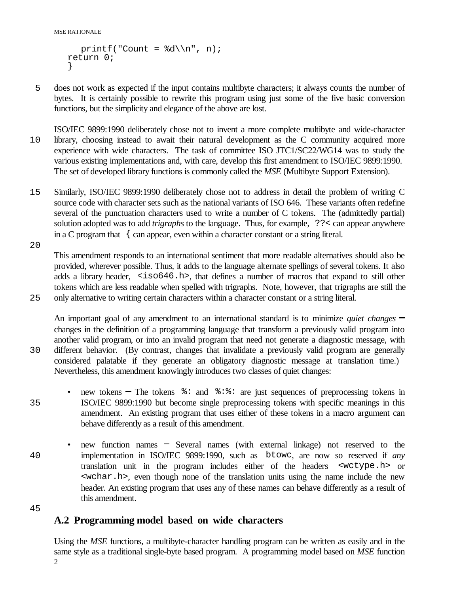MSE RATIONALE

```
printf("Count = \delta \ln", n);
return 0;
}
```
- 5 does not work as expected if the input contains multibyte characters; it always counts the number of bytes. It is certainly possible to rewrite this program using just some of the five basic conversion functions, but the simplicity and elegance of the above are lost.
- ISO/IEC 9899:1990 deliberately chose not to invent a more complete multibyte and wide-character 10 library, choosing instead to await their natural development as the C community acquired more experience with wide characters. The task of committee ISO JTC1/SC22/WG14 was to study the various existing implementations and, with care, develop this first amendment to ISO/IEC 9899:1990. The set of developed library functions is commonly called the *MSE* (Multibyte Support Extension).
- 15 Similarly, ISO/IEC 9899:1990 deliberately chose not to address in detail the problem of writing C source code with character sets such as the national variants of ISO 646. These variants often redefine several of the punctuation characters used to write a number of C tokens. The (admittedly partial) solution adopted was to add *trigraphs* to the language. Thus, for example, ??< can appear anywhere in a C program that  $\{$  can appear, even within a character constant or a string literal.
- 20

This amendment responds to an international sentiment that more readable alternatives should also be provided, wherever possible. Thus, it adds to the language alternate spellings of several tokens. It also adds a library header, <iso646.h>, that defines a number of macros that expand to still other tokens which are less readable when spelled with trigraphs. Note, however, that trigraphs are still the 25 only alternative to writing certain characters within a character constant or a string literal.

An important goal of any amendment to an international standard is to minimize *quiet changes* changes in the definition of a programming language that transform a previously valid program into another valid program, or into an invalid program that need not generate a diagnostic message, with 30 different behavior. (By contrast, changes that invalidate a previously valid program are generally considered palatable if they generate an obligatory diagnostic message at translation time.) Nevertheless, this amendment knowingly introduces two classes of quiet changes:

new tokens  $-$  The tokens  $\hat{\epsilon}$ : and  $\hat{\epsilon}$ :  $\hat{\epsilon}$ : are just sequences of preprocessing tokens in 35 ISO/IEC 9899:1990 but become single preprocessing tokens with specific meanings in this amendment. An existing program that uses either of these tokens in a macro argument can behave differently as a result of this amendment.

- new function names  $-$  Several names (with external linkage) not reserved to the 40 implementation in ISO/IEC 9899:1990, such as btowc, are now so reserved if *any* translation unit in the program includes either of the headers <wctype.h> or <wchar.h>, even though none of the translation units using the name include the new header. An existing program that uses any of these names can behave differently as a result of this amendment.
- 45

## **A.2 Programming model based on wide characters**

Using the *MSE* functions, a multibyte-character handling program can be written as easily and in the same style as a traditional single-byte based program. A programming model based on *MSE* function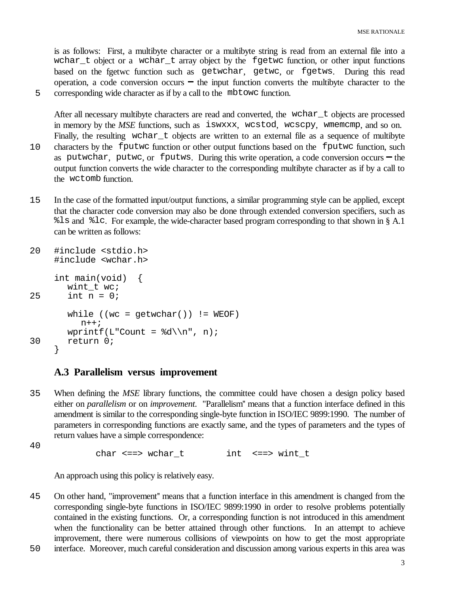is as follows: First, a multibyte character or a multibyte string is read from an external file into a wchar\_t object or a wchar\_t array object by the fgetwc function, or other input functions based on the fgetwc function such as getwchar, getwc, or fgetws. During this read operation, a code conversion occurs  $-$  the input function converts the multibyte character to the 5 corresponding wide character as if by a call to the mbtowc function.

After all necessary multibyte characters are read and converted, the wchar\_t objects are processed in memory by the *MSE* functions, such as iswxxx, wcstod, wcscpy, wmemcmp, and so on. Finally, the resulting wchar\_t objects are written to an external file as a sequence of multibyte

- 10 characters by the fputwc function or other output functions based on the fputwc function, such as putwchar, putwc, or fputws. During this write operation, a code conversion occurs  $=$  the output function converts the wide character to the corresponding multibyte character as if by a call to the wctomb function.
- 15 In the case of the formatted input/output functions, a similar programming style can be applied, except that the character code conversion may also be done through extended conversion specifiers, such as %ls and %lc. For example, the wide-character based program corresponding to that shown in § A.1 can be written as follows:

```
20 #include <stdio.h>
    #include <wchar.h>
    int main(void) {
      wint t wc;
25 int n = 0;
      while ((wc = qetwchar()) != WECF)n++;wprintf(L"Count = d\ln", n);
30 return 0;
    }
```
#### **A.3 Parallelism versus improvement**

35 When defining the *MSE* library functions, the committee could have chosen a design policy based either on *parallelism* or on *improvement*. "Parallelism'' means that a function interface defined in this amendment is similar to the corresponding single-byte function in ISO/IEC 9899:1990. The number of parameters in corresponding functions are exactly same, and the types of parameters and the types of return values have a simple correspondence:

```
40
```

```
char <==> wchar_t int <==> wint_t
```
An approach using this policy is relatively easy.

- 45 On other hand, "improvement'' means that a function interface in this amendment is changed from the corresponding single-byte functions in ISO/IEC 9899:1990 in order to resolve problems potentially contained in the existing functions. Or, a corresponding function is not introduced in this amendment when the functionality can be better attained through other functions. In an attempt to achieve improvement, there were numerous collisions of viewpoints on how to get the most appropriate
- 50 interface. Moreover, much careful consideration and discussion among various experts in this area was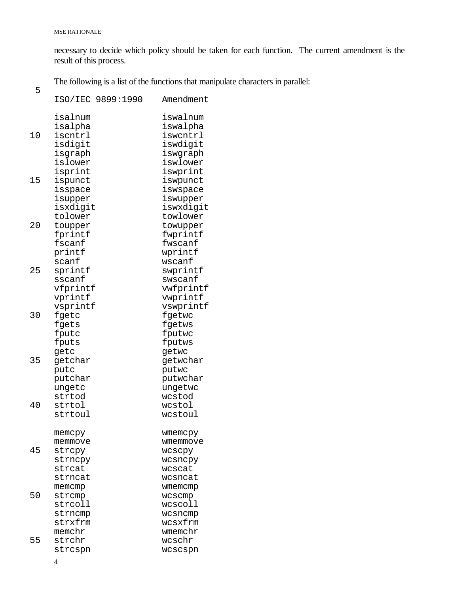necessary to decide which policy should be taken for each function. The current amendment is the result of this process.

The following is a list of the functions that manipulate characters in parallel:

5

isalnum iswalnum<br>isalpha iswalpha isalpha iswalpha 10 iscntrl iswcntrl<br>isdigit iswdigit iswdigit isgraph iswgraph islower iswlower<br>isprint iswprint iswprint 15 ispunct iswpunct<br>isspace iswspace isspace iswspace<br>isupper iswupper isupper iswupper isxdigit iswxdigit tolower towlower 20 toupper towupper<br>fprintf twprintf fwprintf fscanf fwscanf<br>
printf wprintf printf wprintf scanf wscanf<br>sprintf wswprint 25 sprintf swprintf sscanf swscanf<br>
vfprintf wwfprint vfprintf<br>
vprintf vwfprintf vprintf vwprintf vsprintf vswprintf 30 fgetc fgetwc fgets fgetws<br>fputc fputwc fputwc fputs fputws getc getwc 35 getchar getwchar putc putwc putchar putwchar ungetc ungetwc<br>strtod wcstod strtod 40 strtol wcstol strtoul wcstoul memcpy wmemcpy<br>memmove wmemcry  $u$ memmove

ISO/IEC 9899:1990 Amendment

|    | ilielililove | WILIEILILIUVE |
|----|--------------|---------------|
| 45 | strcpy       | wcscpy        |
|    | strncpy      | wcsncpy       |
|    | strcat       | wcscat        |
|    | strncat      | wcsncat       |
|    | memcmp       | wmemcmp       |
| 50 | strcmp       | wcscmp        |
|    | strcoll      | wcscoll       |
|    | strncmp      | wcsncmp       |
|    | strxfrm      | wcsxfrm       |
|    | memchr       | wmemchr       |
| 55 | strchr       | wcschr        |
|    | strcspn      | wcscspn       |
|    |              |               |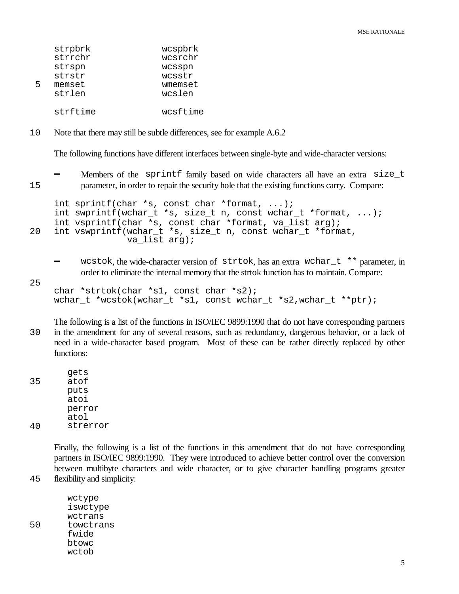|   | strpbrk  | wcspbrk  |
|---|----------|----------|
|   | strrchr  | wcsrchr  |
|   | strspn   | wcsspn   |
|   | strstr   | wcsstr   |
| 5 | memset   | wmemset  |
|   | strlen   | wcslen   |
|   |          |          |
|   | strftime | wcsftime |

10 Note that there may still be subtle differences, see for example A.6.2

The following functions have different interfaces between single-byte and wide-character versions:

Members of the sprintf family based on wide characters all have an extra size\_t 15 parameter, in order to repair the security hole that the existing functions carry. Compare:

```
int sprintf(char *s, const char *format, ...);
    int swprintf(wchar_t *s, size_t n, const wchar_t *format, ...);
    int vsprintf(char *s, const char *format, va_list arg);
20 int vswprintf(wchar_t *s, size_t n, const wchar_t *format,
                   va_list arg);
```
wcstok, the wide-character version of strtok, has an extra wchar\_t \*\* parameter, in order to eliminate the internal memory that the strtok function has to maintain. Compare:

25

```
char *strtok(char *s1, const char *s2);
wchar_t *wcstok(wchar_t *s1, const wchar_t *s2,wchar_t **ptr);
```
The following is a list of the functions in ISO/IEC 9899:1990 that do not have corresponding partners 30 in the amendment for any of several reasons, such as redundancy, dangerous behavior, or a lack of need in a wide-character based program. Most of these can be rather directly replaced by other functions:

gets 35 atof puts atoi perror atol 40 strerror

Finally, the following is a list of the functions in this amendment that do not have corresponding partners in ISO/IEC 9899:1990. They were introduced to achieve better control over the conversion between multibyte characters and wide character, or to give character handling programs greater 45 flexibility and simplicity:

wctype iswctype wctrans 50 towctrans fwide btowc wctob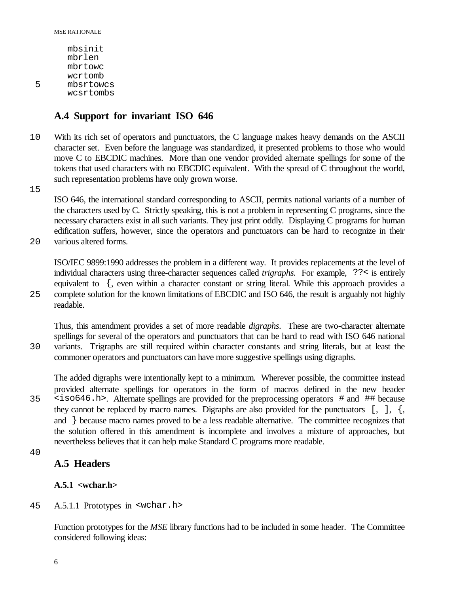mbsinit mbrlen mbrtowc wcrtomb 5 mbsrtowcs wcsrtombs

## **A.4 Support for invariant ISO 646**

- 10 With its rich set of operators and punctuators, the C language makes heavy demands on the ASCII character set. Even before the language was standardized, it presented problems to those who would move C to EBCDIC machines. More than one vendor provided alternate spellings for some of the tokens that used characters with no EBCDIC equivalent. With the spread of C throughout the world, such representation problems have only grown worse.
- 15

ISO 646, the international standard corresponding to ASCII, permits national variants of a number of the characters used by C. Strictly speaking, this is not a problem in representing C programs, since the necessary characters exist in all such variants. They just print oddly. Displaying C programs for human edification suffers, however, since the operators and punctuators can be hard to recognize in their

20 various altered forms.

ISO/IEC 9899:1990 addresses the problem in a different way. It provides replacements at the level of individual characters using three-character sequences called *trigraphs*. For example, ??< is entirely equivalent to {, even within a character constant or string literal. While this approach provides a 25 complete solution for the known limitations of EBCDIC and ISO 646, the result is arguably not highly readable.

Thus, this amendment provides a set of more readable *digraphs*. These are two-character alternate spellings for several of the operators and punctuators that can be hard to read with ISO 646 national 30 variants. Trigraphs are still required within character constants and string literals, but at least the commoner operators and punctuators can have more suggestive spellings using digraphs.

The added digraphs were intentionally kept to a minimum. Wherever possible, the committee instead provided alternate spellings for operators in the form of macros defined in the new header 35 <iso646.h>. Alternate spellings are provided for the preprocessing operators # and ## because they cannot be replaced by macro names. Digraphs are also provided for the punctuators  $[ , ]$ ,  $[ , ]$ and } because macro names proved to be a less readable alternative. The committee recognizes that the solution offered in this amendment is incomplete and involves a mixture of approaches, but nevertheless believes that it can help make Standard C programs more readable.

40

# **A.5 Headers**

## **A.5.1 <wchar.h>**

45 A.5.1.1 Prototypes in <wchar.h>

Function prototypes for the *MSE* library functions had to be included in some header. The Committee considered following ideas: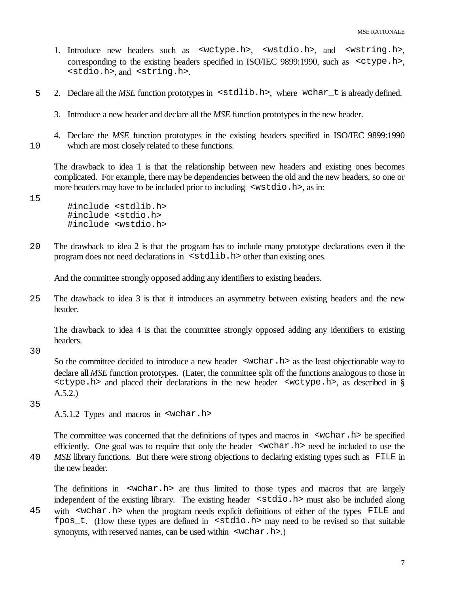- 1. Introduce new headers such as <wctype.h>, <wstdio.h>, and <wstring.h>, corresponding to the existing headers specified in ISO/IEC 9899:1990, such as <ctype.h>, <stdio.h>, and <string.h>.
- 5 2. Declare all the *MSE* function prototypes in  $\leq$  stdlib.h>, where wchar<sub>I</sub>t is already defined.
	- 3. Introduce a new header and declare all the *MSE* function prototypes in the new header.
- 4. Declare the *MSE* function prototypes in the existing headers specified in ISO/IEC 9899:1990 10 which are most closely related to these functions.

The drawback to idea 1 is that the relationship between new headers and existing ones becomes complicated. For example, there may be dependencies between the old and the new headers, so one or more headers may have to be included prior to including  $\leq$ wstdio.h>, as in:

15

#include <stdlib.h> #include <stdio.h> #include <wstdio.h>

20 The drawback to idea 2 is that the program has to include many prototype declarations even if the program does not need declarations in <stdlib.h> other than existing ones.

And the committee strongly opposed adding any identifiers to existing headers.

25 The drawback to idea 3 is that it introduces an asymmetry between existing headers and the new header.

The drawback to idea 4 is that the committee strongly opposed adding any identifiers to existing headers.

30

So the committee decided to introduce a new header  $\leq$  wchar. h> as the least objectionable way to declare all *MSE* function prototypes. (Later, the committee split off the functions analogous to those in  $\langle$ ctype.h> and placed their declarations in the new header  $\langle$ wctype.h>, as described in § A.5.2.)

35

A.5.1.2 Types and macros in <wchar.h>

The committee was concerned that the definitions of types and macros in  $\leq$ wchar.h> be specified efficiently. One goal was to require that only the header  $\leq w$ char. h> need be included to use the

40 *MSE* library functions. But there were strong objections to declaring existing types such as FILE in the new header.

The definitions in  $\leq$  wchar.h> are thus limited to those types and macros that are largely independent of the existing library. The existing header  $\leq$  stdio.h> must also be included along

45 with <wchar.h> when the program needs explicit definitions of either of the types FILE and fpos\_t. (How these types are defined in  $\le$ stdio.h> may need to be revised so that suitable synonyms, with reserved names, can be used within  $\leq$  wchar.h>.)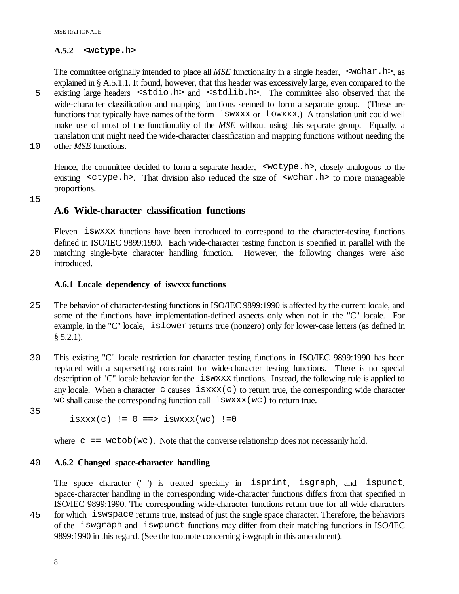## **A.5.2 <wctype.h>**

The committee originally intended to place all *MSE* functionality in a single header,  $\leq$ wchar.h>, as explained in § A.5.1.1. It found, however, that this header was excessively large, even compared to the 5 existing large headers <stdio.h> and <stdlib.h>. The committee also observed that the wide-character classification and mapping functions seemed to form a separate group. (These are functions that typically have names of the form iswxxx or towxxx.) A translation unit could well make use of most of the functionality of the *MSE* without using this separate group. Equally, a translation unit might need the wide-character classification and mapping functions without needing the

10 other *MSE* functions.

Hence, the committee decided to form a separate header, <wctype.h>, closely analogous to the existing <ctype.h>. That division also reduced the size of <wchar.h> to more manageable proportions.

15

## **A.6 Wide-character classification functions**

Eleven iswxxx functions have been introduced to correspond to the character-testing functions defined in ISO/IEC 9899:1990. Each wide-character testing function is specified in parallel with the 20 matching single-byte character handling function. However, the following changes were also introduced.

### **A.6.1 Locale dependency of iswxxx functions**

- 25 The behavior of character-testing functions in ISO/IEC 9899:1990 is affected by the current locale, and some of the functions have implementation-defined aspects only when not in the "C" locale. For example, in the "C" locale, islower returns true (nonzero) only for lower-case letters (as defined in  $§ 5.2.1$ ).
- 30 This existing "C" locale restriction for character testing functions in ISO/IEC 9899:1990 has been replaced with a supersetting constraint for wide-character testing functions. There is no special description of "C" locale behavior for the iswxxx functions. Instead, the following rule is applied to any locale. When a character  $\circ$  causes isxxx( $\circ$ ) to return true, the corresponding wide character wc shall cause the corresponding function call iswxxx(wc) to return true.
- 35

 $isxxx(c)$  != 0 ==>  $iswxxx(wc)$  !=0

where  $\sigma = \text{wctob}(\text{wc})$ . Note that the converse relationship does not necessarily hold.

### 40 **A.6.2 Changed space-character handling**

The space character (' ') is treated specially in isprint, isgraph, and ispunct. Space-character handling in the corresponding wide-character functions differs from that specified in ISO/IEC 9899:1990. The corresponding wide-character functions return true for all wide characters 45 for which iswspace returns true, instead of just the single space character. Therefore, the behaviors

of the iswgraph and iswpunct functions may differ from their matching functions in ISO/IEC 9899:1990 in this regard. (See the footnote concerning iswgraph in this amendment).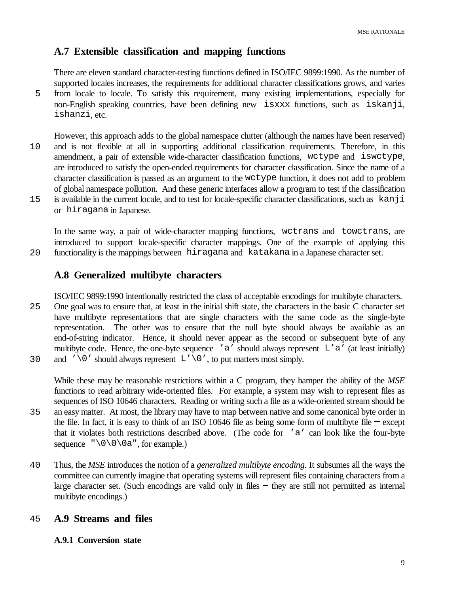# **A.7 Extensible classification and mapping functions**

There are eleven standard character-testing functions defined in ISO/IEC 9899:1990. As the number of supported locales increases, the requirements for additional character classifications grows, and varies 5 from locale to locale. To satisfy this requirement, many existing implementations, especially for non-English speaking countries, have been defining new isxxx functions, such as iskanji, ishanzi, etc.

- However, this approach adds to the global namespace clutter (although the names have been reserved) 10 and is not flexible at all in supporting additional classification requirements. Therefore, in this amendment, a pair of extensible wide-character classification functions, wctype and iswctype, are introduced to satisfy the open-ended requirements for character classification. Since the name of a character classification is passed as an argument to the wctype function, it does not add to problem of global namespace pollution. And these generic interfaces allow a program to test if the classification 15 is available in the current locale, and to test for locale-specific character classifications, such as kanji
- or hiragana in Japanese.

In the same way, a pair of wide-character mapping functions, wctrans and towctrans, are introduced to support locale-specific character mappings. One of the example of applying this 20 functionality is the mappings between hiragana and katakana in a Japanese character set.

## **A.8 Generalized multibyte characters**

ISO/IEC 9899:1990 intentionally restricted the class of acceptable encodings for multibyte characters. 25 One goal was to ensure that, at least in the initial shift state, the characters in the basic C character set have multibyte representations that are single characters with the same code as the single-byte representation. The other was to ensure that the null byte should always be available as an end-of-string indicator. Hence, it should never appear as the second or subsequent byte of any multibyte code. Hence, the one-byte sequence 'a' should always represent  $\mathbb{L}'$  a' (at least initially)

30 and ' $\sqrt{0}$ ' should always represent  $\sqrt{0}$ ', to put matters most simply.

While these may be reasonable restrictions within a C program, they hamper the ability of the *MSE* functions to read arbitrary wide-oriented files. For example, a system may wish to represent files as sequences of ISO 10646 characters. Reading or writing such a file as a wide-oriented stream should be 35 an easy matter. At most, the library may have to map between native and some canonical byte order in the file. In fact, it is easy to think of an ISO 10646 file as being some form of multibyte file  $-$  except that it violates both restrictions described above. (The code for 'a' can look like the four-byte sequence  $"\0000a",$  for example.)

40 Thus, the *MSE* introduces the notion of a *generalized multibyte encoding*. It subsumes all the ways the committee can currently imagine that operating systems will represent files containing characters from a large character set. (Such encodings are valid only in files  $-$  they are still not permitted as internal multibyte encodings.)

## 45 **A.9 Streams and files**

### **A.9.1 Conversion state**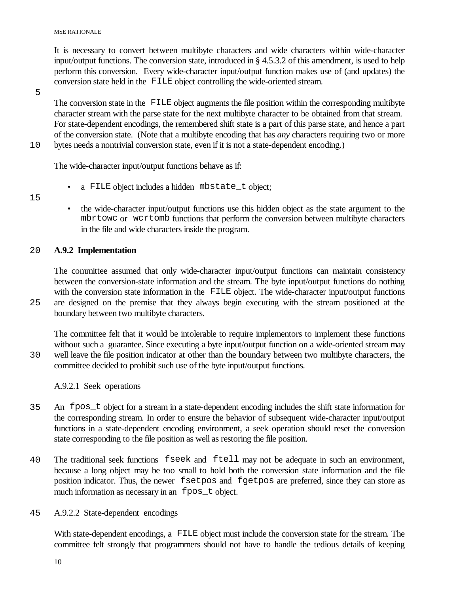It is necessary to convert between multibyte characters and wide characters within wide-character input/output functions. The conversion state, introduced in § 4.5.3.2 of this amendment, is used to help perform this conversion. Every wide-character input/output function makes use of (and updates) the conversion state held in the FILE object controlling the wide-oriented stream.

5

The conversion state in the FILE object augments the file position within the corresponding multibyte character stream with the parse state for the next multibyte character to be obtained from that stream. For state-dependent encodings, the remembered shift state is a part of this parse state, and hence a part of the conversion state. (Note that a multibyte encoding that has *any* characters requiring two or more 10 bytes needs a nontrivial conversion state, even if it is not a state-dependent encoding.)

The wide-character input/output functions behave as if:

- a FILE object includes a hidden mbstate\_t object;
- 15
- the wide-character input/output functions use this hidden object as the state argument to the mbrtowc or wcrtomb functions that perform the conversion between multibyte characters in the file and wide characters inside the program.

#### 20 **A.9.2 Implementation**

The committee assumed that only wide-character input/output functions can maintain consistency between the conversion-state information and the stream. The byte input/output functions do nothing with the conversion state information in the FILE object. The wide-character input/output functions 25 are designed on the premise that they always begin executing with the stream positioned at the boundary between two multibyte characters.

The committee felt that it would be intolerable to require implementors to implement these functions without such a guarantee. Since executing a byte input/output function on a wide-oriented stream may 30 well leave the file position indicator at other than the boundary between two multibyte characters, the committee decided to prohibit such use of the byte input/output functions.

A.9.2.1 Seek operations

- 35 An fpos\_t object for a stream in a state-dependent encoding includes the shift state information for the corresponding stream. In order to ensure the behavior of subsequent wide-character input/output functions in a state-dependent encoding environment, a seek operation should reset the conversion state corresponding to the file position as well as restoring the file position.
- 40 The traditional seek functions fseek and ftell may not be adequate in such an environment, because a long object may be too small to hold both the conversion state information and the file position indicator. Thus, the newer fsetpos and fgetpos are preferred, since they can store as much information as necessary in an fpos\_t object.
- 45 A.9.2.2 State-dependent encodings

With state-dependent encodings, a FILE object must include the conversion state for the stream. The committee felt strongly that programmers should not have to handle the tedious details of keeping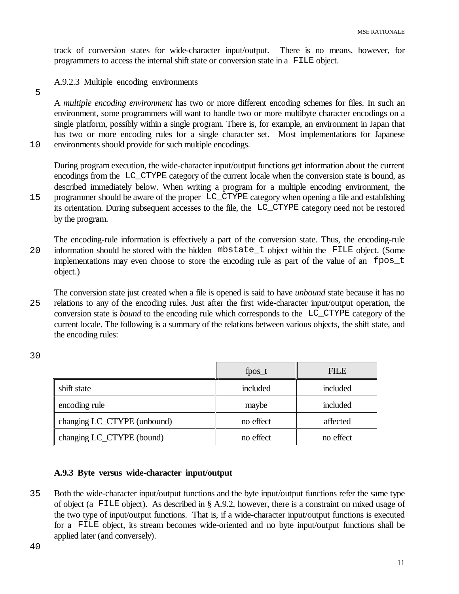track of conversion states for wide-character input/output. There is no means, however, for programmers to access the internal shift state or conversion state in a FILE object.

A.9.2.3 Multiple encoding environments

5

A *multiple encoding environment* has two or more different encoding schemes for files. In such an environment, some programmers will want to handle two or more multibyte character encodings on a single platform, possibly within a single program. There is, for example, an environment in Japan that has two or more encoding rules for a single character set. Most implementations for Japanese 10 environments should provide for such multiple encodings.

During program execution, the wide-character input/output functions get information about the current encodings from the LC\_CTYPE category of the current locale when the conversion state is bound, as described immediately below. When writing a program for a multiple encoding environment, the 15 programmer should be aware of the proper LC\_CTYPE category when opening a file and establishing its orientation. During subsequent accesses to the file, the LC\_CTYPE category need not be restored by the program.

The encoding-rule information is effectively a part of the conversion state. Thus, the encoding-rule 20 information should be stored with the hidden mbstate\_t object within the FILE object. (Some implementations may even choose to store the encoding rule as part of the value of an fpos\_t object.)

The conversion state just created when a file is opened is said to have *unbound* state because it has no 25 relations to any of the encoding rules. Just after the first wide-character input/output operation, the conversion state is *bound* to the encoding rule which corresponds to the LC\_CTYPE category of the current locale. The following is a summary of the relations between various objects, the shift state, and the encoding rules:

|                             | fpos_ $t$ | FILE      |
|-----------------------------|-----------|-----------|
| shift state                 | included  | included  |
| encoding rule               | maybe     | included  |
| changing LC_CTYPE (unbound) | no effect | affected  |
| changing LC_CTYPE (bound)   | no effect | no effect |

30

### **A.9.3 Byte versus wide-character input/output**

35 Both the wide-character input/output functions and the byte input/output functions refer the same type of object (a FILE object). As described in § A.9.2, however, there is a constraint on mixed usage of the two type of input/output functions. That is, if a wide-character input/output functions is executed for a FILE object, its stream becomes wide-oriented and no byte input/output functions shall be applied later (and conversely).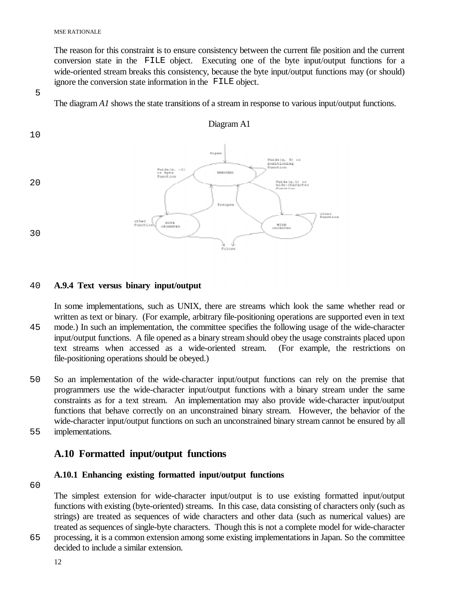The reason for this constraint is to ensure consistency between the current file position and the current conversion state in the FILE object. Executing one of the byte input/output functions for a wide-oriented stream breaks this consistency, because the byte input/output functions may (or should) ignore the conversion state information in the FILE object.

5

10

The diagram *A1* shows the state transitions of a stream in response to various input/output functions.

Diagram A1



30

20

## 40 **A.9.4 Text versus binary input/output**

In some implementations, such as UNIX, there are streams which look the same whether read or written as text or binary. (For example, arbitrary file-positioning operations are supported even in text 45 mode.) In such an implementation, the committee specifies the following usage of the wide-character input/output functions. A file opened as a binary stream should obey the usage constraints placed upon text streams when accessed as a wide-oriented stream. (For example, the restrictions on file-positioning operations should be obeyed.)

- 50 So an implementation of the wide-character input/output functions can rely on the premise that programmers use the wide-character input/output functions with a binary stream under the same constraints as for a text stream. An implementation may also provide wide-character input/output functions that behave correctly on an unconstrained binary stream. However, the behavior of the wide-character input/output functions on such an unconstrained binary stream cannot be ensured by all
- 55 implementations.

## **A.10 Formatted input/output functions**

**A.10.1 Enhancing existing formatted input/output functions**

60

The simplest extension for wide-character input/output is to use existing formatted input/output functions with existing (byte-oriented) streams. In this case, data consisting of characters only (such as strings) are treated as sequences of wide characters and other data (such as numerical values) are

treated as sequences of single-byte characters. Though this is not a complete model for wide-character 65 processing, it is a common extension among some existing implementations in Japan. So the committee decided to include a similar extension.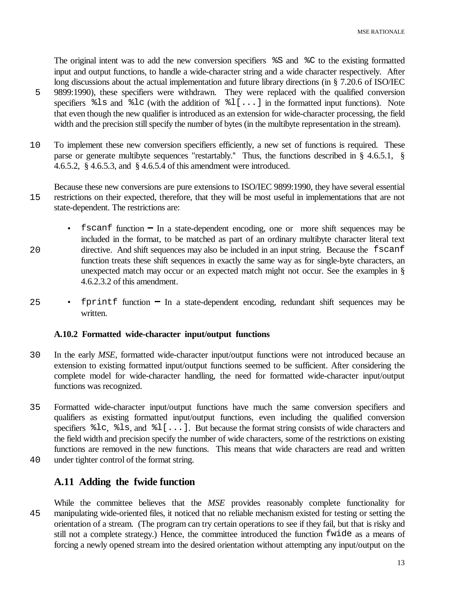The original intent was to add the new conversion specifiers  $\&$  S and  $\&$ C to the existing formatted input and output functions, to handle a wide-character string and a wide character respectively. After long discussions about the actual implementation and future library directions (in § 7.20.6 of ISO/IEC

- 5 9899:1990), these specifiers were withdrawn. They were replaced with the qualified conversion specifiers  $\$1s$  and  $\$1c$  (with the addition of  $\$1[\dots]$  in the formatted input functions). Note that even though the new qualifier is introduced as an extension for wide-character processing, the field width and the precision still specify the number of bytes (in the multibyte representation in the stream).
- 10 To implement these new conversion specifiers efficiently, a new set of functions is required. These parse or generate multibyte sequences "restartably." Thus, the functions described in § 4.6.5.1, § 4.6.5.2, § 4.6.5.3, and § 4.6.5.4 of this amendment were introduced.

Because these new conversions are pure extensions to ISO/IEC 9899:1990, they have several essential 15 restrictions on their expected, therefore, that they will be most useful in implementations that are not state-dependent. The restrictions are:

- $f$  scanf function  $-$  In a state-dependent encoding, one or more shift sequences may be included in the format, to be matched as part of an ordinary multibyte character literal text 20 directive. And shift sequences may also be included in an input string. Because the fscanf function treats these shift sequences in exactly the same way as for single-byte characters, an unexpected match may occur or an expected match might not occur. See the examples in § 4.6.2.3.2 of this amendment.
- 25 fprintf function  $-$  In a state-dependent encoding, redundant shift sequences may be written.

#### **A.10.2 Formatted wide-character input/output functions**

- 30 In the early *MSE*, formatted wide-character input/output functions were not introduced because an extension to existing formatted input/output functions seemed to be sufficient. After considering the complete model for wide-character handling, the need for formatted wide-character input/output functions was recognized.
- 35 Formatted wide-character input/output functions have much the same conversion specifiers and qualifiers as existing formatted input/output functions, even including the qualified conversion specifiers  $\ell L$ ,  $\ell L$  s, and  $\ell L$ ..... But because the format string consists of wide characters and the field width and precision specify the number of wide characters, some of the restrictions on existing functions are removed in the new functions. This means that wide characters are read and written
- 40 under tighter control of the format string.

## **A.11 Adding the fwide function**

While the committee believes that the *MSE* provides reasonably complete functionality for 45 manipulating wide-oriented files, it noticed that no reliable mechanism existed for testing or setting the orientation of a stream. (The program can try certain operations to see if they fail, but that is risky and still not a complete strategy.) Hence, the committee introduced the function fwide as a means of forcing a newly opened stream into the desired orientation without attempting any input/output on the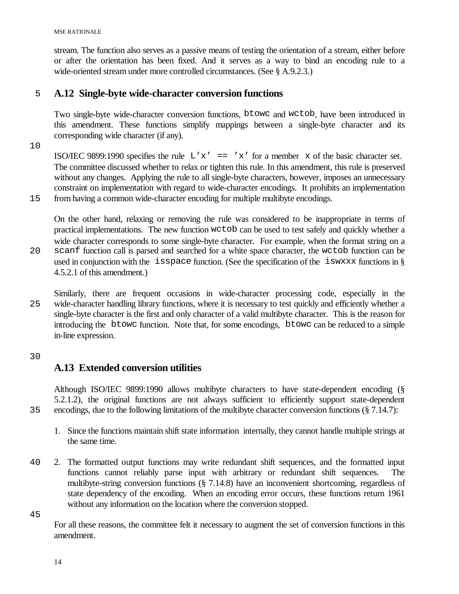#### MSE RATIONALE

stream. The function also serves as a passive means of testing the orientation of a stream, either before or after the orientation has been fixed. And it serves as a way to bind an encoding rule to a wide-oriented stream under more controlled circumstances. (See § A.9.2.3.)

## 5 **A.12 Single-byte wide-character conversion functions**

Two single-byte wide-character conversion functions, btowc and wctob, have been introduced in this amendment. These functions simplify mappings between a single-byte character and its corresponding wide character (if any).

#### 10

ISO/IEC 9899:1990 specifies the rule  $L'x' = -x'x'$  for a member x of the basic character set. The committee discussed whether to relax or tighten this rule. In this amendment, this rule is preserved without any changes. Applying the rule to all single-byte characters, however, imposes an unnecessary constraint on implementation with regard to wide-character encodings. It prohibits an implementation 15 from having a common wide-character encoding for multiple multibyte encodings.

On the other hand, relaxing or removing the rule was considered to be inappropriate in terms of practical implementations. The new function wctob can be used to test safely and quickly whether a wide character corresponds to some single-byte character. For example, when the format string on a 20 scanf function call is parsed and searched for a white space character, the wctob function can be used in conjunction with the isspace function. (See the specification of the iswxxx functions in § 4.5.2.1 of this amendment.)

Similarly, there are frequent occasions in wide-character processing code, especially in the 25 wide-character handling library functions, where it is necessary to test quickly and efficiently whether a single-byte character is the first and only character of a valid multibyte character. This is the reason for introducing the btowc function. Note that, for some encodings, btowc can be reduced to a simple in-line expression.

### 30

## **A.13 Extended conversion utilities**

Although ISO/IEC 9899:1990 allows multibyte characters to have state-dependent encoding (§ 5.2.1.2), the original functions are not always sufficient to efficiently support state-dependent 35 encodings, due to the following limitations of the multibyte character conversion functions (§ 7.14.7):

- 1. Since the functions maintain shift state information internally, they cannot handle multiple strings at the same time.
- 40 2. The formatted output functions may write redundant shift sequences, and the formatted input functions cannot reliably parse input with arbitrary or redundant shift sequences. The multibyte-string conversion functions (§ 7.14.8) have an inconvenient shortcoming, regardless of state dependency of the encoding. When an encoding error occurs, these functions return 1961 without any information on the location where the conversion stopped.

45

For all these reasons, the committee felt it necessary to augment the set of conversion functions in this amendment.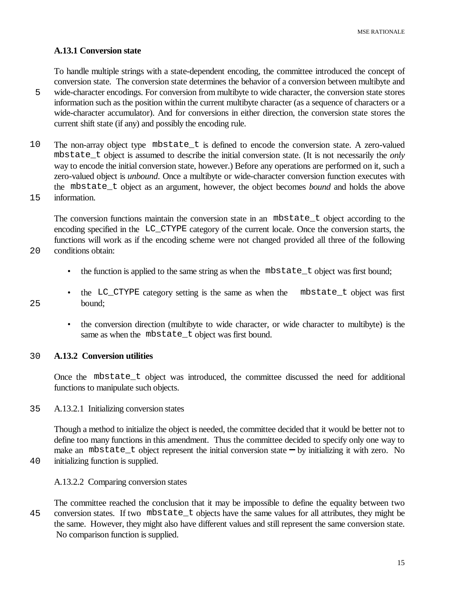#### **A.13.1 Conversion state**

To handle multiple strings with a state-dependent encoding, the committee introduced the concept of conversion state. The conversion state determines the behavior of a conversion between multibyte and 5 wide-character encodings. For conversion from multibyte to wide character, the conversion state stores information such as the position within the current multibyte character (as a sequence of characters or a wide-character accumulator). And for conversions in either direction, the conversion state stores the current shift state (if any) and possibly the encoding rule.

- 10 The non-array object type mbstate\_t is defined to encode the conversion state. A zero-valued mbstate\_t object is assumed to describe the initial conversion state. (It is not necessarily the *only* way to encode the initial conversion state, however.) Before any operations are performed on it, such a zero-valued object is *unbound*. Once a multibyte or wide-character conversion function executes with the mbstate\_t object as an argument, however, the object becomes *bound* and holds the above
- 15 information.

The conversion functions maintain the conversion state in an mbstate\_t object according to the encoding specified in the LC\_CTYPE category of the current locale. Once the conversion starts, the functions will work as if the encoding scheme were not changed provided all three of the following

- 20 conditions obtain:
	- the function is applied to the same string as when the mbstate\_t object was first bound;
- the LC\_CTYPE category setting is the same as when the mbstate\_t object was first 25 bound;
	- the conversion direction (multibyte to wide character, or wide character to multibyte) is the same as when the mbstate\_t object was first bound.

#### 30 **A.13.2 Conversion utilities**

Once the mbstate\_t object was introduced, the committee discussed the need for additional functions to manipulate such objects.

35 A.13.2.1 Initializing conversion states

Though a method to initialize the object is needed, the committee decided that it would be better not to define too many functions in this amendment. Thus the committee decided to specify only one way to make an mbstate\_t object represent the initial conversion state  $-$  by initializing it with zero. No 40 initializing function is supplied.

A.13.2.2 Comparing conversion states

The committee reached the conclusion that it may be impossible to define the equality between two 45 conversion states. If two mbstate\_t objects have the same values for all attributes, they might be the same. However, they might also have different values and still represent the same conversion state. No comparison function is supplied.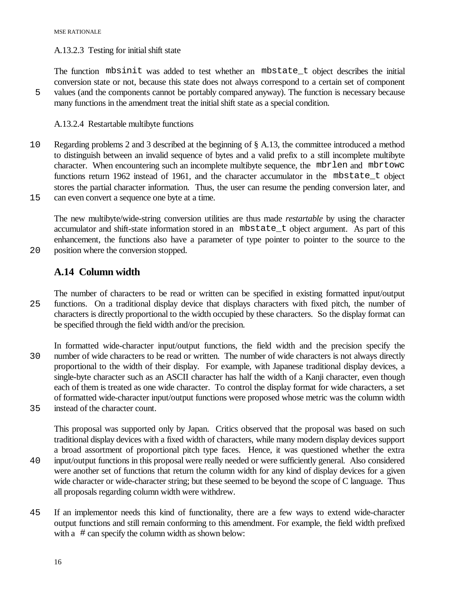## A.13.2.3 Testing for initial shift state

The function mbsinit was added to test whether an mbstate\_t object describes the initial conversion state or not, because this state does not always correspond to a certain set of component 5 values (and the components cannot be portably compared anyway). The function is necessary because many functions in the amendment treat the initial shift state as a special condition.

A.13.2.4 Restartable multibyte functions

10 Regarding problems 2 and 3 described at the beginning of § A.13, the committee introduced a method to distinguish between an invalid sequence of bytes and a valid prefix to a still incomplete multibyte character. When encountering such an incomplete multibyte sequence, the mbrlen and mbrtowc functions return 1962 instead of 1961, and the character accumulator in the mbstate\_t object stores the partial character information. Thus, the user can resume the pending conversion later, and 15 can even convert a sequence one byte at a time.

The new multibyte/wide-string conversion utilities are thus made *restartable* by using the character accumulator and shift-state information stored in an mbstate\_t object argument. As part of this enhancement, the functions also have a parameter of type pointer to pointer to the source to the 20 position where the conversion stopped.

**A.14 Column width**

The number of characters to be read or written can be specified in existing formatted input/output 25 functions. On a traditional display device that displays characters with fixed pitch, the number of characters is directly proportional to the width occupied by these characters. So the display format can be specified through the field width and/or the precision.

- In formatted wide-character input/output functions, the field width and the precision specify the 30 number of wide characters to be read or written. The number of wide characters is not always directly proportional to the width of their display. For example, with Japanese traditional display devices, a single-byte character such as an ASCII character has half the width of a Kanji character, even though each of them is treated as one wide character. To control the display format for wide characters, a set of formatted wide-character input/output functions were proposed whose metric was the column width
- 35 instead of the character count.

This proposal was supported only by Japan. Critics observed that the proposal was based on such traditional display devices with a fixed width of characters, while many modern display devices support a broad assortment of proportional pitch type faces. Hence, it was questioned whether the extra 40 input/output functions in this proposal were really needed or were sufficiently general. Also considered were another set of functions that return the column width for any kind of display devices for a given wide character or wide-character string; but these seemed to be beyond the scope of C language. Thus all proposals regarding column width were withdrew.

45 If an implementor needs this kind of functionality, there are a few ways to extend wide-character output functions and still remain conforming to this amendment. For example, the field width prefixed with a  $\#$  can specify the column width as shown below: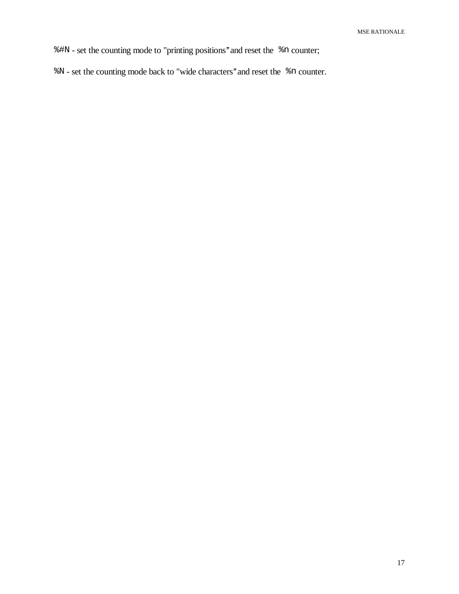- %#N set the counting mode to "printing positions'' and reset the %n counter;
- $N set$  the counting mode back to "wide characters" and reset the  $% \mathbb{R}$  \*n counter.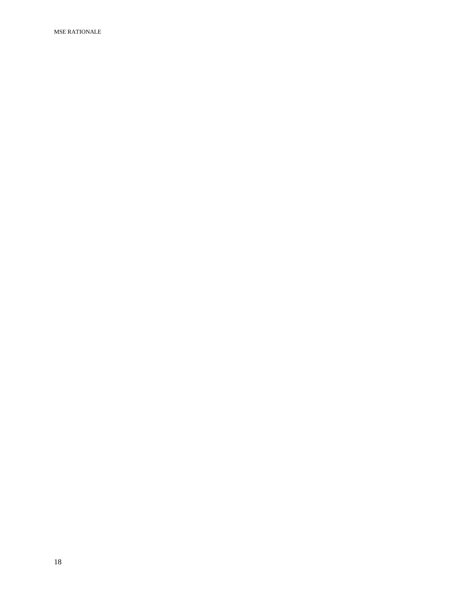MSE RATIONALE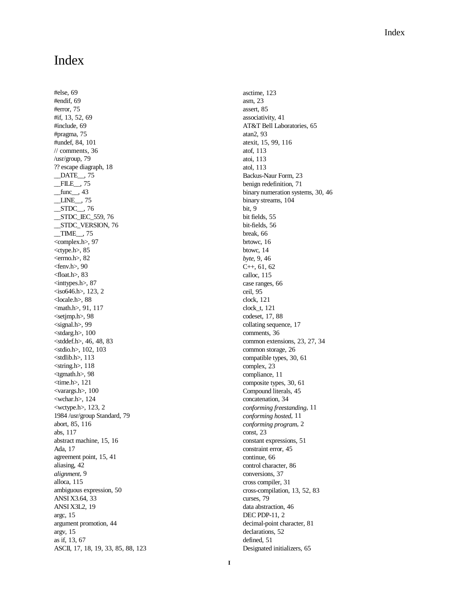# Index

#else, 69 #endif, 69 #error, 75 #if, 13, 52, 69 #include, 69 #pragma, 75 #undef, 84, 101 // comments, 36 /usr/group, 79 ?? escape diagraph, 18 \_\_DATE\_\_, 75 \_\_FILE\_\_, 75  $func \t, 43$ \_\_LINE\_\_, 75  $\_STDC\_$ , 76 \_\_STDC\_IEC\_559, 76 \_\_STDC\_VERSION, 76 \_\_TIME\_\_, 75 <complex.h>, 97  $<$ ctype.h $>$ , 85 <errno.h>, 82 <fenv.h>, 90 <float.h>, 83  $\langle$ inttypes.h $>$ , 87  $\langle$ iso646.h>, 123, 2 <locale.h>, 88 <math.h>, 91, 117 <setjmp.h>, 98  $<$ signal.h $>$ , 99  $<$ stdarg.h $>$ , 100  $\lt$ stddef.h $>$ , 46, 48, 83 <stdio.h>, 102, 103 <stdlib.h>, 113  $\langle$ string.h $>$ , 118 <tgmath.h>, 98  $\langle$ time.h $>$ , 121 <varargs.h>, 100 <wchar.h>, 124  $\langle wctype.h \rangle$ , 123, 2 1984 /usr/group Standard, 79 abort, 85, 116 abs, 117 abstract machine, 15, 16 Ada, 17 agreement point, 15, 41 aliasing, 42 *alignment*, 9 alloca, 115 ambiguous expression, 50 ANSI X3.64, 33 ANSI X3L2, 19 argc, 15 argument promotion, 44 argv, 15 as if, 13, 67 ASCII, 17, 18, 19, 33, 85, 88, 123

asctime, 123 asm, 23 assert, 85 associativity, 41 AT&T Bell Laboratories, 65 atan2, 93 atexit, 15, 99, 116 atof, 113 atoi, 113 atol, 113 Backus-Naur Form, 23 benign redefinition, 71 binary numeration systems, 30, 46 binary streams, 104 bit, 9 bit fields, 55 bit-fields, 56 break, 66 brtowc, 16 btowc, 14 *byte*, 9, 46 C++, 61, 62 calloc, 115 case ranges, 66 ceil, 95 clock, 121 clock\_t, 121 codeset, 17, 88 collating sequence, 17 comments, 36 common extensions, 23, 27, 34 common storage, 26 compatible types, 30, 61 complex, 23 compliance, 11 composite types, 30, 61 Compound literals, 45 concatenation, 34 *conforming freestanding*, 11 *conforming hosted*, 11 *conforming program*, 2 const, 23 constant expressions, 51 constraint error, 45 continue, 66 control character, 86 conversions, 37 cross compiler, 31 cross-compilation, 13, 52, 83 curses, 79 data abstraction, 46 DEC PDP-11, 2 decimal-point character, 81 declarations, 52 defined, 51 Designated initializers, 65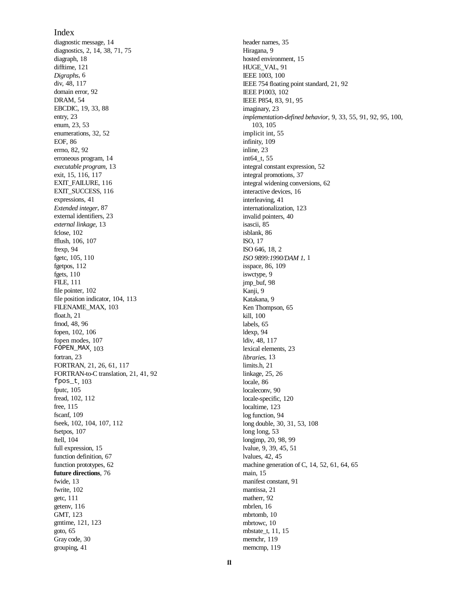#### Index

diagnostic message, 14 diagnostics, 2, 14, 38, 71, 75 diagraph, 18 difftime, 121 *Digraphs*, 6 div, 48, 117 domain error, 92 DRAM, 54 EBCDIC, 19, 33, 88 entry, 23 enum, 23, 53 enumerations, 32, 52 EOF, 86 errno, 82, 92 erroneous program, 14 *executable program*, 13 exit, 15, 116, 117 EXIT\_FAILURE, 116 EXIT\_SUCCESS, 116 expressions, 41 *Extended integer*, 87 external identifiers, 23 *external linkage*, 13 fclose, 102 fflush, 106, 107 frexp, 94 fgetc, 105, 110 fgetpos, 112 fgets, 110 FILE, 111 file pointer, 102 file position indicator, 104, 113 FILENAME\_MAX, 103 float.h, 21 fmod, 48, 96 fopen, 102, 106 fopen modes, 107 FOPEN\_MAX, 103 fortran, 23 FORTRAN, 21, 26, 61, 117 FORTRAN-to-C translation, 21, 41, 92 fpos\_t, 103 fputc, 105 fread, 102, 112 free, 115 fscanf, 109 fseek, 102, 104, 107, 112 fsetpos, 107 ftell, 104 full expression, 15 function definition, 67 function prototypes, 62 **future directions**, 76 fwide, 13 fwrite, 102 getc, 111 getenv, 116 GMT, 123 gmtime, 121, 123 goto, 65 Gray code, 30 grouping, 41

header names, 35 Hiragana, 9 hosted environment, 15 HUGE\_VAL, 91 IEEE 1003, 100 IEEE 754 floating point standard, 21, 92 IEEE P1003, 102 IEEE P854, 83, 91, 95 imaginary, 23 *implementation-defined behavior*, 9, 33, 55, 91, 92, 95, 100, 103, 105 implicit int, 55 infinity, 109 inline, 23 int64\_t, 55 integral constant expression, 52 integral promotions, 37 integral widening conversions, 62 interactive devices, 16 interleaving, 41 internationalization, 123 invalid pointers, 40 isascii, 85 isblank, 86 ISO, 17 ISO 646, 18, 2 *ISO 9899:1990/DAM 1*, 1 isspace, 86, 109 iswctype, 9 jmp\_buf, 98 Kanji, 9 Katakana, 9 Ken Thompson, 65 kill, 100 labels, 65 ldexp, 94 ldiv, 48, 117 lexical elements, 23 *libraries*, 13 limits.h, 21 linkage, 25, 26 locale, 86 localeconv, 90 locale-specific, 120 localtime, 123 log function, 94 long double, 30, 31, 53, 108 long long, 53 longjmp, 20, 98, 99 lvalue, 9, 39, 45, 51 lvalues, 42, 45 machine generation of C, 14, 52, 61, 64, 65 main, 15 manifest constant, 91 mantissa, 21 matherr, 92 mbrlen, 16 mbrtomb, 10 mbrtowc, 10 mbstate\_t, 11, 15 memchr, 119 memcmp, 119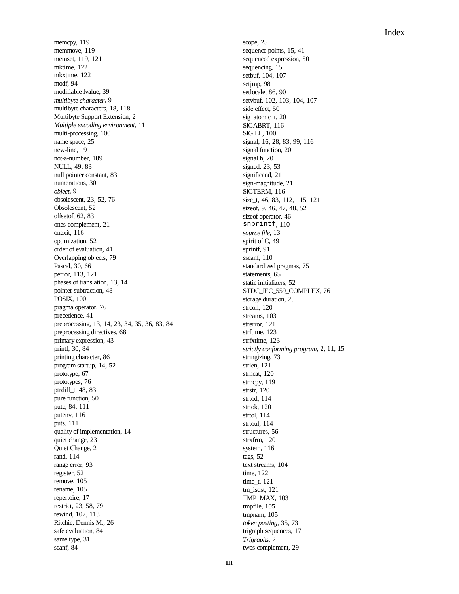memcpy, 119 memmove, 119 memset, 119, 121 mktime, 122 mkxtime, 122 modf, 94 modifiable lvalue, 39 *multibyte character*, 9 multibyte characters, 18, 118 Multibyte Support Extension, 2 *Multiple encoding environment*, 11 multi-processing, 100 name space, 25 new-line, 19 not-a-number, 109 NULL, 49, 83 null pointer constant, 83 numerations, 30 *object*, 9 obsolescent, 23, 52, 76 Obsolescent, 52 offsetof, 62, 83 ones-complement, 21 onexit, 116 optimization, 52 order of evaluation, 41 Overlapping objects, 79 Pascal, 30, 66 perror, 113, 121 phases of translation, 13, 14 pointer subtraction, 48 POSIX, 100 pragma operator, 76 precedence, 41 preprocessing, 13, 14, 23, 34, 35, 36, 83, 84 preprocessing directives, 68 primary expression, 43 printf, 30, 84 printing character, 86 program startup, 14, 52 prototype, 67 prototypes, 76 ptrdiff\_t, 48, 83 pure function, 50 putc, 84, 111 putenv, 116 puts, 111 quality of implementation, 14 quiet change, 23 Quiet Change, 2 rand, 114 range error, 93 register, 52 remove, 105 rename, 105 repertoire, 17 restrict, 23, 58, 79 rewind, 107, 113 Ritchie, Dennis M., 26 safe evaluation, 84 same type, 31 scanf, 84

scope, 25 sequence points, 15, 41 sequenced expression, 50 sequencing, 15 setbuf, 104, 107 setjmp, 98 setlocale, 86, 90 setvbuf, 102, 103, 104, 107 side effect, 50 sig\_atomic\_t, 20 SIGABRT, 116 SIGILL, 100 signal, 16, 28, 83, 99, 116 signal function, 20 signal.h, 20 signed, 23, 53 significand, 21 sign-magnitude, 21 SIGTERM, 116 size t, 46, 83, 112, 115, 121 sizeof, 9, 46, 47, 48, 52 sizeof operator, 46 snprintf, 110 *source file*, 13 spirit of C, 49 sprintf, 91 sscanf, 110 standardized pragmas, 75 statements, 65 static initializers, 52 STDC\_IEC\_559\_COMPLEX, 76 storage duration, 25 strcoll, 120 streams, 103 strerror, 121 strftime, 123 strfxtime, 123 *strictly conforming program*, 2, 11, 15 stringizing, 73 strlen, 121 strncat, 120 strncpy, 119 strstr, 120 strtod, 114 strtok, 120 strtol, 114 strtoul, 114 structures, 56 strxfrm, 120 system, 116 tags, 52 text streams, 104 time, 122 time t. 121 tm\_isdst, 121 TMP\_MAX, 103 tmpfile, 105 tmpnam, 105 *token pasting*, 35, 73 trigraph sequences, 17 *Trigraphs*, 2 twos-complement, 29